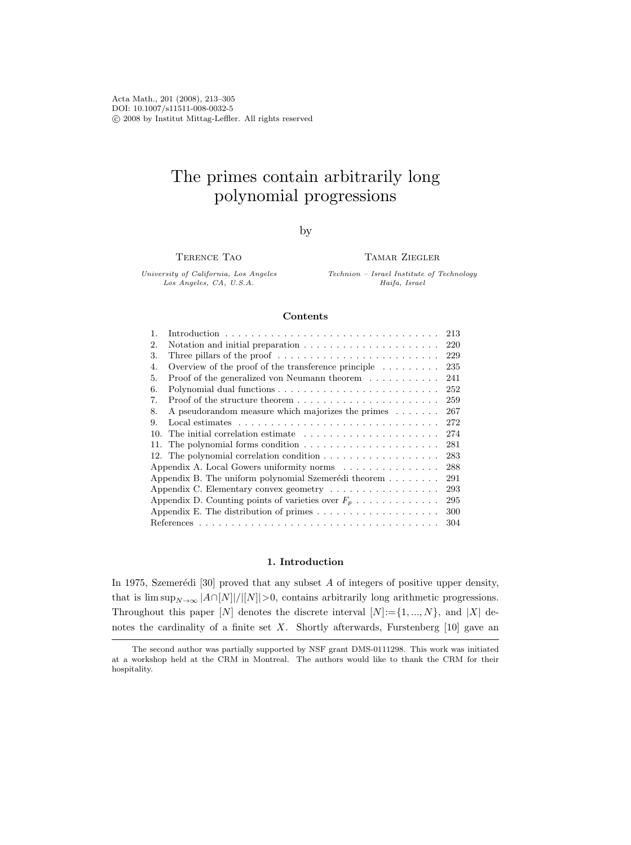Acta Math., 201 (2008), 213–305 DOI: 10.1007/s11511-008-0032-5 c 2008 by Institut Mittag-Leffler. All rights reserved

# The primes contain arbitrarily long polynomial progressions

by

Terence Tao

Tamar Ziegler

University of California, Los Angeles Los Angeles, CA, U.S.A.

Technion – Israel Institute of Technology Haifa, Israel

### Contents

| $\mathbf{1}$ .                                                                         |                                                                                           | 213 |  |
|----------------------------------------------------------------------------------------|-------------------------------------------------------------------------------------------|-----|--|
| 2.                                                                                     | Notation and initial preparation $\ldots \ldots \ldots \ldots \ldots \ldots \ldots$       | 220 |  |
| 3.                                                                                     | Three pillars of the proof $\dots \dots \dots \dots \dots \dots \dots \dots \dots$        | 229 |  |
| 4.                                                                                     | Overview of the proof of the transference principle $\dots \dots$                         | 235 |  |
| 5.                                                                                     | Proof of the generalized von Neumann theorem $\dots \dots \dots$                          | 241 |  |
| 6.                                                                                     |                                                                                           | 252 |  |
| 7.                                                                                     |                                                                                           | 259 |  |
| 8.                                                                                     | A pseudorandom measure which majorizes the primes $\dots \dots$                           | 267 |  |
| 9.                                                                                     | Local estimates $\dots \dots \dots \dots \dots \dots \dots \dots \dots \dots \dots \dots$ | 272 |  |
|                                                                                        | 10. The initial correlation estimate $\dots \dots \dots \dots \dots \dots \dots$          | 274 |  |
|                                                                                        |                                                                                           | 281 |  |
|                                                                                        |                                                                                           | 283 |  |
|                                                                                        | Appendix A. Local Gowers uniformity norms $\dots \dots \dots \dots \dots$                 | 288 |  |
| Appendix B. The uniform polynomial Szemerédi theorem<br>291                            |                                                                                           |     |  |
| Appendix C. Elementary convex geometry                                                 |                                                                                           | 293 |  |
| Appendix D. Counting points of varieties over $F_p \ldots \ldots \ldots \ldots$<br>295 |                                                                                           |     |  |
| Appendix E. The distribution of primes $\dots \dots \dots \dots \dots \dots$<br>300    |                                                                                           |     |  |
| 304                                                                                    |                                                                                           |     |  |

# 1. Introduction

In 1975, Szemerédi [30] proved that any subset  $A$  of integers of positive upper density, that is  $\limsup_{N\to\infty} |A\cap[N]|/|[N]|>0$ , contains arbitrarily long arithmetic progressions. Throughout this paper [N] denotes the discrete interval  $[N]:={1,..., N}$ , and  $|X|$  denotes the cardinality of a finite set  $X$ . Shortly afterwards, Furstenberg [10] gave an

The second author was partially supported by NSF grant DMS-0111298. This work was initiated at a workshop held at the CRM in Montreal. The authors would like to thank the CRM for their hospitality.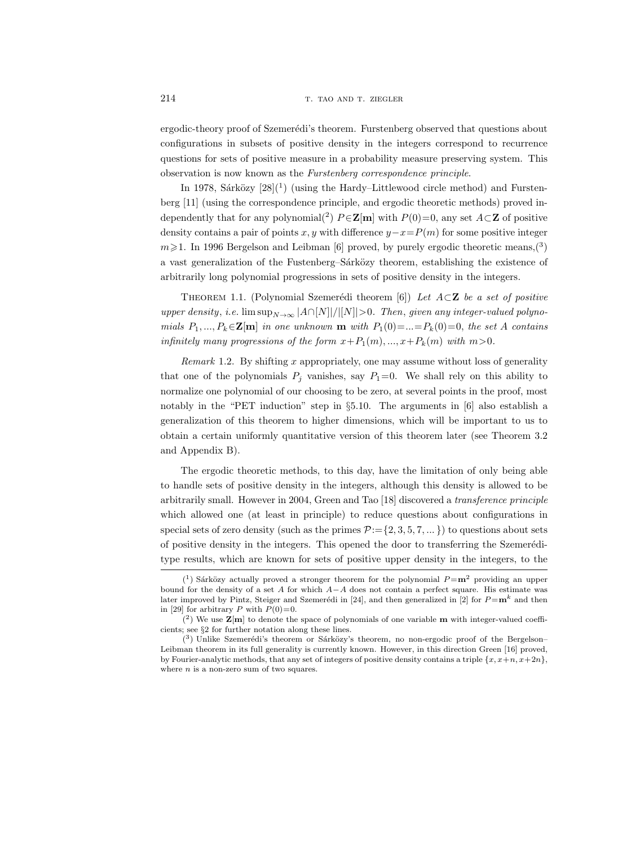ergodic-theory proof of Szemerédi's theorem. Furstenberg observed that questions about configurations in subsets of positive density in the integers correspond to recurrence questions for sets of positive measure in a probability measure preserving system. This observation is now known as the Furstenberg correspondence principle.

In 1978, Sárközy  $[28](^1)$  (using the Hardy–Littlewood circle method) and Furstenberg [11] (using the correspondence principle, and ergodic theoretic methods) proved independently that for any polynomial(<sup>2</sup>)  $P \in \mathbb{Z}[m]$  with  $P(0)=0$ , any set  $A \subset \mathbb{Z}$  of positive density contains a pair of points x, y with difference  $y-x=P(m)$  for some positive integer  $m \geq 1$ . In 1996 Bergelson and Leibman [6] proved, by purely ergodic theoretic means, (3) a vast generalization of the Fustenberg–Sárközy theorem, establishing the existence of arbitrarily long polynomial progressions in sets of positive density in the integers.

THEOREM 1.1. (Polynomial Szemerédi theorem [6]) Let  $A \subset \mathbb{Z}$  be a set of positive upper density, i.e.  $\limsup_{N\to\infty}$   $|A\cap[N]|/|[N]|>0$ . Then, given any integer-valued polynomials  $P_1, ..., P_k \in \mathbb{Z}[m]$  in one unknown  $m$  with  $P_1(0) = ... = P_k(0) = 0$ , the set A contains infinitely many progressions of the form  $x+P_1(m), ..., x+P_k(m)$  with  $m>0$ .

Remark 1.2. By shifting  $x$  appropriately, one may assume without loss of generality that one of the polynomials  $P_j$  vanishes, say  $P_1=0$ . We shall rely on this ability to normalize one polynomial of our choosing to be zero, at several points in the proof, most notably in the "PET induction" step in §5.10. The arguments in [6] also establish a generalization of this theorem to higher dimensions, which will be important to us to obtain a certain uniformly quantitative version of this theorem later (see Theorem 3.2 and Appendix B).

The ergodic theoretic methods, to this day, have the limitation of only being able to handle sets of positive density in the integers, although this density is allowed to be arbitrarily small. However in 2004, Green and Tao [18] discovered a transference principle which allowed one (at least in principle) to reduce questions about configurations in special sets of zero density (such as the primes  $P:=\{2,3,5,7,...\}$ ) to questions about sets of positive density in the integers. This opened the door to transferring the Szemeréditype results, which are known for sets of positive upper density in the integers, to the

 $(1)$  Sárközy actually proved a stronger theorem for the polynomial  $P = m^2$  providing an upper bound for the density of a set A for which  $A-A$  does not contain a perfect square. His estimate was later improved by Pintz, Steiger and Szemerédi in [24], and then generalized in [2] for  $P = m^k$  and then in [29] for arbitrary P with  $P(0)=0$ .

 $(2)$  We use  $\mathbf{Z}[\mathbf{m}]$  to denote the space of polynomials of one variable **m** with integer-valued coefficients; see §2 for further notation along these lines.

 $(3)$  Unlike Szemerédi's theorem or Sárközy's theorem, no non-ergodic proof of the Bergelson– Leibman theorem in its full generality is currently known. However, in this direction Green [16] proved, by Fourier-analytic methods, that any set of integers of positive density contains a triple  $\{x, x+n, x+2n\}$ , where  $n$  is a non-zero sum of two squares.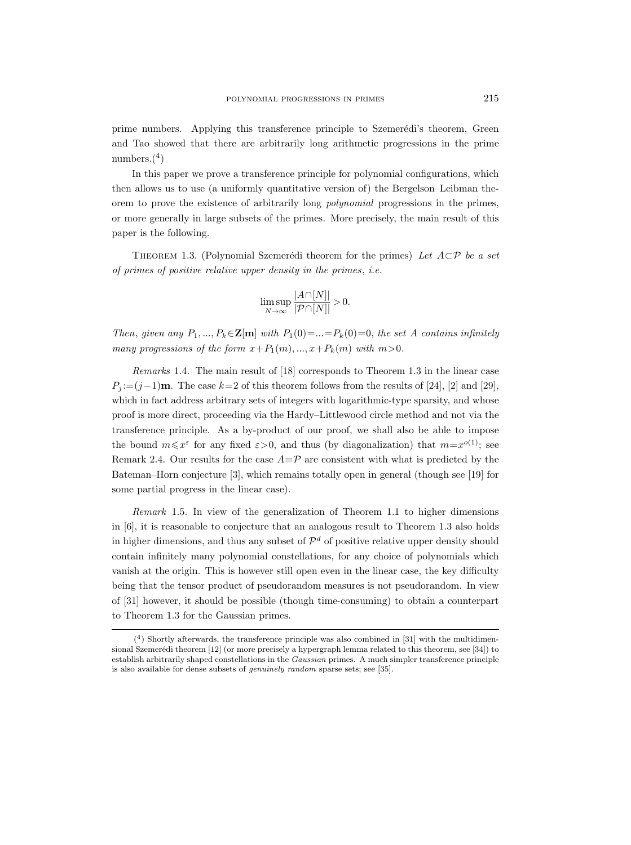prime numbers. Applying this transference principle to Szemerédi's theorem, Green and Tao showed that there are arbitrarily long arithmetic progressions in the prime numbers.(<sup>4</sup> )

In this paper we prove a transference principle for polynomial configurations, which then allows us to use (a uniformly quantitative version of) the Bergelson–Leibman theorem to prove the existence of arbitrarily long polynomial progressions in the primes, or more generally in large subsets of the primes. More precisely, the main result of this paper is the following.

THEOREM 1.3. (Polynomial Szemerédi theorem for the primes) Let  $A\subset\mathcal{P}$  be a set of primes of positive relative upper density in the primes, i.e.

$$
\limsup_{N \to \infty} \frac{|A \cap [N]|}{|\mathcal{P} \cap [N]|} > 0.
$$

Then, given any  $P_1, ..., P_k \in \mathbb{Z}[m]$  with  $P_1(0) = ... = P_k(0) = 0$ , the set A contains infinitely many progressions of the form  $x+P_1(m), ..., x+P_k(m)$  with  $m>0$ .

Remarks 1.4. The main result of [18] corresponds to Theorem 1.3 in the linear case  $P_i := (j-1)\mathbf{m}$ . The case  $k=2$  of this theorem follows from the results of [24], [2] and [29], which in fact address arbitrary sets of integers with logarithmic-type sparsity, and whose proof is more direct, proceeding via the Hardy–Littlewood circle method and not via the transference principle. As a by-product of our proof, we shall also be able to impose the bound  $m \leq x^{\varepsilon}$  for any fixed  $\varepsilon > 0$ , and thus (by diagonalization) that  $m = x^{o(1)}$ ; see Remark 2.4. Our results for the case  $A=\mathcal{P}$  are consistent with what is predicted by the Bateman–Horn conjecture [3], which remains totally open in general (though see [19] for some partial progress in the linear case).

Remark 1.5. In view of the generalization of Theorem 1.1 to higher dimensions in [6], it is reasonable to conjecture that an analogous result to Theorem 1.3 also holds in higher dimensions, and thus any subset of  $\mathcal{P}^d$  of positive relative upper density should contain infinitely many polynomial constellations, for any choice of polynomials which vanish at the origin. This is however still open even in the linear case, the key difficulty being that the tensor product of pseudorandom measures is not pseudorandom. In view of [31] however, it should be possible (though time-consuming) to obtain a counterpart to Theorem 1.3 for the Gaussian primes.

<sup>(</sup> 4 ) Shortly afterwards, the transference principle was also combined in [31] with the multidimensional Szemerédi theorem [12] (or more precisely a hypergraph lemma related to this theorem, see [34]) to establish arbitrarily shaped constellations in the Gaussian primes. A much simpler transference principle is also available for dense subsets of genuinely random sparse sets; see [35].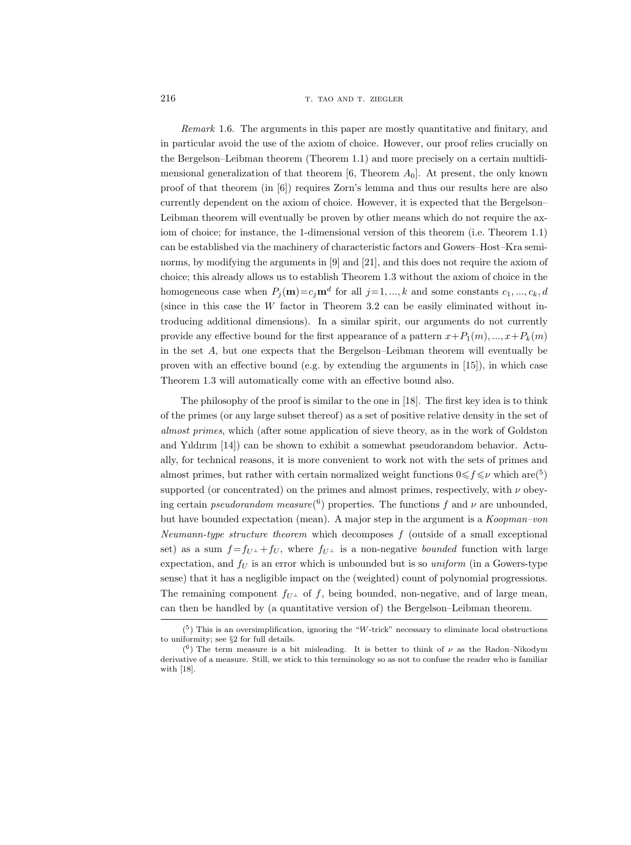Remark 1.6. The arguments in this paper are mostly quantitative and finitary, and in particular avoid the use of the axiom of choice. However, our proof relies crucially on the Bergelson–Leibman theorem (Theorem 1.1) and more precisely on a certain multidimensional generalization of that theorem  $[6,$  Theorem  $A_0$ . At present, the only known proof of that theorem (in [6]) requires Zorn's lemma and thus our results here are also currently dependent on the axiom of choice. However, it is expected that the Bergelson– Leibman theorem will eventually be proven by other means which do not require the axiom of choice; for instance, the 1-dimensional version of this theorem (i.e. Theorem 1.1) can be established via the machinery of characteristic factors and Gowers–Host–Kra seminorms, by modifying the arguments in [9] and [21], and this does not require the axiom of choice; this already allows us to establish Theorem 1.3 without the axiom of choice in the homogeneous case when  $P_j(\mathbf{m})=c_j\mathbf{m}^d$  for all  $j=1, ..., k$  and some constants  $c_1, ..., c_k, d$ (since in this case the W factor in Theorem 3.2 can be easily eliminated without introducing additional dimensions). In a similar spirit, our arguments do not currently provide any effective bound for the first appearance of a pattern  $x+P_1(m), ..., x+P_k(m)$ in the set A, but one expects that the Bergelson–Leibman theorem will eventually be proven with an effective bound (e.g. by extending the arguments in [15]), in which case Theorem 1.3 will automatically come with an effective bound also.

The philosophy of the proof is similar to the one in [18]. The first key idea is to think of the primes (or any large subset thereof) as a set of positive relative density in the set of almost primes, which (after some application of sieve theory, as in the work of Goldston and Yıldırım [14]) can be shown to exhibit a somewhat pseudorandom behavior. Actually, for technical reasons, it is more convenient to work not with the sets of primes and almost primes, but rather with certain normalized weight functions  $0 \le f \le \nu$  which are(<sup>5</sup>) supported (or concentrated) on the primes and almost primes, respectively, with  $\nu$  obeying certain *pseudorandom measure*<sup>(6</sup>) properties. The functions f and  $\nu$  are unbounded, but have bounded expectation (mean). A major step in the argument is a Koopman-von Neumann-type structure theorem which decomposes f (outside of a small exceptional set) as a sum  $f = f_{U^{\perp}} + f_{U}$ , where  $f_{U^{\perp}}$  is a non-negative *bounded* function with large expectation, and  $f_U$  is an error which is unbounded but is so uniform (in a Gowers-type sense) that it has a negligible impact on the (weighted) count of polynomial progressions. The remaining component  $f_{U^{\perp}}$  of f, being bounded, non-negative, and of large mean, can then be handled by (a quantitative version of) the Bergelson–Leibman theorem.

 $(5)$  This is an oversimplification, ignoring the "W-trick" necessary to eliminate local obstructions to uniformity; see §2 for full details.

<sup>(&</sup>lt;sup>6</sup>) The term measure is a bit misleading. It is better to think of  $\nu$  as the Radon–Nikodym derivative of a measure. Still, we stick to this terminology so as not to confuse the reader who is familiar with [18].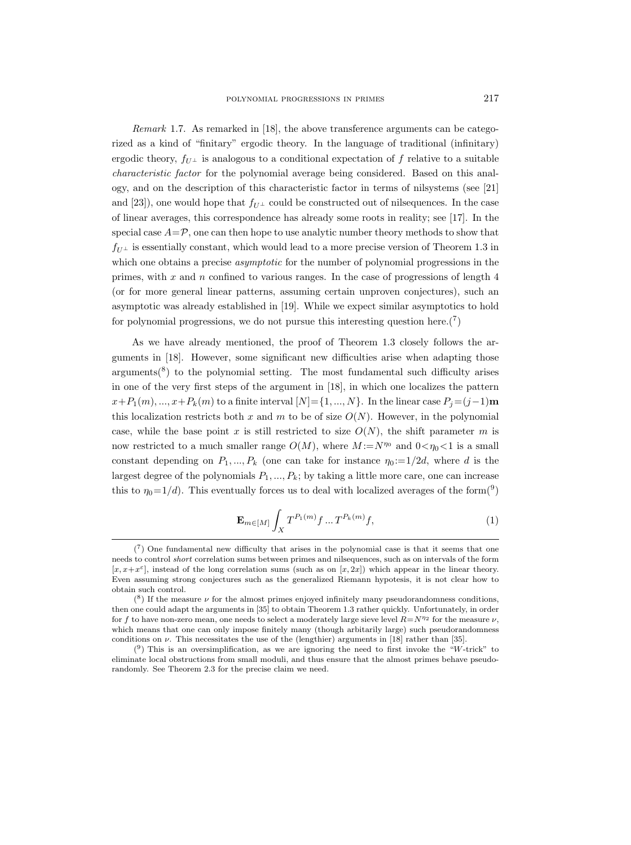Remark 1.7. As remarked in [18], the above transference arguments can be categorized as a kind of "finitary" ergodic theory. In the language of traditional (infinitary) ergodic theory,  $f_{U^{\perp}}$  is analogous to a conditional expectation of f relative to a suitable characteristic factor for the polynomial average being considered. Based on this analogy, and on the description of this characteristic factor in terms of nilsystems (see [21] and [23]), one would hope that  $f_{U^{\perp}}$  could be constructed out of nilsequences. In the case of linear averages, this correspondence has already some roots in reality; see [17]. In the special case  $A=\mathcal{P}$ , one can then hope to use analytic number theory methods to show that  $f_{U^{\perp}}$  is essentially constant, which would lead to a more precise version of Theorem 1.3 in which one obtains a precise *asymptotic* for the number of polynomial progressions in the primes, with  $x$  and  $n$  confined to various ranges. In the case of progressions of length  $4$ (or for more general linear patterns, assuming certain unproven conjectures), such an asymptotic was already established in [19]. While we expect similar asymptotics to hold for polynomial progressions, we do not pursue this interesting question here. $(7)$ 

As we have already mentioned, the proof of Theorem 1.3 closely follows the arguments in [18]. However, some significant new difficulties arise when adapting those  $arguments(^{8})$  to the polynomial setting. The most fundamental such difficulty arises in one of the very first steps of the argument in [18], in which one localizes the pattern  $x+P_1(m), ..., x+P_k(m)$  to a finite interval  $[N]=\{1, ..., N\}$ . In the linear case  $P_j=(j-1)m$ this localization restricts both x and m to be of size  $O(N)$ . However, in the polynomial case, while the base point x is still restricted to size  $O(N)$ , the shift parameter m is now restricted to a much smaller range  $O(M)$ , where  $M := N^{\eta_0}$  and  $0 < \eta_0 < 1$  is a small constant depending on  $P_1, ..., P_k$  (one can take for instance  $\eta_0 := 1/2d$ , where d is the largest degree of the polynomials  $P_1, ..., P_k$ ; by taking a little more care, one can increase this to  $\eta_0 = 1/d$ ). This eventually forces us to deal with localized averages of the form(<sup>9</sup>)

$$
\mathbf{E}_{m \in [M]} \int_{X} T^{P_1(m)} f \dots T^{P_k(m)} f, \tag{1}
$$

 $(7)$  One fundamental new difficulty that arises in the polynomial case is that it seems that one needs to control short correlation sums between primes and nilsequences, such as on intervals of the form  $[x, x+x^{\varepsilon}]$ , instead of the long correlation sums (such as on  $[x, 2x]$ ) which appear in the linear theory. Even assuming strong conjectures such as the generalized Riemann hypotesis, it is not clear how to obtain such control.

 $(8)$  If the measure  $\nu$  for the almost primes enjoyed infinitely many pseudorandomness conditions, then one could adapt the arguments in [35] to obtain Theorem 1.3 rather quickly. Unfortunately, in order for f to have non-zero mean, one needs to select a moderately large sieve level  $R=N^{\eta_2}$  for the measure  $\nu$ , which means that one can only impose finitely many (though arbitarily large) such pseudorandomness conditions on  $\nu$ . This necessitates the use of the (lengthier) arguments in [18] rather than [35].

 $(9)$  This is an oversimplification, as we are ignoring the need to first invoke the "W-trick" to eliminate local obstructions from small moduli, and thus ensure that the almost primes behave pseudorandomly. See Theorem 2.3 for the precise claim we need.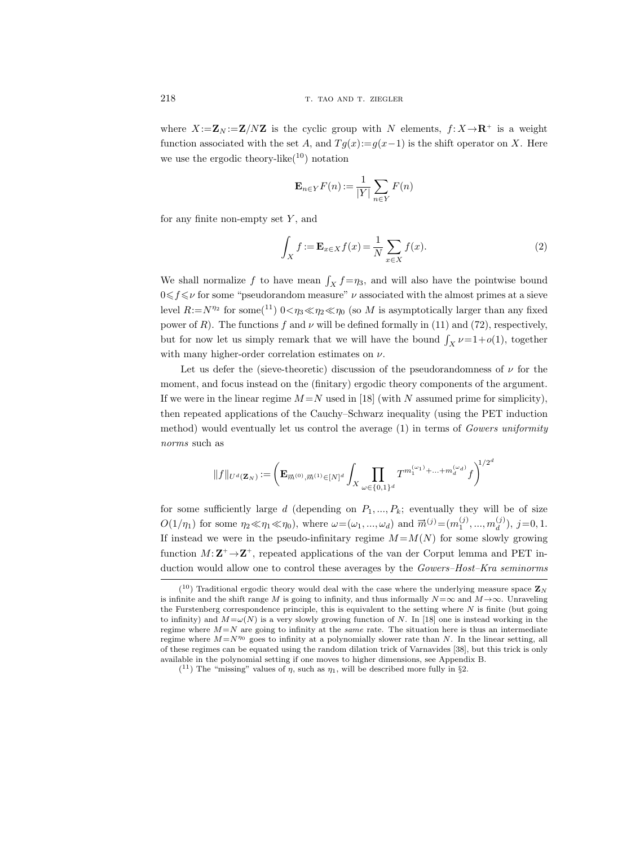where  $X:=\mathbf{Z}_N:=\mathbf{Z}/N\mathbf{Z}$  is the cyclic group with N elements,  $f: X \to \mathbf{R}^+$  is a weight function associated with the set A, and  $Tg(x):=g(x-1)$  is the shift operator on X. Here we use the ergodic theory-like( $10$ ) notation

$$
\mathbf{E}_{n \in Y} F(n) := \frac{1}{|Y|} \sum_{n \in Y} F(n)
$$

for any finite non-empty set  $Y$ , and

$$
\int_{X} f := \mathbf{E}_{x \in X} f(x) = \frac{1}{N} \sum_{x \in X} f(x).
$$
\n(2)

We shall normalize f to have mean  $\int_X f = \eta_3$ , and will also have the pointwise bound  $0 \leq \mathit{f} \leq \mathit{\nu}$  for some "pseudorandom measure"  $\nu$  associated with the almost primes at a sieve level  $R:=N^{\eta_2}$  for some(<sup>11</sup>)  $0<\eta_3\ll\eta_2\ll\eta_0$  (so M is asymptotically larger than any fixed power of R). The functions f and  $\nu$  will be defined formally in (11) and (72), respectively, but for now let us simply remark that we will have the bound  $\int_X \nu = 1+o(1)$ , together with many higher-order correlation estimates on  $\nu$ .

Let us defer the (sieve-theoretic) discussion of the pseudorandomness of  $\nu$  for the moment, and focus instead on the (finitary) ergodic theory components of the argument. If we were in the linear regime  $M = N$  used in [18] (with N assumed prime for simplicity), then repeated applications of the Cauchy–Schwarz inequality (using the PET induction method) would eventually let us control the average (1) in terms of Gowers uniformity norms such as

$$
\|f\|_{U^d(\mathbf{Z}_N)}:=\bigg(\mathbf{E}_{\overrightarrow{m}^{(0)},\overrightarrow{m}^{(1)}\in [N]^d}\int_X\prod_{\omega\in\{0,1\}^d}T^{m_1^{(\omega_1)}+\ldots+m_d^{(\omega_d)}}f\bigg)^{\!\!1/2^d}
$$

for some sufficiently large d (depending on  $P_1, ..., P_k$ ; eventually they will be of size  $O(1/\eta_1)$  for some  $\eta_2 \ll \eta_1 \ll \eta_0$ ), where  $\omega = (\omega_1, ..., \omega_d)$  and  $\vec{m}^{(j)} = (m_1^{(j)}, ..., m_d^{(j)})$  $j=0,1.$ If instead we were in the pseudo-infinitary regime  $M = M(N)$  for some slowly growing function  $M: \mathbb{Z}^+ \rightarrow \mathbb{Z}^+$ , repeated applications of the van der Corput lemma and PET induction would allow one to control these averages by the Gowers–Host–Kra seminorms

 $(10)$  Traditional ergodic theory would deal with the case where the underlying measure space  $\mathbf{Z}_N$ is infinite and the shift range M is going to infinity, and thus informally  $N = \infty$  and  $M \to \infty$ . Unraveling the Furstenberg correspondence principle, this is equivalent to the setting where  $N$  is finite (but going to infinity) and  $M=\omega(N)$  is a very slowly growing function of N. In [18] one is instead working in the regime where  $M=N$  are going to infinity at the same rate. The situation here is thus an intermediate regime where  $M=N^{\eta_0}$  goes to infinity at a polynomially slower rate than N. In the linear setting, all of these regimes can be equated using the random dilation trick of Varnavides [38], but this trick is only available in the polynomial setting if one moves to higher dimensions, see Appendix B.

 $(1)$  The "missing" values of  $\eta$ , such as  $\eta_1$ , will be described more fully in §2.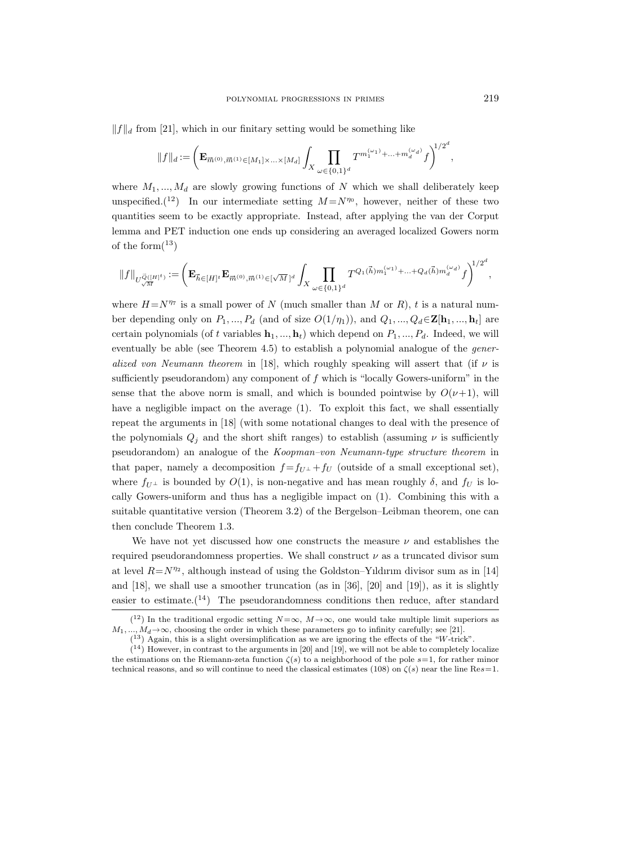$||f||_d$  from [21], which in our finitary setting would be something like

$$
||f||_d:=\left(\mathbf{E}_{\overrightarrow{m}^{(0)},\overrightarrow{m}^{(1)}\in[M_1]\times...\times[M_d]}\int_X\prod_{\omega\in\{0,1\}^d}T^{m_1^{(\omega_1)}+\ldots+m_d^{(\omega_d)}}f\right)^{\!\!1/2^d},
$$

where  $M_1, ..., M_d$  are slowly growing functions of N which we shall deliberately keep unspecified.<sup>(12</sup>) In our intermediate setting  $M = N^{\eta_0}$ , however, neither of these two quantities seem to be exactly appropriate. Instead, after applying the van der Corput lemma and PET induction one ends up considering an averaged localized Gowers norm of the form $(^{13})$ 

$$
\|f\|_{U^{\vec{Q}([H]^t)}_{\sqrt{M}} }:=\bigg( \mathbf{E}_{\vec{h} \in [H]^t}\mathbf{E}_{\vec{m}^{(0)}, \vec{m}^{(1)} \in [\sqrt{M}]^d}\int_X \prod_{\omega \in \{0,1\}^d} T^{Q_1(\vec{h}) m_1^{(\omega_1)} + \ldots + Q_d(\vec{h}) m_d^{(\omega_d)}} f \bigg)^{\!\! 1/2^d},
$$

where  $H = N^{\eta_7}$  is a small power of N (much smaller than M or R), t is a natural number depending only on  $P_1, ..., P_d$  (and of size  $O(1/\eta_1)$ ), and  $Q_1, ..., Q_d \in \mathbb{Z}[\mathbf{h}_1, ..., \mathbf{h}_t]$  are certain polynomials (of t variables  $\mathbf{h}_1, ..., \mathbf{h}_t$ ) which depend on  $P_1, ..., P_d$ . Indeed, we will eventually be able (see Theorem 4.5) to establish a polynomial analogue of the *gener*alized von Neumann theorem in [18], which roughly speaking will assert that (if  $\nu$  is sufficiently pseudorandom) any component of  $f$  which is "locally Gowers-uniform" in the sense that the above norm is small, and which is bounded pointwise by  $O(\nu+1)$ , will have a negligible impact on the average (1). To exploit this fact, we shall essentially repeat the arguments in [18] (with some notational changes to deal with the presence of the polynomials  $Q_j$  and the short shift ranges) to establish (assuming  $\nu$  is sufficiently pseudorandom) an analogue of the Koopman–von Neumann-type structure theorem in that paper, namely a decomposition  $f = f_{U}$  +  $f_{U}$  (outside of a small exceptional set), where  $f_{U^{\perp}}$  is bounded by  $O(1)$ , is non-negative and has mean roughly  $\delta$ , and  $f_U$  is locally Gowers-uniform and thus has a negligible impact on (1). Combining this with a suitable quantitative version (Theorem 3.2) of the Bergelson–Leibman theorem, one can then conclude Theorem 1.3.

We have not yet discussed how one constructs the measure  $\nu$  and establishes the required pseudorandomness properties. We shall construct  $\nu$  as a truncated divisor sum at level  $R = N^{\eta_2}$ , although instead of using the Goldston–Yıldırım divisor sum as in [14] and [18], we shall use a smoother truncation (as in [36], [20] and [19]), as it is slightly easier to estimate.<sup>(14)</sup> The pseudorandomness conditions then reduce, after standard

<sup>(&</sup>lt;sup>12</sup>) In the traditional ergodic setting  $N = \infty$ ,  $M \to \infty$ , one would take multiple limit superiors as  $M_1, ..., M_d \rightarrow \infty$ , choosing the order in which these parameters go to infinity carefully; see [21].

 $(13)$  Again, this is a slight oversimplification as we are ignoring the effects of the "W-trick".

 $(14)$  However, in contrast to the arguments in [20] and [19], we will not be able to completely localize the estimations on the Riemann-zeta function  $\zeta(s)$  to a neighborhood of the pole  $s=1$ , for rather minor technical reasons, and so will continue to need the classical estimates (108) on  $\zeta(s)$  near the line Res=1.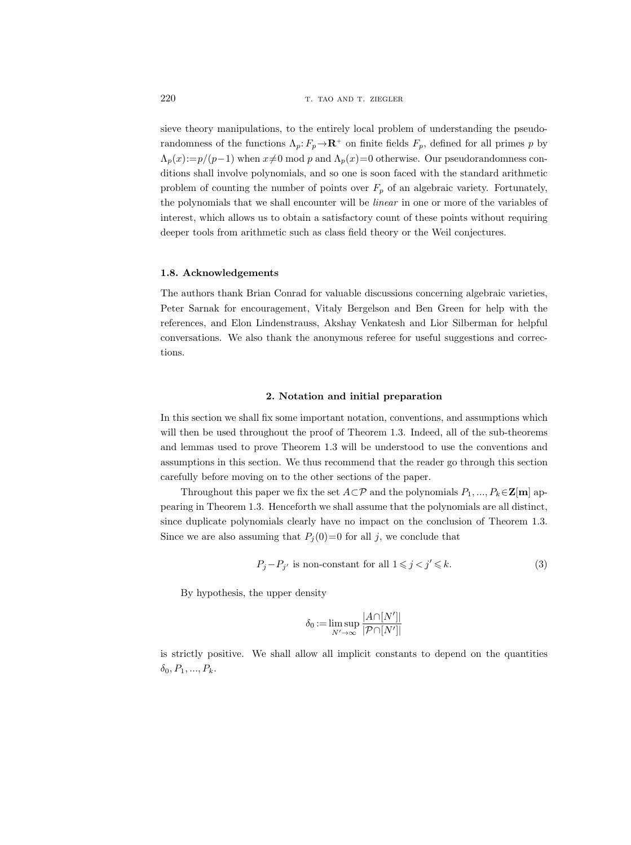sieve theory manipulations, to the entirely local problem of understanding the pseudorandomness of the functions  $\Lambda_p: F_p \to \mathbf{R}^+$  on finite fields  $F_p$ , defined for all primes p by  $\Lambda_p(x) := p/(p-1)$  when  $x \neq 0 \text{ mod } p$  and  $\Lambda_p(x)=0$  otherwise. Our pseudorandomness conditions shall involve polynomials, and so one is soon faced with the standard arithmetic problem of counting the number of points over  $F_p$  of an algebraic variety. Fortunately, the polynomials that we shall encounter will be linear in one or more of the variables of interest, which allows us to obtain a satisfactory count of these points without requiring deeper tools from arithmetic such as class field theory or the Weil conjectures.

### 1.8. Acknowledgements

The authors thank Brian Conrad for valuable discussions concerning algebraic varieties, Peter Sarnak for encouragement, Vitaly Bergelson and Ben Green for help with the references, and Elon Lindenstrauss, Akshay Venkatesh and Lior Silberman for helpful conversations. We also thank the anonymous referee for useful suggestions and corrections.

### 2. Notation and initial preparation

In this section we shall fix some important notation, conventions, and assumptions which will then be used throughout the proof of Theorem 1.3. Indeed, all of the sub-theorems and lemmas used to prove Theorem 1.3 will be understood to use the conventions and assumptions in this section. We thus recommend that the reader go through this section carefully before moving on to the other sections of the paper.

Throughout this paper we fix the set  $A\subset \mathcal{P}$  and the polynomials  $P_1, ..., P_k \in \mathbf{Z}[\mathbf{m}]$  appearing in Theorem 1.3. Henceforth we shall assume that the polynomials are all distinct, since duplicate polynomials clearly have no impact on the conclusion of Theorem 1.3. Since we are also assuming that  $P_i(0)=0$  for all j, we conclude that

$$
P_j - P_{j'} \text{ is non-constant for all } 1 \leq j < j' \leq k. \tag{3}
$$

By hypothesis, the upper density

$$
\delta_0 := \limsup_{N' \to \infty} \frac{|A \cap [N']|}{|\mathcal{P} \cap [N']|}
$$

is strictly positive. We shall allow all implicit constants to depend on the quantities  $\delta_0, P_1, ..., P_k.$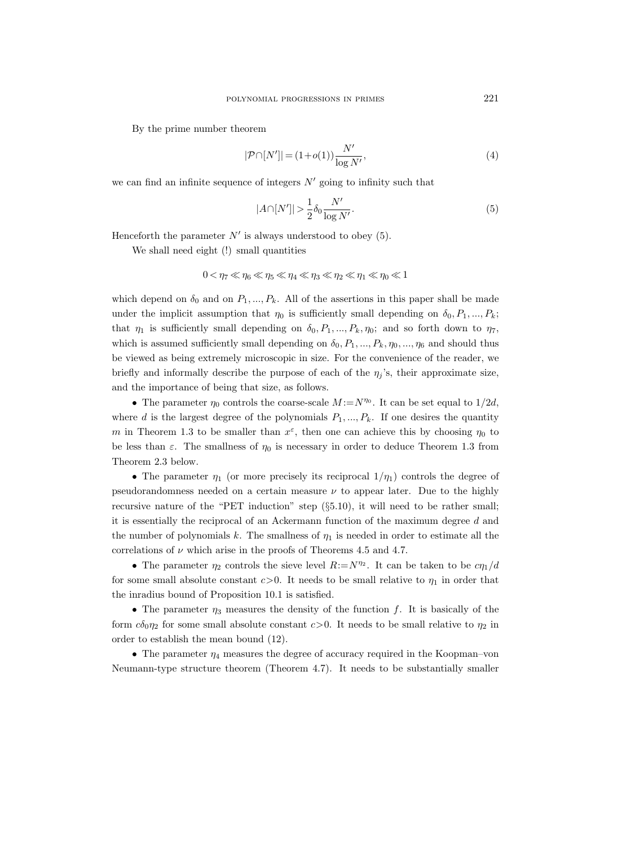By the prime number theorem

$$
|\mathcal{P}\cap[N']| = (1+o(1))\frac{N'}{\log N'},\tag{4}
$$

we can find an infinite sequence of integers  $N'$  going to infinity such that

$$
|A\cap[N']| > \frac{1}{2}\delta_0 \frac{N'}{\log N'}.\tag{5}
$$

Henceforth the parameter  $N'$  is always understood to obey (5).

We shall need eight (!) small quantities

$$
0 < \eta_7 \ll \eta_6 \ll \eta_5 \ll \eta_4 \ll \eta_3 \ll \eta_2 \ll \eta_1 \ll \eta_0 \ll 1
$$

which depend on  $\delta_0$  and on  $P_1, ..., P_k$ . All of the assertions in this paper shall be made under the implicit assumption that  $\eta_0$  is sufficiently small depending on  $\delta_0, P_1, ..., P_k$ ; that  $\eta_1$  is sufficiently small depending on  $\delta_0, P_1, ..., P_k, \eta_0$ ; and so forth down to  $\eta_7$ , which is assumed sufficiently small depending on  $\delta_0$ ,  $P_1$ , ...,  $P_k$ ,  $\eta_0$ , ...,  $\eta_6$  and should thus be viewed as being extremely microscopic in size. For the convenience of the reader, we briefly and informally describe the purpose of each of the  $\eta_i$ 's, their approximate size, and the importance of being that size, as follows.

• The parameter  $\eta_0$  controls the coarse-scale  $M := N^{\eta_0}$ . It can be set equal to  $1/2d$ , where d is the largest degree of the polynomials  $P_1, ..., P_k$ . If one desires the quantity m in Theorem 1.3 to be smaller than  $x^{\varepsilon}$ , then one can achieve this by choosing  $\eta_0$  to be less than  $\varepsilon$ . The smallness of  $\eta_0$  is necessary in order to deduce Theorem 1.3 from Theorem 2.3 below.

• The parameter  $\eta_1$  (or more precisely its reciprocal  $1/\eta_1$ ) controls the degree of pseudorandomness needed on a certain measure  $\nu$  to appear later. Due to the highly recursive nature of the "PET induction" step (§5.10), it will need to be rather small; it is essentially the reciprocal of an Ackermann function of the maximum degree d and the number of polynomials k. The smallness of  $\eta_1$  is needed in order to estimate all the correlations of  $\nu$  which arise in the proofs of Theorems 4.5 and 4.7.

• The parameter  $\eta_2$  controls the sieve level  $R:=N^{\eta_2}$ . It can be taken to be  $c\eta_1/d$ for some small absolute constant  $c>0$ . It needs to be small relative to  $\eta_1$  in order that the inradius bound of Proposition 10.1 is satisfied.

• The parameter  $\eta_3$  measures the density of the function f. It is basically of the form  $c\delta_0\eta_2$  for some small absolute constant  $c>0$ . It needs to be small relative to  $\eta_2$  in order to establish the mean bound (12).

• The parameter  $\eta_4$  measures the degree of accuracy required in the Koopman–von Neumann-type structure theorem (Theorem 4.7). It needs to be substantially smaller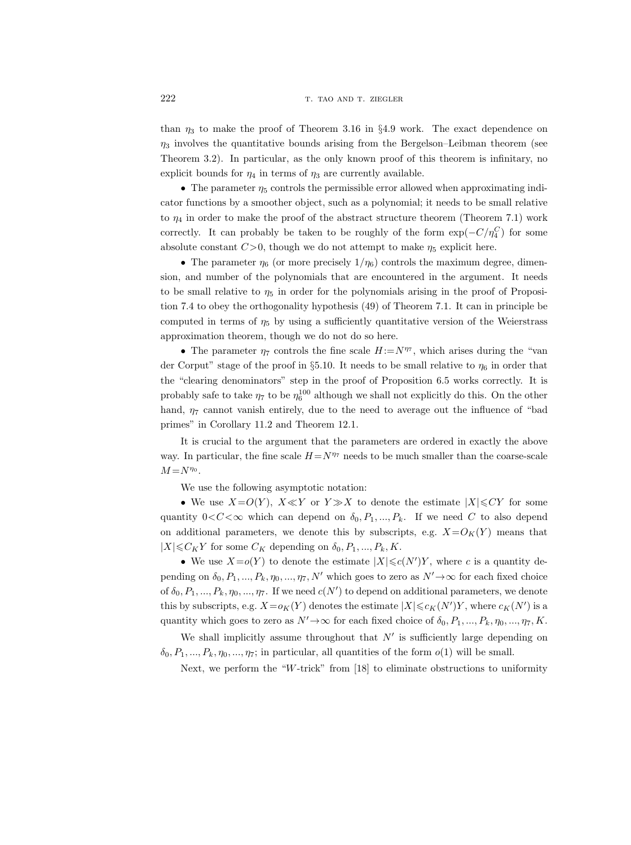than  $\eta_3$  to make the proof of Theorem 3.16 in §4.9 work. The exact dependence on  $\eta_3$  involves the quantitative bounds arising from the Bergelson–Leibman theorem (see Theorem 3.2). In particular, as the only known proof of this theorem is infinitary, no explicit bounds for  $\eta_4$  in terms of  $\eta_3$  are currently available.

• The parameter  $\eta_5$  controls the permissible error allowed when approximating indicator functions by a smoother object, such as a polynomial; it needs to be small relative to  $\eta_4$  in order to make the proof of the abstract structure theorem (Theorem 7.1) work correctly. It can probably be taken to be roughly of the form  $\exp(-C/\eta_4^C)$  for some absolute constant  $C>0$ , though we do not attempt to make  $\eta_5$  explicit here.

• The parameter  $\eta_6$  (or more precisely  $1/\eta_6$ ) controls the maximum degree, dimension, and number of the polynomials that are encountered in the argument. It needs to be small relative to  $\eta_5$  in order for the polynomials arising in the proof of Proposition 7.4 to obey the orthogonality hypothesis (49) of Theorem 7.1. It can in principle be computed in terms of  $\eta_5$  by using a sufficiently quantitative version of the Weierstrass approximation theorem, though we do not do so here.

• The parameter  $\eta_7$  controls the fine scale  $H := N^{\eta_7}$ , which arises during the "van der Corput" stage of the proof in §5.10. It needs to be small relative to  $\eta_6$  in order that the "clearing denominators" step in the proof of Proposition 6.5 works correctly. It is probably safe to take  $\eta_7$  to be  $\eta_6^{100}$  although we shall not explicitly do this. On the other hand,  $\eta_7$  cannot vanish entirely, due to the need to average out the influence of "bad primes" in Corollary 11.2 and Theorem 12.1.

It is crucial to the argument that the parameters are ordered in exactly the above way. In particular, the fine scale  $H=N^{\eta_7}$  needs to be much smaller than the coarse-scale  $M = N^{\eta_0}.$ 

We use the following asymptotic notation:

• We use  $X=O(Y)$ ,  $X\ll Y$  or  $Y\gg X$  to denote the estimate  $|X|\leqslant CY$  for some quantity  $0 < C < \infty$  which can depend on  $\delta_0, P_1, ..., P_k$ . If we need C to also depend on additional parameters, we denote this by subscripts, e.g.  $X=O<sub>K</sub>(Y)$  means that  $|X| \leq C_K Y$  for some  $C_K$  depending on  $\delta_0, P_1, ..., P_k, K$ .

• We use  $X = o(Y)$  to denote the estimate  $|X| \leq c(N')Y$ , where c is a quantity depending on  $\delta_0, P_1, ..., P_k, \eta_0, ..., \eta_7, N'$  which goes to zero as  $N' \rightarrow \infty$  for each fixed choice of  $\delta_0, P_1, ..., P_k, \eta_0, ..., \eta_7$ . If we need  $c(N')$  to depend on additional parameters, we denote this by subscripts, e.g.  $X = o_K(Y)$  denotes the estimate  $|X| \leq c_K(N')Y$ , where  $c_K(N')$  is a quantity which goes to zero as  $N' \rightarrow \infty$  for each fixed choice of  $\delta_0, P_1, ..., P_k, \eta_0, ..., \eta_7, K$ .

We shall implicitly assume throughout that  $N'$  is sufficiently large depending on  $\delta_0, P_1, ..., P_k, \eta_0, ..., \eta_7$ ; in particular, all quantities of the form  $o(1)$  will be small.

Next, we perform the "W-trick" from [18] to eliminate obstructions to uniformity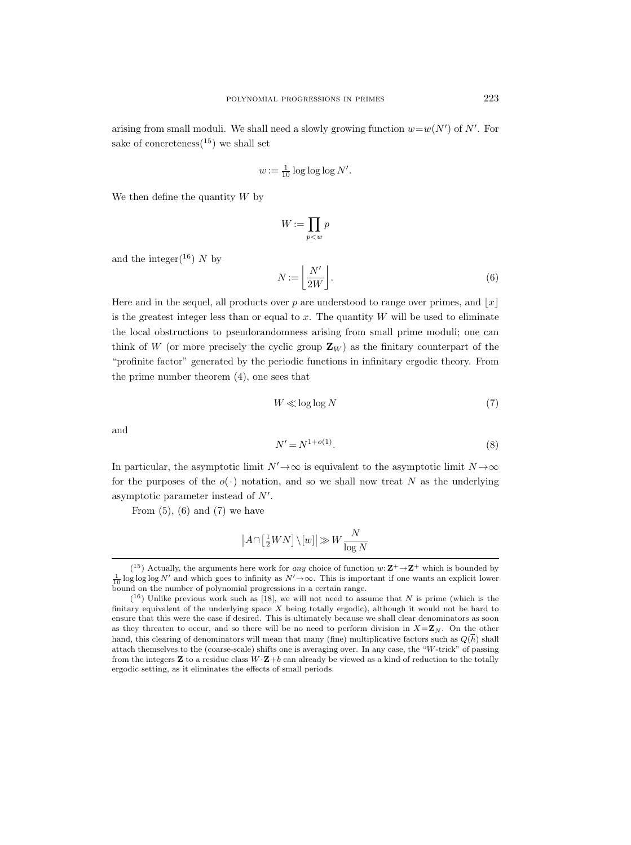arising from small moduli. We shall need a slowly growing function  $w=w(N')$  of N'. For sake of concreteness<sup> $(15)$ </sup> we shall set

$$
w := \frac{1}{10} \log \log \log N'.
$$

We then define the quantity  $W$  by

$$
W:=\prod_{p
$$

and the integer( $^{16}$ ) N by

$$
N := \left\lfloor \frac{N'}{2W} \right\rfloor. \tag{6}
$$

Here and in the sequel, all products over p are understood to range over primes, and  $|x|$ is the greatest integer less than or equal to  $x$ . The quantity  $W$  will be used to eliminate the local obstructions to pseudorandomness arising from small prime moduli; one can think of W (or more precisely the cyclic group  $\mathbf{Z}_W$ ) as the finitary counterpart of the "profinite factor" generated by the periodic functions in infinitary ergodic theory. From the prime number theorem (4), one sees that

$$
W \ll \log \log N \tag{7}
$$

and

$$
N' = N^{1+o(1)}.
$$
 (8)

In particular, the asymptotic limit  $N' \to \infty$  is equivalent to the asymptotic limit  $N \to \infty$ for the purposes of the  $o(\cdot)$  notation, and so we shall now treat N as the underlying asymptotic parameter instead of  $N'$ .

From  $(5)$ ,  $(6)$  and  $(7)$  we have

$$
\left| A \cap \left[ \frac{1}{2}WN \right] \backslash [w] \right| \gg W \frac{N}{\log N}
$$

<sup>(&</sup>lt;sup>15</sup>) Actually, the arguments here work for *any* choice of function  $w: \mathbf{Z}^+ \to \mathbf{Z}^+$  which is bounded by  $\frac{1}{10}$  log log log N' and which goes to infinity as  $N' \to \infty$ . This is important if one wants an explicit lower bound on the number of polynomial progressions in a certain range.

 $(16)$  Unlike previous work such as [18], we will not need to assume that N is prime (which is the finitary equivalent of the underlying space X being totally ergodic), although it would not be hard to ensure that this were the case if desired. This is ultimately because we shall clear denominators as soon as they threaten to occur, and so there will be no need to perform division in  $X=\mathbb{Z}_N$ . On the other hand, this were the case if desired. This is ultimately because we shall clear denominators as soon as they threaten to occur, and so there will be no need to perform division in  $X = \mathbb{Z}_N$ . On the other hand, this clear attach themselves to the (coarse-scale) shifts one is averaging over. In any case, the "W-trick" of passing from the integers **Z** to a residue class  $W \cdot \mathbf{Z} + b$  can already be viewed as a kind of reduction to the totally ergodic setting, as it eliminates the effects of small periods.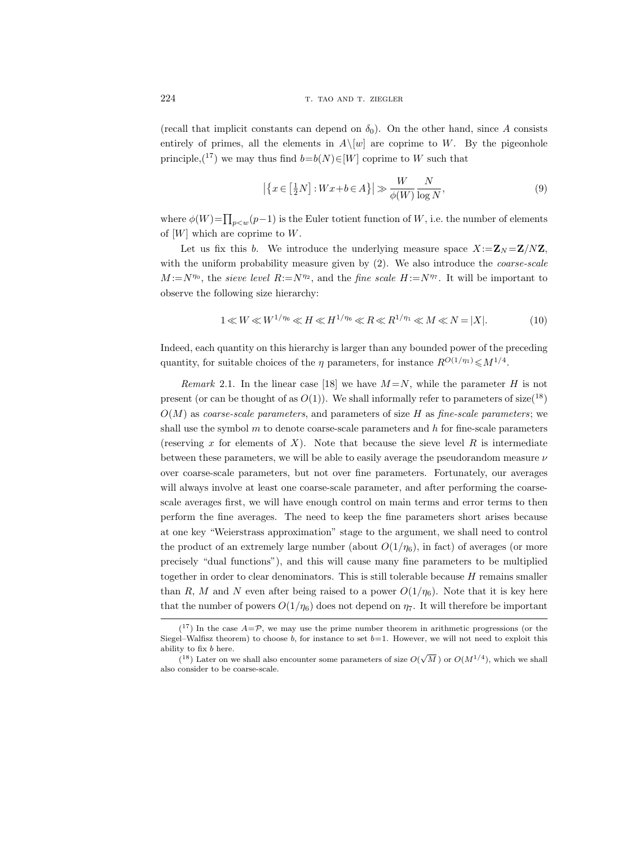(recall that implicit constants can depend on  $\delta_0$ ). On the other hand, since A consists entirely of primes, all the elements in  $A\setminus [w]$  are coprime to W. By the pigeonhole principle,<sup>(17)</sup> we may thus find  $b=b(N) \in [W]$  coprime to W such that

$$
\left| \left\{ x \in \left[ \frac{1}{2}N \right] : Wx + b \in A \right\} \right| \gg \frac{W}{\phi(W)} \frac{N}{\log N},\tag{9}
$$

where  $\phi(W)$ = $\prod_{p < w}(p-1)$  is the Euler totient function of W, i.e. the number of elements of  $[W]$  which are coprime to W.

Let us fix this b. We introduce the underlying measure space  $X:=\mathbf{Z}_N=\mathbf{Z}/N\mathbf{Z}$ , with the uniform probability measure given by  $(2)$ . We also introduce the *coarse-scale*  $M := N^{\eta_0}$ , the sieve level  $R := N^{\eta_2}$ , and the fine scale  $H := N^{\eta_7}$ . It will be important to observe the following size hierarchy:

$$
1 \ll W \ll W^{1/\eta_6} \ll H \ll H^{1/\eta_6} \ll R \ll R^{1/\eta_1} \ll M \ll N = |X|.
$$
 (10)

Indeed, each quantity on this hierarchy is larger than any bounded power of the preceding quantity, for suitable choices of the  $\eta$  parameters, for instance  $R^{O(1/\eta_1)} \leq M^{1/4}$ .

Remark 2.1. In the linear case [18] we have  $M = N$ , while the parameter H is not present (or can be thought of as  $O(1)$ ). We shall informally refer to parameters of size(<sup>18</sup>)  $O(M)$  as coarse-scale parameters, and parameters of size H as fine-scale parameters; we shall use the symbol  $m$  to denote coarse-scale parameters and  $h$  for fine-scale parameters (reserving x for elements of X). Note that because the sieve level R is intermediate between these parameters, we will be able to easily average the pseudorandom measure  $\nu$ over coarse-scale parameters, but not over fine parameters. Fortunately, our averages will always involve at least one coarse-scale parameter, and after performing the coarsescale averages first, we will have enough control on main terms and error terms to then perform the fine averages. The need to keep the fine parameters short arises because at one key "Weierstrass approximation" stage to the argument, we shall need to control the product of an extremely large number (about  $O(1/\eta_6)$ , in fact) of averages (or more precisely "dual functions"), and this will cause many fine parameters to be multiplied together in order to clear denominators. This is still tolerable because  $H$  remains smaller than R, M and N even after being raised to a power  $O(1/\eta_6)$ . Note that it is key here that the number of powers  $O(1/\eta_6)$  does not depend on  $\eta_7$ . It will therefore be important

 $(17)$  In the case  $A=\mathcal{P}$ , we may use the prime number theorem in arithmetic progressions (or the Siegel–Walfisz theorem) to choose b, for instance to set  $b=1$ . However, we will not need to exploit this ability to fix b here.

<sup>(&</sup>lt;sup>18</sup>) Later on we shall also encounter some parameters of size  $O(\sqrt{M})$  or  $O(M^{1/4})$ , which we shall also consider to be coarse-scale.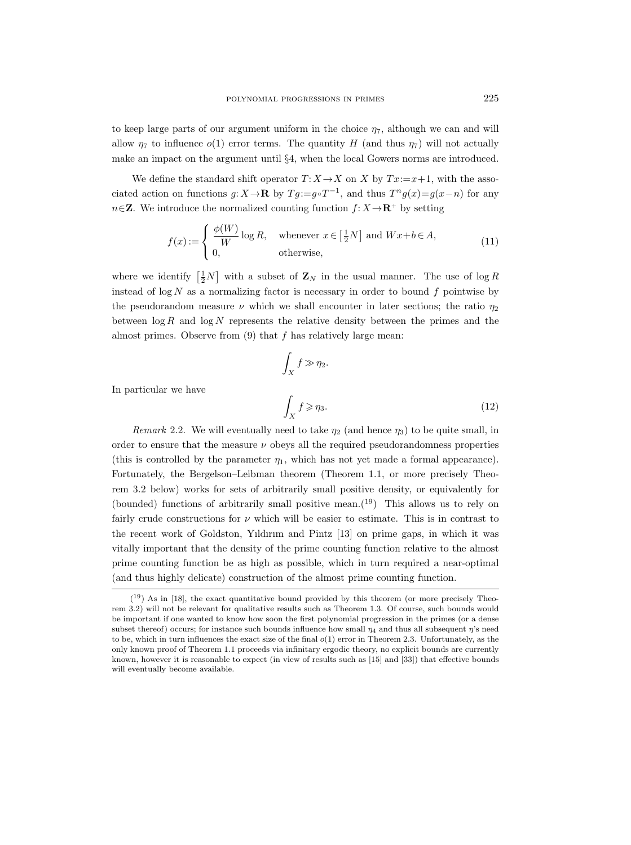to keep large parts of our argument uniform in the choice  $\eta_7$ , although we can and will allow  $\eta_7$  to influence  $o(1)$  error terms. The quantity H (and thus  $\eta_7$ ) will not actually make an impact on the argument until §4, when the local Gowers norms are introduced.

We define the standard shift operator  $T: X \rightarrow X$  on X by  $Tx:=x+1$ , with the associated action on functions  $g: X \to \mathbf{R}$  by  $T g := g \circ T^{-1}$ , and thus  $T^n g(x) = g(x - n)$  for any  $n\in\mathbf{Z}$ . We introduce the normalized counting function  $f: X\to\mathbf{R}^+$  by setting

$$
f(x) := \begin{cases} \frac{\phi(W)}{W} \log R, & \text{whenever } x \in \left[\frac{1}{2}N\right] \text{ and } Wx + b \in A, \\ 0, & \text{otherwise,} \end{cases}
$$
(11)

where we identify  $\left[\frac{1}{2}N\right]$  with a subset of  $\mathbf{Z}_N$  in the usual manner. The use of  $\log R$ instead of  $\log N$  as a normalizing factor is necessary in order to bound f pointwise by the pseudorandom measure  $\nu$  which we shall encounter in later sections; the ratio  $\eta_2$ between  $\log R$  and  $\log N$  represents the relative density between the primes and the almost primes. Observe from  $(9)$  that f has relatively large mean:

$$
\int_X f \gg \eta_2.
$$
\n
$$
\int_X f \ge \eta_3.
$$
\n(12)

In particular we have

Remark 2.2. We will eventually need to take  $\eta_2$  (and hence  $\eta_3$ ) to be quite small, in order to ensure that the measure  $\nu$  obeys all the required pseudorandomness properties (this is controlled by the parameter  $\eta_1$ , which has not yet made a formal appearance). Fortunately, the Bergelson–Leibman theorem (Theorem 1.1, or more precisely Theorem 3.2 below) works for sets of arbitrarily small positive density, or equivalently for (bounded) functions of arbitrarily small positive mean.<sup>(19)</sup> This allows us to rely on fairly crude constructions for  $\nu$  which will be easier to estimate. This is in contrast to the recent work of Goldston, Yıldırım and Pintz [13] on prime gaps, in which it was vitally important that the density of the prime counting function relative to the almost prime counting function be as high as possible, which in turn required a near-optimal (and thus highly delicate) construction of the almost prime counting function.

 $(19)$  As in [18], the exact quantitative bound provided by this theorem (or more precisely Theorem 3.2) will not be relevant for qualitative results such as Theorem 1.3. Of course, such bounds would be important if one wanted to know how soon the first polynomial progression in the primes (or a dense subset thereof) occurs; for instance such bounds influence how small  $\eta_4$  and thus all subsequent  $\eta$ 's need to be, which in turn influences the exact size of the final  $o(1)$  error in Theorem 2.3. Unfortunately, as the only known proof of Theorem 1.1 proceeds via infinitary ergodic theory, no explicit bounds are currently known, however it is reasonable to expect (in view of results such as [15] and [33]) that effective bounds will eventually become available.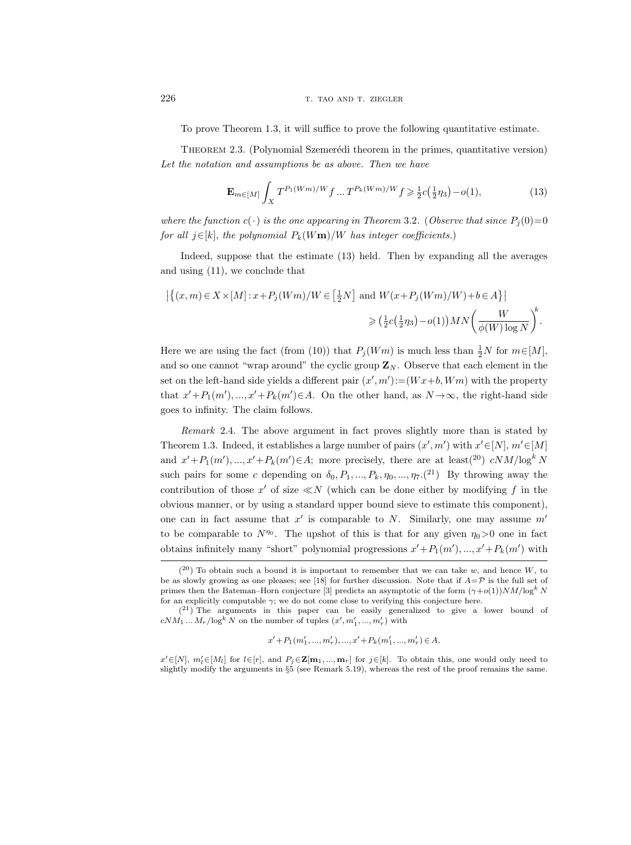To prove Theorem 1.3, it will suffice to prove the following quantitative estimate.

THEOREM 2.3. (Polynomial Szemerédi theorem in the primes, quantitative version) Let the notation and assumptions be as above. Then we have

$$
\mathbf{E}_{m \in [M]} \int_{X} T^{P_1(Wm)/W} f \dots T^{P_k(Wm)/W} f \ge \frac{1}{2} c(\frac{1}{2} \eta_3) - o(1), \tag{13}
$$

where the function  $c(\cdot)$  is the one appearing in Theorem 3.2. (Observe that since  $P_i(0)=0$ for all  $j \in [k]$ , the polynomial  $P_k(Wm)/W$  has integer coefficients.)

Indeed, suppose that the estimate (13) held. Then by expanding all the averages and using (11), we conclude that

$$
\left| \left\{ (x,m) \in X \times [M] : x + P_j(Wm) / W \in \left[ \frac{1}{2}N \right] \text{ and } W(x + P_j(Wm) / W) + b \in A \right\} \right|
$$
  

$$
\geq (\frac{1}{2}c(\frac{1}{2}\eta_3) - o(1))MN\left(\frac{W}{\phi(W)\log N}\right)^k.
$$

Here we are using the fact (from (10)) that  $P_j(Wm)$  is much less than  $\frac{1}{2}N$  for  $m \in [M]$ , and so one cannot "wrap around" the cyclic group  $\mathbf{Z}_N$ . Observe that each element in the set on the left-hand side yields a different pair  $(x', m') := (Wx + b, Wm)$  with the property that  $x' + P_1(m'), ..., x' + P_k(m') \in A$ . On the other hand, as  $N \to \infty$ , the right-hand side goes to infinity. The claim follows.

Remark 2.4. The above argument in fact proves slightly more than is stated by Theorem 1.3. Indeed, it establishes a large number of pairs  $(x', m')$  with  $x' \in [N], m' \in [M]$ and  $x'+P_1(m'),...,x'+P_k(m')\in A$ ; more precisely, there are at least(<sup>20</sup>)  $cNM/\log^k N$ such pairs for some c depending on  $\delta_0, P_1, ..., P_k, \eta_0, ..., \eta_7$ .<sup>(21</sup>) By throwing away the contribution of those  $x'$  of size  $\ll N$  (which can be done either by modifying f in the obvious manner, or by using a standard upper bound sieve to estimate this component), one can in fact assume that  $x'$  is comparable to N. Similarly, one may assume  $m'$ to be comparable to  $N^{\eta_0}$ . The upshot of this is that for any given  $\eta_0 > 0$  one in fact obtains infinitely many "short" polynomial progressions  $x' + P_1(m'), ..., x' + P_k(m')$  with

$$
x' + P_1(m'_1, ..., m'_r), ..., x' + P_k(m'_1, ..., m'_r) \in A,
$$

 $x' \in [N]$ ,  $m'_l \in [M_l]$  for  $l \in [r]$ , and  $P_j \in \mathbf{Z[m_1, ..., m_r]}$  for  $j \in [k]$ . To obtain this, one would only need to slightly modify the arguments in §5 (see Remark 5.19), whereas the rest of the proof remains the same.

 $(2<sup>0</sup>)$  To obtain such a bound it is important to remember that we can take w, and hence W, to be as slowly growing as one pleases; see [18] for further discussion. Note that if  $A=\mathcal{P}$  is the full set of primes then the Bateman–Horn conjecture [3] predicts an asymptotic of the form  $(\gamma + o(1))NM/log^k N$ for an explicitly computable  $\gamma$ ; we do not come close to verifying this conjecture here.

<sup>(</sup> <sup>21</sup>) The arguments in this paper can be easily generalized to give a lower bound of  $cNM_1 \dots M_r / \log^k N$  on the number of tuples  $(x', m'_1, ..., m'_r)$  with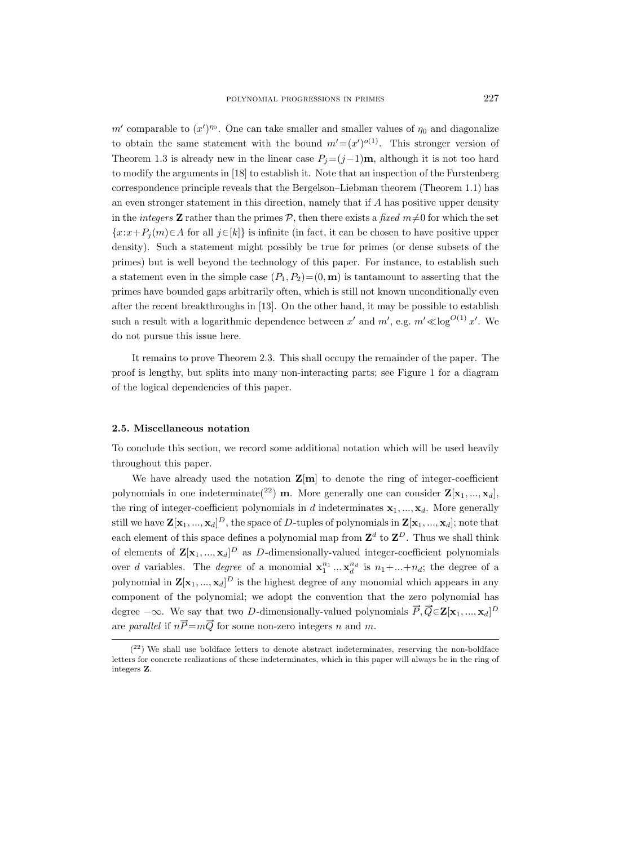m' comparable to  $(x')^{\eta_0}$ . One can take smaller and smaller values of  $\eta_0$  and diagonalize to obtain the same statement with the bound  $m'=(x')^{o(1)}$ . This stronger version of Theorem 1.3 is already new in the linear case  $P_j=(j-1)\mathbf{m}$ , although it is not too hard to modify the arguments in [18] to establish it. Note that an inspection of the Furstenberg correspondence principle reveals that the Bergelson–Liebman theorem (Theorem 1.1) has an even stronger statement in this direction, namely that if A has positive upper density in the *integers* **Z** rather than the primes  $P$ , then there exists a fixed  $m \neq 0$  for which the set  ${x:x+P_j(m) \in A}$  for all  $j \in [k]$  is infinite (in fact, it can be chosen to have positive upper density). Such a statement might possibly be true for primes (or dense subsets of the primes) but is well beyond the technology of this paper. For instance, to establish such a statement even in the simple case  $(P_1, P_2)=(0, \mathbf{m})$  is tantamount to asserting that the primes have bounded gaps arbitrarily often, which is still not known unconditionally even after the recent breakthroughs in [13]. On the other hand, it may be possible to establish such a result with a logarithmic dependence between  $x'$  and  $m'$ , e.g.  $m' \ll \log^{O(1)} x'$ . We do not pursue this issue here.

It remains to prove Theorem 2.3. This shall occupy the remainder of the paper. The proof is lengthy, but splits into many non-interacting parts; see Figure 1 for a diagram of the logical dependencies of this paper.

## 2.5. Miscellaneous notation

To conclude this section, we record some additional notation which will be used heavily throughout this paper.

We have already used the notation  $\mathbf{Z}[\mathbf{m}]$  to denote the ring of integer-coefficient polynomials in one indeterminate(<sup>22</sup>) **m**. More generally one can consider  $\mathbf{Z}[\mathbf{x}_1, ..., \mathbf{x}_d]$ , the ring of integer-coefficient polynomials in d indeterminates  $x_1, ..., x_d$ . More generally still we have  $\mathbf{Z}[\mathbf{x}_1,...,\mathbf{x}_d]^D$ , the space of  $D$ -tuples of polynomials in  $\mathbf{Z}[\mathbf{x}_1,...,\mathbf{x}_d]$ ; note that each element of this space defines a polynomial map from  $\mathbf{Z}^{d}$  to  $\mathbf{Z}^{D}$ . Thus we shall think of elements of  $\mathbf{Z}[\mathbf{x}_1, ..., \mathbf{x}_d]^D$  as D-dimensionally-valued integer-coefficient polynomials over d variables. The degree of a monomial  $x_1^{n_1} \dots x_d^{n_d}$  is  $n_1 + \dots + n_d$ ; the degree of a polynomial in  $\mathbf{Z}[\mathbf{x}_1, ..., \mathbf{x}_d]^D$  is the highest degree of any monomial which appears in any component of the polynomial; we adopt the convention that the zero polynomial has degree  $-\infty$ . We say that two D-dimensionally-valued polynomials  $\vec{P}, \vec{Q} \in \mathbf{Z}[\mathbf{x}_1, ..., \mathbf{x}_d]^D$ are *parallel* if  $n\vec{P} = m\vec{Q}$  for some non-zero integers n and m.

<sup>(</sup> <sup>22</sup>) We shall use boldface letters to denote abstract indeterminates, reserving the non-boldface letters for concrete realizations of these indeterminates, which in this paper will always be in the ring of integers Z.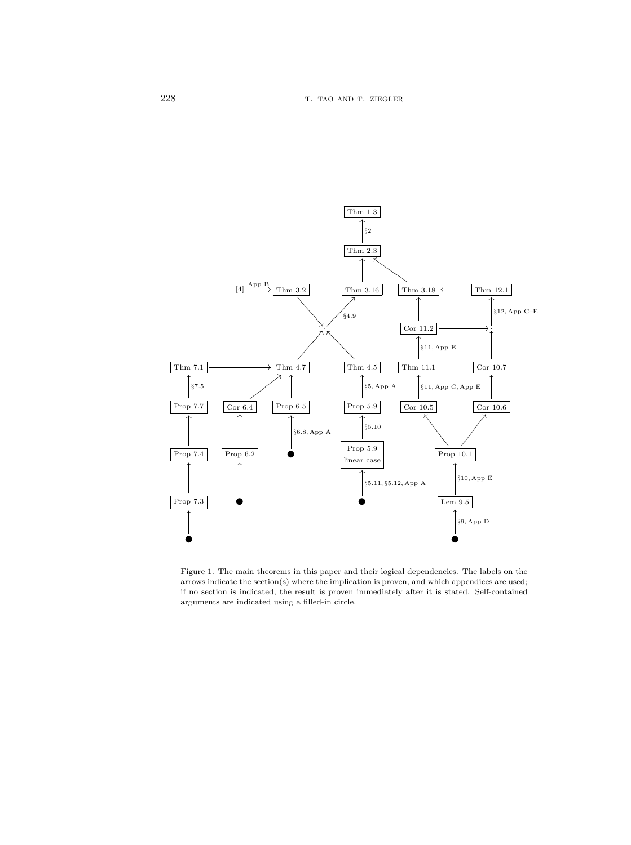

Figure 1. The main theorems in this paper and their logical dependencies. The labels on the arrows indicate the section(s) where the implication is proven, and which appendices are used; if no section is indicated, the result is proven immediately after it is stated. Self-contained arguments are indicated using a filled-in circle.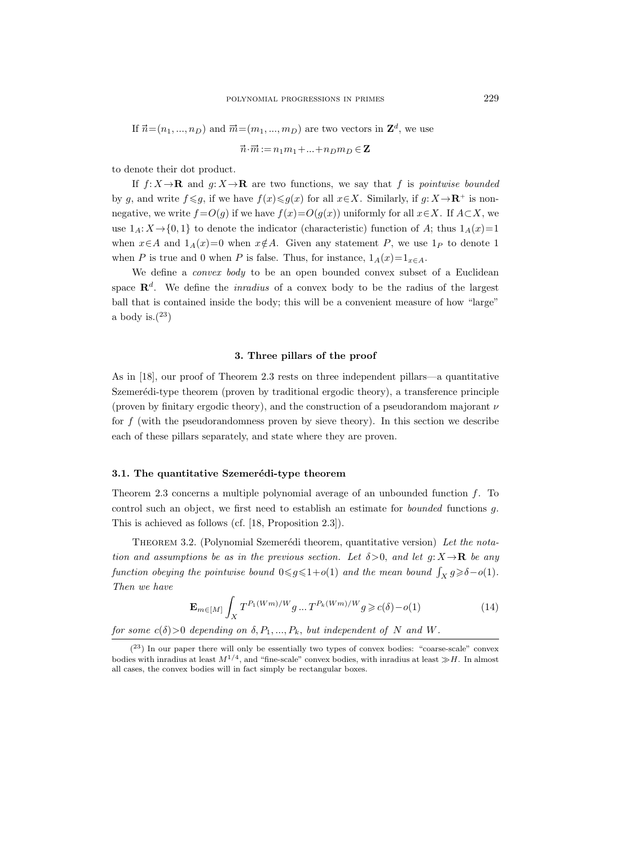If  $\vec{n} = (n_1, ..., n_D)$  and  $\vec{m} = (m_1, ..., m_D)$  are two vectors in  $\mathbb{Z}^d$ , we use

$$
\vec{n}\!\cdot\!\vec{m}\!:=\!n_1m_1\!+\!\ldots\!+\!n_Dm_D\in{\bf Z}
$$

to denote their dot product.

If  $f: X \to \mathbf{R}$  and  $g: X \to \mathbf{R}$  are two functions, we say that f is pointwise bounded by g, and write  $f \leq g$ , if we have  $f(x) \leq g(x)$  for all  $x \in X$ . Similarly, if  $g: X \to \mathbb{R}^+$  is nonnegative, we write  $f = O(g)$  if we have  $f(x) = O(g(x))$  uniformly for all  $x \in X$ . If  $A \subset X$ , we use  $1_A: X \rightarrow \{0, 1\}$  to denote the indicator (characteristic) function of A; thus  $1_A(x)=1$ when  $x \in A$  and  $1_A(x)=0$  when  $x \notin A$ . Given any statement P, we use  $1_P$  to denote 1 when P is true and 0 when P is false. Thus, for instance,  $1_A(x)=1_{x\in A}$ .

We define a *convex body* to be an open bounded convex subset of a Euclidean space  $\mathbb{R}^d$ . We define the *inradius* of a convex body to be the radius of the largest ball that is contained inside the body; this will be a convenient measure of how "large" a body is. $(23)$ 

#### 3. Three pillars of the proof

As in [18], our proof of Theorem 2.3 rests on three independent pillars—a quantitative Szemerédi-type theorem (proven by traditional ergodic theory), a transference principle (proven by finitary ergodic theory), and the construction of a pseudorandom majorant  $\nu$ for  $f$  (with the pseudorandomness proven by sieve theory). In this section we describe each of these pillars separately, and state where they are proven.

# 3.1. The quantitative Szemerédi-type theorem

Theorem 2.3 concerns a multiple polynomial average of an unbounded function f. To control such an object, we first need to establish an estimate for bounded functions g. This is achieved as follows (cf. [18, Proposition 2.3]).

THEOREM 3.2. (Polynomial Szemerédi theorem, quantitative version) Let the notation and assumptions be as in the previous section. Let  $\delta > 0$ , and let  $g: X \to \mathbf{R}$  be any function obeying the pointwise bound  $0 \leq g \leq 1+o(1)$  and the mean bound  $\int_X g \geq 0+o(1)$ . Then we have

$$
\mathbf{E}_{m \in [M]} \int_{X} T^{P_1(Wm)/W} g \dots T^{P_k(Wm)/W} g \ge c(\delta) - o(1)
$$
 (14)

for some  $c(\delta) > 0$  depending on  $\delta, P_1, ..., P_k$ , but independent of N and W.

<sup>(</sup> <sup>23</sup>) In our paper there will only be essentially two types of convex bodies: "coarse-scale" convex bodies with inradius at least  $M^{1/4}$ , and "fine-scale" convex bodies, with inradius at least  $\gg H$ . In almost all cases, the convex bodies will in fact simply be rectangular boxes.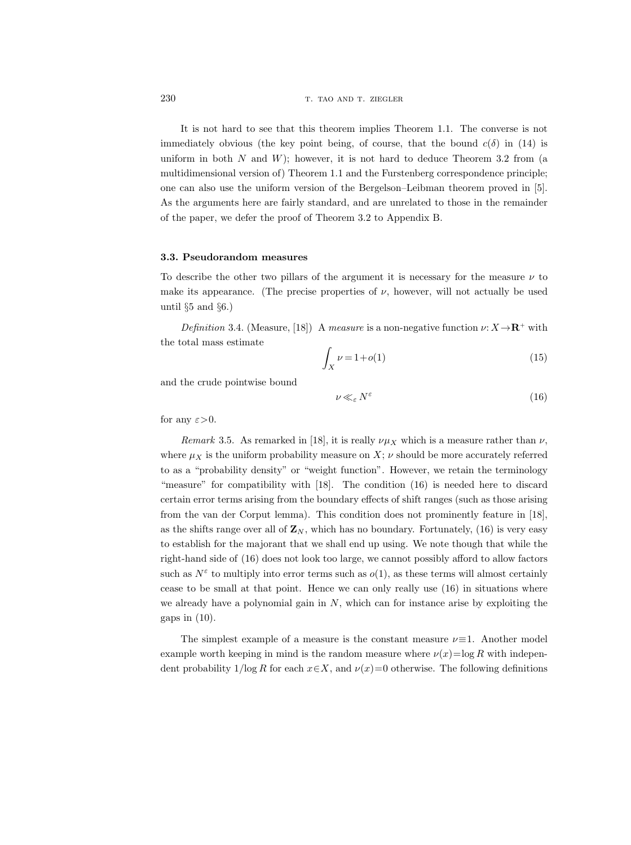It is not hard to see that this theorem implies Theorem 1.1. The converse is not immediately obvious (the key point being, of course, that the bound  $c(\delta)$  in (14) is uniform in both  $N$  and  $W$ ); however, it is not hard to deduce Theorem 3.2 from (a multidimensional version of) Theorem 1.1 and the Furstenberg correspondence principle; one can also use the uniform version of the Bergelson–Leibman theorem proved in [5]. As the arguments here are fairly standard, and are unrelated to those in the remainder of the paper, we defer the proof of Theorem 3.2 to Appendix B.

## 3.3. Pseudorandom measures

To describe the other two pillars of the argument it is necessary for the measure  $\nu$  to make its appearance. (The precise properties of  $\nu$ , however, will not actually be used until  $\S5$  and  $\S6$ .)

Definition 3.4. (Measure, [18]) A measure is a non-negative function  $\nu: X \rightarrow \mathbb{R}^+$  with the total mass estimate

$$
\int_X \nu = 1 + o(1) \tag{15}
$$

and the crude pointwise bound

$$
\nu \ll_{\varepsilon} N^{\varepsilon} \tag{16}
$$

for any  $\varepsilon > 0$ .

Remark 3.5. As remarked in [18], it is really  $\nu \mu_X$  which is a measure rather than  $\nu$ , where  $\mu_X$  is the uniform probability measure on X;  $\nu$  should be more accurately referred to as a "probability density" or "weight function". However, we retain the terminology "measure" for compatibility with [18]. The condition (16) is needed here to discard certain error terms arising from the boundary effects of shift ranges (such as those arising from the van der Corput lemma). This condition does not prominently feature in [18], as the shifts range over all of  $\mathbf{Z}_N$ , which has no boundary. Fortunately, (16) is very easy to establish for the majorant that we shall end up using. We note though that while the right-hand side of (16) does not look too large, we cannot possibly afford to allow factors such as  $N^{\varepsilon}$  to multiply into error terms such as  $o(1)$ , as these terms will almost certainly cease to be small at that point. Hence we can only really use (16) in situations where we already have a polynomial gain in  $N$ , which can for instance arise by exploiting the gaps in  $(10)$ .

The simplest example of a measure is the constant measure  $\nu \equiv 1$ . Another model example worth keeping in mind is the random measure where  $\nu(x)=\log R$  with independent probability  $1/\log R$  for each  $x \in X$ , and  $\nu(x)=0$  otherwise. The following definitions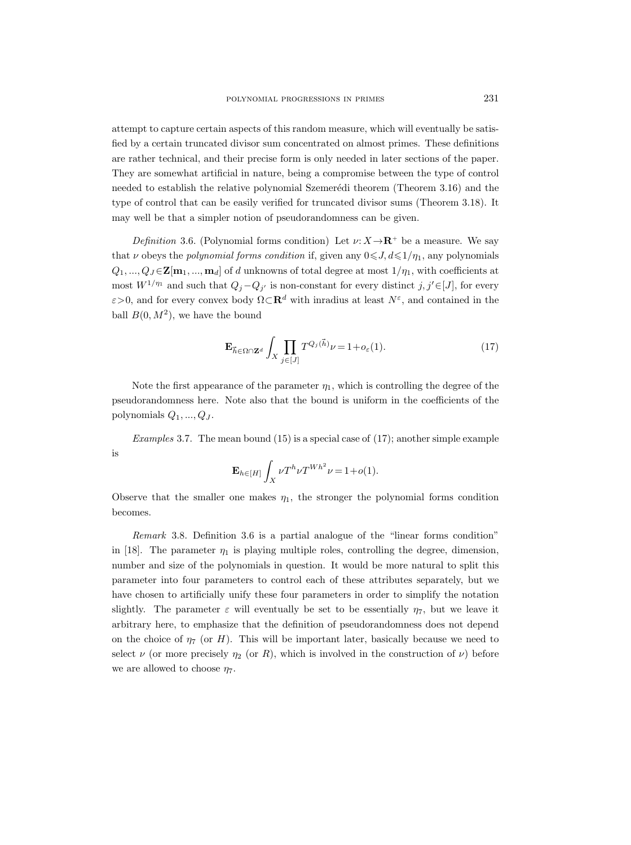attempt to capture certain aspects of this random measure, which will eventually be satisfied by a certain truncated divisor sum concentrated on almost primes. These definitions are rather technical, and their precise form is only needed in later sections of the paper. They are somewhat artificial in nature, being a compromise between the type of control needed to establish the relative polynomial Szemerédi theorem (Theorem 3.16) and the type of control that can be easily verified for truncated divisor sums (Theorem 3.18). It may well be that a simpler notion of pseudorandomness can be given.

Definition 3.6. (Polynomial forms condition) Let  $\nu: X \rightarrow \mathbb{R}^+$  be a measure. We say that v obeys the polynomial forms condition if, given any  $0 \le J, d \le 1/\eta_1$ , any polynomials  $Q_1, ..., Q_J \in \mathbf{Z[m_1, ..., m_d]}$  of d unknowns of total degree at most  $1/\eta_1$ , with coefficients at most  $W^{1/\eta_1}$  and such that  $Q_j - Q_{j'}$  is non-constant for every distinct  $j, j' \in [J]$ , for every  $\varepsilon$ >0, and for every convex body  $\Omega \subset \mathbf{R}^d$  with inradius at least  $N^{\varepsilon}$ , and contained in the ball  $B(0, M^2)$ , we have the bound

$$
\mathbf{E}_{\vec{h}\in\Omega\cap\mathbf{Z}^d} \int_X \prod_{j\in[J]} T^{Q_j(\vec{h})} \nu = 1 + o_{\varepsilon}(1). \tag{17}
$$

Note the first appearance of the parameter  $\eta_1$ , which is controlling the degree of the pseudorandomness here. Note also that the bound is uniform in the coefficients of the polynomials  $Q_1, ..., Q_J$ .

Examples 3.7. The mean bound (15) is a special case of (17); another simple example is

$$
\mathbf{E}_{h \in [H]}\int_X \nu T^h \nu T^{Wh^2} \nu = 1 + o(1).
$$

Observe that the smaller one makes  $\eta_1$ , the stronger the polynomial forms condition becomes.

Remark 3.8. Definition 3.6 is a partial analogue of the "linear forms condition" in [18]. The parameter  $\eta_1$  is playing multiple roles, controlling the degree, dimension, number and size of the polynomials in question. It would be more natural to split this parameter into four parameters to control each of these attributes separately, but we have chosen to artificially unify these four parameters in order to simplify the notation slightly. The parameter  $\varepsilon$  will eventually be set to be essentially  $\eta_7$ , but we leave it arbitrary here, to emphasize that the definition of pseudorandomness does not depend on the choice of  $\eta_7$  (or H). This will be important later, basically because we need to select  $\nu$  (or more precisely  $\eta_2$  (or R), which is involved in the construction of  $\nu$ ) before we are allowed to choose  $\eta_7$ .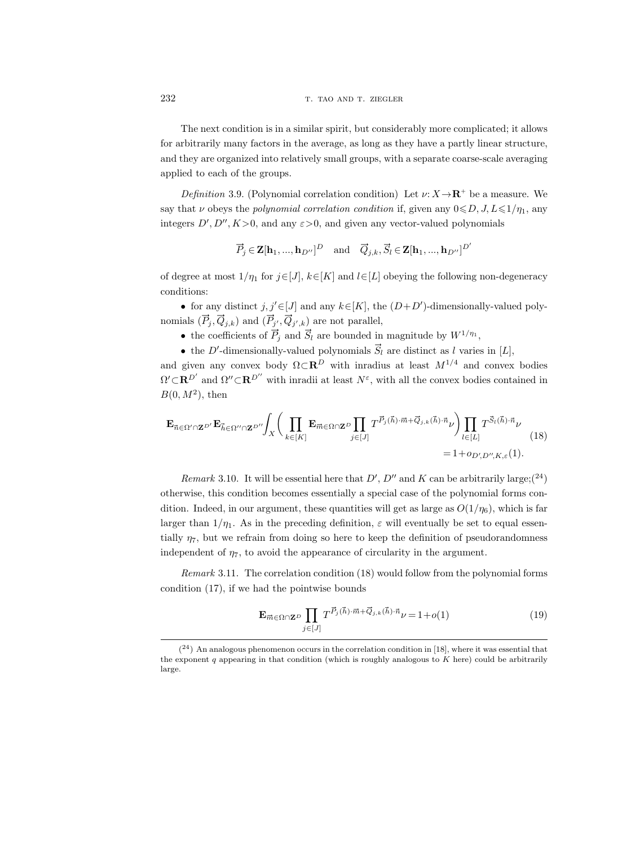The next condition is in a similar spirit, but considerably more complicated; it allows for arbitrarily many factors in the average, as long as they have a partly linear structure, and they are organized into relatively small groups, with a separate coarse-scale averaging applied to each of the groups.

Definition 3.9. (Polynomial correlation condition) Let  $\nu: X \rightarrow \mathbb{R}^+$  be a measure. We say that v obeys the polynomial correlation condition if, given any  $0 \le D, J, L \le 1/\eta_1$ , any integers  $D', D'', K>0$ , and any  $\varepsilon > 0$ , and given any vector-valued polynomials

$$
\overrightarrow{P}_j \in \mathbf{Z}[\mathbf{h}_1, ..., \mathbf{h}_{D''}]^D \quad \text{and} \quad \overrightarrow{Q}_{j,k}, \overrightarrow{S}_l \in \mathbf{Z}[\mathbf{h}_1, ..., \mathbf{h}_{D''}]^{D'}
$$

of degree at most  $1/\eta_1$  for  $j \in [J], k \in [K]$  and  $l \in [L]$  obeying the following non-degeneracy conditions:

• for any distinct  $j, j' \in [J]$  and any  $k \in [K]$ , the  $(D+D')$ -dimensionally-valued polynomials  $(\vec{P}_j, \vec{Q}_{j,k})$  and  $(\vec{P}_{j'}, \vec{Q}_{j',k})$  are not parallel,

- the coefficients of  $\overrightarrow{P}_j$  and  $\overrightarrow{S}_l$  are bounded in magnitude by  $W^{1/\eta_1}$ ,
- the D'-dimensionally-valued polynomials  $\overrightarrow{S}_l$  are distinct as l varies in [L],

and given any convex body  $\Omega \subset \mathbb{R}^D$  with inradius at least  $M^{1/4}$  and convex bodies  $\Omega' \subset \mathbf{R}^{D'}$  and  $\Omega'' \subset \mathbf{R}^{D''}$  with inradii at least  $N^{\varepsilon}$ , with all the convex bodies contained in  $B(0, M^2)$ , then

$$
\mathbf{E}_{\vec{n}\in\Omega'\cap\mathbf{Z}^{D'}}\mathbf{E}_{\vec{h}\in\Omega''\cap\mathbf{Z}^{D''}}\int_X \bigg(\prod_{k\in[K]} \mathbf{E}_{\vec{m}\in\Omega\cap\mathbf{Z}^D} \prod_{j\in[J]} T^{\vec{P}_j(\vec{h})\cdot\vec{m}+\vec{Q}_{j,k}(\vec{h})\cdot\vec{n}} \nu \bigg) \prod_{l\in[L]} T^{\vec{S}_l(\vec{h})\cdot\vec{n}} \nu \bigg) \tag{18}
$$
\n
$$
= 1 + o_{D',D'',K,\varepsilon}(1).
$$

Remark 3.10. It will be essential here that  $D', D''$  and K can be arbitrarily large;(<sup>24</sup>) otherwise, this condition becomes essentially a special case of the polynomial forms condition. Indeed, in our argument, these quantities will get as large as  $O(1/\eta_6)$ , which is far larger than  $1/\eta_1$ . As in the preceding definition,  $\varepsilon$  will eventually be set to equal essentially  $\eta_7$ , but we refrain from doing so here to keep the definition of pseudorandomness independent of  $\eta_7$ , to avoid the appearance of circularity in the argument.

Remark 3.11. The correlation condition (18) would follow from the polynomial forms condition (17), if we had the pointwise bounds

$$
\mathbf{E}_{\overrightarrow{m}\in\Omega\cap\mathbf{Z}^D} \prod_{j\in[J]} T^{\overrightarrow{P}_j(\overrightarrow{h})\cdot\overrightarrow{m}+\overrightarrow{Q}_{j,k}(\overrightarrow{h})\cdot\overrightarrow{n}}\nu = 1+o(1)
$$
(19)

 $(24)$  An analogous phenomenon occurs in the correlation condition in [18], where it was essential that the exponent  $q$  appearing in that condition (which is roughly analogous to  $K$  here) could be arbitrarily large.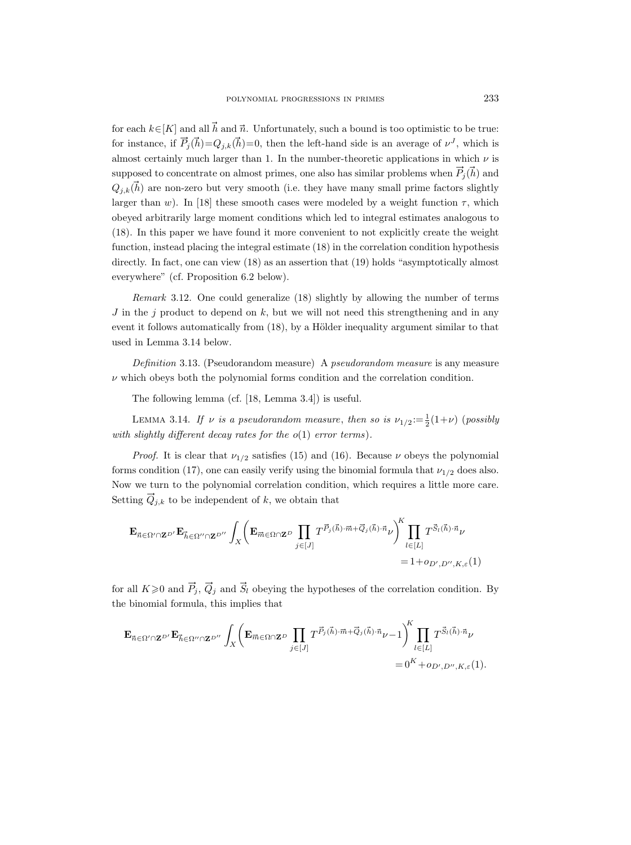for each  $k \in [K]$  and all  $\vec{h}$  and  $\vec{n}$ . Unfortunately, such a bound is too optimistic to be true: for instance, if  $\vec{P}_j(\vec{h}) = Q_{j,k}(\vec{h}) = 0$ , then the left-hand side is an average of  $\nu^J$ , which is almost certainly much larger than 1. In the number-theoretic applications in which  $\nu$  is supposed to concentrate on almost primes, one also has similar problems when  $\vec{P}_j(\vec{h})$  and  $Q_{i,k}(\vec{h})$  are non-zero but very smooth (i.e. they have many small prime factors slightly larger than w). In [18] these smooth cases were modeled by a weight function  $\tau$ , which obeyed arbitrarily large moment conditions which led to integral estimates analogous to (18). In this paper we have found it more convenient to not explicitly create the weight function, instead placing the integral estimate (18) in the correlation condition hypothesis directly. In fact, one can view  $(18)$  as an assertion that  $(19)$  holds "asymptotically almost everywhere" (cf. Proposition 6.2 below).

Remark 3.12. One could generalize (18) slightly by allowing the number of terms  $J$  in the j product to depend on  $k$ , but we will not need this strengthening and in any event it follows automatically from  $(18)$ , by a Hölder inequality argument similar to that used in Lemma 3.14 below.

Definition 3.13. (Pseudorandom measure) A pseudorandom measure is any measure  $\nu$  which obeys both the polynomial forms condition and the correlation condition.

The following lemma (cf. [18, Lemma 3.4]) is useful.

LEMMA 3.14. If  $\nu$  is a pseudorandom measure, then so is  $\nu_{1/2} := \frac{1}{2}(1+\nu)$  (possibly with slightly different decay rates for the  $o(1)$  error terms).

*Proof.* It is clear that  $\nu_{1/2}$  satisfies (15) and (16). Because  $\nu$  obeys the polynomial forms condition (17), one can easily verify using the binomial formula that  $\nu_{1/2}$  does also. Now we turn to the polynomial correlation condition, which requires a little more care. Setting  $Q_{j,k}$  to be independent of k, we obtain that

$$
\begin{aligned} \mathbf{E}_{\vec{n}\in\Omega'\cap\mathbf{Z}^{D'}}\mathbf{E}_{\vec{h}\in\Omega''\cap\mathbf{Z}^{D''}}\int_{X}\bigg(\mathbf{E}_{\vec{m}\in\Omega\cap\mathbf{Z}^{D}}\prod_{j\in[J]}T^{\vec{P}_{j}(\vec{h})\cdot\vec{m}+\vec{Q}_{j}(\vec{h})\cdot\vec{n}}\nu\bigg)_{l\in[L]}^{K}\prod_{l\in[L]}T^{\vec{S}_{l}(\vec{h})\cdot\vec{n}}\nu \\ = &1+o_{D',D'',K,\varepsilon}(1) \end{aligned}
$$

for all  $K\geqslant 0$  and  $\vec{P}_j$ ,  $\vec{Q}_j$  and  $\vec{S}_l$  obeying the hypotheses of the correlation condition. By the binomial formula, this implies that

<sup>E</sup><sup>n</sup> <sup>∈</sup>Ω0∩ZD<sup>0</sup><sup>E</sup> <sup>h</sup>∈Ω00∩ZD<sup>00</sup> <sup>Z</sup> X <sup>E</sup>m"∈Ω∩Z<sup>D</sup> Y j∈[J] T <sup>P</sup>!<sup>j</sup> ( <sup>h</sup>)·m"+Q"<sup>j</sup> ( <sup>h</sup>)·<sup>n</sup> ν−1 K Y l∈[L] T S l( h)·n ν = 0<sup>K</sup> +oD<sup>0</sup> ,D00,K,ε(1).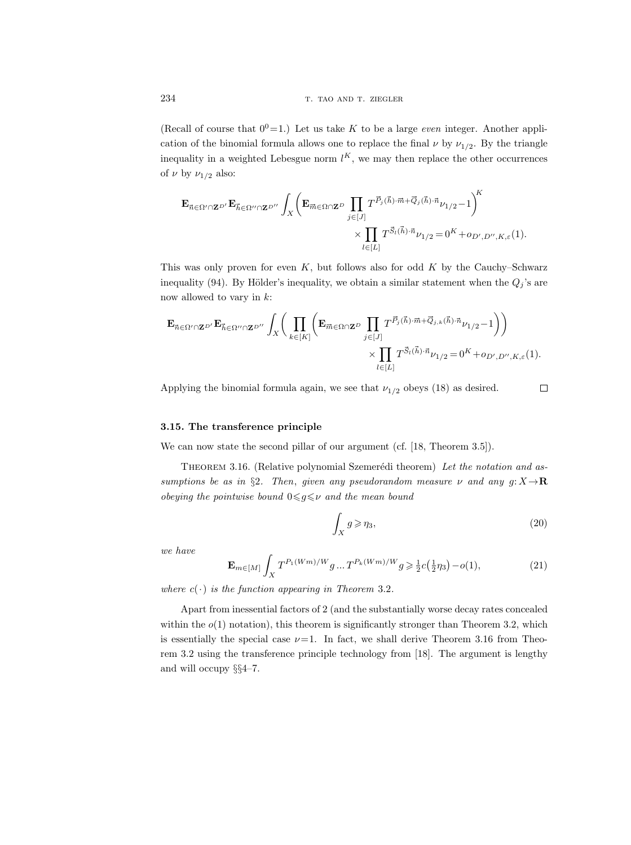(Recall of course that  $0^0=1$ .) Let us take K to be a large *even* integer. Another application of the binomial formula allows one to replace the final  $\nu$  by  $\nu_{1/2}$ . By the triangle inequality in a weighted Lebesgue norm  $l^K$ , we may then replace the other occurrences of  $\nu$  by  $\nu_{1/2}$  also:

$$
\begin{split} \mathbf{E}_{\vec{n}\in\Omega'\cap\mathbf{Z}^{D'}}\mathbf{E}_{\vec{n}\in\Omega''\cap\mathbf{Z}^{D''}}&\int_{X}\bigg(\mathbf{E}_{\vec{m}\in\Omega\cap\mathbf{Z}^{D}}\prod_{j\in[J]}T^{\vec{P}_{j}(\vec{h})\cdot\vec{m}+\vec{Q}_{j}(\vec{h})\cdot\vec{n}}\nu_{1/2}-1\bigg)^{K}\\ &\times\prod_{l\in[L]}T^{\vec{S}_{l}(\vec{h})\cdot\vec{n}}\nu_{1/2}=0^{K}+o_{D',D'',K,\varepsilon}(1). \end{split}
$$

This was only proven for even  $K$ , but follows also for odd  $K$  by the Cauchy–Schwarz inequality (94). By Hölder's inequality, we obtain a similar statement when the  $Q_i$ 's are now allowed to vary in  $k$ :

$$
\mathbf{E}_{\vec{n}\in\Omega'\cap\mathbf{Z}^{D'}}\mathbf{E}_{\vec{h}\in\Omega''\cap\mathbf{Z}^{D''}}\int_X \Bigg(\prod_{k\in[K]} \Bigg(\mathbf{E}_{\vec{m}\in\Omega\cap\mathbf{Z}^D}\prod_{j\in[J]} T^{\vec{P}_j(\vec{h})\cdot\vec{m}+\vec{Q}_{j,k}(\vec{h})\cdot\vec{n}}\nu_{1/2}-1\Bigg)\Bigg)\\ \times \prod_{l\in[L]} T^{\vec{S}_l(\vec{h})\cdot\vec{n}}\nu_{1/2}=0^K+o_{D',D'',K,\varepsilon}(1).
$$

Applying the binomial formula again, we see that  $\nu_{1/2}$  obeys (18) as desired.

 $\Box$ 

# 3.15. The transference principle

We can now state the second pillar of our argument (cf. [18, Theorem 3.5]).

THEOREM 3.16. (Relative polynomial Szemerédi theorem) Let the notation and assumptions be as in §2. Then, given any pseudorandom measure  $\nu$  and any  $g: X \rightarrow \mathbf{R}$ obeying the pointwise bound  $0 \le g \le v$  and the mean bound

$$
\int_X g \geqslant \eta_3,\tag{20}
$$

we have

$$
\mathbf{E}_{m \in [M]} \int_{X} T^{P_1(Wm)/W} g \dots T^{P_k(Wm)/W} g \ge \frac{1}{2} c(\frac{1}{2} \eta_3) - o(1), \tag{21}
$$

where  $c(\cdot)$  is the function appearing in Theorem 3.2.

Apart from inessential factors of 2 (and the substantially worse decay rates concealed within the  $o(1)$  notation), this theorem is significantly stronger than Theorem 3.2, which is essentially the special case  $\nu=1$ . In fact, we shall derive Theorem 3.16 from Theorem 3.2 using the transference principle technology from [18]. The argument is lengthy and will occupy §§4–7.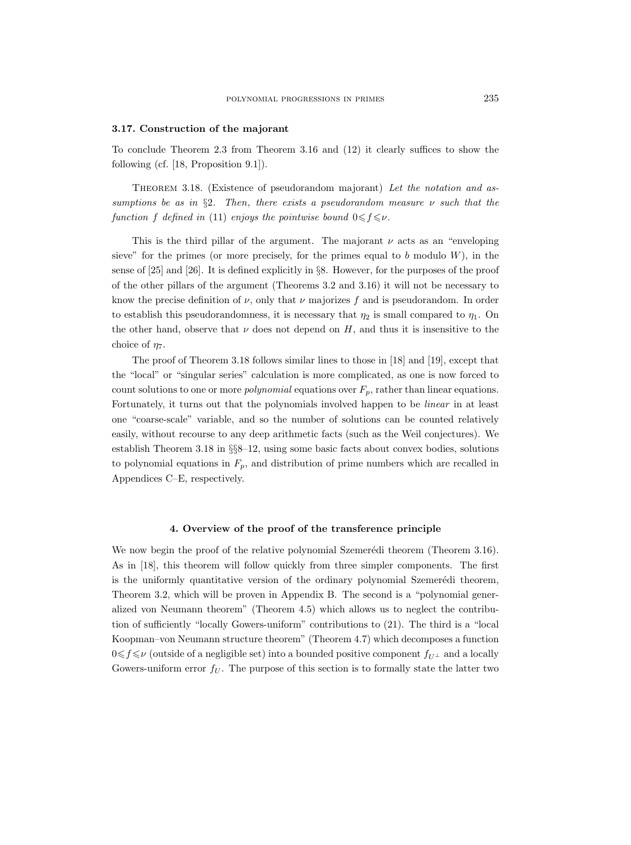#### 3.17. Construction of the majorant

To conclude Theorem 2.3 from Theorem 3.16 and (12) it clearly suffices to show the following (cf. [18, Proposition 9.1]).

THEOREM 3.18. (Existence of pseudorandom majorant) Let the notation and assumptions be as in §2. Then, there exists a pseudorandom measure  $\nu$  such that the function f defined in (11) enjoys the pointwise bound  $0 \leq f \leq \nu$ .

This is the third pillar of the argument. The majorant  $\nu$  acts as an "enveloping" sieve" for the primes (or more precisely, for the primes equal to b modulo  $W$ ), in the sense of [25] and [26]. It is defined explicitly in §8. However, for the purposes of the proof of the other pillars of the argument (Theorems 3.2 and 3.16) it will not be necessary to know the precise definition of  $\nu$ , only that  $\nu$  majorizes f and is pseudorandom. In order to establish this pseudorandomness, it is necessary that  $\eta_2$  is small compared to  $\eta_1$ . On the other hand, observe that  $\nu$  does not depend on H, and thus it is insensitive to the choice of  $\eta$ .

The proof of Theorem 3.18 follows similar lines to those in [18] and [19], except that the "local" or "singular series" calculation is more complicated, as one is now forced to count solutions to one or more *polynomial* equations over  $F_p$ , rather than linear equations. Fortunately, it turns out that the polynomials involved happen to be linear in at least one "coarse-scale" variable, and so the number of solutions can be counted relatively easily, without recourse to any deep arithmetic facts (such as the Weil conjectures). We establish Theorem 3.18 in §§8–12, using some basic facts about convex bodies, solutions to polynomial equations in  $F_p$ , and distribution of prime numbers which are recalled in Appendices C–E, respectively.

### 4. Overview of the proof of the transference principle

We now begin the proof of the relative polynomial Szemerédi theorem (Theorem 3.16). As in [18], this theorem will follow quickly from three simpler components. The first is the uniformly quantitative version of the ordinary polynomial Szemerédi theorem, Theorem 3.2, which will be proven in Appendix B. The second is a "polynomial generalized von Neumann theorem" (Theorem 4.5) which allows us to neglect the contribution of sufficiently "locally Gowers-uniform" contributions to (21). The third is a "local Koopman–von Neumann structure theorem" (Theorem 4.7) which decomposes a function  $0 \leq f \leq \nu$  (outside of a negligible set) into a bounded positive component  $f_{U^{\perp}}$  and a locally Gowers-uniform error  $f_U$ . The purpose of this section is to formally state the latter two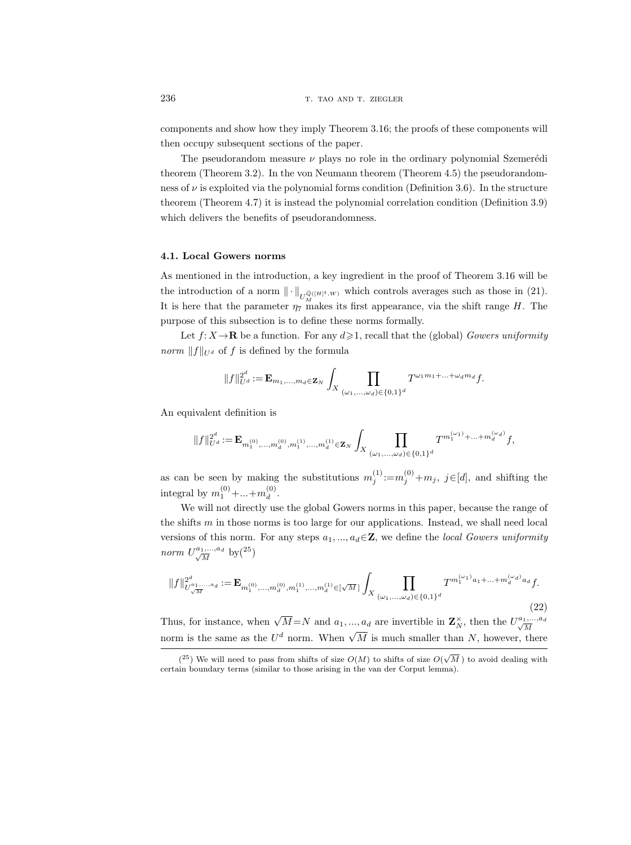components and show how they imply Theorem 3.16; the proofs of these components will then occupy subsequent sections of the paper.

The pseudorandom measure  $\nu$  plays no role in the ordinary polynomial Szemerédi theorem (Theorem 3.2). In the von Neumann theorem (Theorem 4.5) the pseudorandomness of  $\nu$  is exploited via the polynomial forms condition (Definition 3.6). In the structure theorem (Theorem 4.7) it is instead the polynomial correlation condition (Definition 3.9) which delivers the benefits of pseudorandomness.

## 4.1. Local Gowers norms

As mentioned in the introduction, a key ingredient in the proof of Theorem 3.16 will be the introduction of a norm  $\|\cdot\|_{U_M^{\vec{Q}([H]^t,W)}}$  which controls averages such as those in (21). It is here that the parameter  $\eta_7$  makes its first appearance, via the shift range H. The purpose of this subsection is to define these norms formally.

Let  $f: X \to \mathbf{R}$  be a function. For any  $d \geq 1$ , recall that the (global) Gowers uniformity *norm*  $||f||_{U^d}$  of f is defined by the formula

$$
||f||_{U^d}^{2^d} := \mathbf{E}_{m_1,\ldots,m_d \in \mathbf{Z}_N} \int_X \prod_{(\omega_1,\ldots,\omega_d) \in \{0,1\}^d} T^{\omega_1 m_1 + \ldots + \omega_d m_d} f.
$$

An equivalent definition is

$$
\|f\|_{U^d}^{2^d}:=\mathbf{E}_{m_1^{(0)},...,m_d^{(0)},m_1^{(1)},...,m_d^{(1)}\in\mathbf{Z}_N}\int_X\prod_{(\omega_1,...,\omega_d)\in\{0,1\}^d}T^{m_1^{(\omega_1)}+...+m_d^{(\omega_d)}}f,
$$

as can be seen by making the substitutions  $m_j^{(1)} := m_j^{(0)} + m_j$ ,  $j \in [d]$ , and shifting the integral by  $m_1^{(0)} + ... + m_d^{(0)}$  $\mathcal{L}^{(0)}$ .

We will not directly use the global Gowers norms in this paper, because the range of the shifts m in those norms is too large for our applications. Instead, we shall need local versions of this norm. For any steps  $a_1, ..., a_d \in \mathbb{Z}$ , we define the *local Gowers uniformity* norm  $U^{a_1,\ldots,a_d}_{\sqrt{M}}$  $\frac{1}{M}$  by  $\left(25\right)$ 

$$
||f||_{U_{\sqrt{M}}^{a_1,...,a_d}}^{2^d} := \mathbf{E}_{m_1^{(0)},...,m_d^{(0)},m_1^{(1)},...,m_d^{(1)} \in [\sqrt{M}]} \int_X \prod_{(\omega_1,...,\omega_d) \in \{0,1\}^d} T^{m_1^{(\omega_1)}a_1 + ... + m_d^{(\omega_d)}a_d} f. \tag{22}
$$

Thus, for instance, when  $\sqrt{M} = N$  and  $a_1, ..., a_d$  are invertible in  $\mathbf{Z}_N^{\times}$ , then the  $U_{\sqrt{M}}^{a_1,...,a_d}$ M norm is the same as the U<sup>d</sup> norm. When  $\sqrt{M}$  is much smaller than N, however, there

 $(25)$  We will need to pass from shifts of size  $O(M)$  to shifts of size  $O(\sqrt{M})$  to avoid dealing with certain boundary terms (similar to those arising in the van der Corput lemma).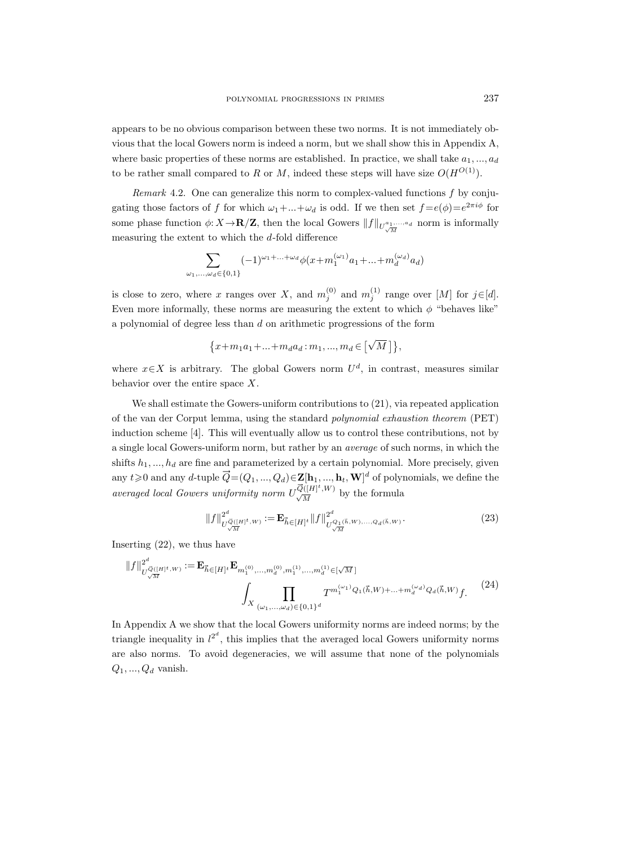appears to be no obvious comparison between these two norms. It is not immediately obvious that the local Gowers norm is indeed a norm, but we shall show this in Appendix A, where basic properties of these norms are established. In practice, we shall take  $a_1, ..., a_d$ to be rather small compared to R or M, indeed these steps will have size  $O(H^{O(1)})$ .

*Remark* 4.2. One can generalize this norm to complex-valued functions  $f$  by conjugating those factors of f for which  $\omega_1 + ... + \omega_d$  is odd. If we then set  $f = e(\phi) = e^{2\pi i \phi}$  for some phase function  $\phi: X \to \mathbf{R}/\mathbf{Z}$ , then the local Gowers  $||f||_{U_{\sqrt{M}}^{a_1,\ldots,a_d}}$  norm is informally measuring the extent to which the  $d$ -fold difference

$$
\sum_{\omega_1,...,\omega_d \in \{0,1\}} (-1)^{\omega_1+...+\omega_d} \phi(x+m_1^{(\omega_1)}a_1+...+m_d^{(\omega_d)}a_d)
$$

is close to zero, where x ranges over X, and  $m_j^{(0)}$  and  $m_j^{(1)}$  range over [M] for  $j \in [d]$ . Even more informally, these norms are measuring the extent to which  $\phi$  "behaves like" a polynomial of degree less than d on arithmetic progressions of the form

$$
\big\{x+m_1a_1+\ldots+m_d a_d \colon m_1,...,m_d \in \left[\sqrt{M}\,\right]\big\},
$$

where  $x \in X$  is arbitrary. The global Gowers norm  $U^d$ , in contrast, measures similar behavior over the entire space  $X$ .

We shall estimate the Gowers-uniform contributions to (21), via repeated application of the van der Corput lemma, using the standard polynomial exhaustion theorem (PET) induction scheme [4]. This will eventually allow us to control these contributions, not by a single local Gowers-uniform norm, but rather by an average of such norms, in which the shifts  $h_1, ..., h_d$  are fine and parameterized by a certain polynomial. More precisely, given any  $t\geqslant0$  and any d-tuple  $\vec{Q}=(Q_1, ..., Q_d)\in \mathbf{Z}[\mathbf{h}_1, ..., \mathbf{h}_t, \mathbf{W}]^d$  of polynomials, we define the averaged local Gowers uniformity norm  $U_{\sqrt{M}}^{\overline{Q}([H]^t,W)}$  by the formula

$$
||f||_{U^{\vec{Q}([H]^t,W)}_{\sqrt{M}}}^{2^d} := \mathbf{E}_{\vec{h} \in [H]^t} ||f||_{U^{\vec{Q}_1(\vec{h},W),...,Q_d(\vec{h},W)}_{\sqrt{M}}}^{2^d}.
$$
 (23)

Inserting (22), we thus have

$$
||f||_{U_{\sqrt{M}}^{\vec{Q}([H]^t,W)}}^{2^d} := \mathbf{E}_{\vec{h} \in [H]^t} \mathbf{E}_{m_1^{(0)},...,m_d^{(0)},m_1^{(1)},...,m_d^{(1)} \in [\sqrt{M}]\n} \int_X \prod_{(\omega_1,...,\omega_d) \in \{0,1\}^d} T^{m_1^{(\omega_1)}Q_1(\vec{h},W)+...+m_d^{(\omega_d)}Q_d(\vec{h},W)} f. \tag{24}
$$

In Appendix A we show that the local Gowers uniformity norms are indeed norms; by the triangle inequality in  $l^{2^d}$ , this implies that the averaged local Gowers uniformity norms are also norms. To avoid degeneracies, we will assume that none of the polynomials  $Q_1, ..., Q_d$  vanish.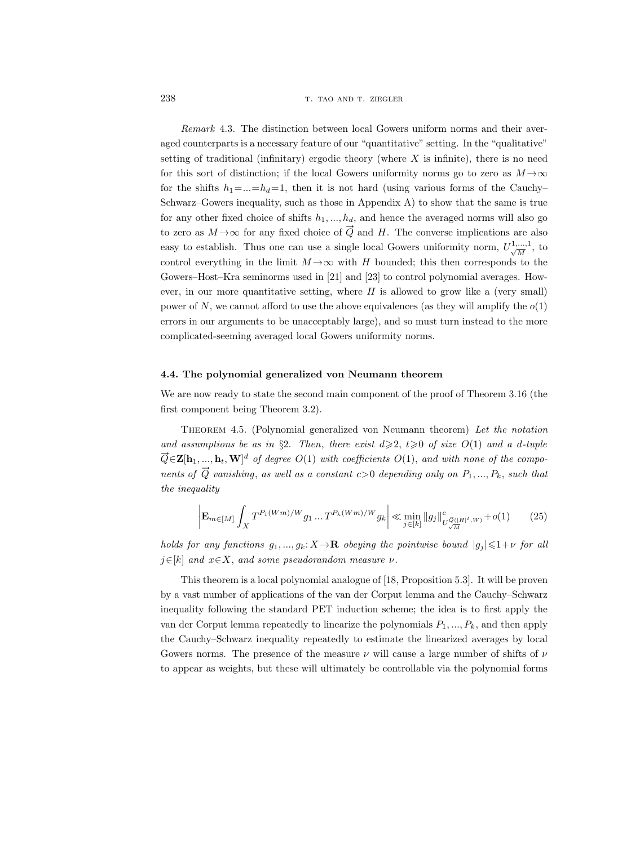Remark 4.3. The distinction between local Gowers uniform norms and their averaged counterparts is a necessary feature of our "quantitative" setting. In the "qualitative" setting of traditional (infinitary) ergodic theory (where  $X$  is infinite), there is no need for this sort of distinction; if the local Gowers uniformity norms go to zero as  $M \rightarrow \infty$ for the shifts  $h_1 = ... = h_d = 1$ , then it is not hard (using various forms of the Cauchy– Schwarz–Gowers inequality, such as those in Appendix A) to show that the same is true for any other fixed choice of shifts  $h_1, ..., h_d$ , and hence the averaged norms will also go to zero as  $M \rightarrow \infty$  for any fixed choice of  $\vec{Q}$  and H. The converse implications are also easy to establish. Thus one can use a single local Gowers uniformity norm,  $U_{\sqrt{M}}^{1,...,1}$ , to control everything in the limit  $M \rightarrow \infty$  with H bounded; this then corresponds to the Gowers–Host–Kra seminorms used in [21] and [23] to control polynomial averages. However, in our more quantitative setting, where  $H$  is allowed to grow like a (very small) power of N, we cannot afford to use the above equivalences (as they will amplify the  $o(1)$ ) errors in our arguments to be unacceptably large), and so must turn instead to the more complicated-seeming averaged local Gowers uniformity norms.

## 4.4. The polynomial generalized von Neumann theorem

We are now ready to state the second main component of the proof of Theorem 3.16 (the first component being Theorem 3.2).

Theorem 4.5. (Polynomial generalized von Neumann theorem) Let the notation and assumptions be as in §2. Then, there exist  $d\geqslant 2$ ,  $t\geqslant 0$  of size  $O(1)$  and a d-tuple  $\vec{Q} \in \mathbf{Z}[\mathbf{h}_1, ..., \mathbf{h}_t, \mathbf{W}]^d$  of degree  $O(1)$  with coefficients  $O(1)$ , and with none of the components of  $\vec{Q}$  vanishing, as well as a constant c>0 depending only on  $P_1, ..., P_k$ , such that the inequality

$$
\left| \mathbf{E}_{m \in [M]} \int_{X} T^{P_1(Wm)/W} g_1 \dots T^{P_k(Wm)/W} g_k \right| \ll \min_{j \in [k]} \|g_j\|_{U^{\vec{\mathcal{Q}}([H]^t,W)}_{\sqrt{M}}} + o(1) \tag{25}
$$

holds for any functions  $g_1, ..., g_k: X \to \mathbf{R}$  obeying the pointwise bound  $|g_j| \leq 1+\nu$  for all  $j \in [k]$  and  $x \in X$ , and some pseudorandom measure  $\nu$ .

This theorem is a local polynomial analogue of [18, Proposition 5.3]. It will be proven by a vast number of applications of the van der Corput lemma and the Cauchy–Schwarz inequality following the standard PET induction scheme; the idea is to first apply the van der Corput lemma repeatedly to linearize the polynomials  $P_1, ..., P_k$ , and then apply the Cauchy–Schwarz inequality repeatedly to estimate the linearized averages by local Gowers norms. The presence of the measure  $\nu$  will cause a large number of shifts of  $\nu$ to appear as weights, but these will ultimately be controllable via the polynomial forms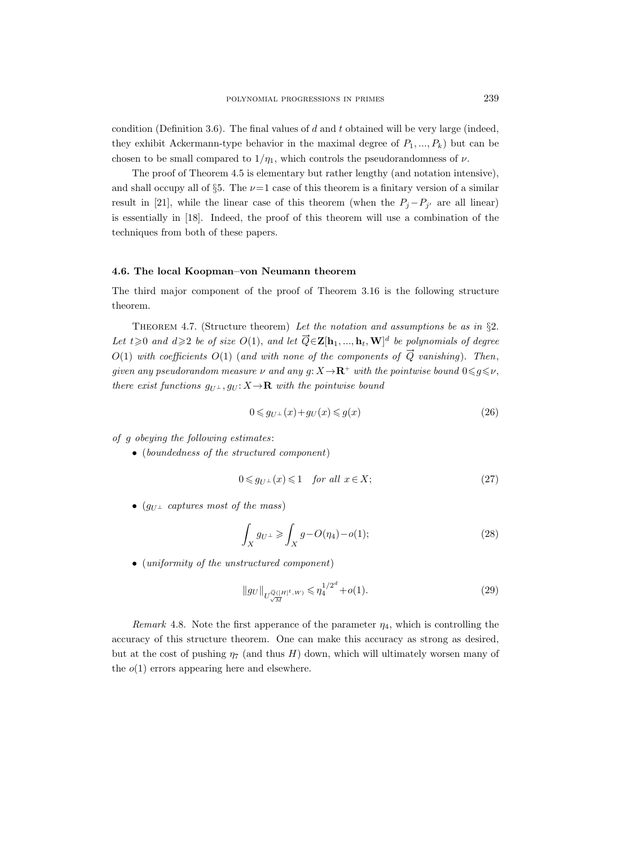condition (Definition 3.6). The final values of  $d$  and  $t$  obtained will be very large (indeed, they exhibit Ackermann-type behavior in the maximal degree of  $P_1, ..., P_k$ ) but can be chosen to be small compared to  $1/\eta_1$ , which controls the pseudorandomness of  $\nu$ .

The proof of Theorem 4.5 is elementary but rather lengthy (and notation intensive), and shall occupy all of §5. The  $\nu=1$  case of this theorem is a finitary version of a similar result in [21], while the linear case of this theorem (when the  $P_j - P_{j'}$  are all linear) is essentially in [18]. Indeed, the proof of this theorem will use a combination of the techniques from both of these papers.

## 4.6. The local Koopman–von Neumann theorem

The third major component of the proof of Theorem 3.16 is the following structure theorem.

THEOREM 4.7. (Structure theorem) Let the notation and assumptions be as in  $\S$ . Let  $t \geqslant 0$  and  $d \geqslant 2$  be of size  $O(1)$ , and let  $\overrightarrow{Q} \in \mathbf{Z}[\mathbf{h}_1, ..., \mathbf{h}_t, \mathbf{W}]^d$  be polynomials of degree  $O(1)$  with coefficients  $O(1)$  (and with none of the components of  $\vec{Q}$  vanishing). Then, given any pseudorandom measure  $\nu$  and any  $g: X \to \mathbf{R}^+$  with the pointwise bound  $0 \leq g \leq \nu$ , there exist functions  $g_{U^{\perp}}$ ,  $g_{U}$ :  $X \rightarrow \mathbf{R}$  with the pointwise bound

$$
0 \leq g_{U^{\perp}}(x) + g_U(x) \leq g(x) \tag{26}
$$

of g obeying the following estimates:

• (boundedness of the structured component)

$$
0 \leq g_{U^{\perp}}(x) \leq 1 \quad \text{for all } x \in X; \tag{27}
$$

• ( $g_{U^{\perp}}$  captures most of the mass)

$$
\int_X g_{U^\perp} \ge \int_X g - O(\eta_4) - o(1); \tag{28}
$$

• (*uniformity of the unstructured component*)

$$
||gv||_{U_{\sqrt{M}}^{\vec{Q}([H]^t,W)}} \leqslant \eta_4^{1/2^d} + o(1). \tag{29}
$$

Remark 4.8. Note the first apperance of the parameter  $\eta_4$ , which is controlling the accuracy of this structure theorem. One can make this accuracy as strong as desired, but at the cost of pushing  $\eta_7$  (and thus H) down, which will ultimately worsen many of the  $o(1)$  errors appearing here and elsewhere.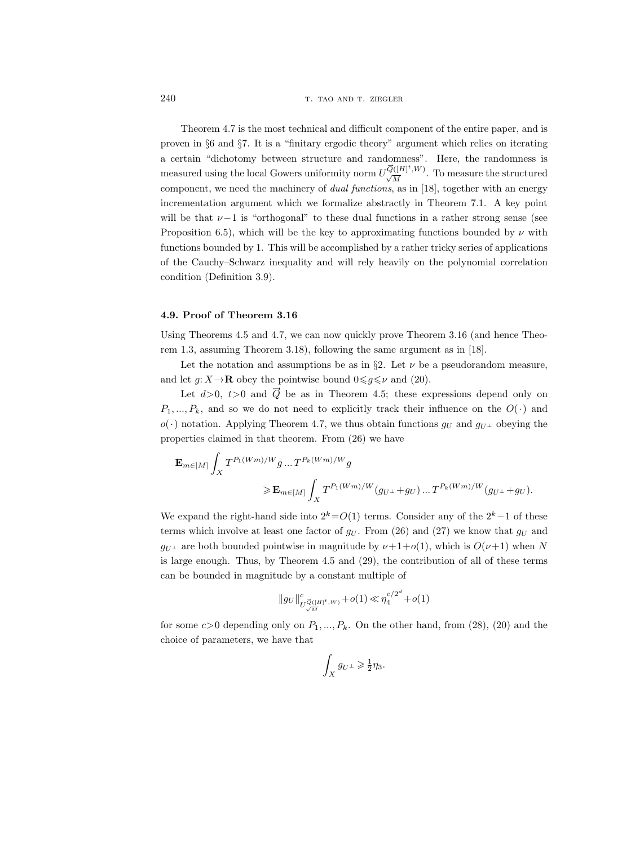Theorem 4.7 is the most technical and difficult component of the entire paper, and is proven in §6 and §7. It is a "finitary ergodic theory" argument which relies on iterating a certain "dichotomy between structure and randomness". Here, the randomness is a certain "dichotomy between structure and randomness". Here, the randomness is measured using the local Gowers uniformity norm  $U_{\sqrt{M}}^{\overline{Q}([H]^t,W)}$ . To measure the structured component, we need the machinery of dual functions, as in [18], together with an energy incrementation argument which we formalize abstractly in Theorem 7.1. A key point will be that  $\nu-1$  is "orthogonal" to these dual functions in a rather strong sense (see Proposition 6.5), which will be the key to approximating functions bounded by  $\nu$  with functions bounded by 1. This will be accomplished by a rather tricky series of applications of the Cauchy–Schwarz inequality and will rely heavily on the polynomial correlation condition (Definition 3.9).

#### 4.9. Proof of Theorem 3.16

Using Theorems 4.5 and 4.7, we can now quickly prove Theorem 3.16 (and hence Theorem 1.3, assuming Theorem 3.18), following the same argument as in [18].

Let the notation and assumptions be as in  $\S 2$ . Let  $\nu$  be a pseudorandom measure, and let  $g: X \to \mathbf{R}$  obey the pointwise bound  $0 \leq g \leq \nu$  and (20).

Let  $d>0$ ,  $t>0$  and  $\overrightarrow{Q}$  be as in Theorem 4.5; these expressions depend only on  $P_1, ..., P_k$ , and so we do not need to explicitly track their influence on the  $O(·)$  and  $o(\cdot)$  notation. Applying Theorem 4.7, we thus obtain functions  $g_U$  and  $g_{U^{\perp}}$  obeying the properties claimed in that theorem. From (26) we have

$$
\begin{aligned} \mathbf{E}_{m \in [M]} \int_{X} T^{P_1(Wm)/W} g \dots T^{P_k(Wm)/W} g \\ \geqslant & \mathbf{E}_{m \in [M]} \int_{X} T^{P_1(Wm)/W} (g_{U^{\perp}} + g_{U}) \dots T^{P_k(Wm)/W} (g_{U^{\perp}} + g_{U}). \end{aligned}
$$

We expand the right-hand side into  $2^k=O(1)$  terms. Consider any of the  $2^k-1$  of these terms which involve at least one factor of  $g_U$ . From (26) and (27) we know that  $g_U$  and  $g_{U^{\perp}}$  are both bounded pointwise in magnitude by  $\nu+1+o(1)$ , which is  $O(\nu+1)$  when N is large enough. Thus, by Theorem 4.5 and (29), the contribution of all of these terms can be bounded in magnitude by a constant multiple of

$$
\|g_U\|_{U_{\sqrt{M}}^{\vec{Q}([H]^t,W)}}^c+o(1)\ll \eta_4^{c/2^d}+o(1)
$$

for some  $c>0$  depending only on  $P_1, ..., P_k$ . On the other hand, from (28), (20) and the choice of parameters, we have that

$$
\int_X g_{U^\perp} \geqslant \frac{1}{2} \eta_3.
$$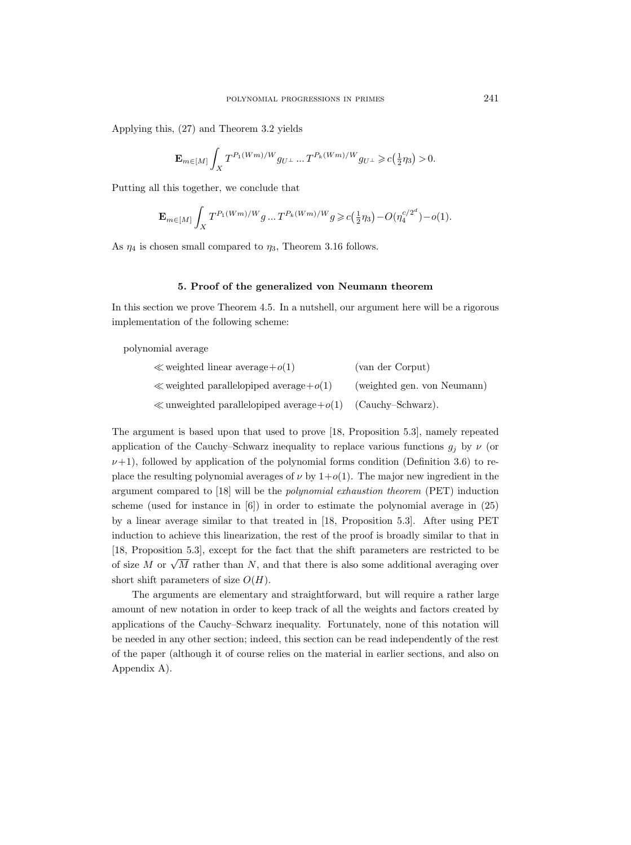Applying this, (27) and Theorem 3.2 yields

$$
\mathbf{E}_{m \in [M]} \int_X T^{P_1(Wm)/W} g_{U^\perp} \ldots T^{P_k(Wm)/W} g_{U^\perp} \geqslant c\left(\tfrac{1}{2}\eta_3\right) > 0.
$$

Putting all this together, we conclude that

$$
\mathbf{E}_{m \in [M]} \int_{X} T^{P_1(Wm)/W} g \dots T^{P_k(Wm)/W} g \geqslant c\left(\frac{1}{2}\eta_3\right) - O(\eta_4^{c/2^d}) - o(1).
$$

As  $\eta_4$  is chosen small compared to  $\eta_3$ , Theorem 3.16 follows.

## 5. Proof of the generalized von Neumann theorem

In this section we prove Theorem 4.5. In a nutshell, our argument here will be a rigorous implementation of the following scheme:

polynomial average

| $\ll$ weighted linear average + $o(1)$           | (van der Corput)            |
|--------------------------------------------------|-----------------------------|
| $\ll$ weighted parallelopiped average + $o(1)$   | (weighted gen. von Neumann) |
| $\ll$ unweighted parallelopiped average + $o(1)$ | (Cauchy-Schwarz).           |

The argument is based upon that used to prove [18, Proposition 5.3], namely repeated application of the Cauchy–Schwarz inequality to replace various functions  $g_i$  by  $\nu$  (or  $\nu+1$ , followed by application of the polynomial forms condition (Definition 3.6) to replace the resulting polynomial averages of  $\nu$  by  $1+o(1)$ . The major new ingredient in the argument compared to [18] will be the polynomial exhaustion theorem (PET) induction scheme (used for instance in [6]) in order to estimate the polynomial average in (25) by a linear average similar to that treated in [18, Proposition 5.3]. After using PET induction to achieve this linearization, the rest of the proof is broadly similar to that in [18, Proposition 5.3], except for the fact that the shift parameters are restricted to be of size M or  $\sqrt{M}$  rather than N, and that there is also some additional averaging over short shift parameters of size  $O(H)$ .

The arguments are elementary and straightforward, but will require a rather large amount of new notation in order to keep track of all the weights and factors created by applications of the Cauchy–Schwarz inequality. Fortunately, none of this notation will be needed in any other section; indeed, this section can be read independently of the rest of the paper (although it of course relies on the material in earlier sections, and also on Appendix A).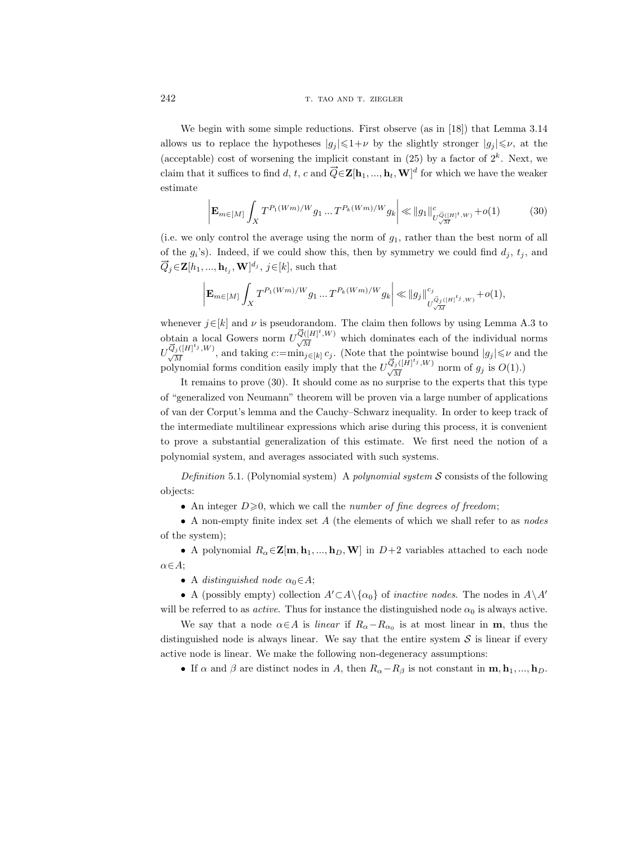We begin with some simple reductions. First observe (as in [18]) that Lemma 3.14 allows us to replace the hypotheses  $|g_i| \leq 1+\nu$  by the slightly stronger  $|g_i| \leq \nu$ , at the (acceptable) cost of worsening the implicit constant in  $(25)$  by a factor of  $2<sup>k</sup>$ . Next, we claim that it suffices to find d, t, c and  $\vec{Q} \in \mathbf{Z}[\mathbf{h}_1, ..., \mathbf{h}_t, \mathbf{W}]^d$  for which we have the weaker estimate

$$
\left| \mathbf{E}_{m \in [M]} \int_{X} T^{P_1(Wm)/W} g_1 \dots T^{P_k(Wm)/W} g_k \right| \ll ||g_1||_{U^{\vec{\mathcal{Q}}([H]^t,W)}_{\sqrt{M}}} + o(1) \tag{30}
$$

(i.e. we only control the average using the norm of  $g_1$ , rather than the best norm of all of the  $g_i$ 's). Indeed, if we could show this, then by symmetry we could find  $d_j$ ,  $t_j$ , and  $\vec{Q}_j \in \mathbf{Z}[h_1, ..., \mathbf{h}_{t_j}, \mathbf{W}]^{d_j}, j \in [k],$  such that

$$
\left| \mathbf{E}_{m \in [M]} \int_X T^{P_1(Wm)/W} g_1 \dots T^{P_k(Wm)/W} g_k \right| \ll ||g_j||_{U^{\overrightarrow{Q}_j([H]^{\mathfrak{t}_j}}, W)}^{c_j} + o(1),
$$

whenever  $j \in [k]$  and  $\nu$  is pseudorandom. The claim then follows by using Lemma A.3 to whenever  $j \in [k]$  and  $\nu$  is pseudorandom. The claim then follows by using Lemma A.3 to obtain a local Gowers norm  $U_{\sqrt{M}}^{\overline{Q}([H]^t,W)}$  which dominates each of the individual norms obtain a local Gowers norm  $U^{\overrightarrow{Q}([H]^t,W)}_{\sqrt{M}}$  which dominates each of the individual norms  $U^{\overrightarrow{Q}_j([H]^t_j,W)}_{\sqrt{M}}$ , and taking  $c:=\min_{j\in[k]}c_j$ . (Note that the pointwise bound  $|g_j|\leq \nu$  and the  $U^{\overrightarrow{Q}_j([H]^{t_j},W)}_{\overrightarrow{M}}$ , and taking  $c:=$   $\min_{j \in [k]} c_j$ . (Note that the pointwise bound  $|g_j| \leq \nu$  and polynomial forms condition easily imply that the  $U^{\overrightarrow{Q}_j([H]^{t_j},W)}_{\overrightarrow{M}}$  norm of  $g_j$  is  $O(1)$ .)

It remains to prove (30). It should come as no surprise to the experts that this type of "generalized von Neumann" theorem will be proven via a large number of applications of van der Corput's lemma and the Cauchy–Schwarz inequality. In order to keep track of the intermediate multilinear expressions which arise during this process, it is convenient to prove a substantial generalization of this estimate. We first need the notion of a polynomial system, and averages associated with such systems.

Definition 5.1. (Polynomial system) A polynomial system  $S$  consists of the following objects:

• An integer  $D\geq 0$ , which we call the *number of fine degrees of freedom*;

• A non-empty finite index set  $A$  (the elements of which we shall refer to as nodes of the system);

• A polynomial  $R_{\alpha} \in \mathbb{Z}[m, h_1, ..., h_D, W]$  in  $D+2$  variables attached to each node  $\alpha \in A$ ;

• A distinguished node  $\alpha_0 \in A$ ;

• A (possibly empty) collection  $A' \subset A \setminus \{ \alpha_0 \}$  of *inactive nodes*. The nodes in  $A \setminus A'$ will be referred to as *active*. Thus for instance the distinguished node  $\alpha_0$  is always active.

We say that a node  $\alpha \in A$  is *linear* if  $R_{\alpha} - R_{\alpha_0}$  is at most linear in **m**, thus the distinguished node is always linear. We say that the entire system  $S$  is linear if every active node is linear. We make the following non-degeneracy assumptions:

• If  $\alpha$  and  $\beta$  are distinct nodes in A, then  $R_{\alpha}-R_{\beta}$  is not constant in  $\mathbf{m}, \mathbf{h}_1, ..., \mathbf{h}_D$ .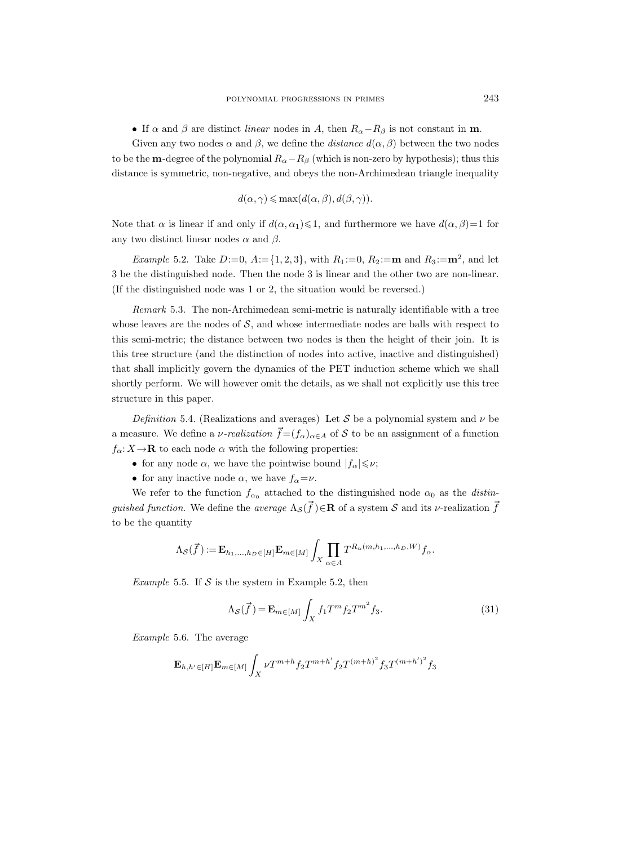• If  $\alpha$  and  $\beta$  are distinct *linear* nodes in A, then  $R_{\alpha} - R_{\beta}$  is not constant in **m**.

Given any two nodes  $\alpha$  and  $\beta$ , we define the *distance*  $d(\alpha, \beta)$  between the two nodes to be the **m**-degree of the polynomial  $R_{\alpha}-R_{\beta}$  (which is non-zero by hypothesis); thus this distance is symmetric, non-negative, and obeys the non-Archimedean triangle inequality

$$
d(\alpha, \gamma) \le \max(d(\alpha, \beta), d(\beta, \gamma)).
$$

Note that  $\alpha$  is linear if and only if  $d(\alpha, \alpha_1) \leq 1$ , and furthermore we have  $d(\alpha, \beta) = 1$  for any two distinct linear nodes  $\alpha$  and  $\beta$ .

*Example* 5.2. Take  $D:=0$ ,  $A:=\{1,2,3\}$ , with  $R_1:=0$ ,  $R_2:=\mathbf{m}$  and  $R_3:=\mathbf{m}^2$ , and let 3 be the distinguished node. Then the node 3 is linear and the other two are non-linear. (If the distinguished node was 1 or 2, the situation would be reversed.)

Remark 5.3. The non-Archimedean semi-metric is naturally identifiable with a tree whose leaves are the nodes of  $S$ , and whose intermediate nodes are balls with respect to this semi-metric; the distance between two nodes is then the height of their join. It is this tree structure (and the distinction of nodes into active, inactive and distinguished) that shall implicitly govern the dynamics of the PET induction scheme which we shall shortly perform. We will however omit the details, as we shall not explicitly use this tree structure in this paper.

Definition 5.4. (Realizations and averages) Let S be a polynomial system and  $\nu$  be a measure. We define a *v-realization*  $\vec{f} = (f_{\alpha})_{\alpha \in A}$  of S to be an assignment of a function  $f_{\alpha}: X \to \mathbf{R}$  to each node  $\alpha$  with the following properties:

- for any node  $\alpha$ , we have the pointwise bound  $|f_{\alpha}| \leqslant \nu$ ;
- for any inactive node  $\alpha$ , we have  $f_{\alpha} = \nu$ .

We refer to the function  $f_{\alpha_0}$  attached to the distinguished node  $\alpha_0$  as the distinguished function. We define the average  $\Lambda_{\mathcal{S}}(\vec{f}) \in \mathbb{R}$  of a system S and its v-realization  $\vec{f}$ to be the quantity

$$
\Lambda_{\mathcal{S}}(\vec{f}) := \mathbf{E}_{h_1,\dots,h_D \in [H]} \mathbf{E}_{m \in [M]} \int_X \prod_{\alpha \in A} T^{R_{\alpha}(m,h_1,\dots,h_D,W)} f_{\alpha}.
$$

*Example* 5.5. If  $S$  is the system in Example 5.2, then

$$
\Lambda_{\mathcal{S}}(\vec{f}) = \mathbf{E}_{m \in [M]} \int_{X} f_1 T^m f_2 T^{m^2} f_3.
$$
\n(31)

Example 5.6. The average

$$
\mathbf{E}_{h,h' \in [H]} \mathbf{E}_{m \in [M]} \int_X \nu T^{m+h} f_2 T^{m+h'} f_2 T^{(m+h)^2} f_3 T^{(m+h')^2} f_3
$$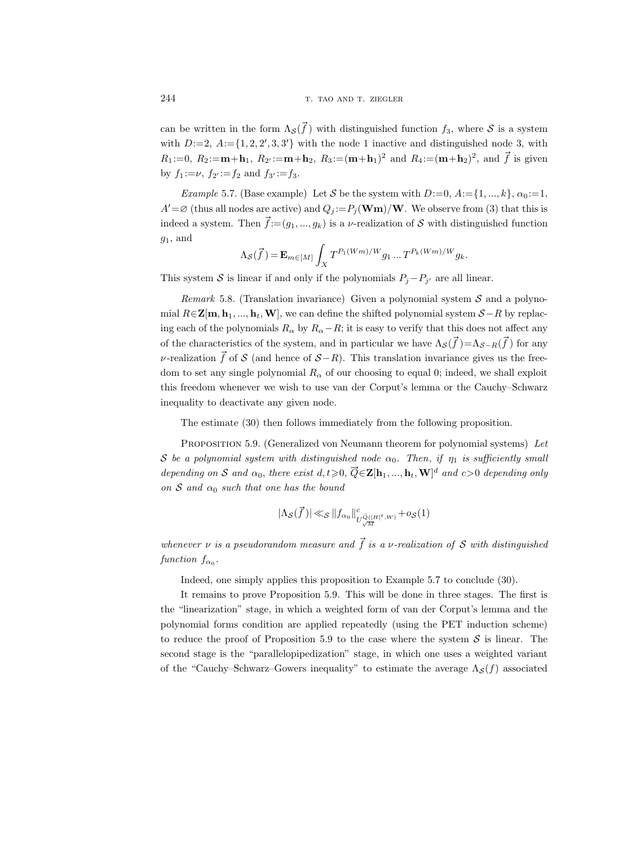can be written in the form  $\Lambda_{\mathcal{S}}(\vec{f})$  with distinguished function  $f_3$ , where  $\mathcal{S}$  is a system with  $D:=2$ ,  $A:=\{1,2,2',3,3'\}$  with the node 1 inactive and distinguished node 3, with  $R_1 := 0, R_2 := \mathbf{m} + \mathbf{h}_1, R_2 := \mathbf{m} + \mathbf{h}_2, R_3 := (\mathbf{m} + \mathbf{h}_1)^2$  and  $R_4 := (\mathbf{m} + \mathbf{h}_2)^2$ , and  $\vec{f}$  is given by  $f_1 := \nu$ ,  $f_{2'} := f_2$  and  $f_{3'} := f_3$ .

Example 5.7. (Base example) Let S be the system with  $D:=0, A:=\{1, ..., k\}, \alpha_0:=1,$  $A' = \varnothing$  (thus all nodes are active) and  $Q_j := P_j(\mathbf{Wm})/\mathbf{W}$ . We observe from (3) that this is indeed a system. Then  $\vec{f} := (g_1, ..., g_k)$  is a *v*-realization of S with distinguished function  $g_1$ , and

$$
\Lambda_{\mathcal{S}}(\vec{f}) = \mathbf{E}_{m \in [M]} \int_{X} T^{P_1(Wm)/W} g_1 \dots T^{P_k(Wm)/W} g_k.
$$

This system S is linear if and only if the polynomials  $P_j - P_{j'}$  are all linear.

*Remark* 5.8. (Translation invariance) Given a polynomial system  $S$  and a polynomial  $R \in \mathbb{Z}[m, h_1, ..., h_t, W]$ , we can define the shifted polynomial system  $S - R$  by replacing each of the polynomials  $R_{\alpha}$  by  $R_{\alpha}-R$ ; it is easy to verify that this does not affect any of the characteristics of the system, and in particular we have  $\Lambda_{\mathcal{S}}(\vec{f})=\Lambda_{\mathcal{S}-R}(\vec{f})$  for any v-realization  $\vec{f}$  of S (and hence of  $S-R$ ). This translation invariance gives us the freedom to set any single polynomial  $R_{\alpha}$  of our choosing to equal 0; indeed, we shall exploit this freedom whenever we wish to use van der Corput's lemma or the Cauchy–Schwarz inequality to deactivate any given node.

The estimate (30) then follows immediately from the following proposition.

PROPOSITION 5.9. (Generalized von Neumann theorem for polynomial systems) Let S be a polynomial system with distinguished node  $\alpha_0$ . Then, if  $\eta_1$  is sufficiently small depending on S and  $\alpha_0$ , there exist  $d, t \geqslant 0$ ,  $\vec{Q} \in \mathbf{Z}[\mathbf{h}_1, ..., \mathbf{h}_t, \mathbf{W}]^d$  and  $c > 0$  depending only on S and  $\alpha_0$  such that one has the bound

$$
|\Lambda_{\mathcal{S}}(\vec{f\,)| \ll_{\mathcal{S}} \|f_{\alpha_0}\|_{U_{\sqrt{M}}^{\vec{Q}([H]^t,W)}}^c + o_{\mathcal{S}}(1)
$$

whenever  $\nu$  is a pseudorandom measure and  $\vec{f}$  is a  $\nu$ -realization of S with distinguished function  $f_{\alpha_0}$ .

Indeed, one simply applies this proposition to Example 5.7 to conclude (30).

It remains to prove Proposition 5.9. This will be done in three stages. The first is the "linearization" stage, in which a weighted form of van der Corput's lemma and the polynomial forms condition are applied repeatedly (using the PET induction scheme) to reduce the proof of Proposition 5.9 to the case where the system  $S$  is linear. The second stage is the "parallelopipedization" stage, in which one uses a weighted variant of the "Cauchy–Schwarz–Gowers inequality" to estimate the average  $\Lambda_{\mathcal{S}}(f)$  associated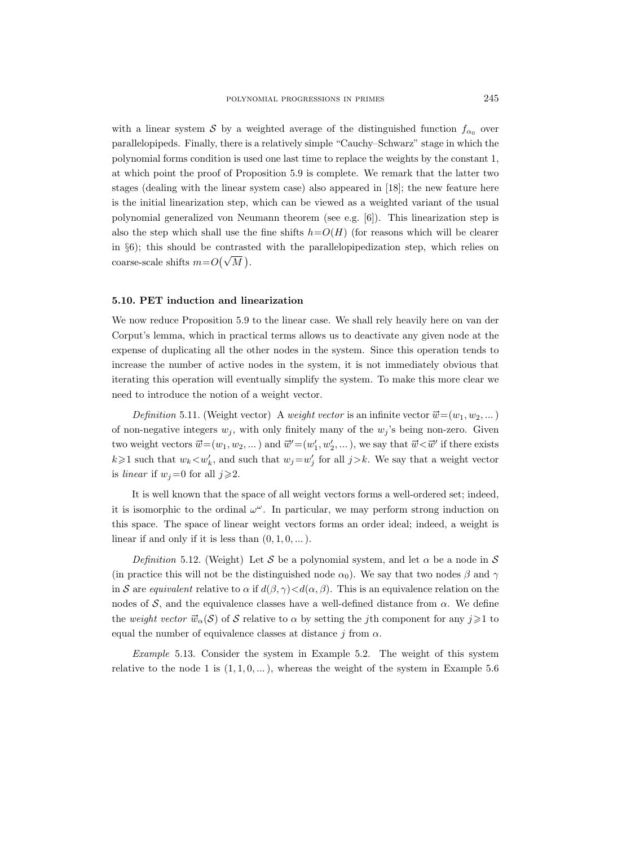with a linear system S by a weighted average of the distinguished function  $f_{\alpha_0}$  over parallelopipeds. Finally, there is a relatively simple "Cauchy–Schwarz" stage in which the polynomial forms condition is used one last time to replace the weights by the constant 1, at which point the proof of Proposition 5.9 is complete. We remark that the latter two stages (dealing with the linear system case) also appeared in [18]; the new feature here is the initial linearization step, which can be viewed as a weighted variant of the usual polynomial generalized von Neumann theorem (see e.g. [6]). This linearization step is also the step which shall use the fine shifts  $h=O(H)$  (for reasons which will be clearer in  $\S6$ ; this should be contrasted with the parallelopipedization step, which relies on coarse-scale shifts  $m = O(\sqrt{M})$ .

#### 5.10. PET induction and linearization

We now reduce Proposition 5.9 to the linear case. We shall rely heavily here on van der Corput's lemma, which in practical terms allows us to deactivate any given node at the expense of duplicating all the other nodes in the system. Since this operation tends to increase the number of active nodes in the system, it is not immediately obvious that iterating this operation will eventually simplify the system. To make this more clear we need to introduce the notion of a weight vector.

Definition 5.11. (Weight vector) A weight vector is an infinite vector  $\vec{w} = (w_1, w_2, ...)$ of non-negative integers  $w_j$ , with only finitely many of the  $w_j$ 's being non-zero. Given two weight vectors  $\vec{w}=(w_1, w_2, ...)$  and  $\vec{w}'=(w'_1, w'_2, ...)$ , we say that  $\vec{w} < \vec{w}'$  if there exists  $k \geq 1$  such that  $w_k < w'_k$ , and such that  $w_j = w'_j$  for all  $j > k$ . We say that a weight vector is linear if  $w_j=0$  for all  $j\geqslant 2$ .

It is well known that the space of all weight vectors forms a well-ordered set; indeed, it is isomorphic to the ordinal  $\omega^{\omega}$ . In particular, we may perform strong induction on this space. The space of linear weight vectors forms an order ideal; indeed, a weight is linear if and only if it is less than  $(0, 1, 0, \dots)$ .

Definition 5.12. (Weight) Let S be a polynomial system, and let  $\alpha$  be a node in S (in practice this will not be the distinguished node  $\alpha_0$ ). We say that two nodes  $\beta$  and  $\gamma$ in S are equivalent relative to  $\alpha$  if  $d(\beta, \gamma) < d(\alpha, \beta)$ . This is an equivalence relation on the nodes of S, and the equivalence classes have a well-defined distance from  $\alpha$ . We define the weight vector  $\vec{w}_{\alpha}(\mathcal{S})$  of S relative to  $\alpha$  by setting the jth component for any  $j\geqslant 1$  to equal the number of equivalence classes at distance j from  $\alpha$ .

Example 5.13. Consider the system in Example 5.2. The weight of this system relative to the node 1 is  $(1, 1, 0, ...)$ , whereas the weight of the system in Example 5.6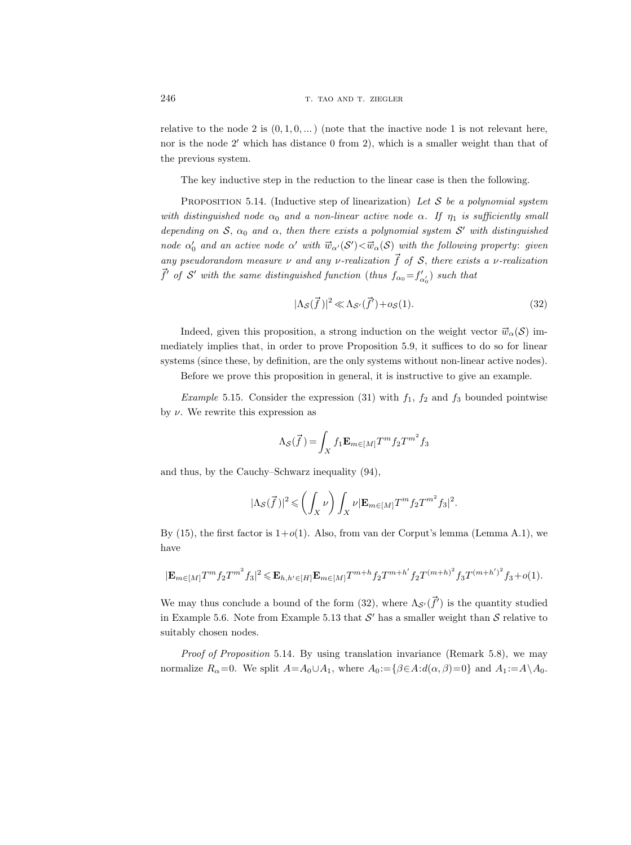relative to the node 2 is  $(0, 1, 0, ...)$  (note that the inactive node 1 is not relevant here, nor is the node  $2'$  which has distance 0 from 2), which is a smaller weight than that of the previous system.

The key inductive step in the reduction to the linear case is then the following.

PROPOSITION 5.14. (Inductive step of linearization) Let  $S$  be a polynomial system with distinguished node  $\alpha_0$  and a non-linear active node  $\alpha$ . If  $\eta_1$  is sufficiently small depending on  $S$ ,  $\alpha_0$  and  $\alpha$ , then there exists a polynomial system  $S'$  with distinguished node  $\alpha'_0$  and an active node  $\alpha'$  with  $\vec{w}_{\alpha'}(S') < \vec{w}_{\alpha}(S)$  with the following property: given any pseudorandom measure  $\nu$  and any  $\nu$ -realization  $\vec{f}$  of  $S$ , there exists a  $\nu$ -realization  $\vec{f}'$  of S' with the same distinguished function (thus  $f_{\alpha_0} = f'_{\alpha_0}$ ) such that

$$
|\Lambda_{\mathcal{S}}(\vec{f})|^2 \ll \Lambda_{\mathcal{S}'}(\vec{f}') + o_{\mathcal{S}}(1). \tag{32}
$$

Indeed, given this proposition, a strong induction on the weight vector  $\vec{w}_\alpha(\mathcal{S})$  immediately implies that, in order to prove Proposition 5.9, it suffices to do so for linear systems (since these, by definition, are the only systems without non-linear active nodes).

Before we prove this proposition in general, it is instructive to give an example.

*Example* 5.15. Consider the expression (31) with  $f_1$ ,  $f_2$  and  $f_3$  bounded pointwise by  $\nu$ . We rewrite this expression as

$$
\Lambda_{\mathcal{S}}(\vec{f}\,)=\int_X f_1{\bf E}_{m\in[M]}T^m f_2T^{m^2}f_3
$$

and thus, by the Cauchy–Schwarz inequality (94),

$$
|\Lambda_{\mathcal{S}}(\vec{f})|^2 \leqslant \left(\int_X \nu\right) \int_X \nu |\mathbf{E}_{m \in [M]} T^m f_2 T^{m^2} f_3|^2.
$$

By (15), the first factor is  $1+o(1)$ . Also, from van der Corput's lemma (Lemma A.1), we have

$$
|\mathbf{E}_{m \in [M]} T^m f_2 T^{m^2} f_3|^2 \leqslant \mathbf{E}_{h,h' \in [H]} \mathbf{E}_{m \in [M]} T^{m+h} f_2 T^{m+h'} f_2 T^{(m+h)^2} f_3 T^{(m+h')^2} f_3 + o(1).
$$

We may thus conclude a bound of the form (32), where  $\Lambda_{\mathcal{S}'}(\vec{f}')$  is the quantity studied in Example 5.6. Note from Example 5.13 that  $\mathcal{S}'$  has a smaller weight than  $\mathcal{S}$  relative to suitably chosen nodes.

Proof of Proposition 5.14. By using translation invariance (Remark 5.8), we may normalize  $R_{\alpha}=0$ . We split  $A=A_0\cup A_1$ , where  $A_0:=\{\beta\in A:d(\alpha,\beta)=0\}$  and  $A_1:=A\setminus A_0$ .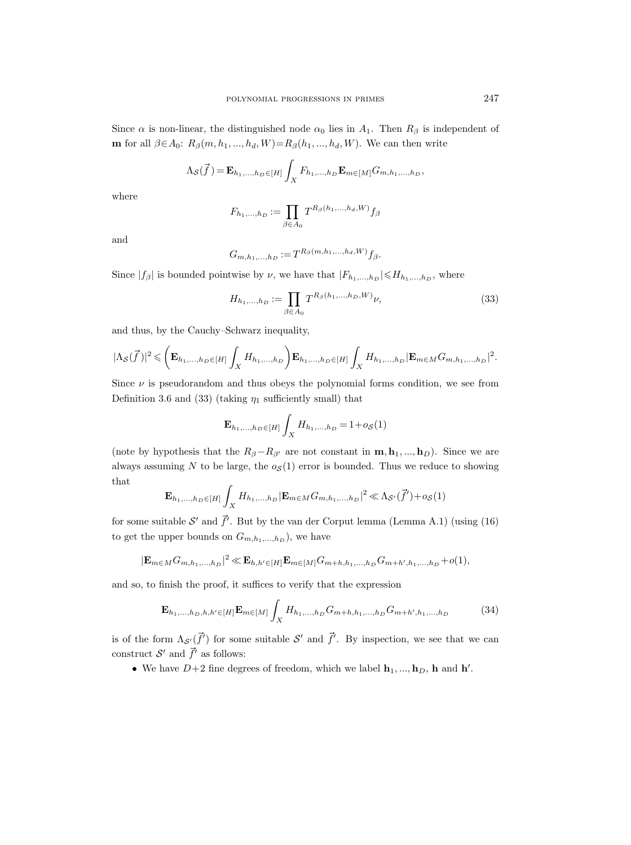Since  $\alpha$  is non-linear, the distinguished node  $\alpha_0$  lies in  $A_1$ . Then  $R_\beta$  is independent of **m** for all  $\beta \in A_0$ :  $R_{\beta}(m, h_1, ..., h_d, W) = R_{\beta}(h_1, ..., h_d, W)$ . We can then write

$$
\Lambda_{\mathcal{S}}(\vec{f}) = \mathbf{E}_{h_1,...,h_D \in [H]} \int_{X} F_{h_1,...,h_D} \mathbf{E}_{m \in [M]} G_{m,h_1,...,h_D},
$$

where

$$
F_{h_1,\ldots,h_D} := \prod_{\beta \in A_0} T^{R_\beta(h_1,\ldots,h_d,W)} f_\beta
$$

and

$$
G_{m,h_1,...,h_D} := T^{R_{\beta}(m,h_1,...,h_d,W)} f_{\beta}.
$$

Since  $|f_\beta|$  is bounded pointwise by  $\nu$ , we have that  $|F_{h_1,...,h_D}| \leqslant H_{h_1,...,h_D}$ , where

$$
H_{h_1,\dots,h_D} := \prod_{\beta \in A_0} T^{R_\beta(h_1,\dots,h_D,W)} \nu,
$$
\n(33)

and thus, by the Cauchy–Schwarz inequality,

$$
|\Lambda_{\mathcal{S}}(\vec{f})|^2 \leqslant \left(\mathbf{E}_{h_1,...,h_D \in [H]}\int_X H_{h_1,...,h_D}\right)\mathbf{E}_{h_1,...,h_D \in [H]}\int_X H_{h_1,...,h_D}|\mathbf{E}_{m \in M}G_{m,h_1,...,h_D}|^2.
$$

Since  $\nu$  is pseudorandom and thus obeys the polynomial forms condition, we see from Definition 3.6 and (33) (taking  $\eta_1$  sufficiently small) that

$$
\mathbf{E}_{h_1,...,h_D \in [H]} \int_X H_{h_1,...,h_D} = 1 + o_{\mathcal{S}}(1)
$$

(note by hypothesis that the  $R_{\beta}-R_{\beta'}$  are not constant in  $\mathbf{m}, \mathbf{h}_1, ..., \mathbf{h}_D$ ). Since we are always assuming N to be large, the  $o<sub>S</sub>(1)$  error is bounded. Thus we reduce to showing that

$$
\mathbf{E}_{h_1,...,h_D \in [H]} \int_X H_{h_1,...,h_D} |\mathbf{E}_{m \in M} G_{m,h_1,...,h_D}|^2 \ll \Lambda_{\mathcal{S}'}(\vec{f}') + o_{\mathcal{S}}(1)
$$

for some suitable  $\mathcal{S}'$  and  $\vec{f}'$ . But by the van der Corput lemma (Lemma A.1) (using (16) to get the upper bounds on  $G_{m,h_1,...,h_D}$ ), we have

$$
|\mathbf{E}_{m \in M} G_{m,h_1,...,h_D}|^2 \ll \mathbf{E}_{h,h' \in [H]} \mathbf{E}_{m \in [M]} G_{m+h,h_1,...,h_D} G_{m+h',h_1,...,h_D} + o(1),
$$

and so, to finish the proof, it suffices to verify that the expression

$$
\mathbf{E}_{h_1,...,h_D,h,h'}\in[H]\mathbf{E}_{m\in[M]}\int_X H_{h_1,...,h_D}G_{m+h,h_1,...,h_D}G_{m+h',h_1,...,h_D}
$$
(34)

is of the form  $\Lambda_{\mathcal{S}}(\vec{f}')$  for some suitable  $\mathcal{S}'$  and  $\vec{f}'$ . By inspection, we see that we can construct  $\mathcal{S}'$  and  $\overrightarrow{f}'$  as follows:

• We have  $D+2$  fine degrees of freedom, which we label  $\mathbf{h}_1, ..., \mathbf{h}_D$ , h and h'.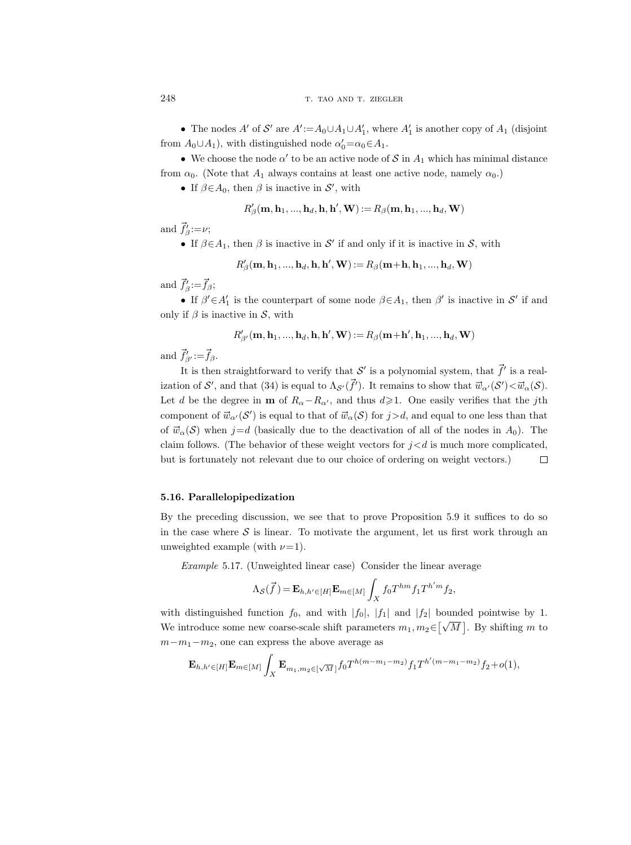• The nodes A' of S' are  $A' := A_0 \cup A_1 \cup A'_1$ , where  $A'_1$  is another copy of  $A_1$  (disjoint from  $A_0 \cup A_1$ , with distinguished node  $\alpha'_0 = \alpha_0 \in A_1$ .

• We choose the node  $\alpha'$  to be an active node of S in  $A_1$  which has minimal distance from  $\alpha_0$ . (Note that  $A_1$  always contains at least one active node, namely  $\alpha_0$ .)

• If  $\beta \in A_0$ , then  $\beta$  is inactive in  $\mathcal{S}'$ , with

$$
R'_{\beta}(\mathbf{m}, \mathbf{h}_1, ..., \mathbf{h}_d, \mathbf{h}, \mathbf{h}', \mathbf{W}) := R_{\beta}(\mathbf{m}, \mathbf{h}_1, ..., \mathbf{h}_d, \mathbf{W})
$$

and  $\vec{f}'_{\beta} := \nu;$ 

• If  $\beta \in A_1$ , then  $\beta$  is inactive in S' if and only if it is inactive in S, with

$$
R'_\beta(\mathbf{m}, \mathbf{h}_1, ..., \mathbf{h}_d, \mathbf{h}, \mathbf{h}', \mathbf{W}):=R_\beta(\mathbf{m}+\mathbf{h}, \mathbf{h}_1, ..., \mathbf{h}_d, \mathbf{W})
$$

and  $\vec{f}'_{\beta} \! := \! \vec{f}_{\beta};$ 

• If  $\beta' \in A'_1$  is the counterpart of some node  $\beta \in A_1$ , then  $\beta'$  is inactive in S' if and only if  $\beta$  is inactive in S, with

$$
R_{\beta'}'(\mathbf{m},\mathbf{h}_1,...,\mathbf{h}_d,\mathbf{h},\mathbf{h'},\mathbf{W}):=R_{\beta}(\mathbf{m}+\mathbf{h'},\mathbf{h}_1,...,\mathbf{h}_d,\mathbf{W})
$$

and  $\vec{f}'_{\beta'} \! := \! \vec{f}_{\beta}$ .

It is then straightforward to verify that S' is a polynomial system, that  $\vec{f}'$  is a realization of  $\mathcal{S}'$ , and that (34) is equal to  $\Lambda_{\mathcal{S}'}(\vec{f}')$ . It remains to show that  $\vec{w}_{\alpha'}(\mathcal{S}') < \vec{w}_{\alpha}(\mathcal{S})$ . Let d be the degree in **m** of  $R_{\alpha}-R_{\alpha'}$ , and thus  $d\geq 1$ . One easily verifies that the j<sup>th</sup> component of  $\vec{w}_{\alpha'}(S')$  is equal to that of  $\vec{w}_{\alpha}(S)$  for  $j > d$ , and equal to one less than that of  $\vec{w}_\alpha(\mathcal{S})$  when  $j=d$  (basically due to the deactivation of all of the nodes in  $A_0$ ). The claim follows. (The behavior of these weight vectors for  $i < d$  is much more complicated, but is fortunately not relevant due to our choice of ordering on weight vectors.)  $\Box$ 

## 5.16. Parallelopipedization

By the preceding discussion, we see that to prove Proposition 5.9 it suffices to do so in the case where  $S$  is linear. To motivate the argument, let us first work through an unweighted example (with  $\nu=1$ ).

Example 5.17. (Unweighted linear case) Consider the linear average

$$
\Lambda_{\mathcal{S}}(\vec{f}) = \mathbf{E}_{h,h' \in [H]} \mathbf{E}_{m \in [M]} \int_{X} f_0 T^{hm} f_1 T^{h'm} f_2,
$$

with distinguished function  $f_0$ , and with  $|f_0|$ ,  $|f_1|$  and  $|f_2|$  bounded pointwise by 1. We introduce some new coarse-scale shift parameters  $m_1, m_2 \in \lceil \sqrt{M} \rceil$ . By shifting m to  $m-m_1-m_2$ , one can express the above average as

$$
\mathbf{E}_{h,h' \in [H]} \mathbf{E}_{m \in [M]} \int_{X} \mathbf{E}_{m_1, m_2 \in [\sqrt{M}]} f_0 T^{h(m-m_1-m_2)} f_1 T^{h'(m-m_1-m_2)} f_2 + o(1),
$$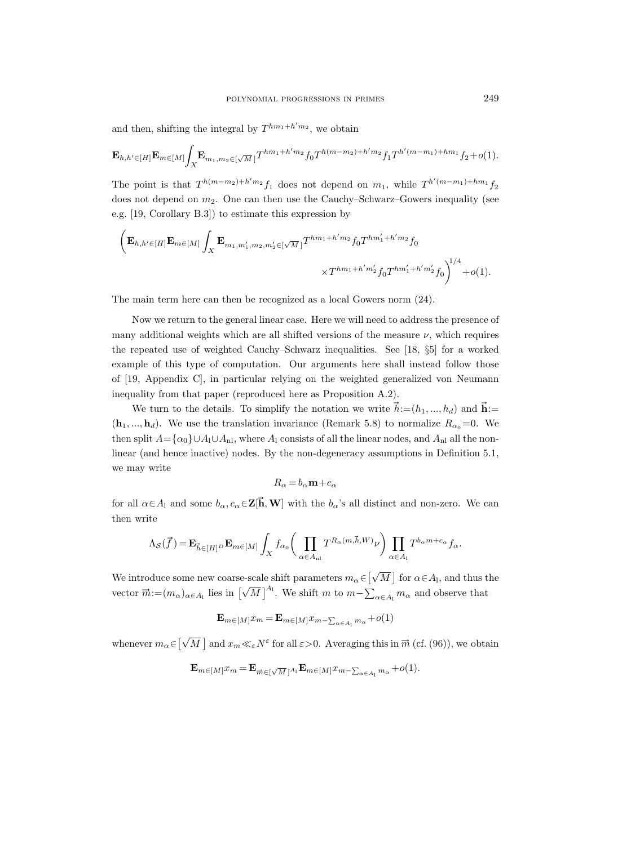and then, shifting the integral by  $T^{hm_1+h'm_2}$ , we obtain

$$
\mathbf{E}_{h,h' \in [H]} \mathbf{E}_{m \in [M]} \int_X \mathbf{E}_{m_1, m_2 \in [\sqrt{M}]} T^{hm_1 + h'm_2} f_0 T^{h(m-m_2) + h'm_2} f_1 T^{h'(m-m_1) + hm_1} f_2 + o(1).
$$

The point is that  $T^{h(m-m_2)+h'm_2}f_1$  does not depend on  $m_1$ , while  $T^{h'(m-m_1)+hm_1}f_2$ does not depend on  $m_2$ . One can then use the Cauchy–Schwarz–Gowers inequality (see e.g. [19, Corollary B.3]) to estimate this expression by

$$
\left(\mathbf{E}_{h,h' \in [H]}\mathbf{E}_{m \in [M]}\int_{X}\mathbf{E}_{m_1,m'_1,m_2,m'_2 \in [\sqrt{M}]}T^{hm_1+h'm_2}f_0T^{hm'_1+h'm_2}f_0\right)^{1/4} + o(1).
$$
  

$$
\times T^{hm_1+h'm'_2}f_0T^{hm'_1+h'm'_2}f_0
$$

The main term here can then be recognized as a local Gowers norm (24).

Now we return to the general linear case. Here we will need to address the presence of many additional weights which are all shifted versions of the measure  $\nu$ , which requires the repeated use of weighted Cauchy–Schwarz inequalities. See [18, §5] for a worked example of this type of computation. Our arguments here shall instead follow those of [19, Appendix C], in particular relying on the weighted generalized von Neumann inequality from that paper (reproduced here as Proposition A.2).

We turn to the details. To simplify the notation we write  $\vec{h} := (h_1, ..., h_d)$  and  $\vec{h} :=$  $(\mathbf{h}_1, ..., \mathbf{h}_d)$ . We use the translation invariance (Remark 5.8) to normalize  $R_{\alpha 0}=0$ . We then split  $A = {\alpha_0} \cup A_1 \cup A_{n}$ , where  $A_1$  consists of all the linear nodes, and  $A_{n}$  all the nonlinear (and hence inactive) nodes. By the non-degeneracy assumptions in Definition 5.1, we may write

$$
R_{\alpha} = b_{\alpha} \mathbf{m} + c_{\alpha}
$$

for all  $\alpha \in A_1$  and some  $b_\alpha, c_\alpha \in \mathbb{Z}[\mathbf{\vec{h}}, \mathbf{W}]$  with the  $b_\alpha$ 's all distinct and non-zero. We can then write

$$
\Lambda_{\mathcal{S}}(\vec{f}) = \mathbf{E}_{\vec{h} \in [H]^D} \mathbf{E}_{m \in [M]} \int_X f_{\alpha_0} \left( \prod_{\alpha \in A_{\text{nl}}} T^{R_{\alpha}(m, \vec{h}, W)} \nu \right) \prod_{\alpha \in A_1} T^{b_{\alpha}m + c_{\alpha}} f_{\alpha}.
$$

We introduce some new coarse-scale shift parameters  $m_\alpha\!\in\! [\sqrt{2}]$  $\overline{M}$  for  $\alpha \in A_{l}$ , and thus the vector  $\vec{m} := (m_{\alpha})_{\alpha \in A_1}$  lies in  $[\sqrt{\alpha}]$  $\overline{M}$ ]<sup>A<sub>1</sub></sup>. We shift m to  $m-\sum_{\alpha\in A_1} m_\alpha$  and observe that

$$
\mathbf{E}_{m \in [M]} x_m = \mathbf{E}_{m \in [M]} x_{m - \sum_{\alpha \in A_1} m_\alpha} + o(1)
$$

whenever  $m_{\alpha} \in [\sqrt{\alpha}]$  $\overline{M}$  and  $x_m \ll_{\varepsilon} N^{\varepsilon}$  for all  $\varepsilon > 0$ . Averaging this in  $\overrightarrow{m}$  (cf. (96)), we obtain

$$
\mathbf{E}_{m \in [M]} x_m = \mathbf{E}_{\overrightarrow{m} \in [\sqrt{M}]^{A_1}} \mathbf{E}_{m \in [M]} x_{m - \sum_{\alpha \in A_1} m_\alpha} + o(1).
$$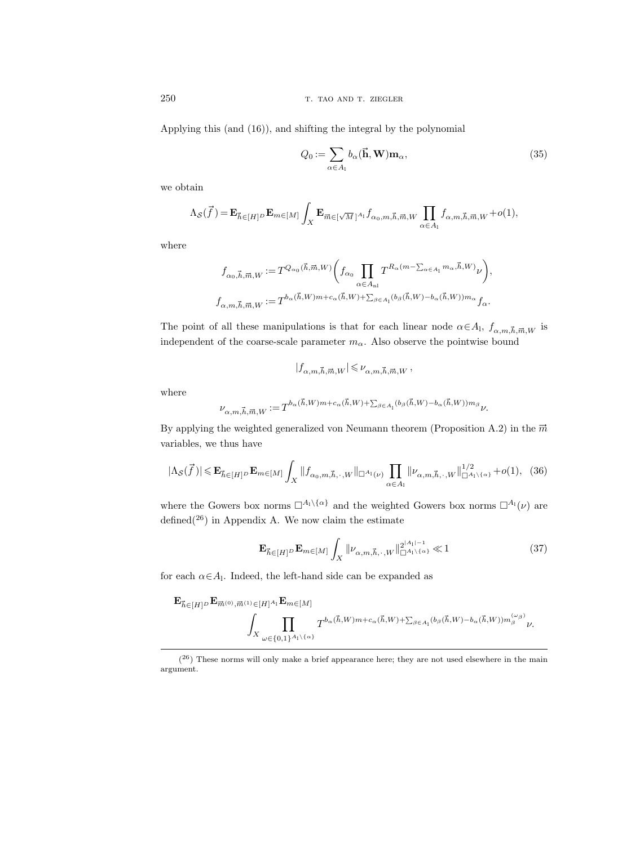250 T. TAO AND T. ZIEGLER

Applying this (and (16)), and shifting the integral by the polynomial

$$
Q_0 := \sum_{\alpha \in A_1} b_{\alpha}(\vec{\mathbf{h}}, \mathbf{W}) \mathbf{m}_{\alpha},
$$
\n(35)

we obtain

$$
\Lambda_{\mathcal{S}}(\vec{f}) = \mathbf{E}_{\vec{h}\in[H]^{D}}\mathbf{E}_{m\in[M]}\int_{X}\mathbf{E}_{\vec{m}\in[\sqrt{M}]^{A_{1}}}f_{\alpha_{0},m,\vec{h},\vec{m},W}\prod_{\alpha\in A_{1}}f_{\alpha,m,\vec{h},\vec{m},W}+o(1),
$$

where

$$
\begin{split} f_{\alpha_0,\vec h,\vec m,W}:=&T^{Q_{\alpha_0}(\vec h,\vec m,W)}\bigg(f_{\alpha_0}\prod_{\alpha\in A_{\rm nl}}T^{R_\alpha(m-\sum_{\alpha\in A_{\rm l}}m_\alpha,\vec h,W)}\nu\bigg),\\ f_{\alpha,m,\vec h,\vec m,W}:=&T^{b_\alpha(\vec h,W)m+c_\alpha(\vec h,W)+\sum_{\beta\in A_{\rm l}}(b_\beta(\vec h,W)-b_\alpha(\vec h,W))m_\alpha}f_\alpha. \end{split}
$$

The point of all these manipulations is that for each linear node  $\alpha \in A_1$ ,  $f_{\alpha,m,\vec{h},\vec{m},W}$  is independent of the coarse-scale parameter  $m_\alpha.$  Also observe the pointwise bound

$$
|f_{\alpha,m,\vec{h},\vec{m},W}| \leqslant \nu_{\alpha,m,\vec{h},\vec{m},W} \,,
$$

where

$$
\nu_{\alpha,m,\vec{h},\vec{m},W} := T^{b_{\alpha}(\vec{h},W)m + c_{\alpha}(\vec{h},W) + \sum_{\beta \in A_1} (b_{\beta}(\vec{h},W) - b_{\alpha}(\vec{h},W)) m_{\beta}} \nu.
$$

By applying the weighted generalized von Neumann theorem (Proposition A.2) in the  $\vec{m}$ variables, we thus have

$$
|\Lambda_{\mathcal{S}}(\vec{f})| \leqslant \mathbf{E}_{\vec{h}\in[H]^{D}}\mathbf{E}_{m\in[M]}\int_{X}||f_{\alpha_{0},m,\vec{h},\cdot,W}||_{\square^{A_{1}}(\nu)}\prod_{\alpha\in A_{1}}||\nu_{\alpha,m,\vec{h},\cdot,W}||_{\square^{A_{1}\setminus\{\alpha\}}}^{1/2}+o(1),\tag{36}
$$

where the Gowers box norms  $\Box^{A_1\setminus\{\alpha\}}$  and the weighted Gowers box norms  $\Box^{A_1}(\nu)$  are defined $(26)$  in Appendix A. We now claim the estimate

$$
\mathbf{E}_{\vec{h}\in[H]^{D}}\mathbf{E}_{m\in[M]}\int_{X}||\nu_{\alpha,m,\vec{h},\cdot,w}||_{\Box^{A_{1}\setminus\{\alpha\}}}^{2|A_{1}|-1}\ll1
$$
\n(37)

for each  $\alpha \in A_1$ . Indeed, the left-hand side can be expanded as

$$
\begin{aligned} \mathbf{E}_{\vec{h}\in[H]^{D}}\mathbf{E}_{\vec{m}^{(0)},\vec{m}^{(1)}\in[H]^{A_{1}}}\mathbf{E}_{m\in[M]}\\ &\int_{X}\prod_{\omega\in\{0,1\}^{A_{1}\backslash\{\alpha\}}}T^{b_{\alpha}(\vec{h},W)m+c_{\alpha}(\vec{h},W)+\sum_{\beta\in A_{1}}(b_{\beta}(\vec{h},W)-b_{\alpha}(\vec{h},W))m_{\beta}^{(\omega_{\beta})}}\nu. \end{aligned}
$$

 $(26)$  These norms will only make a brief appearance here; they are not used elsewhere in the main argument.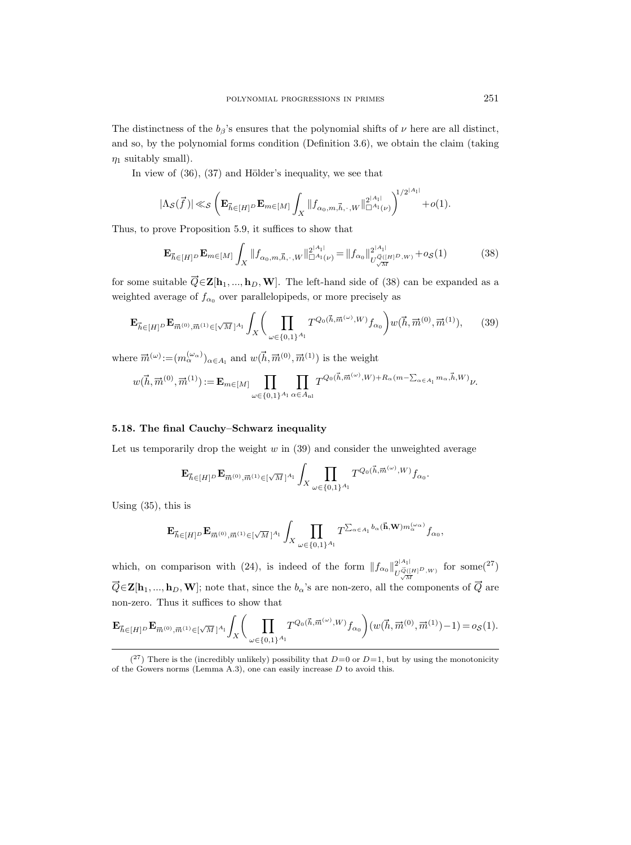The distinctness of the  $b_{\beta}$ 's ensures that the polynomial shifts of  $\nu$  here are all distinct, and so, by the polynomial forms condition (Definition 3.6), we obtain the claim (taking  $\eta_1$  suitably small).

In view of  $(36)$ ,  $(37)$  and Hölder's inequality, we see that

$$
|\Lambda_{\mathcal S}(\vec f\,)|{\,\ll_{\mathcal S}} \left( \mathbf{E}_{\vec h\in[H]^D} \mathbf{E}_{m\in[M]}\int_X \|f_{\alpha_0,m,\vec h,\cdot\, ,W}\|_{\square^{A_1}(\nu)}^{2^{|A_1|}}\right)^{\!\!1/2^{|A_1|}}\!\!+o(1).
$$

Thus, to prove Proposition 5.9, it suffices to show that

$$
\mathbf{E}_{\vec{h}\in[H]^{D}}\mathbf{E}_{m\in[M]}\int_{X}||f_{\alpha_{0},m,\vec{h},\cdot,W}||_{\square^{A_{1}}(\nu)}^{2^{|A_{1}|}}=||f_{\alpha_{0}}||_{U^{\vec{Q}([H]^{D},W)}_{\sqrt{M}}}^{2^{|A_{1}|}}+(o(38))
$$

for some suitable  $\vec{Q} \in \mathbf{Z}[\mathbf{h}_1, ..., \mathbf{h}_D, \mathbf{W}]$ . The left-hand side of (38) can be expanded as a

weighted average of 
$$
f_{\alpha_0}
$$
 over parallelopipeds, or more precisely as  
\n
$$
\mathbf{E}_{\vec{h}\in[H]^{D}}\mathbf{E}_{\vec{m}^{(0)},\vec{m}^{(1)}\in[\sqrt{M}]^{A_1}}\int_{X}\left(\prod_{\omega\in\{0,1\}^{A_1}}T^{Q_0(\vec{h},\vec{m}^{(\omega)},W)}f_{\alpha_0}\right)w(\vec{h},\vec{m}^{(0)},\vec{m}^{(1)}),\qquad(39)
$$

where  $\vec{m}^{(\omega)} := (m_\alpha^{(\omega_\alpha)})_{\alpha \in A_1}$  and  $w(\vec{h}, \vec{m}^{(0)}, \vec{m}^{(1)})$  is the weight<br> $w(\vec{h} \equiv \vec{m}^{(0)} \equiv \vec{m}^{(1)}) := \mathbf{F}$  and  $w(\vec{h}, \vec{m}^{(0)}, \vec{m}^{(1)})$  is the weight

e 
$$
\overline{m}^{(\omega)} := (m_{\alpha}^{(\omega)})_{\alpha \in A_1}
$$
 and  $w(h, \overline{m}^{(\upsilon)}, \overline{m}^{(1)})$  is the weight  
\n
$$
w(\vec{h}, \overline{m}^{(0)}, \overline{m}^{(1)}) := \mathbf{E}_{m \in [M]} \prod_{\omega \in \{0,1\}^{A_1}} \prod_{\alpha \in A_{\text{nl}}} T^{Q_0(\vec{h}, \overline{m}^{(\omega)}, W) + R_{\alpha}(m - \sum_{\alpha \in A_1} m_{\alpha}, \overline{h}, W)} \nu.
$$

# 5.18. The final Cauchy–Schwarz inequality

Let us temporarily drop the weight w in (39) and consider the unweighted average<br>  $\mathbf{F}_{\text{eq}} = \mathbf{F}_{\text{eq}}(0,0) + \sum_{k=1}^{N} \prod_{k=1}^{N} T_{k}^{Q_{0}(\vec{h},\vec{m}^{(\omega)},W) f}$ 

$$
{\bf E}_{\vec h\in [H]^D} {\bf E}_{\vec m^{(0)},\vec m^{(1)} \in [\sqrt M]^{A_1}} \int_X \prod_{\omega\in \{0,1\}^{A_1}} T^{Q_0(\vec h,\vec m^{(\omega)},W)} f_{\alpha_0}.
$$

Using (35), this is

$$
\mathbf{E}_{\vec{h}\in[H]^{D}}\mathbf{E}_{\vec{m}^{(0)},\vec{m}^{(1)}\in[\sqrt{M}]^{A_{1}}}\int_{X}\prod_{\omega\in\{0,1\}^{A_{1}}}T^{\sum_{\alpha\in A_{1}}b_{\alpha}(\vec{\mathbf{h}},\mathbf{W})m_{\alpha}^{(\omega_{\alpha})}}f_{\alpha_{0}},
$$

which, on comparison with (24), is indeed of the form  $||f_{\alpha_0}||_{L^{\alpha_0}(\mathbb{R}^d)}^{2^{|A_1|}(\mathbb{R}^d)}$  $\frac{2^{|A_1|}}{U\frac{\vec{Q}}{\sqrt{M}}(H)^D, W)}$ for some $(^{27})$  $\vec{Q} \in \mathbf{Z}[\mathbf{h}_1, ..., \mathbf{h}_D, \mathbf{W}]$ ; note that, since the  $b_{\alpha}$ 's are non-zero, all the components of  $\vec{Q}$  are non-zero. Thus it suffices to show that

non-zero. Thus it suffices to show that  
\n
$$
\mathbf{E}_{\vec{h}\in[H]^{D}}\mathbf{E}_{\vec{m}^{(0)},\vec{m}^{(1)}\in[\sqrt{M}]^{A_{1}}}\int_{X}\Bigg(\prod_{\omega\in\{0,1\}^{A_{1}}}T^{Q_{0}(\vec{h},\vec{m}^{(\omega)},W)}f_{\alpha_{0}}\Bigg)(w(\vec{h},\vec{m}^{(0)},\vec{m}^{(1)})-1)=o_{\mathcal{S}}(1).
$$

 $(27)$  There is the (incredibly unlikely) possibility that  $D=0$  or  $D=1$ , but by using the monotonicity of the Gowers norms (Lemma A.3), one can easily increase  $D$  to avoid this.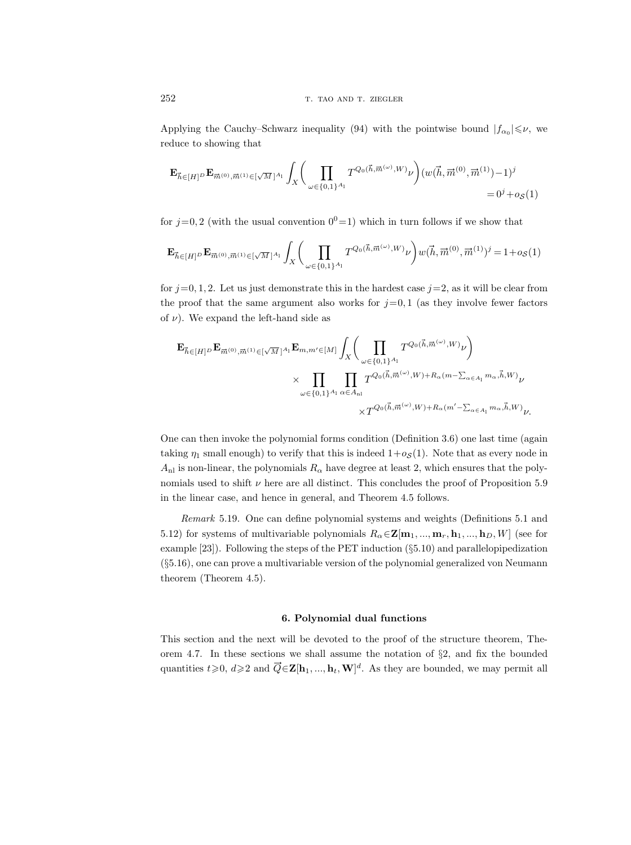Applying the Cauchy–Schwarz inequality (94) with the pointwise bound  $|f_{\alpha_0}| \leq \nu$ , we reduce to showing that

$$
\mathbf{E}_{\vec{h}\in[H]^{D}}\mathbf{E}_{\vec{m}^{(0)},\vec{m}^{(1)}\in[\sqrt{M}]^{A_{1}}}\int_{X}\Bigg(\prod_{\omega\in\{0,1\}^{A_{1}}}T^{Q_{0}(\vec{h},\vec{m}^{(\omega)},W)}\nu\Bigg)(w(\vec{h},\vec{m}^{(0)},\vec{m}^{(1)})-1)^{j}=0^{j}+o_{\mathcal{S}}(1)
$$

for  $j=0, 2$  (with the usual convention  $0^0=1$ ) which in turn follows if we show that

$$
\mathbf{E}_{\vec{h} \in [H]^{D}} \mathbf{E}_{\vec{m}^{(0)}, \vec{m}^{(1)} \in [\sqrt{M}]^{A_{\textrm{1}}}} \int_{X} \Bigg(\prod_{\omega \in \{0, 1\}^{A_{\textrm{1}}}} T^{Q_{0}(\vec{h}, \vec{m}^{(\omega)}, W)} \nu \Bigg) w(\vec{h}, \vec{m}^{(0)}, \vec{m}^{(1)})^{j} = 1 + o_{\mathcal{S}}(1)
$$

for  $j=0, 1, 2$ . Let us just demonstrate this in the hardest case  $j=2$ , as it will be clear from the proof that the same argument also works for  $j=0, 1$  (as they involve fewer factors of  $\nu$ ). We expand the left-hand side as

$$
\begin{split} \mathbf{E}_{\vec{h} \in [H]^D} \mathbf{E}_{\vec{m}^{(0)}, \vec{m}^{(1)} \in [\sqrt{M}]^{A_1}} \mathbf{E}_{m, m' \in [M]} & \int_{X} \Biggl( \prod_{\omega \in \{0, 1\}^{A_1}} T^{Q_0(\vec{h}, \vec{m}^{(\omega)}, W)} \nu \Biggr) \\ & \times \prod_{\omega \in \{0, 1\}^{A_1}} \prod_{\alpha \in A_{\text{nl}}} T^{Q_0(\vec{h}, \vec{m}^{(\omega)}, W) + R_\alpha(m - \sum_{\alpha \in A_1} m_\alpha, \vec{h}, W)} \nu \\ & \times T^{Q_0(\vec{h}, \vec{m}^{(\omega)}, W) + R_\alpha(m' - \sum_{\alpha \in A_1} m_\alpha, \vec{h}, W)} \nu. \end{split}
$$

One can then invoke the polynomial forms condition (Definition 3.6) one last time (again taking  $\eta_1$  small enough) to verify that this is indeed  $1+o<sub>S</sub>(1)$ . Note that as every node in  $A_{\rm nl}$  is non-linear, the polynomials  $R_{\alpha}$  have degree at least 2, which ensures that the polynomials used to shift  $\nu$  here are all distinct. This concludes the proof of Proposition 5.9 in the linear case, and hence in general, and Theorem 4.5 follows.

Remark 5.19. One can define polynomial systems and weights (Definitions 5.1 and 5.12) for systems of multivariable polynomials  $R_{\alpha} \in \mathbf{Z}[\mathbf{m}_1, ..., \mathbf{m}_r, \mathbf{h}_1, ..., \mathbf{h}_D, W]$  (see for example  $[23]$ . Following the steps of the PET induction  $(\S 5.10)$  and parallelopipedization (§5.16), one can prove a multivariable version of the polynomial generalized von Neumann theorem (Theorem 4.5).

### 6. Polynomial dual functions

This section and the next will be devoted to the proof of the structure theorem, Theorem 4.7. In these sections we shall assume the notation of §2, and fix the bounded quantities  $t \geqslant 0, d \geqslant 2$  and  $\vec{Q} \in \mathbf{Z}[\mathbf{h}_1, ..., \mathbf{h}_t, \mathbf{W}]^d$ . As they are bounded, we may permit all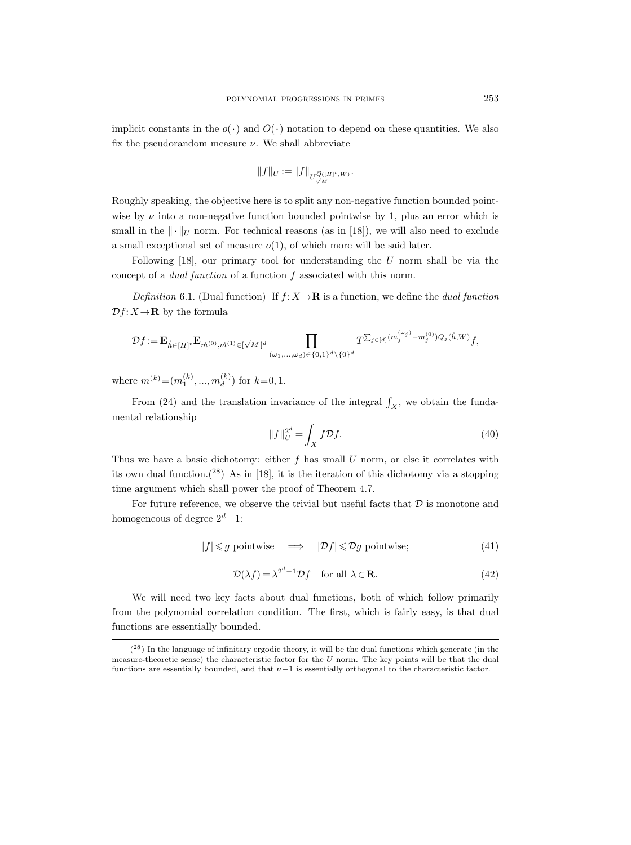implicit constants in the  $o(\cdot)$  and  $O(\cdot)$  notation to depend on these quantities. We also fix the pseudorandom measure  $\nu$ . We shall abbreviate

$$
||f||_U := ||f||_{U^{\vec{Q}([H]^t,W)}_{\sqrt{M}}}.
$$

Roughly speaking, the objective here is to split any non-negative function bounded pointwise by  $\nu$  into a non-negative function bounded pointwise by 1, plus an error which is small in the  $\|\cdot\|_U$  norm. For technical reasons (as in [18]), we will also need to exclude a small exceptional set of measure  $o(1)$ , of which more will be said later.

Following  $[18]$ , our primary tool for understanding the U norm shall be via the concept of a dual function of a function f associated with this norm.

Definition 6.1. (Dual function) If  $f: X \to \mathbf{R}$  is a function, we define the *dual function*  $\mathcal{D}f: X \to \mathbf{R}$  by the formula

$$
\mathcal{D}f := \mathbf{E}_{\vec{h} \in [H]^t} \mathbf{E}_{\vec{m}^{(0)}, \vec{m}^{(1)} \in [\sqrt{M}]^d} \prod_{(\omega_1, ..., \omega_d) \in \{0, 1\}^d \setminus \{0\}^d} T^{\sum_{j \in [d]} (m_j^{(\omega_j)} - m_j^{(0)}) Q_j(\vec{h}, W)} f,
$$

where  $m^{(k)} = (m_1^{(k)}, ..., m_d^{(k)})$  $\binom{(\kappa)}{d}$  for  $k=0,1$ .

From (24) and the translation invariance of the integral  $\int_X$ , we obtain the fundamental relationship

$$
||f||_{U}^{2^{d}} = \int_{X} f \mathcal{D}f. \tag{40}
$$

Thus we have a basic dichotomy: either  $f$  has small  $U$  norm, or else it correlates with its own dual function.<sup>(28)</sup> As in [18], it is the iteration of this dichotomy via a stopping time argument which shall power the proof of Theorem 4.7.

For future reference, we observe the trivial but useful facts that  $D$  is monotone and homogeneous of degree  $2^d-1$ :

$$
|f| \leq g \text{ pointwise} \quad \implies \quad |\mathcal{D}f| \leq \mathcal{D}g \text{ pointwise}; \tag{41}
$$

$$
\mathcal{D}(\lambda f) = \lambda^{2^d - 1} \mathcal{D}f \quad \text{for all } \lambda \in \mathbf{R}.\tag{42}
$$

We will need two key facts about dual functions, both of which follow primarily from the polynomial correlation condition. The first, which is fairly easy, is that dual functions are essentially bounded.

<sup>(</sup> <sup>28</sup>) In the language of infinitary ergodic theory, it will be the dual functions which generate (in the measure-theoretic sense) the characteristic factor for the  $U$  norm. The key points will be that the dual functions are essentially bounded, and that  $\nu-1$  is essentially orthogonal to the characteristic factor.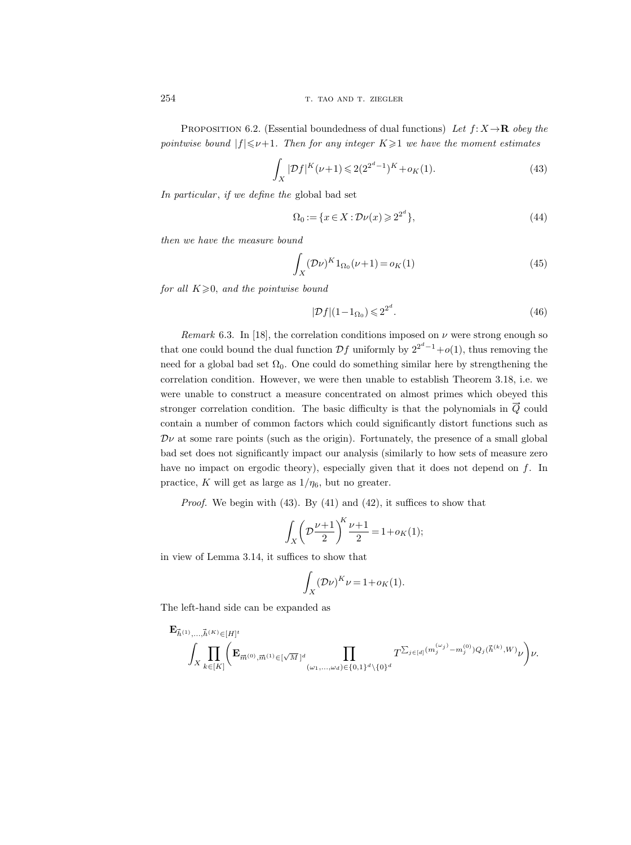254 T. TAO AND T. ZIEGLER

PROPOSITION 6.2. (Essential boundedness of dual functions) Let  $f: X \rightarrow \mathbf{R}$  obey the pointwise bound  $|f| \le \nu+1$ . Then for any integer  $K \ge 1$  we have the moment estimates

$$
\int_{X} |\mathcal{D}f|^{K} (\nu+1) \leqslant 2(2^{2^{d}-1})^{K} + o_{K}(1). \tag{43}
$$

In particular, if we define the global bad set

$$
\Omega_0 := \{ x \in X : \mathcal{D}\nu(x) \geqslant 2^{2^d} \},\tag{44}
$$

then we have the measure bound

$$
\int_{X} (\mathcal{D}\nu)^{K} 1_{\Omega_{0}}(\nu+1) = o_{K}(1)
$$
\n(45)

for all  $K \geqslant 0$ , and the pointwise bound

$$
|\mathcal{D}f|(1-\mathbf{1}_{\Omega_0}) \leqslant 2^{2^d}.\tag{46}
$$

Remark 6.3. In [18], the correlation conditions imposed on  $\nu$  were strong enough so that one could bound the dual function  $\mathcal{D}f$  uniformly by  $2^{2^d-1}+o(1)$ , thus removing the need for a global bad set  $\Omega_0$ . One could do something similar here by strengthening the correlation condition. However, we were then unable to establish Theorem 3.18, i.e. we were unable to construct a measure concentrated on almost primes which obeyed this stronger correlation condition. The basic difficulty is that the polynomials in  $\overline{Q}$  could contain a number of common factors which could significantly distort functions such as  $\mathcal{D}\nu$  at some rare points (such as the origin). Fortunately, the presence of a small global bad set does not significantly impact our analysis (similarly to how sets of measure zero have no impact on ergodic theory), especially given that it does not depend on f. In practice, K will get as large as  $1/\eta_6$ , but no greater.

*Proof.* We begin with  $(43)$ . By  $(41)$  and  $(42)$ , it suffices to show that

$$
\int_X \left(\mathcal{D}\frac{\nu+1}{2}\right)^K \frac{\nu+1}{2} = 1 + o_K(1);
$$

in view of Lemma 3.14, it suffices to show that

$$
\int_X (\mathcal{D}\nu)^K \nu = 1 + o_K(1).
$$

The left-hand side can be expanded as

$$
\begin{split} &\mathbf{E}_{\vec{h}^{(1)},\ldots,\vec{h}^{(K)}\in[H]^t} \\ &\int_X \prod_{k\in[K]} \biggl(\mathbf{E}_{\vec{m}^{(0)},\vec{m}^{(1)}\in[\sqrt{M}]^d} \prod_{(\omega_1,\ldots,\omega_d)\in\{0,1\}^d\backslash\{0\}^d} T^{\sum_{j\in[d]} \big(m_j^{(\omega_j)}-m_j^{(0)}\big)Q_j(\vec{h}^{(k)},W)}\nu \biggr)\nu. \end{split}
$$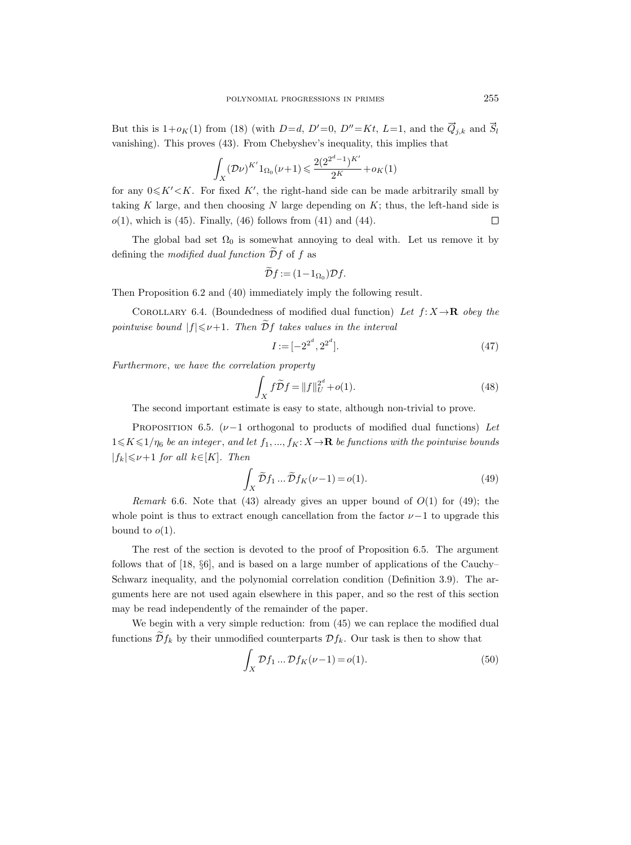But this is  $1+o_K(1)$  from (18) (with  $D=d$ ,  $D'=0$ ,  $D''=Kt$ ,  $L=1$ , and the  $\vec{Q}_{j,k}$  and  $\vec{S}_l$ vanishing). This proves (43). From Chebyshev's inequality, this implies that

$$
\int_{X} (\mathcal{D}\nu)^{K'} 1_{\Omega_0} (\nu+1) \leq \frac{2(2^{2^d-1})^{K'}}{2^K} + o_K(1)
$$

for any  $0 \leq K' < K$ . For fixed K', the right-hand side can be made arbitrarily small by taking K large, and then choosing N large depending on  $K$ ; thus, the left-hand side is  $o(1)$ , which is (45). Finally, (46) follows from (41) and (44).  $\Box$ 

The global bad set  $\Omega_0$  is somewhat annoying to deal with. Let us remove it by defining the modified dual function  $\tilde{\mathcal{D}}f$  of f as

$$
\widetilde{\mathcal{D}}f := (1 - 1_{\Omega_0})\mathcal{D}f.
$$

Then Proposition 6.2 and (40) immediately imply the following result.

COROLLARY 6.4. (Boundedness of modified dual function) Let  $f: X \to \mathbf{R}$  obey the pointwise bound  $|f| \le \nu+1$ . Then  $\widetilde{\mathcal{D}}f$  takes values in the interval

$$
I := [-2^{2^d}, 2^{2^d}].
$$
\n<sup>(47)</sup>

Furthermore, we have the correlation property

$$
\int_X f\widetilde{\mathcal{D}}f = ||f||_U^{2^d} + o(1). \tag{48}
$$

The second important estimate is easy to state, although non-trivial to prove.

PROPOSITION 6.5. ( $\nu-1$  orthogonal to products of modified dual functions) Let  $1 \leq K \leq 1/\eta_6$  be an integer, and let  $f_1, ..., f_K: X \to \mathbf{R}$  be functions with the pointwise bounds  $|f_k| \leq \nu+1$  for all  $k \in [K]$ . Then

$$
\int_{X} \widetilde{\mathcal{D}} f_1 \dots \widetilde{\mathcal{D}} f_K(\nu - 1) = o(1). \tag{49}
$$

Remark 6.6. Note that (43) already gives an upper bound of  $O(1)$  for (49); the whole point is thus to extract enough cancellation from the factor  $\nu-1$  to upgrade this bound to  $o(1)$ .

The rest of the section is devoted to the proof of Proposition 6.5. The argument follows that of [18, §6], and is based on a large number of applications of the Cauchy– Schwarz inequality, and the polynomial correlation condition (Definition 3.9). The arguments here are not used again elsewhere in this paper, and so the rest of this section may be read independently of the remainder of the paper.

We begin with a very simple reduction: from  $(45)$  we can replace the modified dual functions  $\mathcal{D}f_k$  by their unmodified counterparts  $\mathcal{D}f_k$ . Our task is then to show that

$$
\int_{X} \mathcal{D}f_1 \dots \mathcal{D}f_K(\nu - 1) = o(1). \tag{50}
$$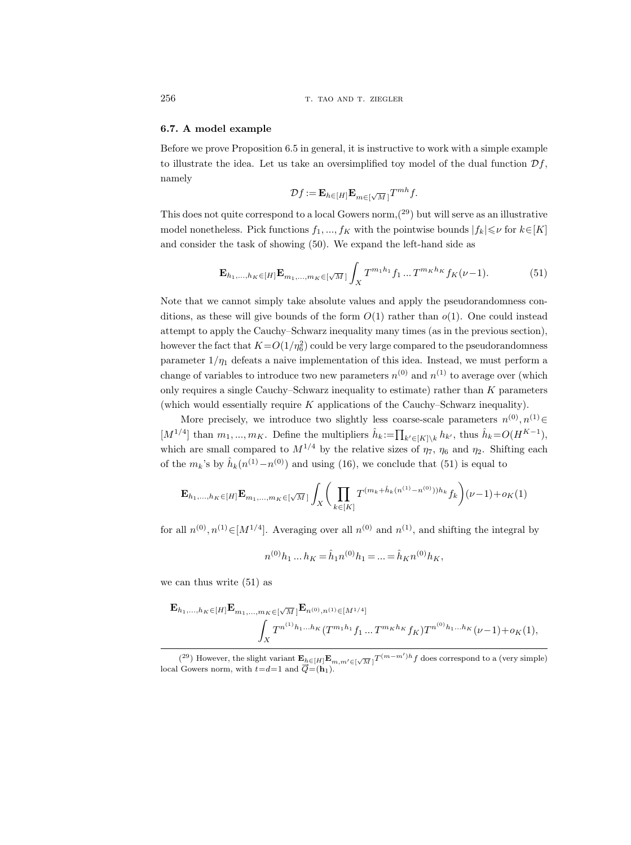256 T. TAO AND T. ZIEGLER

### 6.7. A model example

Before we prove Proposition 6.5 in general, it is instructive to work with a simple example to illustrate the idea. Let us take an oversimplified toy model of the dual function  $\mathcal{D}f$ , namely

$$
\mathcal{D}f := \mathbf{E}_{h \in [H]} \mathbf{E}_{m \in [\sqrt{M}]} T^{mh} f.
$$

This does not quite correspond to a local Gowers norm,  $(29)$  but will serve as an illustrative model nonetheless. Pick functions  $f_1, ..., f_K$  with the pointwise bounds  $|f_k| \leq \nu$  for  $k \in [K]$ and consider the task of showing (50). We expand the left-hand side as

$$
\mathbf{E}_{h_1,\dots,h_K \in [H]} \mathbf{E}_{m_1,\dots,m_K \in [\sqrt{M}]} \int_X T^{m_1 h_1} f_1 \dots T^{m_K h_K} f_K(\nu-1). \tag{51}
$$

Note that we cannot simply take absolute values and apply the pseudorandomness conditions, as these will give bounds of the form  $O(1)$  rather than  $o(1)$ . One could instead attempt to apply the Cauchy–Schwarz inequality many times (as in the previous section), however the fact that  $K{=}O(1/\eta_6^2)$  could be very large compared to the pseudorandomness parameter  $1/\eta_1$  defeats a naive implementation of this idea. Instead, we must perform a change of variables to introduce two new parameters  $n^{(0)}$  and  $n^{(1)}$  to average over (which only requires a single Cauchy–Schwarz inequality to estimate) rather than  $K$  parameters (which would essentially require K applications of the Cauchy–Schwarz inequality).

More precisely, we introduce two slightly less coarse-scale parameters  $n^{(0)}, n^{(1)} \in$ [ $M^{1/4}$ ] than  $m_1, ..., m_K$ . Define the multipliers  $\hat{h}_k := \prod_{k' \in [K] \setminus k} h_{k'}$ , thus  $\hat{h}_k = O(H^{K-1})$ , which are small compared to  $M^{1/4}$  by the relative sizes of  $\eta_7$ ,  $\eta_6$  and  $\eta_2$ . Shifting each of the  $m_k$ 's by  $\hat{h}_k(n^{(1)} - n^{(0)})$  and using (16), we conclude that (51) is equal to

$$
\mathbf{E}_{h_1,\dots,h_K \in [H]} \mathbf{E}_{m_1,\dots,m_K \in [\sqrt{M}]} \int_X \bigg( \prod_{k \in [K]} T^{(m_k + \hat{h}_k(n^{(1)} - n^{(0)}))h_k} f_k \bigg) (\nu - 1) + o_K(1)
$$

for all  $n^{(0)}, n^{(1)} \in [M^{1/4}]$ . Averaging over all  $n^{(0)}$  and  $n^{(1)}$ , and shifting the integral by

$$
n^{(0)}h_1 \dots h_K = \hat{h}_1 n^{(0)}h_1 = \dots = \hat{h}_K n^{(0)}h_K,
$$

we can thus write (51) as

$$
\mathbf{E}_{h_1,\ldots,h_K\in[H]}\mathbf{E}_{m_1,\ldots,m_K\in[\sqrt{M}]} \mathbf{E}_{n^{(0)},n^{(1)}\in[M^{1/4}]}
$$
\n
$$
\int_X T^{n^{(1)}h_1\ldots h_K} (T^{m_1h_1}f_1\ldots T^{m_Kh_K}f_K) T^{n^{(0)}h_1\ldots h_K} (\nu-1) + o_K(1),
$$

<sup>(&</sup>lt;sup>29</sup>) However, the slight variant  $\mathbf{E}_{h \in [H]} \mathbf{E}_{m,m' \in [\sqrt{M}]} T^{(m-m')h} f$  does correspond to a (very simple) (<sup>29</sup>) However, the slight variant  $\mathbf{E}_{h \in [H]} \mathbf{E}_{h}$ <br>local Gowers norm, with  $t=d=1$  and  $\overrightarrow{Q} = (\mathbf{h}_1)$ .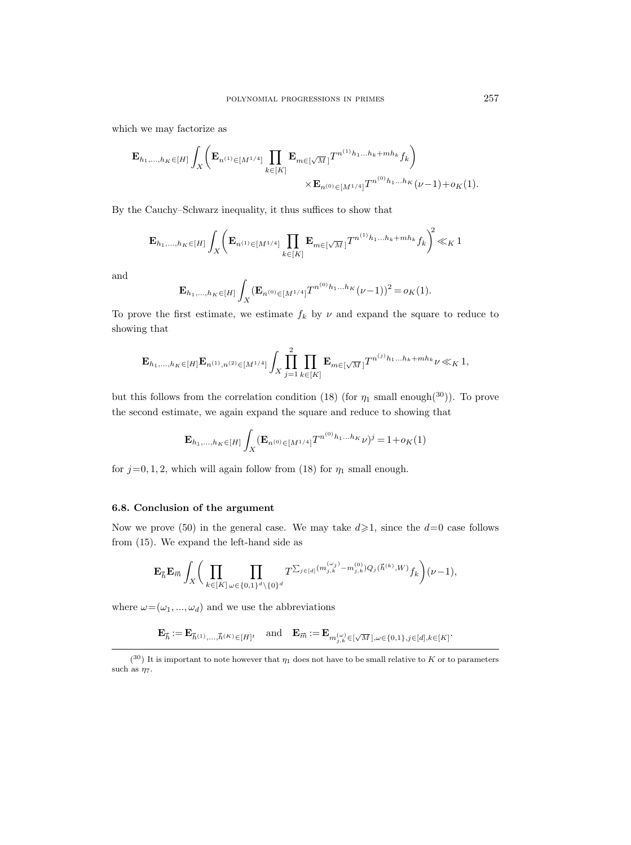which we may factorize as

$$
\mathbf{E}_{h_1,\ldots,h_K \in [H]} \int_X \left( \mathbf{E}_{n^{(1)} \in [M^{1/4}]} \prod_{k \in [K]} \mathbf{E}_{m \in [\sqrt{M}]} T^{n^{(1)}h_1 \ldots h_k + mh_k} f_k \right) \times \mathbf{E}_{n^{(0)} \in [M^{1/4}]} T^{n^{(0)}h_1 \ldots h_K} (\nu - 1) + o_K(1).
$$

By the Cauchy–Schwarz inequality, it thus suffices to show that

$$
\mathbf{E}_{h_1,\dots,h_K \in [H]} \int_X \left( \mathbf{E}_{n^{(1)} \in [M^{1/4}]} \prod_{k \in [K]} \mathbf{E}_{m \in [\sqrt{M}]} T^{n^{(1)}h_1\dots h_k + mh_k} f_k \right)^2 \ll_K 1
$$

and

$$
\mathbf{E}_{h_1,\dots,h_K\in[H]}\int_X (\mathbf{E}_{n^{(0)}\in[M^{1/4}]}T^{n^{(0)}h_1\dots h_K}(\nu-1))^2 = o_K(1).
$$

To prove the first estimate, we estimate  $f_k$  by  $\nu$  and expand the square to reduce to showing that

$$
\mathbf{E}_{h_1,\ldots,h_K \in [H]} \mathbf{E}_{n^{(1)},n^{(2)} \in [M^{1/4}]} \int_X \prod_{j=1}^2 \prod_{k \in [K]} \mathbf{E}_{m \in [\sqrt{M}]} T^{n^{(j)}h_1\ldots h_k + mh_k} \nu \ll_K 1,
$$

but this follows from the correlation condition (18) (for  $\eta_1$  small enough(30)). To prove the second estimate, we again expand the square and reduce to showing that

$$
\mathbf{E}_{h_1,\dots,h_K \in [H]} \int_X (\mathbf{E}_{n^{(0)} \in [M^{1/4}]} T^{n^{(0)}h_1\dots h_K} \nu)^j = 1 + o_K(1)
$$

for  $j=0, 1, 2$ , which will again follow from (18) for  $\eta_1$  small enough.

# 6.8. Conclusion of the argument

Now we prove (50) in the general case. We may take  $d \ge 1$ , since the  $d=0$  case follows from (15). We expand the left-hand side as

$$
\mathbf{E}_{\vec{h}}\mathbf{E}_{\vec{m}}\int_{X}\bigg(\prod_{k\in[K]\atop k\in[K]}\prod_{\omega\in\{0,1\}^{d}\backslash\{0\}^{d}}T^{\sum_{j\in[d]}(m_{j,k}^{(\omega_{j})}-m_{j,k}^{(0)})Q_{j}(\vec{h}^{(k)},W)}f_{k}\bigg)(\nu-1),
$$

where  $\omega = (\omega_1, ..., \omega_d)$  and we use the abbreviations

 ${\bf E}_{\vec{h}} := {\bf E}_{\vec{h}^{(1)},\ldots,\vec{h}^{(K)} \in [H]^t} \quad \text{and} \quad {\bf E}_{\vec{m}} := {\bf E}_{m_{j,k}^{(\omega)} \in [\sqrt{M}\,],\omega \in \{0,1\},j \in [d],k \in [K]}.$ 

 $(30)$  It is important to note however that  $\eta_1$  does not have to be small relative to K or to parameters such as  $\eta_7.$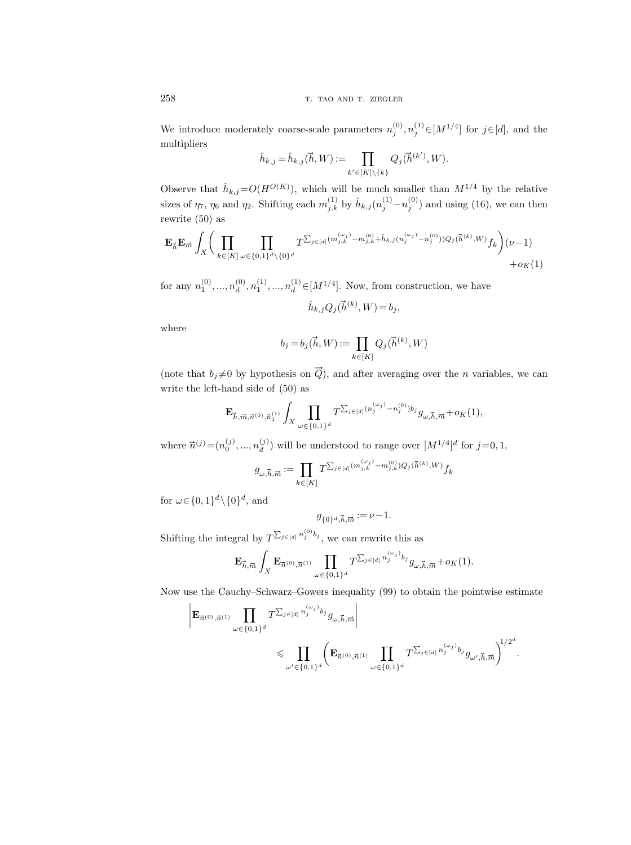We introduce moderately coarse-scale parameters  $n_j^{(0)}, n_j^{(1)} \in [M^{1/4}]$  for  $j \in [d]$ , and the multipliers

$$
\widehat{h}_{k,j} = \widehat{h}_{k,j}(\overrightarrow{h},W) := \prod_{k' \in [K] \backslash \{k\}} Q_j(\overrightarrow{h}^{(k')},W).
$$

Observe that  $\hat{h}_{k,j} = O(H^{O(K)})$ , which will be much smaller than  $M^{1/4}$  by the relative sizes of  $\eta_7$ ,  $\eta_6$  and  $\eta_2$ . Shifting each  $m_{j,k}^{(1)}$  by  $\hat{h}_{k,j}(n_j^{(1)}-n_j^{(0)})$  and using (16), we can then rewrite (50) as

ewrite (50) as

\n
$$
\mathbf{E}_{\vec{h}} \mathbf{E}_{\vec{m}} \int_{X} \left( \prod_{k \in [K]} \prod_{\omega \in \{0,1\}^d \setminus \{0\}^d} T^{\sum_{j \in [d]} (m_{j,k}^{(\omega_j)} - m_{j,k}^{(0)} + \hat{h}_{k,j}(n_j^{(\omega_j)} - n_j^{(0)})) Q_j(\vec{h}^{(k)}, W)} f_k \right) (\nu - 1) + o_K(1)
$$

for any  $n_1^{(0)}, ..., n_d^{(0)}$  $\mathcal{L}_d^{(0)}, n_1^{(1)}, ..., n_d^{(1)} \in [M^{1/4}]$ . Now, from construction, we have

$$
\hat{h}_{k,j}Q_j(\vec{h}^{(k)},W)\,{=}\,b_j,
$$

where

$$
b_j = b_j(\vec{h}, W) := \prod_{k \in [K]} Q_j(\vec{h}^{(k)}, W)
$$

(note that  $b_j \neq 0$  by hypothesis on  $\vec{Q}$ ), and after averaging over the *n* variables, we can write the left-hand side of (50) as

$$
\mathbf{E}_{\vec{h},\vec{m},\vec{n}^{(0)},\vec{n}^{(1)}_1} \int_X \prod_{\omega \in \{0,1\}^d} T^{\sum_{j\in [d]} (n^{(\omega_j)}_j-n^{(0)}_j) b_j} g_{\omega,\vec{h},\vec{m}} + o_K(1),
$$

where  $\vec{n}^{(j)} = (n_0^{(j)}, ..., n_d^{(j)})$ (*j*) will be understood to range over  $[M^{1/4}]^d$  for  $j=0,1$ ,<br> $\prod_{i=1}^{\infty} T^{\sum_{j \in [d]} (m_{j,k}^{(\omega_j)} - m_{j,k}^{(0)}) Q_j(\vec{h}^{(k)},W) } f_L$ 

$$
g_{\omega,\vec{h},\vec{m}}:=\prod_{k\in[K]}T^{\sum_{j\in[d]}(m_{j,k}^{(\omega_j)}-m_{j,k}^{(0)})Q_j(\vec{h}^{(k)},W)}f_k
$$

for  $\omega \in \{0,1\}^d \setminus \{0\}^d$ , and

$$
g_{\{0\}^d, \vec{h}, \vec{m}} := \nu - 1.
$$

Shifting the integral by  $T^{\sum_{j\in[d]}n_j^{(0)}b_j}$ , we can rewrite this as

$$
{\bf E}_{\vec h,\vec m}\int_X {\bf E}_{\vec n^{(0)},\vec n^{(1)}}\prod_{\omega\in\{0,1\}^d} T^{\sum_{j\in[d]}n_j^{(\omega_j)}b_j}g_{\omega,\vec h,\vec m}+o_K(1).
$$

Now use the Cauchy–Schwarz–Gowers inequality (99) to obtain the pointwise estimate

$$
\begin{split} \bigg | \mathbf{E}_{\vec{n}^{(0)}, \vec{n}^{(1)}} \prod_{\omega \in \{0,1\}^d} T^{\sum_{j \in [d]} n_j^{(\omega_j)} b_j} g_{\omega, \vec{h}, \vec{m}} \bigg | \\ & \qquad \leqslant \prod_{\omega' \in \{0,1\}^d} \bigg ( \mathbf{E}_{\vec{n}^{(0)}, \vec{n}^{(1)}} \prod_{\omega \in \{0,1\}^d} T^{\sum_{j \in [d]} n_j^{(\omega_j)} b_j} g_{\omega', \vec{h}, \vec{m}} \bigg )^{1/2^d}. \end{split}
$$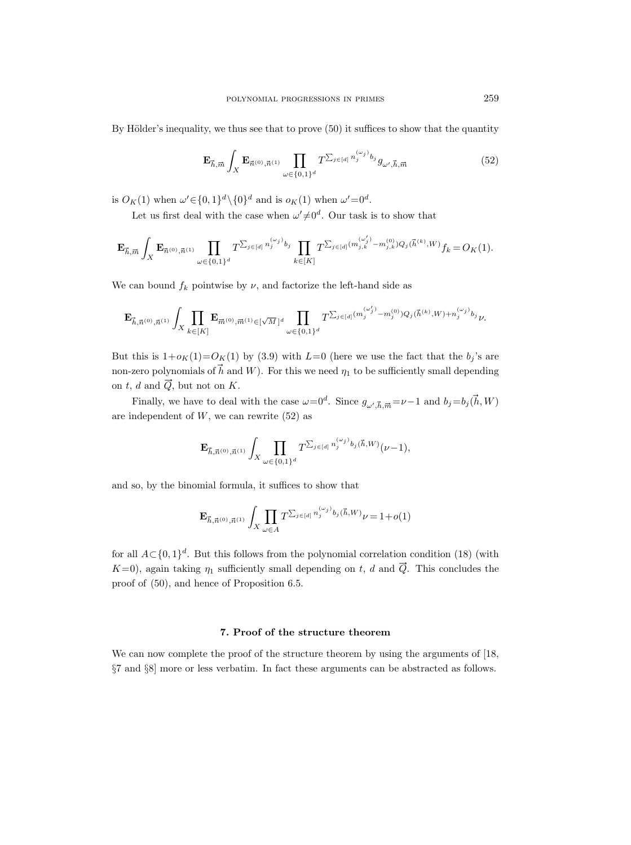By Hölder's inequality, we thus see that to prove  $(50)$  it suffices to show that the quantity

$$
\mathbf{E}_{\vec{h},\vec{m}} \int_{X} \mathbf{E}_{\vec{n}^{(0)},\vec{n}^{(1)}} \prod_{\omega \in \{0,1\}^d} T^{\sum_{j \in [d]} n_j^{(\omega_j)} b_j} g_{\omega',\vec{h},\vec{m}} \tag{52}
$$

is  $O_K(1)$  when  $\omega' \in \{0,1\}^d \setminus \{0\}^d$  and is  $o_K(1)$  when  $\omega' = 0^d$ .

Let us first deal with the case when  $\omega' \neq 0^d$ . Our task is to show that

$$
\mathbf{E}_{\vec{h},\vec{m}}\int_{X}\mathbf{E}_{\vec{n}^{(0)},\vec{n}^{(1)}}\prod_{\omega\in\{0,1\}^{d}}T^{\sum_{j\in[d]}n_{j}^{(\omega_{j})}b_{j}}\prod_{k\in[K]}T^{\sum_{j\in[d]}(m_{j,k}^{(\omega'_{j})}-m_{j,k}^{(0)})Q_{j}(\vec{h}^{(k)},W)}f_{k}=O_{K}(1).
$$

We can bound  $f_k$  pointwise by  $\nu$ , and factorize the left-hand side as

$$
\mathbf{E}_{\vec{h},\vec{n}^{(0)},\vec{n}^{(1)}}\int_{X}\prod_{k\in[K]}\mathbf{E}_{\vec{m}^{(0)},\vec{m}^{(1)}\in[\sqrt{M}]^{d}}\prod_{\omega\in\{0,1\}^{d}}T^{\sum_{j\in[d]}(m_{j}^{(\omega'_{j})}-m_{j}^{(0)})}Q_{j}(\vec{h}^{(k)},W)+n_{j}^{(\omega_{j})}b_{j}}\nu.
$$

But this is  $1+o_K(1)=O_K(1)$  by (3.9) with  $L=0$  (here we use the fact that the  $b_j$ 's are non-zero polynomials of  $\vec{h}$  and W). For this we need  $\eta_1$  to be sufficiently small depending on t, d and  $\vec{Q}$ , but not on K.

d and Q, but not on K.<br>Finally, we have to deal with the case  $\omega=0^d$ . Since  $g_{\omega', \vec{h}, \vec{m}} = \nu-1$  and  $b_j = b_j(\vec{h}, W)$ are independent of  $W$ , we can rewrite  $(52)$  as

$$
\mathbf{E}_{\vec{h},\vec{n}^{(0)},\vec{n}^{(1)}}\int_{X}\prod_{\omega\in\{0,1\}^{d}}T^{\sum_{j\in[d]}n_{j}^{(\omega_{j})}b_{j}(\vec{h},W)}(\nu-1),
$$

and so, by the binomial formula, it suffices to show that

$$
\mathbf{E}_{\vec{h},\vec{n}^{(0)},\vec{n}^{(1)}} \int_{X} \prod_{\omega \in A} T^{\sum_{j \in [d]} n_j^{(\omega_j)} b_j(\vec{h},W)} \nu = 1 + o(1)
$$

for all  $A \subset \{0,1\}^d$ . But this follows from the polynomial correlation condition (18) (with  $K=0$ ), again taking  $\eta_1$  sufficiently small depending on t, d and  $\vec{Q}$ . This concludes the proof of (50), and hence of Proposition 6.5.

# 7. Proof of the structure theorem

We can now complete the proof of the structure theorem by using the arguments of [18, §7 and §8] more or less verbatim. In fact these arguments can be abstracted as follows.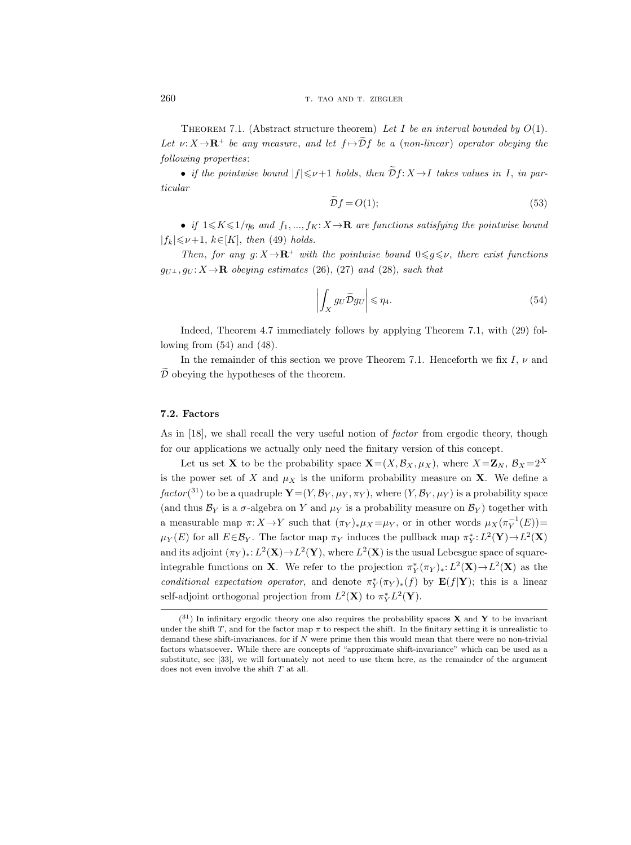THEOREM 7.1. (Abstract structure theorem) Let I be an interval bounded by  $O(1)$ . Let  $\nu: X \to \mathbf{R}^+$  be any measure, and let  $f \mapsto \mathcal{D}f$  be a (non-linear) operator obeying the following properties:

• if the pointwise bound  $|f| \le \nu+1$  holds, then  $\widetilde{\mathcal{D}} f: X \to I$  takes values in I, in particular

$$
\widetilde{D}f = O(1); \tag{53}
$$

• if  $1 \leq K \leq 1/\eta_6$  and  $f_1, ..., f_K: X \to \mathbf{R}$  are functions satisfying the pointwise bound  $|f_k| \leq \nu+1$ ,  $k \in [K]$ , then (49) holds.

Then, for any g:  $X \rightarrow \mathbb{R}^+$  with the pointwise bound  $0 \leq g \leq \nu$ , there exist functions  $g_{U^{\perp}}$ ,  $g_{U}$ :  $X \rightarrow \mathbf{R}$  obeying estimates (26), (27) and (28), such that

$$
\left| \int_{X} g_{U} \widetilde{D} g_{U} \right| \leqslant \eta_{4}.
$$
\n(54)

Indeed, Theorem 4.7 immediately follows by applying Theorem 7.1, with (29) following from (54) and (48).

In the remainder of this section we prove Theorem 7.1. Henceforth we fix I,  $\nu$  and  $\overline{\mathcal{D}}$  obeying the hypotheses of the theorem.

### 7.2. Factors

As in [18], we shall recall the very useful notion of *factor* from ergodic theory, though for our applications we actually only need the finitary version of this concept.

Let us set **X** to be the probability space  $\mathbf{X} = (X, \mathcal{B}_X, \mu_X)$ , where  $X = \mathbf{Z}_N$ ,  $\mathcal{B}_X = 2^X$ is the power set of X and  $\mu_X$  is the uniform probability measure on X. We define a  $factor(^{31})$  to be a quadruple  $\mathbf{Y}=(Y,\mathcal{B}_Y,\mu_Y,\pi_Y),$  where  $(Y,\mathcal{B}_Y,\mu_Y)$  is a probability space (and thus  $\mathcal{B}_Y$  is a  $\sigma$ -algebra on Y and  $\mu_Y$  is a probability measure on  $\mathcal{B}_Y$ ) together with a measurable map  $\pi: X \to Y$  such that  $(\pi_Y)_* \mu_X = \mu_Y$ , or in other words  $\mu_X(\pi_Y^{-1}(E)) =$  $\mu_Y(E)$  for all  $E \in \mathcal{B}_Y$ . The factor map  $\pi_Y$  induces the pullback map  $\pi_Y^*: L^2(\mathbf{Y}) \to L^2(\mathbf{X})$ and its adjoint  $(\pi_Y)_* : L^2(\mathbf{X}) \to L^2(\mathbf{Y})$ , where  $L^2(\mathbf{X})$  is the usual Lebesgue space of squareintegrable functions on **X**. We refer to the projection  $\pi_Y^*(\pi_Y)_*: L^2(\mathbf{X}) \to L^2(\mathbf{X})$  as the conditional expectation operator, and denote  $\pi_Y^*(\pi_Y)_*(f)$  by  $\mathbf{E}(f|\mathbf{Y})$ ; this is a linear self-adjoint orthogonal projection from  $L^2(\mathbf{X})$  to  $\pi_Y^* L^2(\mathbf{Y})$ .

 $(31)$  In infinitary ergodic theory one also requires the probability spaces **X** and **Y** to be invariant under the shift T, and for the factor map  $\pi$  to respect the shift. In the finitary setting it is unrealistic to demand these shift-invariances, for if  $N$  were prime then this would mean that there were no non-trivial factors whatsoever. While there are concepts of "approximate shift-invariance" which can be used as a substitute, see [33], we will fortunately not need to use them here, as the remainder of the argument does not even involve the shift  $T$  at all.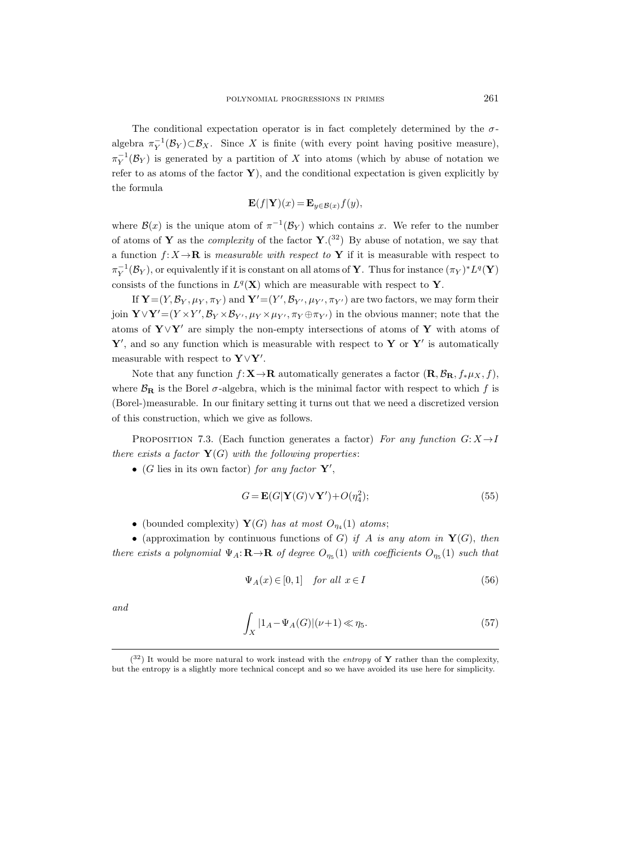The conditional expectation operator is in fact completely determined by the  $\sigma$ algebra  $\pi_Y^{-1}(\mathcal{B}_Y) \subset \mathcal{B}_X$ . Since X is finite (with every point having positive measure),  $\pi_Y^{-1}(\mathcal{B}_Y)$  is generated by a partition of X into atoms (which by abuse of notation we refer to as atoms of the factor  $\mathbf{Y}$ ), and the conditional expectation is given explicitly by the formula

$$
\mathbf{E}(f|\mathbf{Y})(x) = \mathbf{E}_{y \in \mathcal{B}(x)} f(y),
$$

where  $\mathcal{B}(x)$  is the unique atom of  $\pi^{-1}(\mathcal{B}_Y)$  which contains x. We refer to the number of atoms of Y as the *complexity* of the factor  $Y$ .<sup>(32</sup>) By abuse of notation, we say that a function  $f: X \to \mathbf{R}$  is measurable with respect to Y if it is measurable with respect to  $\pi_Y^{-1}(\mathcal{B}_Y)$ , or equivalently if it is constant on all atoms of **Y**. Thus for instance  $(\pi_Y)^*L^q(\mathbf{Y})$ consists of the functions in  $L^q(\mathbf{X})$  which are measurable with respect to Y.

If  $\mathbf{Y} = (Y, \mathcal{B}_Y, \mu_Y, \pi_Y)$  and  $\mathbf{Y}' = (Y', \mathcal{B}_{Y'}, \mu_{Y'}, \pi_{Y'})$  are two factors, we may form their join  $\mathbf{Y} \vee \mathbf{Y}' = (Y \times Y', \mathcal{B}_Y \times \mathcal{B}_{Y'}, \mu_Y \times \mu_{Y'}, \pi_Y \oplus \pi_{Y'})$  in the obvious manner; note that the atoms of Y∨Y' are simply the non-empty intersections of atoms of Y with atoms of  $Y'$ , and so any function which is measurable with respect to Y or Y' is automatically measurable with respect to  $\mathbf{Y} \vee \mathbf{Y}'$ .

Note that any function  $f: \mathbf{X} \to \mathbf{R}$  automatically generates a factor  $(\mathbf{R}, \mathcal{B}_{\mathbf{R}}, f_*\mu_X, f)$ , where  $\mathcal{B}_{\mathbf{R}}$  is the Borel  $\sigma$ -algebra, which is the minimal factor with respect to which f is (Borel-)measurable. In our finitary setting it turns out that we need a discretized version of this construction, which we give as follows.

PROPOSITION 7.3. (Each function generates a factor) For any function  $G: X \rightarrow I$ there exists a factor  $Y(G)$  with the following properties:

• (G lies in its own factor) for any factor  $Y'$ ,

$$
G = \mathbf{E}(G|\mathbf{Y}(G)\vee\mathbf{Y}') + O(\eta_4^2); \tag{55}
$$

• (bounded complexity)  $\mathbf{Y}(G)$  has at most  $O_{\eta_4}(1)$  atoms;

• (approximation by continuous functions of G) if A is any atom in  $Y(G)$ , then there exists a polynomial  $\Psi_A: \mathbf{R} \to \mathbf{R}$  of degree  $O_{\eta_5}(1)$  with coefficients  $O_{\eta_5}(1)$  such that

$$
\Psi_A(x) \in [0, 1] \quad \text{for all } x \in I \tag{56}
$$

and

$$
\int_{X} |1_A - \Psi_A(G)| (\nu + 1) \ll \eta_5. \tag{57}
$$

 $(32)$  It would be more natural to work instead with the entropy of Y rather than the complexity, but the entropy is a slightly more technical concept and so we have avoided its use here for simplicity.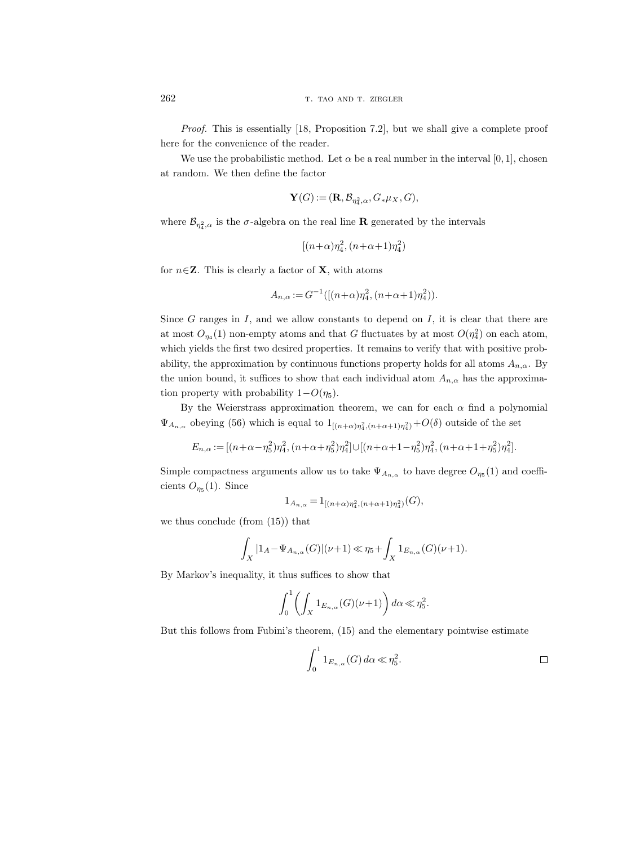Proof. This is essentially [18, Proposition 7.2], but we shall give a complete proof here for the convenience of the reader.

We use the probabilistic method. Let  $\alpha$  be a real number in the interval [0, 1], chosen at random. We then define the factor

$$
\mathbf{Y}(G) := (\mathbf{R}, \mathcal{B}_{\eta_4^2, \alpha}, G_* \mu_X, G),
$$

where  $\mathcal{B}_{\eta_4^2,\alpha}$  is the  $\sigma$ -algebra on the real line **R** generated by the intervals

$$
[(n+\alpha)\eta_4^2, (n+\alpha+1)\eta_4^2)
$$

for  $n \in \mathbb{Z}$ . This is clearly a factor of **X**, with atoms

$$
A_{n,\alpha} := G^{-1}([(n+\alpha)\eta_4^2, (n+\alpha+1)\eta_4^2)).
$$

Since  $G$  ranges in  $I$ , and we allow constants to depend on  $I$ , it is clear that there are at most  $O_{\eta_4}(1)$  non-empty atoms and that G fluctuates by at most  $O(\eta_4^2)$  on each atom, which yields the first two desired properties. It remains to verify that with positive probability, the approximation by continuous functions property holds for all atoms  $A_{n,\alpha}$ . By the union bound, it suffices to show that each individual atom  $A_{n,\alpha}$  has the approximation property with probability  $1-O(\eta_5)$ .

By the Weierstrass approximation theorem, we can for each  $\alpha$  find a polynomial  $\Psi_{A_{n,\alpha}}$  obeying (56) which is equal to  $1_{[(n+\alpha)\eta_4^2,(n+\alpha+1)\eta_4^2)}+O(\delta)$  outside of the set

$$
E_{n,\alpha} := [(n+\alpha-\eta_5^2)\eta_4^2, (n+\alpha+\eta_5^2)\eta_4^2] \cup [(n+\alpha+1-\eta_5^2)\eta_4^2, (n+\alpha+1+\eta_5^2)\eta_4^2].
$$

Simple compactness arguments allow us to take  $\Psi_{A_{n,\alpha}}$  to have degree  $O_{\eta_5}(1)$  and coefficients  $O_{\eta_5}(1)$ . Since

$$
1_{A_{n,\alpha}} = 1_{[(n+\alpha)\eta_4^2, (n+\alpha+1)\eta_4^2)}(G),
$$

we thus conclude (from (15)) that

$$
\int_X |1_A - \Psi_{A_{n,\alpha}}(G)|(\nu+1) \ll \eta_5 + \int_X 1_{E_{n,\alpha}}(G)(\nu+1).
$$

By Markov's inequality, it thus suffices to show that

$$
\int_0^1 \left( \int_X \mathbf{1}_{E_{n,\alpha}}(G)(\nu+1) \right) d\alpha \ll \eta_5^2.
$$

But this follows from Fubini's theorem, (15) and the elementary pointwise estimate

$$
\int_0^1 1_{E_{n,\alpha}}(G) d\alpha \ll \eta_5^2.
$$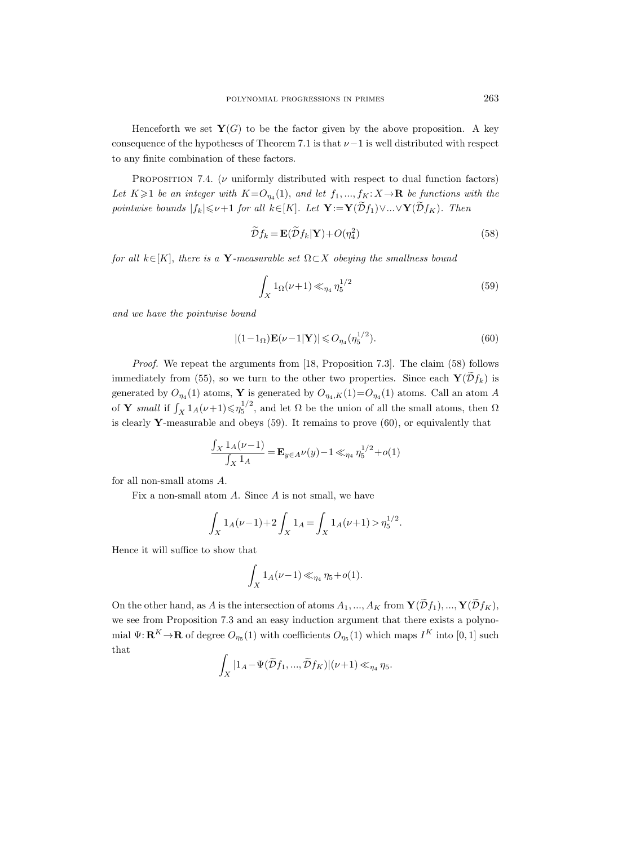Henceforth we set  $Y(G)$  to be the factor given by the above proposition. A key consequence of the hypotheses of Theorem 7.1 is that  $\nu-1$  is well distributed with respect to any finite combination of these factors.

PROPOSITION 7.4. ( $\nu$  uniformly distributed with respect to dual function factors) Let  $K \geq 1$  be an integer with  $K = O_{\eta_4}(1)$ , and let  $f_1, ..., f_K: X \to \mathbf{R}$  be functions with the pointwise bounds  $|f_k| \le \nu+1$  for all  $k \in [K]$ . Let  $\mathbf{Y} := \mathbf{Y}(\widetilde{\mathcal{D}}f_1) \vee ... \vee \mathbf{Y}(\widetilde{\mathcal{D}}f_K)$ . Then

$$
\widetilde{\mathcal{D}}f_k = \mathbf{E}(\widetilde{\mathcal{D}}f_k|\mathbf{Y}) + O(\eta_4^2)
$$
\n(58)

for all  $k \in [K]$ , there is a **Y**-measurable set  $\Omega \subset X$  obeying the smallness bound

$$
\int_{X} 1_{\Omega}(\nu+1) \ll_{\eta_4} \eta_5^{1/2} \tag{59}
$$

and we have the pointwise bound

$$
|(1-1_{\Omega})\mathbf{E}(\nu-1|\mathbf{Y})| \leqslant O_{\eta_4}(\eta_5^{1/2}).\tag{60}
$$

Proof. We repeat the arguments from [18, Proposition 7.3]. The claim (58) follows immediately from (55), so we turn to the other two properties. Since each  $\mathbf{Y}(\mathcal{D}f_k)$  is generated by  $O_{\eta_4}(1)$  atoms, Y is generated by  $O_{\eta_4,K}(1) = O_{\eta_4}(1)$  atoms. Call an atom A of **Y** small if  $\int_X 1_A(\nu+1) \leq \eta_5^{1/2}$ , and let  $\Omega$  be the union of all the small atoms, then  $\Omega$ is clearly Y-measurable and obeys  $(59)$ . It remains to prove  $(60)$ , or equivalently that

$$
\frac{\int_X 1_A(\nu - 1)}{\int_X 1_A} = \mathbf{E}_{y \in A} \nu(y) - 1 \ll_{\eta_4} \eta_5^{1/2} + o(1)
$$

for all non-small atoms A.

Fix a non-small atom  $A$ . Since  $A$  is not small, we have

$$
\int_X 1_A(\nu - 1) + 2 \int_X 1_A = \int_X 1_A(\nu + 1) > \eta_5^{1/2}.
$$

Hence it will suffice to show that

$$
\int_X 1_A(\nu - 1) \ll_{\eta_4} \eta_5 + o(1).
$$

On the other hand, as A is the intersection of atoms  $A_1, ..., A_K$  from  $\mathbf{Y}(\widetilde{\mathcal{D}}f_1), ..., \mathbf{Y}(\widetilde{\mathcal{D}}f_K)$ , we see from Proposition 7.3 and an easy induction argument that there exists a polynomial  $\Psi: \mathbf{R}^K \to \mathbf{R}$  of degree  $O_{\eta_5}(1)$  with coefficients  $O_{\eta_5}(1)$  which maps  $I^K$  into  $[0, 1]$  such that

$$
\int_X |1_A - \Psi(\widetilde{\mathcal{D}}f_1, ..., \widetilde{\mathcal{D}}f_K)|(\nu+1) \ll_{\eta_4} \eta_5.
$$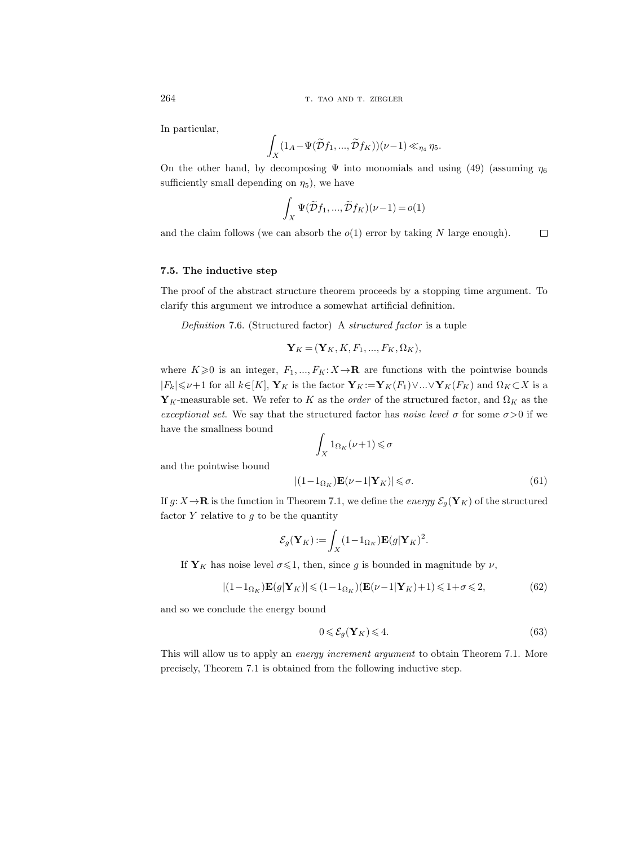In particular,

$$
\int_X (1_A-\Psi(\widetilde{\mathcal{D}}f_1,...,\widetilde{\mathcal{D}}f_K))(\nu-1)\ll_{\eta_4}\eta_5.
$$

On the other hand, by decomposing  $\Psi$  into monomials and using (49) (assuming  $\eta_6$ sufficiently small depending on  $\eta_5$ ), we have

$$
\int_X \Psi(\widetilde{\mathcal{D}}f_1, ..., \widetilde{\mathcal{D}}f_K)(\nu - 1) = o(1)
$$

and the claim follows (we can absorb the  $o(1)$  error by taking N large enough).  $\Box$ 

## 7.5. The inductive step

The proof of the abstract structure theorem proceeds by a stopping time argument. To clarify this argument we introduce a somewhat artificial definition.

Definition 7.6. (Structured factor) A structured factor is a tuple

$$
\mathbf{Y}_K = (\mathbf{Y}_K, K, F_1, ..., F_K, \Omega_K),
$$

where  $K\geqslant 0$  is an integer,  $F_1, ..., F_K: X\to \mathbf{R}$  are functions with the pointwise bounds  $|F_k| \leq \nu+1$  for all  $k \in [K], Y_K$  is the factor  $Y_K \mathbin{:=} Y_K(F_1) \vee ... \vee Y_K(F_K)$  and  $\Omega_K \subset X$  is a  $Y_K$ -measurable set. We refer to K as the *order* of the structured factor, and  $\Omega_K$  as the exceptional set. We say that the structured factor has noise level  $\sigma$  for some  $\sigma > 0$  if we have the smallness bound

$$
\int_X 1_{\Omega_K}(\nu+1) \leq \sigma
$$

and the pointwise bound

$$
|(1 - 1_{\Omega_K})\mathbf{E}(\nu - 1|\mathbf{Y}_K)| \leq \sigma.
$$
\n(61)

If  $g: X \to \mathbf{R}$  is the function in Theorem 7.1, we define the energy  $\mathcal{E}_g(\mathbf{Y}_K)$  of the structured factor  $Y$  relative to  $g$  to be the quantity

$$
\mathcal{E}_g(\mathbf{Y}_K) := \int_X (1 - 1_{\Omega_K}) \mathbf{E}(g|\mathbf{Y}_K)^2.
$$

If  $Y_K$  has noise level  $\sigma \leq 1$ , then, since g is bounded in magnitude by  $\nu$ ,

$$
|(1 - 1_{\Omega_K})\mathbf{E}(g|\mathbf{Y}_K)| \leq (1 - 1_{\Omega_K})(\mathbf{E}(\nu - 1|\mathbf{Y}_K) + 1) \leq 1 + \sigma \leq 2,
$$
\n(62)

and so we conclude the energy bound

$$
0 \leqslant \mathcal{E}_g(\mathbf{Y}_K) \leqslant 4. \tag{63}
$$

This will allow us to apply an energy increment argument to obtain Theorem 7.1. More precisely, Theorem 7.1 is obtained from the following inductive step.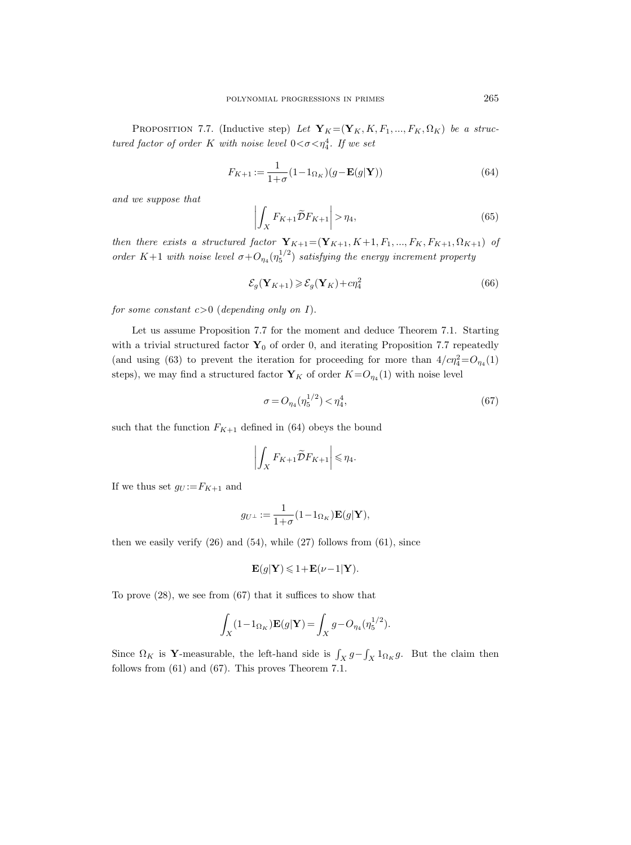PROPOSITION 7.7. (Inductive step) Let  $\mathbf{Y}_K = (\mathbf{Y}_K, K, F_1, ..., F_K, \Omega_K)$  be a structured factor of order K with noise level  $0 < \sigma < \eta_4^4$ . If we set

$$
F_{K+1} := \frac{1}{1+\sigma} (1 - 1_{\Omega_K})(g - \mathbf{E}(g|\mathbf{Y}))
$$
\n(64)

and we suppose that

$$
\left| \int_{X} F_{K+1} \widetilde{\mathcal{D}} F_{K+1} \right| > \eta_4,\tag{65}
$$

then there exists a structured factor  $\mathbf{Y}_{K+1}=(\mathbf{Y}_{K+1}, K+1, F_1, ..., F_K, F_{K+1}, \Omega_{K+1})$  of order K+1 with noise level  $\sigma + O_{\eta_4}(\eta_5^{1/2})$  satisfying the energy increment property

$$
\mathcal{E}_g(\mathbf{Y}_{K+1}) \geqslant \mathcal{E}_g(\mathbf{Y}_K) + c\eta_4^2\tag{66}
$$

for some constant  $c>0$  (depending only on I).

Let us assume Proposition 7.7 for the moment and deduce Theorem 7.1. Starting with a trivial structured factor  $\mathbf{Y}_0$  of order 0, and iterating Proposition 7.7 repeatedly (and using (63) to prevent the iteration for proceeding for more than  $4/c\eta_4^2 = O_{\eta_4}(1)$ steps), we may find a structured factor  $\mathbf{Y}_K$  of order  $K = O_{\eta_4}(1)$  with noise level

$$
\sigma = O_{\eta_4}(\eta_5^{1/2}) < \eta_4^4,\tag{67}
$$

such that the function  $F_{K+1}$  defined in (64) obeys the bound

$$
\left| \int_X F_{K+1} \widetilde{\mathcal{D}} F_{K+1} \right| \leq \eta_4.
$$

If we thus set  $g_U := F_{K+1}$  and

$$
g_{U^{\perp}} := \frac{1}{1+\sigma}(1-1_{\Omega_K})\mathbf{E}(g|\mathbf{Y}),
$$

then we easily verify  $(26)$  and  $(54)$ , while  $(27)$  follows from  $(61)$ , since

$$
\mathbf{E}(g|\mathbf{Y}) \leq 1 + \mathbf{E}(\nu - 1|\mathbf{Y}).
$$

To prove (28), we see from (67) that it suffices to show that

$$
\int_X (1 - 1_{\Omega_K}) \mathbf{E}(g|\mathbf{Y}) = \int_X g - O_{\eta_4}(\eta_5^{1/2}).
$$

Since  $\Omega_K$  is Y-measurable, the left-hand side is  $\int_X g - \int_X 1_{\Omega_K} g$ . But the claim then follows from (61) and (67). This proves Theorem 7.1.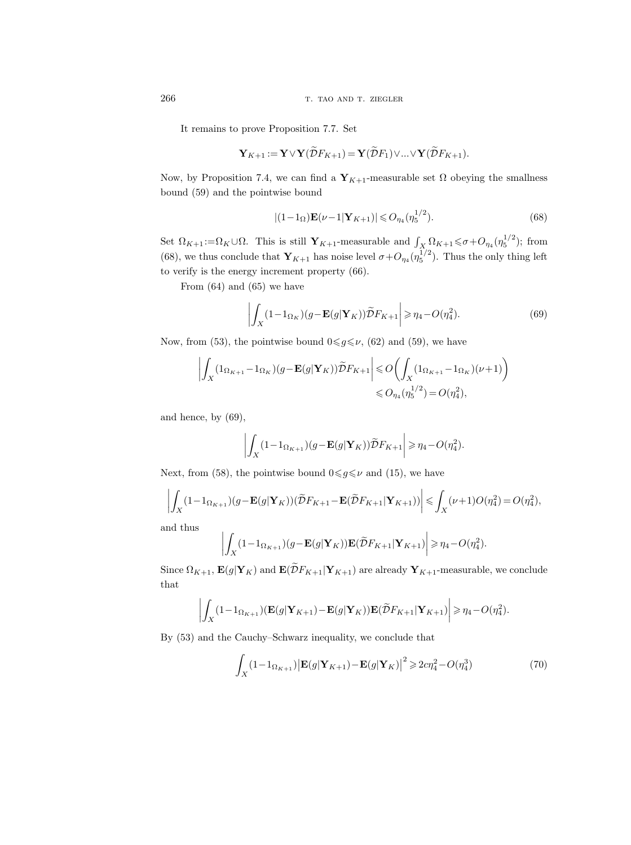266 T. TAO AND T. ZIEGLER

It remains to prove Proposition 7.7. Set

$$
\mathbf{Y}_{K+1} := \mathbf{Y} \vee \mathbf{Y}(\widetilde{\mathcal{D}}F_{K+1}) = \mathbf{Y}(\widetilde{\mathcal{D}}F_1) \vee \ldots \vee \mathbf{Y}(\widetilde{\mathcal{D}}F_{K+1}).
$$

Now, by Proposition 7.4, we can find a  $Y_{K+1}$ -measurable set  $\Omega$  obeying the smallness bound (59) and the pointwise bound

$$
|(1 - 1\Omega)\mathbf{E}(\nu - 1|\mathbf{Y}_{K+1})| \leq O_{\eta_4}(\eta_5^{1/2}).
$$
\n(68)

Set  $\Omega_{K+1} := \Omega_K \cup \Omega$ . This is still  $\mathbf{Y}_{K+1}$ -measurable and  $\int_X \Omega_{K+1} \leq \sigma + O_{\eta_4}(\eta_5^{1/2})$ ; from (68), we thus conclude that  $Y_{K+1}$  has noise level  $\sigma + O_{\eta_4}(\eta_5^{1/2})$ . Thus the only thing left to verify is the energy increment property (66).

From (64) and (65) we have

$$
\left| \int_{X} (1 - 1_{\Omega_K})(g - \mathbf{E}(g|\mathbf{Y}_K)) \widetilde{D} F_{K+1} \right| \ge \eta_4 - O(\eta_4^2). \tag{69}
$$

Now, from (53), the pointwise bound  $0 \le g \le \nu$ , (62) and (59), we have

$$
\left| \int_X (1_{\Omega_{K+1}} - 1_{\Omega_K}) (g - \mathbf{E}(g|\mathbf{Y}_K)) \widetilde{D} F_{K+1} \right| \leqslant O\left( \int_X (1_{\Omega_{K+1}} - 1_{\Omega_K}) (\nu + 1) \right)
$$
  

$$
\leqslant O_{\eta_4}(\eta_5^{1/2}) = O(\eta_4^2),
$$

and hence, by (69),

$$
\left| \int_X (1 - 1_{\Omega_{K+1}}) (g - \mathbf{E}(g|\mathbf{Y}_K)) \widetilde{D} F_{K+1} \right| \ge \eta_4 - O(\eta_4^2).
$$

Next, from (58), the pointwise bound  $0 \le g \le \nu$  and (15), we have

$$
\left| \int_X (1 - \mathbf{1}_{\Omega_{K+1}}) (g - \mathbf{E}(g|\mathbf{Y}_K)) (\widetilde{D}F_{K+1} - \mathbf{E}(\widetilde{D}F_{K+1}|\mathbf{Y}_{K+1})) \right| \leq \int_X (\nu + 1) O(\eta_4^2) = O(\eta_4^2),
$$

and thus

$$
\left| \int_X (1 - 1_{\Omega_{K+1}}) (g - \mathbf{E}(g|\mathbf{Y}_K)) \mathbf{E}(\widetilde{D}F_{K+1}|\mathbf{Y}_{K+1}) \right| \ge \eta_4 - O(\eta_4^2).
$$

Since  $\Omega_{K+1}$ ,  $\mathbf{E}(g|\mathbf{Y}_K)$  and  $\mathbf{E}(\widetilde{\mathcal{D}}F_{K+1}|\mathbf{Y}_{K+1})$  are already  $\mathbf{Y}_{K+1}$ -measurable, we conclude that

$$
\left| \int_X (1 - 1_{\Omega_{K+1}}) (\mathbf{E}(g|\mathbf{Y}_{K+1}) - \mathbf{E}(g|\mathbf{Y}_{K})) \mathbf{E}(\widetilde{\mathcal{D}}F_{K+1}|\mathbf{Y}_{K+1}) \right| \geq \eta_4 - O(\eta_4^2).
$$

By (53) and the Cauchy–Schwarz inequality, we conclude that

$$
\int_{X} (1 - 1_{\Omega_{K+1}}) \left| \mathbf{E}(g|\mathbf{Y}_{K+1}) - \mathbf{E}(g|\mathbf{Y}_{K}) \right|^{2} \geq 2c\eta_{4}^{2} - O(\eta_{4}^{3})
$$
\n(70)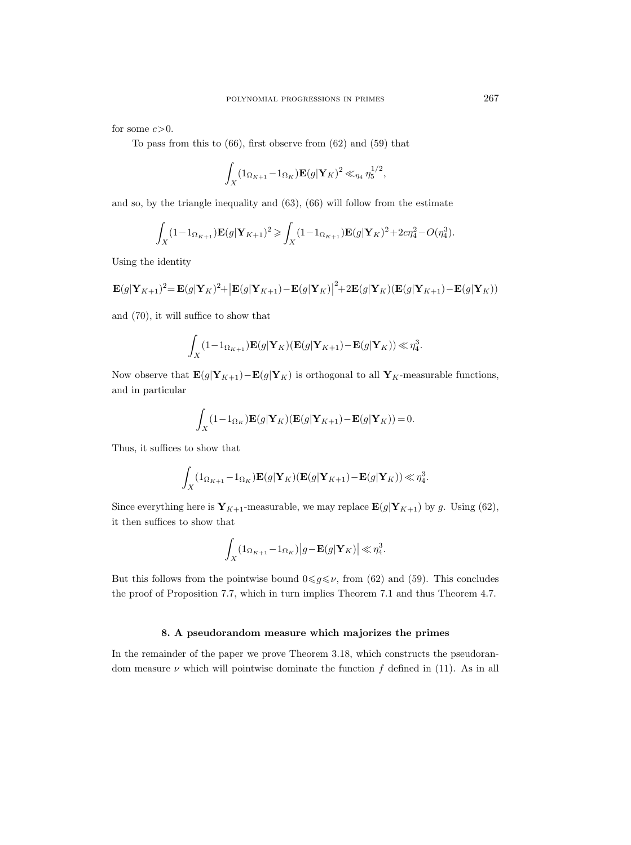for some  $c>0$ .

To pass from this to (66), first observe from (62) and (59) that

$$
\int_X (1_{\Omega_{K+1}} - 1_{\Omega_K}) \mathbf{E}(g|\mathbf{Y}_K)^2 \ll_{\eta_4} \eta_5^{1/2},
$$

and so, by the triangle inequality and (63), (66) will follow from the estimate

$$
\int_X (1 - 1_{\Omega_{K+1}}) \mathbf{E}(g|\mathbf{Y}_{K+1})^2 \ge \int_X (1 - 1_{\Omega_{K+1}}) \mathbf{E}(g|\mathbf{Y}_K)^2 + 2c\eta_4^2 - O(\eta_4^3).
$$

Using the identity

$$
\mathbf{E}(g|\mathbf{Y}_{K+1})^2 = \mathbf{E}(g|\mathbf{Y}_K)^2 + |\mathbf{E}(g|\mathbf{Y}_{K+1}) - \mathbf{E}(g|\mathbf{Y}_K)|^2 + 2\mathbf{E}(g|\mathbf{Y}_K)(\mathbf{E}(g|\mathbf{Y}_{K+1}) - \mathbf{E}(g|\mathbf{Y}_K))
$$

and (70), it will suffice to show that

$$
\int_X (1 - 1_{\Omega_{K+1}}) \mathbf{E}(g|\mathbf{Y}_K)(\mathbf{E}(g|\mathbf{Y}_{K+1}) - \mathbf{E}(g|\mathbf{Y}_K)) \ll \eta_4^3.
$$

Now observe that  $\mathbf{E}(g|\mathbf{Y}_{K+1})-\mathbf{E}(g|\mathbf{Y}_K)$  is orthogonal to all  $\mathbf{Y}_K$ -measurable functions, and in particular

$$
\int_X (1 - 1_{\Omega_K}) \mathbf{E}(g| \mathbf{Y}_K) (\mathbf{E}(g| \mathbf{Y}_{K+1}) - \mathbf{E}(g| \mathbf{Y}_K)) = 0.
$$

Thus, it suffices to show that

$$
\int_X (1_{\Omega_{K+1}} - 1_{\Omega_K}) \mathbf{E}(g|\mathbf{Y}_K)(\mathbf{E}(g|\mathbf{Y}_{K+1}) - \mathbf{E}(g|\mathbf{Y}_K)) \ll \eta_4^3.
$$

Since everything here is  $Y_{K+1}$ -measurable, we may replace  $\mathbf{E}(g|Y_{K+1})$  by g. Using (62), it then suffices to show that

$$
\int_X (1_{\Omega_{K+1}} - 1_{\Omega_K}) |g - \mathbf{E}(g|\mathbf{Y}_K)| \ll \eta_4^3.
$$

But this follows from the pointwise bound  $0 \leq g \leq \nu$ , from (62) and (59). This concludes the proof of Proposition 7.7, which in turn implies Theorem 7.1 and thus Theorem 4.7.

# 8. A pseudorandom measure which majorizes the primes

In the remainder of the paper we prove Theorem 3.18, which constructs the pseudorandom measure  $\nu$  which will pointwise dominate the function f defined in (11). As in all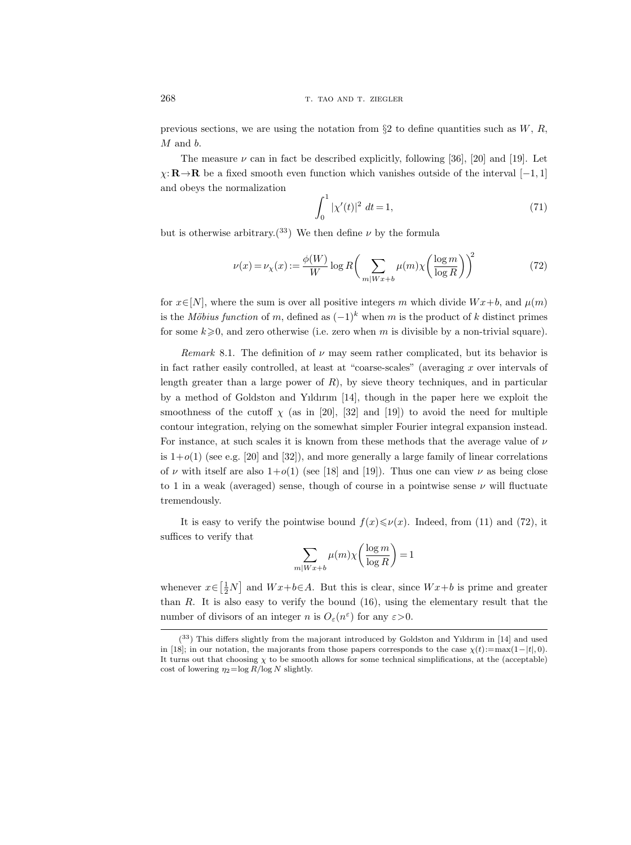previous sections, we are using the notation from  $\S 2$  to define quantities such as W, R, M and b.

The measure  $\nu$  can in fact be described explicitly, following [36], [20] and [19]. Let  $\chi$ : **R**→**R** be a fixed smooth even function which vanishes outside of the interval [−1, 1] and obeys the normalization

$$
\int_0^1 |\chi'(t)|^2 dt = 1,
$$
\n(71)

but is otherwise arbitrary.<sup>(33)</sup> We then define  $\nu$  by the formula

 $\overline{1}$ 

$$
\nu(x) = \nu_{\chi}(x) := \frac{\phi(W)}{W} \log R \bigg(\sum_{m|W x + b} \mu(m) \chi\bigg(\frac{\log m}{\log R}\bigg)\bigg)^2 \tag{72}
$$

for  $x \in [N]$ , where the sum is over all positive integers m which divide  $Wx+b$ , and  $\mu(m)$ is the Möbius function of m, defined as  $(-1)^k$  when m is the product of k distinct primes for some  $k\geqslant 0$ , and zero otherwise (i.e. zero when m is divisible by a non-trivial square).

Remark 8.1. The definition of  $\nu$  may seem rather complicated, but its behavior is in fact rather easily controlled, at least at "coarse-scales" (averaging  $x$  over intervals of length greater than a large power of  $R$ ), by sieve theory techniques, and in particular by a method of Goldston and Yıldırım [14], though in the paper here we exploit the smoothness of the cutoff  $\chi$  (as in [20], [32] and [19]) to avoid the need for multiple contour integration, relying on the somewhat simpler Fourier integral expansion instead. For instance, at such scales it is known from these methods that the average value of  $\nu$ is  $1+o(1)$  (see e.g. [20] and [32]), and more generally a large family of linear correlations of  $\nu$  with itself are also  $1+o(1)$  (see [18] and [19]). Thus one can view  $\nu$  as being close to 1 in a weak (averaged) sense, though of course in a pointwise sense  $\nu$  will fluctuate tremendously.

It is easy to verify the pointwise bound  $f(x) \leq \nu(x)$ . Indeed, from (11) and (72), it suffices to verify that

$$
\sum_{m|Wx+b} \mu(m)\chi\left(\frac{\log m}{\log R}\right) = 1
$$

whenever  $x \in \left[\frac{1}{2}N\right]$  and  $Wx+b\in A$ . But this is clear, since  $Wx+b$  is prime and greater than  $R$ . It is also easy to verify the bound  $(16)$ , using the elementary result that the number of divisors of an integer *n* is  $O_{\varepsilon}(n^{\varepsilon})$  for any  $\varepsilon > 0$ .

<sup>(</sup> <sup>33</sup>) This differs slightly from the majorant introduced by Goldston and Yıldırım in [14] and used in [18]; in our notation, the majorants from those papers corresponds to the case  $\chi(t) := \max(1-|t|, 0)$ . It turns out that choosing  $\chi$  to be smooth allows for some technical simplifications, at the (acceptable) cost of lowering  $\eta_2 = \log R / \log N$  slightly.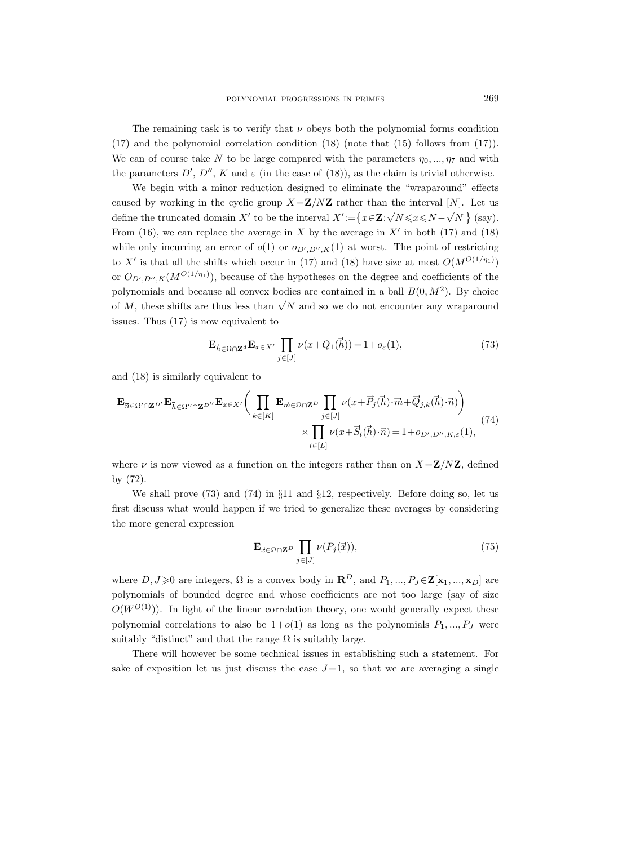The remaining task is to verify that  $\nu$  obeys both the polynomial forms condition (17) and the polynomial correlation condition (18) (note that (15) follows from (17)). We can of course take N to be large compared with the parameters  $\eta_0, ..., \eta_7$  and with the parameters  $D', D'', K$  and  $\varepsilon$  (in the case of (18)), as the claim is trivial otherwise.

We begin with a minor reduction designed to eliminate the "wraparound" effects caused by working in the cyclic group  $X = \mathbb{Z}/N\mathbb{Z}$  rather than the interval [N]. Let us define the truncated domain X' to be the interval  $X' := \{x \in \mathbb{Z}:\}$  $\sqrt{N} \leqslant x \leqslant N - \sqrt{N}$  $N \}$  (say). From (16), we can replace the average in X by the average in  $X'$  in both (17) and (18) while only incurring an error of  $o(1)$  or  $o_{D',D'',K}(1)$  at worst. The point of restricting to X' is that all the shifts which occur in (17) and (18) have size at most  $O(M^{O(1/\eta_1)})$ or  $O_{D',D'',K}(M^{O(1/\eta_1)}),$  because of the hypotheses on the degree and coefficients of the polynomials and because all convex bodies are contained in a ball  $B(0, M^2)$ . By choice of M, these shifts are thus less than  $\sqrt{N}$  and so we do not encounter any wraparound issues. Thus (17) is now equivalent to

$$
\mathbf{E}_{\vec{h}\in\Omega\cap\mathbf{Z}^d}\mathbf{E}_{x\in X'}\prod_{j\in[J]}\nu(x+Q_1(\vec{h}))=1+o_{\varepsilon}(1),\tag{73}
$$

and (18) is similarly equivalent to

$$
\mathbf{E}_{\vec{n}\in\Omega'\cap\mathbf{Z}^{D'}}\mathbf{E}_{\vec{h}\in\Omega''\cap\mathbf{Z}^{D''}}\mathbf{E}_{x\in X'}\bigg(\prod_{k\in[K]}\mathbf{E}_{\vec{m}\in\Omega\cap\mathbf{Z}^{D}}\prod_{j\in[J]}\nu(x+\vec{P}_j(\vec{h})\cdot\vec{m}+\vec{Q}_{j,k}(\vec{h})\cdot\vec{n})\bigg) \times \prod_{l\in[L]}\nu(x+\vec{S}_l(\vec{h})\cdot\vec{n})=1+o_{D',D'',K,\varepsilon}(1),
$$
\n(74)

where  $\nu$  is now viewed as a function on the integers rather than on  $X = \mathbf{Z}/N\mathbf{Z}$ , defined by (72).

We shall prove  $(73)$  and  $(74)$  in  $\S11$  and  $\S12$ , respectively. Before doing so, let us first discuss what would happen if we tried to generalize these averages by considering the more general expression

$$
\mathbf{E}_{\vec{x}\in\Omega\cap\mathbf{Z}^D} \prod_{j\in[J]} \nu(P_j(\vec{x})),\tag{75}
$$

where  $D, J \geq 0$  are integers,  $\Omega$  is a convex body in  $\mathbb{R}^D$ , and  $P_1, ..., P_J \in \mathbb{Z}[\mathbf{x}_1, ..., \mathbf{x}_D]$  are polynomials of bounded degree and whose coefficients are not too large (say of size  $O(W^{O(1)})$ ). In light of the linear correlation theory, one would generally expect these polynomial correlations to also be  $1+o(1)$  as long as the polynomials  $P_1, ..., P_J$  were suitably "distinct" and that the range  $\Omega$  is suitably large.

There will however be some technical issues in establishing such a statement. For sake of exposition let us just discuss the case  $J=1$ , so that we are averaging a single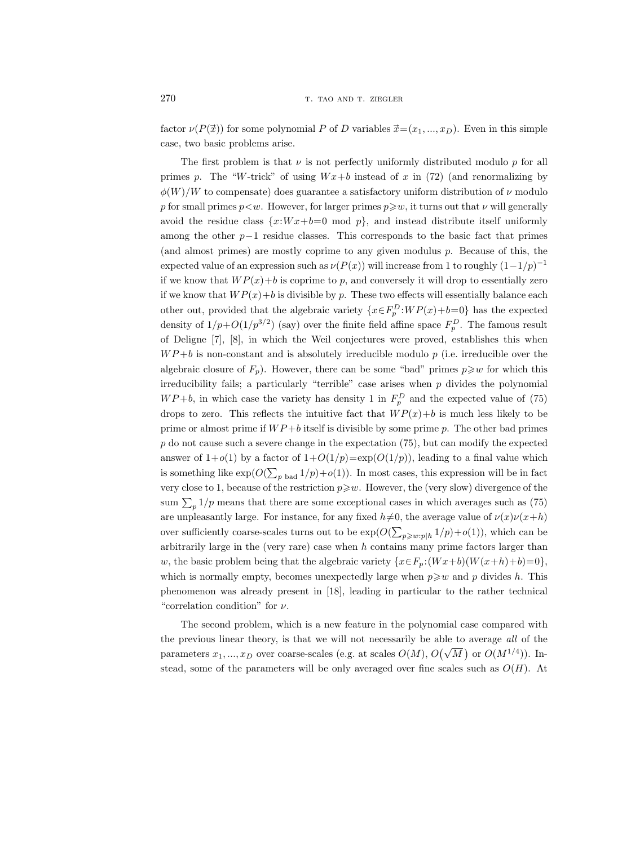factor  $\nu(P(\vec{x}))$  for some polynomial P of D variables  $\vec{x} = (x_1, ..., x_D)$ . Even in this simple case, two basic problems arise.

The first problem is that  $\nu$  is not perfectly uniformly distributed modulo  $p$  for all primes p. The "W-trick" of using  $Wx+b$  instead of x in (72) (and renormalizing by  $\phi(W)/W$  to compensate) does guarantee a satisfactory uniform distribution of  $\nu$  modulo p for small primes  $p < w$ . However, for larger primes  $p \geq w$ , it turns out that  $\nu$  will generally avoid the residue class  $\{x:Wx+b=0 \text{ mod } p\}$ , and instead distribute itself uniformly among the other  $p-1$  residue classes. This corresponds to the basic fact that primes (and almost primes) are mostly coprime to any given modulus p. Because of this, the expected value of an expression such as  $\nu(P(x))$  will increase from 1 to roughly  $(1-1/p)^{-1}$ if we know that  $WP(x)+b$  is coprime to p, and conversely it will drop to essentially zero if we know that  $WP(x)+b$  is divisible by p. These two effects will essentially balance each other out, provided that the algebraic variety  $\{x \in F_p^D : WP(x)+b=0\}$  has the expected density of  $1/p+O(1/p^{3/2})$  (say) over the finite field affine space  $F_p^D$ . The famous result of Deligne [7], [8], in which the Weil conjectures were proved, establishes this when  $WP + b$  is non-constant and is absolutely irreducible modulo p (i.e. irreducible over the algebraic closure of  $F_p$ ). However, there can be some "bad" primes  $p \geq w$  for which this irreducibility fails; a particularly "terrible" case arises when  $p$  divides the polynomial  $WP+b$ , in which case the variety has density 1 in  $F_p^D$  and the expected value of (75) drops to zero. This reflects the intuitive fact that  $WP(x)+b$  is much less likely to be prime or almost prime if  $WP + b$  itself is divisible by some prime p. The other bad primes  $p$  do not cause such a severe change in the expectation  $(75)$ , but can modify the expected answer of  $1+o(1)$  by a factor of  $1+O(1/p)=\exp(O(1/p))$ , leading to a final value which is something like  $\exp(O(\sum_{p \text{ bad}} 1/p) + o(1))$ . In most cases, this expression will be in fact very close to 1, because of the restriction  $p\geqslant w$ . However, the (very slow) divergence of the sum  $\sum_{p} 1/p$  means that there are some exceptional cases in which averages such as (75) are unpleasantly large. For instance, for any fixed  $h\neq 0$ , the average value of  $\nu(x)\nu(x+h)$ over sufficiently coarse-scales turns out to be  $\exp(O(\sum_{p\geqslant w: p|h} 1/p)+o(1)),$  which can be arbitrarily large in the (very rare) case when  $h$  contains many prime factors larger than w, the basic problem being that the algebraic variety  $\{x \in F_p : (Wx+b)(W(x+h)+b)=0\}$ . which is normally empty, becomes unexpectedly large when  $p \geq w$  and p divides h. This phenomenon was already present in [18], leading in particular to the rather technical "correlation condition" for  $\nu$ .

The second problem, which is a new feature in the polynomial case compared with the previous linear theory, is that we will not necessarily be able to average all of the parameters  $x_1, ..., x_D$  over coarse-scales (e.g. at scales  $O(M)$ ,  $O(\sqrt{M})$  or  $O(M^{1/4})$ ). Instead, some of the parameters will be only averaged over fine scales such as  $O(H)$ . At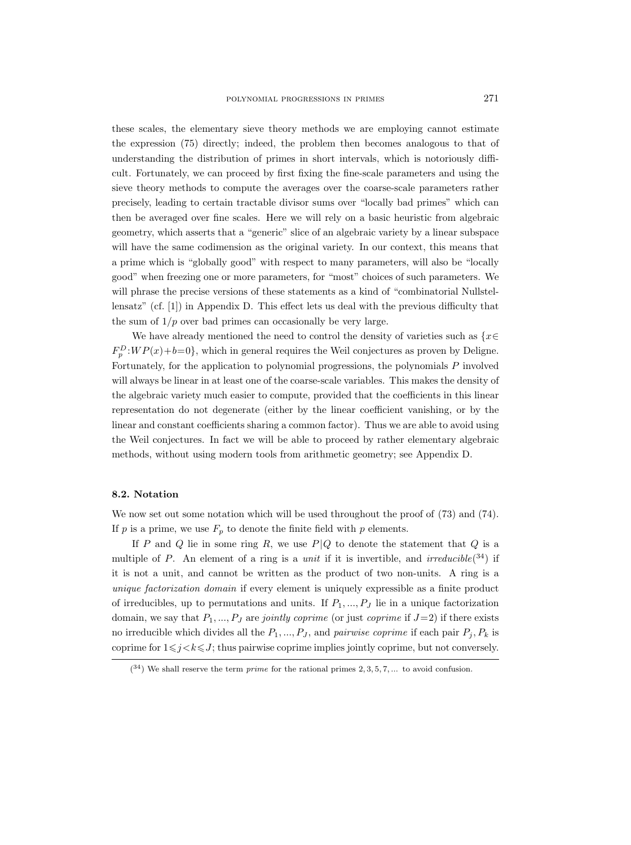these scales, the elementary sieve theory methods we are employing cannot estimate the expression (75) directly; indeed, the problem then becomes analogous to that of understanding the distribution of primes in short intervals, which is notoriously difficult. Fortunately, we can proceed by first fixing the fine-scale parameters and using the sieve theory methods to compute the averages over the coarse-scale parameters rather precisely, leading to certain tractable divisor sums over "locally bad primes" which can then be averaged over fine scales. Here we will rely on a basic heuristic from algebraic geometry, which asserts that a "generic" slice of an algebraic variety by a linear subspace will have the same codimension as the original variety. In our context, this means that a prime which is "globally good" with respect to many parameters, will also be "locally good" when freezing one or more parameters, for "most" choices of such parameters. We will phrase the precise versions of these statements as a kind of "combinatorial Nullstellensatz" (cf. [1]) in Appendix D. This effect lets us deal with the previous difficulty that the sum of  $1/p$  over bad primes can occasionally be very large.

We have already mentioned the need to control the density of varieties such as  $\{x \in \mathbb{R}^n : |f(x)| \leq 1\}$  $F_p^D:WP(x)+b=0$ , which in general requires the Weil conjectures as proven by Deligne. Fortunately, for the application to polynomial progressions, the polynomials P involved will always be linear in at least one of the coarse-scale variables. This makes the density of the algebraic variety much easier to compute, provided that the coefficients in this linear representation do not degenerate (either by the linear coefficient vanishing, or by the linear and constant coefficients sharing a common factor). Thus we are able to avoid using the Weil conjectures. In fact we will be able to proceed by rather elementary algebraic methods, without using modern tools from arithmetic geometry; see Appendix D.

# 8.2. Notation

We now set out some notation which will be used throughout the proof of (73) and (74). If p is a prime, we use  $F_p$  to denote the finite field with p elements.

If P and Q lie in some ring R, we use  $P/Q$  to denote the statement that Q is a multiple of P. An element of a ring is a *unit* if it is invertible, and *irreducible*( $34$ ) if it is not a unit, and cannot be written as the product of two non-units. A ring is a unique factorization domain if every element is uniquely expressible as a finite product of irreducibles, up to permutations and units. If  $P_1, ..., P_J$  lie in a unique factorization domain, we say that  $P_1, ..., P_J$  are *jointly coprime* (or just *coprime* if  $J=2$ ) if there exists no irreducible which divides all the  $P_1, ..., P_J$ , and *pairwise coprime* if each pair  $P_i, P_k$  is coprime for  $1\leq j < k \leq J$ ; thus pairwise coprime implies jointly coprime, but not conversely.

 $(34)$  We shall reserve the term *prime* for the rational primes 2, 3, 5, 7, ... to avoid confusion.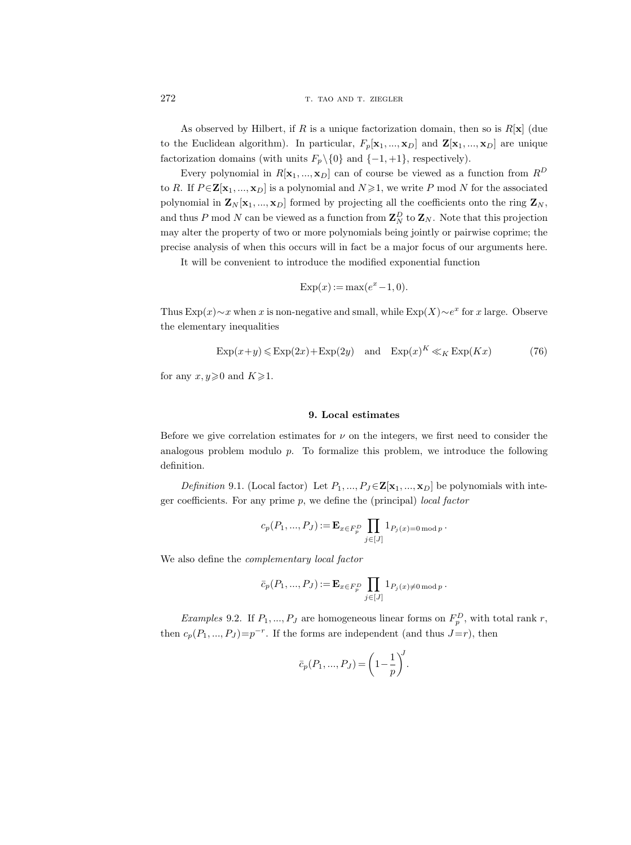## 272 T. TAO AND T. ZIEGLER

As observed by Hilbert, if R is a unique factorization domain, then so is  $R[x]$  (due to the Euclidean algorithm). In particular,  $F_p[\mathbf{x}_1, ..., \mathbf{x}_D]$  and  $\mathbf{Z}[\mathbf{x}_1, ..., \mathbf{x}_D]$  are unique factorization domains (with units  $F_p \setminus \{0\}$  and  $\{-1, +1\}$ , respectively).

Every polynomial in  $R[\mathbf{x}_1, ..., \mathbf{x}_D]$  can of course be viewed as a function from  $R^D$ to R. If  $P \in \mathbf{Z}[\mathbf{x}_1, ..., \mathbf{x}_D]$  is a polynomial and  $N \geq 1$ , we write P mod N for the associated polynomial in  $\mathbf{Z}_N[\mathbf{x}_1, ..., \mathbf{x}_D]$  formed by projecting all the coefficients onto the ring  $\mathbf{Z}_N$ , and thus P mod N can be viewed as a function from  $\mathbf{Z}_N^D$  to  $\mathbf{Z}_N$ . Note that this projection may alter the property of two or more polynomials being jointly or pairwise coprime; the precise analysis of when this occurs will in fact be a major focus of our arguments here.

It will be convenient to introduce the modified exponential function

$$
Exp(x) := \max(e^x - 1, 0).
$$

Thus Exp $(x) \sim x$  when x is non-negative and small, while Exp $(X) \sim e^x$  for x large. Observe the elementary inequalities

$$
Exp(x+y) \leq Exp(2x) + Exp(2y) \quad \text{and} \quad Exp(x)^K \ll_K Exp(Kx) \tag{76}
$$

for any  $x, y \ge 0$  and  $K \ge 1$ .

## 9. Local estimates

Before we give correlation estimates for  $\nu$  on the integers, we first need to consider the analogous problem modulo  $p$ . To formalize this problem, we introduce the following definition.

*Definition* 9.1. (Local factor) Let  $P_1, ..., P_J \in \mathbf{Z}[\mathbf{x}_1, ..., \mathbf{x}_D]$  be polynomials with integer coefficients. For any prime  $p$ , we define the (principal) *local factor* 

$$
c_p(P_1, ..., P_J) := \mathbf{E}_{x \in F_p^D} \prod_{j \in [J]} 1_{P_j(x) = 0 \bmod p}.
$$

We also define the complementary local factor

$$
\bar{c}_p(P_1,...,P_J):=\mathbf{E}_{x\in F_p^D}\prod_{j\in [J]}\mathbf{1}_{P_j(x)\neq 0 \ \mathrm{mod}\ p}\,.
$$

*Examples* 9.2. If  $P_1, ..., P_J$  are homogeneous linear forms on  $F_p^D$ , with total rank r, then  $c_p(P_1, ..., P_J) = p^{-r}$ . If the forms are independent (and thus  $J=r$ ), then

$$
\bar{c}_p(P_1, ..., P_J) = \left(1 - \frac{1}{p}\right)^J.
$$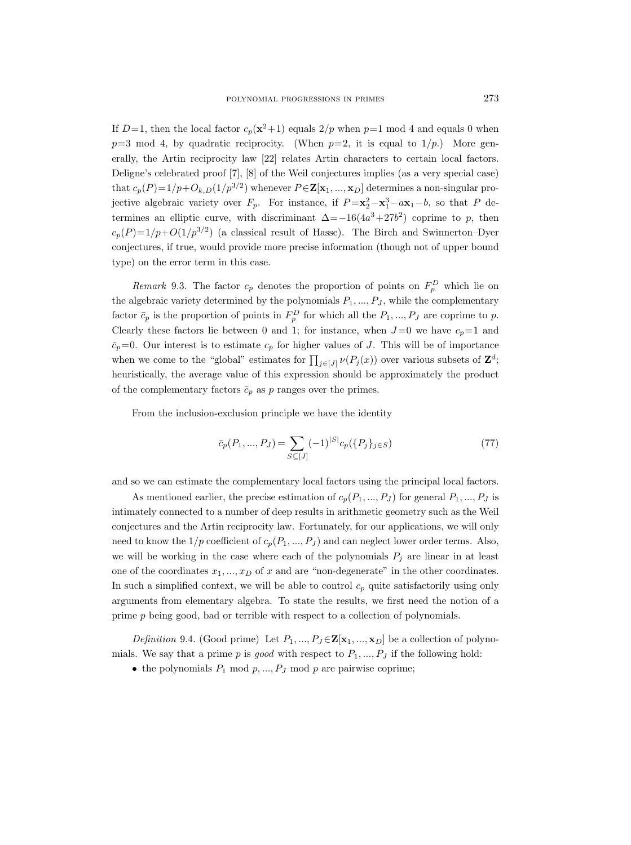If  $D=1$ , then the local factor  $c_p(x^2+1)$  equals  $2/p$  when  $p=1$  mod 4 and equals 0 when  $p=3 \mod 4$ , by quadratic reciprocity. (When  $p=2$ , it is equal to  $1/p$ .) More generally, the Artin reciprocity law [22] relates Artin characters to certain local factors. Deligne's celebrated proof [7], [8] of the Weil conjectures implies (as a very special case) that  $c_p(P)=1/p+O_{k,D}(1/p^{3/2})$  whenever  $P\in \mathbf{Z}[\mathbf{x}_1,...,\mathbf{x}_D]$  determines a non-singular projective algebraic variety over  $F_p$ . For instance, if  $P = x_2^2 - x_1^3 - a x_1 - b$ , so that P determines an elliptic curve, with discriminant  $\Delta = -16(4a^3 + 27b^2)$  coprime to p, then  $c_p(P)=1/p+O(1/p^{3/2})$  (a classical result of Hasse). The Birch and Swinnerton–Dyer conjectures, if true, would provide more precise information (though not of upper bound type) on the error term in this case.

Remark 9.3. The factor  $c_p$  denotes the proportion of points on  $F_p^D$  which lie on the algebraic variety determined by the polynomials  $P_1, ..., P_J$ , while the complementary factor  $\bar{c}_p$  is the proportion of points in  $F_p^D$  for which all the  $P_1, ..., P_J$  are coprime to p. Clearly these factors lie between 0 and 1; for instance, when  $J=0$  we have  $c_p=1$  and  $\bar{c}_p=0$ . Our interest is to estimate  $c_p$  for higher values of J. This will be of importance when we come to the "global" estimates for  $\prod_{j\in [J]} \nu(P_j(x))$  over various subsets of  $\mathbf{Z}^d$ ; heuristically, the average value of this expression should be approximately the product of the complementary factors  $\bar{c}_p$  as p ranges over the primes.

From the inclusion-exclusion principle we have the identity

$$
\bar{c}_p(P_1, ..., P_J) = \sum_{S \subseteq [J]} (-1)^{|S|} c_p(\{P_j\}_{j \in S})
$$
\n(77)

and so we can estimate the complementary local factors using the principal local factors.

As mentioned earlier, the precise estimation of  $c_p(P_1, ..., P_J)$  for general  $P_1, ..., P_J$  is intimately connected to a number of deep results in arithmetic geometry such as the Weil conjectures and the Artin reciprocity law. Fortunately, for our applications, we will only need to know the  $1/p$  coefficient of  $c_p(P_1, ..., P_J)$  and can neglect lower order terms. Also, we will be working in the case where each of the polynomials  $P_i$  are linear in at least one of the coordinates  $x_1, ..., x_D$  of x and are "non-degenerate" in the other coordinates. In such a simplified context, we will be able to control  $c_p$  quite satisfactorily using only arguments from elementary algebra. To state the results, we first need the notion of a prime p being good, bad or terrible with respect to a collection of polynomials.

Definition 9.4. (Good prime) Let  $P_1, ..., P_J \in \mathbf{Z}[\mathbf{x}_1, ..., \mathbf{x}_D]$  be a collection of polynomials. We say that a prime p is good with respect to  $P_1, ..., P_J$  if the following hold:

• the polynomials  $P_1 \text{ mod } p, ..., P_J \text{ mod } p$  are pairwise coprime;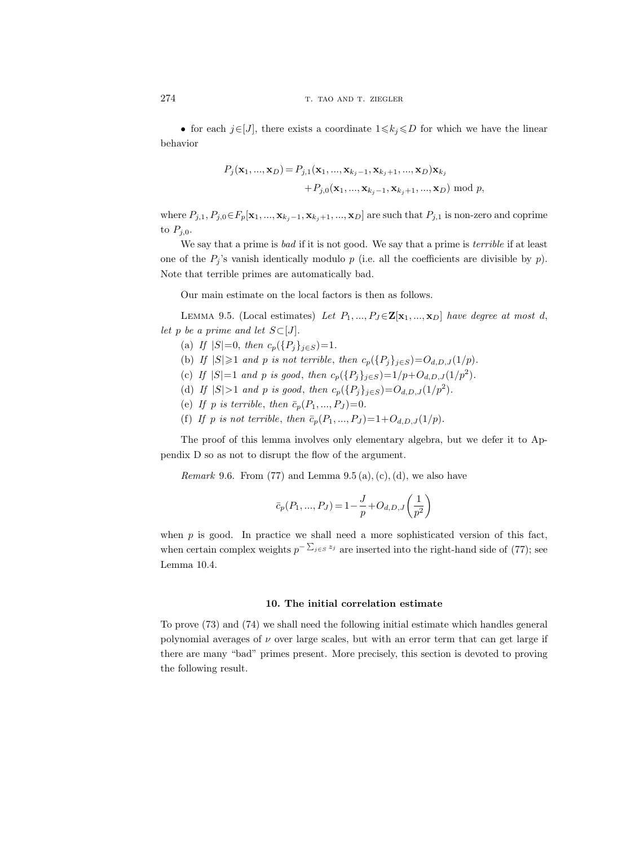• for each  $j \in [J]$ , there exists a coordinate  $1 \leq k_j \leq D$  for which we have the linear behavior

$$
P_j(\mathbf{x}_1, ..., \mathbf{x}_D) = P_{j,1}(\mathbf{x}_1, ..., \mathbf{x}_{k_j-1}, \mathbf{x}_{k_j+1}, ..., \mathbf{x}_D) \mathbf{x}_{k_j}
$$
  
+ 
$$
P_{j,0}(\mathbf{x}_1, ..., \mathbf{x}_{k_j-1}, \mathbf{x}_{k_j+1}, ..., \mathbf{x}_D) \bmod p,
$$

where  $P_{j,1}, P_{j,0} \in F_p[x_1, ..., x_{k_j-1}, x_{k_j+1}, ..., x_D]$  are such that  $P_{j,1}$  is non-zero and coprime to  $P_{i,0}$ .

We say that a prime is *bad* if it is not good. We say that a prime is *terrible* if at least one of the  $P_i$ 's vanish identically modulo p (i.e. all the coefficients are divisible by p). Note that terrible primes are automatically bad.

Our main estimate on the local factors is then as follows.

LEMMA 9.5. (Local estimates) Let  $P_1, ..., P_J \in \mathbf{Z}[\mathbf{x}_1, ..., \mathbf{x}_D]$  have degree at most d, let p be a prime and let  $S\subset [J]$ .

- (a) If  $|S|=0$ , then  $c_p({P_i}_{j\in S})=1$ .
- (b) If  $|S|\geq 1$  and p is not terrible, then  $c_p({P_j}_{j\in S})=O_{d,D,J}(1/p)$ .
- (c) If  $|S|=1$  and p is good, then  $c_p({P_j}_{j\in S})=1/p+O_{d,D,J}(1/p^2)$ .
- (d) If  $|S| > 1$  and p is good, then  $c_p({P_j}_{j \in S}) = O_{d,D,J}(1/p^2)$ .
- (e) If p is terrible, then  $\bar{c}_p(P_1, ..., P_J) = 0$ .
- (f) If p is not terrible, then  $\bar{c}_p(P_1, ..., P_J) = 1 + O_{d,D,J}(1/p)$ .

The proof of this lemma involves only elementary algebra, but we defer it to Appendix D so as not to disrupt the flow of the argument.

*Remark* 9.6. From (77) and Lemma  $(9.5 \text{ (a)}, \text{ (c)}, \text{ (d)}, \text{ we also have})$ 

$$
\bar{c}_p(P_1, ..., P_J) = 1 - \frac{J}{p} + O_{d,D,J}\left(\frac{1}{p^2}\right)
$$

when  $p$  is good. In practice we shall need a more sophisticated version of this fact, when certain complex weights  $p^{-\sum_{j\in S} z_j}$  are inserted into the right-hand side of (77); see Lemma 10.4.

#### 10. The initial correlation estimate

To prove (73) and (74) we shall need the following initial estimate which handles general polynomial averages of  $\nu$  over large scales, but with an error term that can get large if there are many "bad" primes present. More precisely, this section is devoted to proving the following result.

$$
^{274}
$$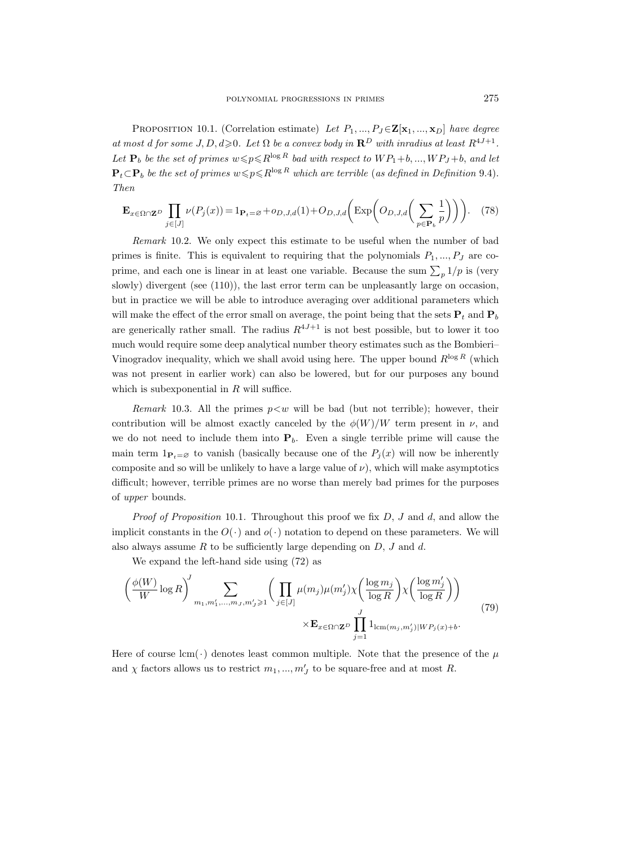PROPOSITION 10.1. (Correlation estimate) Let  $P_1, ..., P_J \in \mathbf{Z}[\mathbf{x}_1, ..., \mathbf{x}_D]$  have degree at most d for some J, D,  $d \ge 0$ . Let  $\Omega$  be a convex body in  $\mathbb{R}^D$  with inradius at least  $R^{4J+1}$ . Let  $P_b$  be the set of primes  $w \leqslant p \leq R^{\log R}$  bad with respect to  $WP_1+b, ..., WP_J+b$ , and let  $\mathbf{P}_t \subset \mathbf{P}_b$  be the set of primes  $w \leq p \leq R^{\log R}$  which are terrible (as defined in Definition 9.4). Then

$$
\mathbf{E}_{x \in \Omega \cap \mathbf{Z}^D} \prod_{j \in [J]} \nu(P_j(x)) = 1_{\mathbf{P}_t = \varnothing} + o_{D,J,d}(1) + O_{D,J,d}\left(\text{Exp}\left(O_{D,J,d}\left(\sum_{p \in \mathbf{P}_b} \frac{1}{p}\right)\right)\right).
$$
 (78)

Remark 10.2. We only expect this estimate to be useful when the number of bad primes is finite. This is equivalent to requiring that the polynomials  $P_1, ..., P_J$  are coprime, and each one is linear in at least one variable. Because the sum  $\sum_{p} 1/p$  is (very slowly) divergent (see (110)), the last error term can be unpleasantly large on occasion, but in practice we will be able to introduce averaging over additional parameters which will make the effect of the error small on average, the point being that the sets  $P_t$  and  $P_b$ are generically rather small. The radius  $R^{4J+1}$  is not best possible, but to lower it too much would require some deep analytical number theory estimates such as the Bombieri– Vinogradov inequality, which we shall avoid using here. The upper bound  $R^{\log R}$  (which was not present in earlier work) can also be lowered, but for our purposes any bound which is subexponential in  $R$  will suffice.

Remark 10.3. All the primes  $p \lt w$  will be bad (but not terrible); however, their contribution will be almost exactly canceled by the  $\phi(W)/W$  term present in  $\nu$ , and we do not need to include them into  $P_b$ . Even a single terrible prime will cause the main term  $1_{\mathbf{P}_t=\varnothing}$  to vanish (basically because one of the  $P_i(x)$  will now be inherently composite and so will be unlikely to have a large value of  $\nu$ ), which will make asymptotics difficult; however, terrible primes are no worse than merely bad primes for the purposes of upper bounds.

*Proof of Proposition* 10.1. Throughout this proof we fix  $D$ ,  $J$  and  $d$ , and allow the implicit constants in the  $O(\cdot)$  and  $o(\cdot)$  notation to depend on these parameters. We will also always assume  $R$  to be sufficiently large depending on  $D, J$  and  $d$ .

We expand the left-hand side using (72) as

$$
\left(\frac{\phi(W)}{W}\log R\right)^J \sum_{m_1,m'_1,\dots,m_J,m'_J\geqslant 1} \bigg(\prod_{j\in [J]} \mu(m_j)\mu(m'_j)\chi\bigg(\frac{\log m_j}{\log R}\bigg)\chi\bigg(\frac{\log m'_j}{\log R}\bigg)\bigg) \times \mathbf{E}_{x\in\Omega\cap\mathbf{Z}^D} \prod_{j=1}^J 1_{\text{lcm}(m_j,m'_j)|WP_j(x)+b}.\tag{79}
$$

Here of course lcm( $\cdot$ ) denotes least common multiple. Note that the presence of the  $\mu$ and  $\chi$  factors allows us to restrict  $m_1, ..., m_J'$  to be square-free and at most R.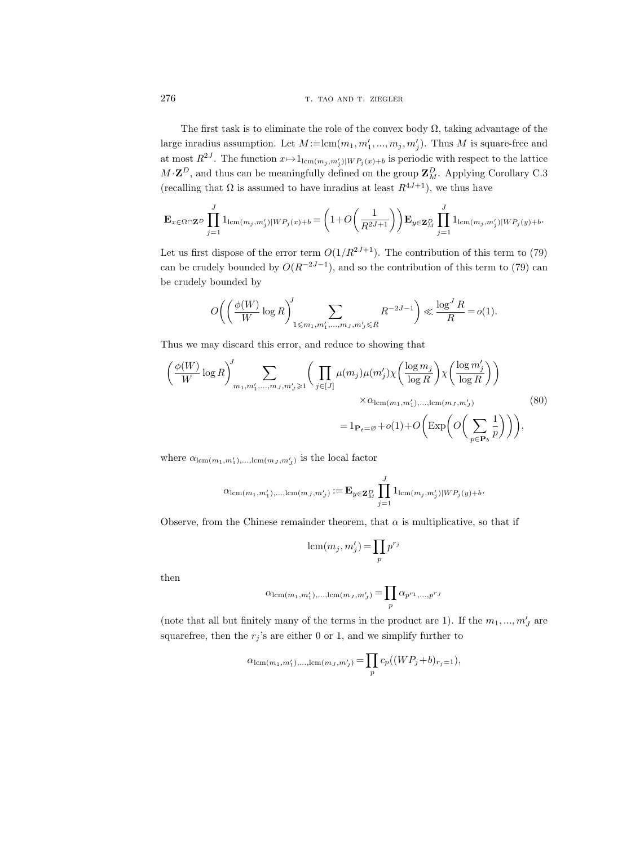# 276 T. TAO AND T. ZIEGLER

The first task is to eliminate the role of the convex body  $\Omega$ , taking advantage of the large inradius assumption. Let  $M := \text{lcm}(m_1, m'_1, ..., m_j, m'_j)$ . Thus M is square-free and at most  $R^{2J}$ . The function  $x \mapsto 1_{\text{lcm}(m_j, m'_j)|WP_j(x)+b}$  is periodic with respect to the lattice  $M \cdot \mathbf{Z}^D$ , and thus can be meaningfully defined on the group  $\mathbf{Z}_M^D$ . Applying Corollary C.3 (recalling that  $\Omega$  is assumed to have inradius at least  $R^{4J+1}$ ), we thus have

$$
\mathbf{E}_{x \in \Omega \cap \mathbf{Z}^D} \prod_{j=1}^J 1_{\text{lcm}(m_j, m'_j)|WP_j(x)+b} = \left(1 + O\left(\frac{1}{R^{2J+1}}\right)\right) \mathbf{E}_{y \in \mathbf{Z}_M^D} \prod_{j=1}^J 1_{\text{lcm}(m_j, m'_j)|WP_j(y)+b}.
$$

Let us first dispose of the error term  $O(1/R^{2J+1})$ . The contribution of this term to (79) can be crudely bounded by  $O(R^{-2J-1})$ , and so the contribution of this term to (79) can be crudely bounded by

$$
O\bigg(\bigg(\frac{\phi(W)}{W}\log R\bigg)^J_{1\leqslant m_1,m_1',\dots,m_J,m_J'\leqslant R}R^{-2J-1}\bigg) \ll \frac{\log^JR}{R} = o(1).
$$

Thus we may discard this error, and reduce to showing that

$$
\left(\frac{\phi(W)}{W}\log R\right)^J_{m_1,m'_1,\dots,m_J,m'_J\geqslant 1} \bigg(\prod_{j\in [J]} \mu(m_j)\mu(m'_j)\chi\left(\frac{\log m_j}{\log R}\right)\chi\left(\frac{\log m'_j}{\log R}\right)\bigg) \times \alpha_{\text{lcm}(m_1,m'_1),\dots,\text{lcm}(m_J,m'_J)} \times \alpha_{\text{lcm}(m_1,m'_1),\dots,\text{lcm}(m_J,m'_J)} \tag{80}
$$
\n
$$
= 1_{\mathbf{P}_t=\varnothing} + o(1) + O\bigg(\text{Exp}\bigg(O\bigg(\sum_{p\in\mathbf{P}_b} \frac{1}{p}\bigg)\bigg)\bigg),
$$

where  $\alpha_{\text{lcm}(m_1,m'_1),\dots,\text{lcm}(m_J,m'_J)}$  is the local factor

$$
\alpha_{\operatorname{lcm}(m_1,m'_1),...,\operatorname{lcm}(m_J,m'_J)} := \mathbf{E}_{y \in \mathbf{Z}_M^D} \prod_{j=1}^J 1_{\operatorname{lcm}(m_j,m'_j) \mid WP_j(y)+b}.
$$

Observe, from the Chinese remainder theorem, that  $\alpha$  is multiplicative, so that if

$$
\operatorname{lcm}(m_j, m'_j) = \prod_p p^{r_j}
$$

then

$$
\alpha_{\operatorname{lcm}(m_1,m_1'),\dots,\operatorname{lcm}(m_J,m_J')}=\prod_p\alpha_{p^{r_1},\dots,p^{r_J}}
$$

(note that all but finitely many of the terms in the product are 1). If the  $m_1, ..., m'_J$  are squarefree, then the  $r_j$ 's are either 0 or 1, and we simplify further to

$$
\alpha_{\text{lcm}(m_1, m'_1), \dots, \text{lcm}(m_J, m'_J)} = \prod_p c_p((WP_j + b)_{r_j = 1}),
$$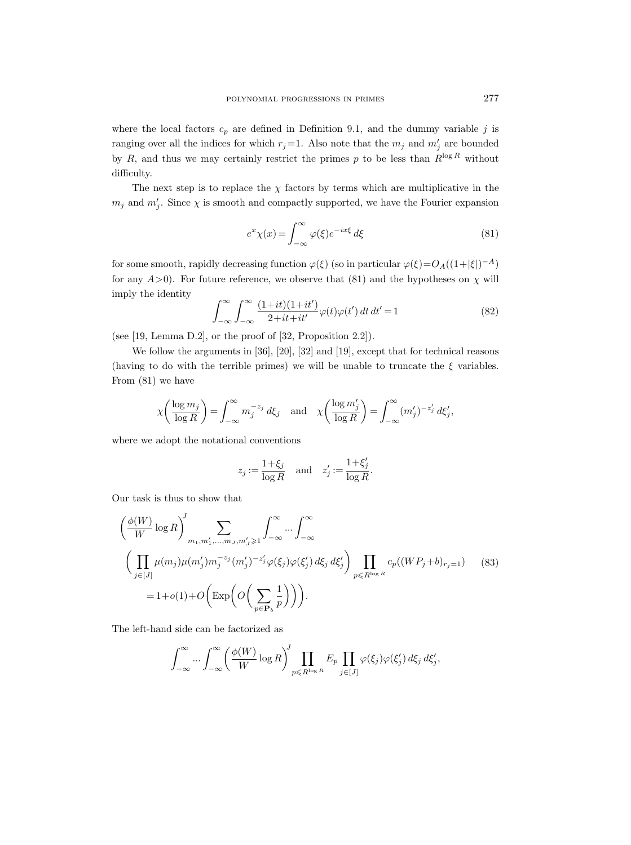where the local factors  $c_p$  are defined in Definition 9.1, and the dummy variable j is ranging over all the indices for which  $r_j = 1$ . Also note that the  $m_j$  and  $m'_j$  are bounded by R, and thus we may certainly restrict the primes p to be less than  $R^{\log R}$  without difficulty.

The next step is to replace the  $\chi$  factors by terms which are multiplicative in the  $m_j$  and  $m'_j$ . Since  $\chi$  is smooth and compactly supported, we have the Fourier expansion

$$
e^x \chi(x) = \int_{-\infty}^{\infty} \varphi(\xi) e^{-ix\xi} d\xi \tag{81}
$$

for some smooth, rapidly decreasing function  $\varphi(\xi)$  (so in particular  $\varphi(\xi) = O_A((1+|\xi|)^{-A})$ for any  $A>0$ ). For future reference, we observe that (81) and the hypotheses on  $\chi$  will imply the identity

$$
\int_{-\infty}^{\infty} \int_{-\infty}^{\infty} \frac{(1+it)(1+it')}{2+it+it'} \varphi(t)\varphi(t') dt dt' = 1
$$
 (82)

(see [19, Lemma D.2], or the proof of [32, Proposition 2.2]).

We follow the arguments in [36], [20], [32] and [19], except that for technical reasons (having to do with the terrible primes) we will be unable to truncate the  $\xi$  variables. From (81) we have

$$
\chi\bigg(\frac{\log m_j}{\log R}\bigg) = \int_{-\infty}^{\infty} m_j^{-z_j} d\xi_j \quad \text{and} \quad \chi\bigg(\frac{\log m_j'}{\log R}\bigg) = \int_{-\infty}^{\infty} (m_j')^{-z_j'} d\xi_j',
$$

where we adopt the notational conventions

$$
z_j := \frac{1+\xi_j}{\log R} \quad \text{and} \quad z_j' := \frac{1+\xi_j'}{\log R}.
$$

Our task is thus to show that

$$
\left(\frac{\phi(W)}{W}\log R\right)^J \sum_{m_1,m'_1,\dots,m_J,m'_J\geq 1} \int_{-\infty}^{\infty} \dots \int_{-\infty}^{\infty}
$$
\n
$$
\left(\prod_{j\in[J]} \mu(m_j)\mu(m'_j)m_j^{-z_j}(m'_j)^{-z'_j}\varphi(\xi_j)\varphi(\xi'_j) d\xi_j d\xi'_j\right) \prod_{p\leq R^{\log R}} c_p((WP_j+b)_{r_j=1}) \tag{83}
$$
\n
$$
= 1 + o(1) + O\left(\exp\left(O\left(\sum_{p\in \mathbf{P}_b} \frac{1}{p}\right)\right)\right).
$$

The left-hand side can be factorized as

$$
\int_{-\infty}^{\infty} \dots \int_{-\infty}^{\infty} \left( \frac{\phi(W)}{W} \log R \right)^J \prod_{p \leq R^{\log R}} E_p \prod_{j \in [J]} \varphi(\xi_j) \varphi(\xi'_j) d\xi_j d\xi'_j,
$$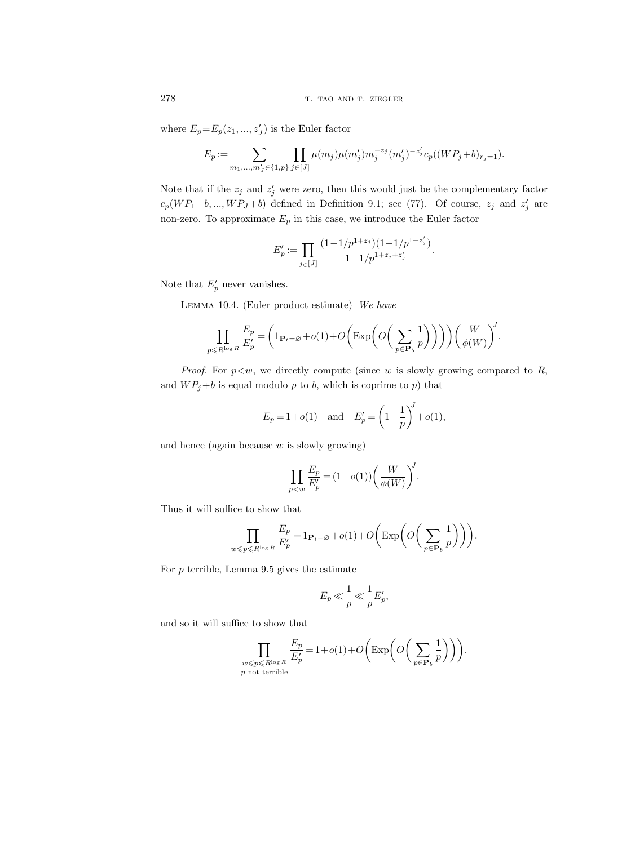where  $E_p = E_p(z_1, ..., z'_J)$  is the Euler factor

$$
E_p := \sum_{m_1,\ldots,m'_j \in \{1,p\}} \prod_{j \in [J]} \mu(m_j) \mu(m'_j) m_j^{-z_j} (m'_j)^{-z'_j} c_p ((WP_j + b)_{r_j = 1}).
$$

Note that if the  $z_j$  and  $z'_j$  were zero, then this would just be the complementary factor  $\bar{c}_p(WP_1+b,\ldots, WP_J+b)$  defined in Definition 9.1; see (77). Of course,  $z_j$  and  $z'_j$  are non-zero. To approximate  $E_p$  in this case, we introduce the Euler factor

$$
E_p' := \prod_{j \in [J]} \frac{(1-1/p^{1+z_j})(1-1/p^{1+z_j'})}{1-1/p^{1+z_j+z_j'}}.
$$

Note that  $E'_p$  never vanishes.

Lemma 10.4. (Euler product estimate) We have

$$
\prod_{p \leq R^{\log R}} \frac{E_p}{E'_p} = \left(1_{\mathbf{P}_t = \varnothing} + o(1) + O\left(\exp\left(O\left(\sum_{p \in \mathbf{P}_b} \frac{1}{p}\right)\right)\right)\right) \left(\frac{W}{\phi(W)}\right)^J.
$$

*Proof.* For  $p \lt w$ , we directly compute (since w is slowly growing compared to R, and  $WP_j+b$  is equal modulo p to b, which is coprime to p) that

$$
E_p = 1 + o(1)
$$
 and  $E'_p = \left(1 - \frac{1}{p}\right)^J + o(1),$ 

and hence (again because  $w$  is slowly growing)

$$
\prod_{p
$$

Thus it will suffice to show that

$$
\prod_{w \leq p \leq R^{\log R}} \frac{E_p}{E'_p} = 1_{\mathbf{P}_t = \varnothing} + o(1) + O\left(\exp\left(O\left(\sum_{p \in \mathbf{P}_b} \frac{1}{p}\right)\right)\right).
$$

For  $p$  terrible, Lemma 9.5 gives the estimate

$$
E_p \ll \frac{1}{p} \ll \frac{1}{p} E'_p,
$$

and so it will suffice to show that

$$
\prod_{\substack{w \leqslant p \leqslant R^{\log R} \\ p \text{ not terrible}}} \frac{E_p}{E'_p} = 1 + o(1) + O\bigg(\text{Exp}\bigg(O\bigg(\sum_{p \in \mathbf{P}_b} \frac{1}{p}\bigg)\bigg)\bigg).
$$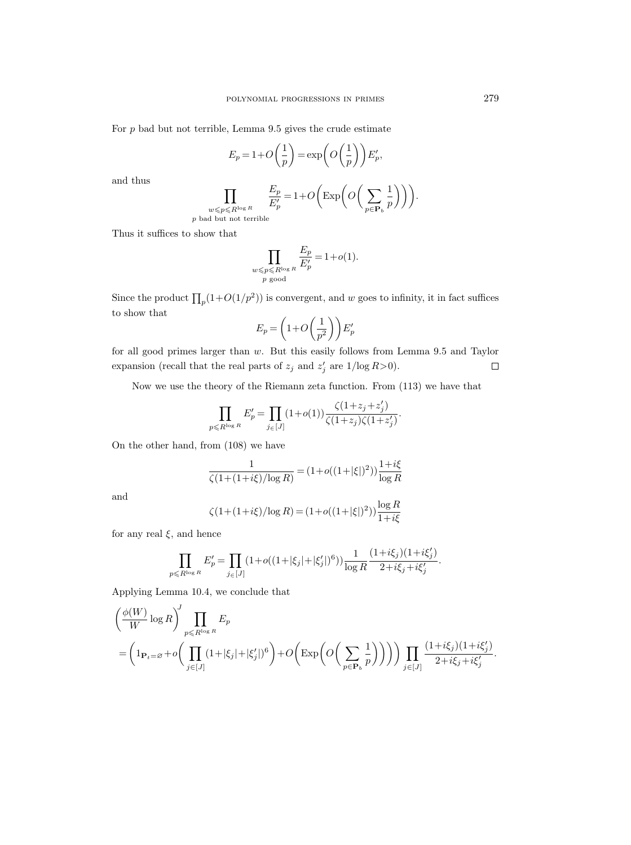For  $p$  bad but not terrible, Lemma 9.5 gives the crude estimate

$$
E_p = 1 + O\left(\frac{1}{p}\right) = \exp\left(O\left(\frac{1}{p}\right)\right) E'_p,
$$

and thus

$$
\prod_{\substack{w\leqslant p\leqslant R^{\log R}\\ p\text{ bad but not terrible}}}\frac{E_p}{E'_p}\!=\!1+O\bigg(\text{Exp}\bigg(O\bigg(\sum_{p\in \mathbf{P}_b}\frac{1}{p}\bigg)\bigg)\bigg).
$$

Thus it suffices to show that

$$
\prod_{\substack{w \leqslant p \leqslant R^{\log R} \\ p \text{ good}}} \frac{E_p}{E'_p} = 1 + o(1).
$$

Since the product  $\prod_p(1+O(1/p^2))$  is convergent, and w goes to infinity, it in fact suffices to show that

$$
E_p = \left(1 + O\left(\frac{1}{p^2}\right)\right) E'_p
$$

for all good primes larger than w. But this easily follows from Lemma 9.5 and Taylor  $\Box$ expansion (recall that the real parts of  $z_j$  and  $z'_j$  are  $1/\log R>0$ ).

Now we use the theory of the Riemann zeta function. From (113) we have that

$$
\prod_{p\leq R^{\log R}} E'_p = \prod_{j\in [J]} (1+o(1)) \frac{\zeta(1+z_j+z'_j)}{\zeta(1+z_j)\zeta(1+z'_j)}.
$$

On the other hand, from (108) we have

$$
\frac{1}{\zeta(1+(1+i\xi)/\log R)} = (1+o((1+|\xi|)^2)) \frac{1+i\xi}{\log R}
$$

and

$$
\zeta(1+(1+i\xi)/\log R) = (1+o((1+|\xi|)^2))\frac{\log R}{1+i\xi}
$$

for any real  $\xi$ , and hence

$$
\prod_{p\leqslant R^{\log R}} E'_p = \prod_{j\in [J]} (1+o((1+|\xi_j|+|\xi'_j|)^6)) \frac{1}{\log R} \frac{(1+i\xi_j)(1+i\xi'_j)}{2+i\xi_j+i\xi'_j}.
$$

Applying Lemma 10.4, we conclude that

$$
\left(\frac{\phi(W)}{W}\log R\right)^J \prod_{p\leq R^{\log R}} E_p
$$
\n
$$
= \left(1_{\mathbf{P}_t = \varnothing} + o\left(\prod_{j\in [J]} (1 + |\xi_j| + |\xi'_j|)^6\right) + O\left(\exp\left(O\left(\sum_{p\in \mathbf{P}_b} \frac{1}{p}\right)\right)\right)\right) \prod_{j\in [J]} \frac{(1 + i\xi_j)(1 + i\xi'_j)}{2 + i\xi_j + i\xi'_j}
$$

.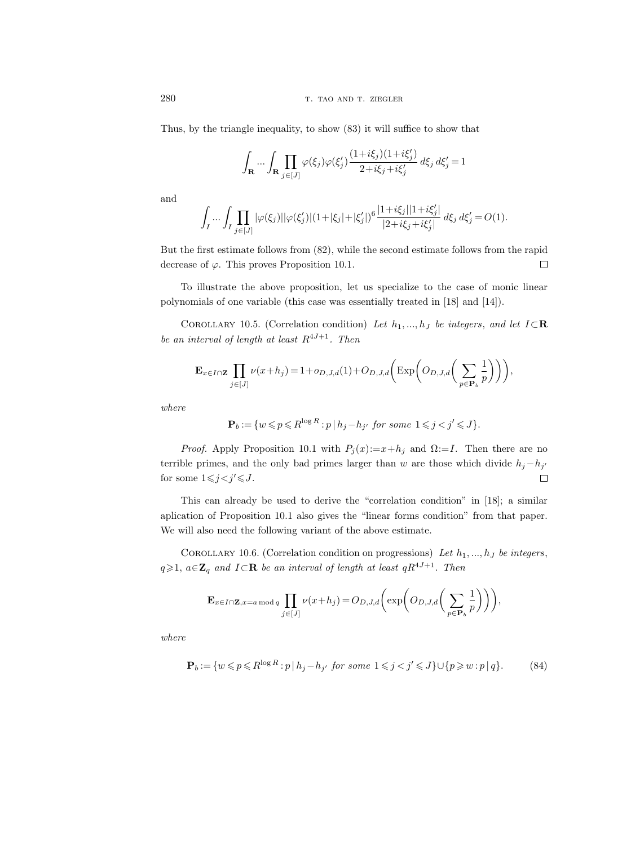Thus, by the triangle inequality, to show (83) it will suffice to show that

$$
\int_{\mathbf{R}} \dots \int_{\mathbf{R}} \prod_{j \in [J]} \varphi(\xi_j) \varphi(\xi_j') \frac{(1 + i\xi_j)(1 + i\xi_j')}{2 + i\xi_j + i\xi_j'} d\xi_j d\xi_j' = 1
$$

and

$$
\int_{I} \cdots \int_{I} \prod_{j \in [J]} |\varphi(\xi_j)| |\varphi(\xi_j')| (1 + |\xi_j| + |\xi_j'|)^6 \frac{|1 + i\xi_j| |1 + i\xi_j'|}{|2 + i\xi_j + i\xi_j'|} d\xi_j d\xi_j' = O(1).
$$

But the first estimate follows from (82), while the second estimate follows from the rapid decrease of  $\varphi$ . This proves Proposition 10.1.  $\Box$ 

To illustrate the above proposition, let us specialize to the case of monic linear polynomials of one variable (this case was essentially treated in [18] and [14]).

COROLLARY 10.5. (Correlation condition) Let  $h_1, ..., h_J$  be integers, and let  $I \subset \mathbb{R}$ be an interval of length at least  $R^{4J+1}$ . Then

$$
\mathbf{E}_{x \in I \cap \mathbf{Z}} \prod_{j \in [J]} \nu(x+h_j) = 1 + o_{D,J,d}(1) + O_{D,J,d}\bigg(\exp\bigg(O_{D,J,d}\bigg(\sum_{p \in \mathbf{P}_b} \frac{1}{p}\bigg)\bigg)\bigg),
$$

where

$$
\mathbf{P}_b := \{ w \leqslant p \leqslant R^{\log R} : p \mid h_j - h_{j'} \text{ for some } 1 \leqslant j < j' \leqslant J \}.
$$

*Proof.* Apply Proposition 10.1 with  $P_j(x) := x + h_j$  and  $\Omega := I$ . Then there are no terrible primes, and the only bad primes larger than w are those which divide  $h_j - h_{j'}$ for some  $1\leqslant j < j' \leqslant J$ .  $\Box$ 

This can already be used to derive the "correlation condition" in [18]; a similar aplication of Proposition 10.1 also gives the "linear forms condition" from that paper. We will also need the following variant of the above estimate.

COROLLARY 10.6. (Correlation condition on progressions) Let  $h_1, ..., h_J$  be integers,  $q \geq 1$ ,  $a \in \mathbb{Z}_q$  and  $I \subset \mathbb{R}$  be an interval of length at least  $qR^{4J+1}$ . Then

$$
\mathbf{E}_{x \in I \cap \mathbf{Z}, x=a \bmod q} \prod_{j \in [J]} \nu(x+h_j) = O_{D,J,d}\bigg(\exp\bigg(O_{D,J,d}\bigg(\sum_{p \in \mathbf{P}_b} \frac{1}{p}\bigg)\bigg)\bigg),
$$

where

$$
\mathbf{P}_b := \{ w \leqslant p \leqslant R^{\log R} : p \mid h_j - h_{j'} \text{ for some } 1 \leqslant j < j' \leqslant J \} \cup \{ p \geqslant w : p \mid q \}. \tag{84}
$$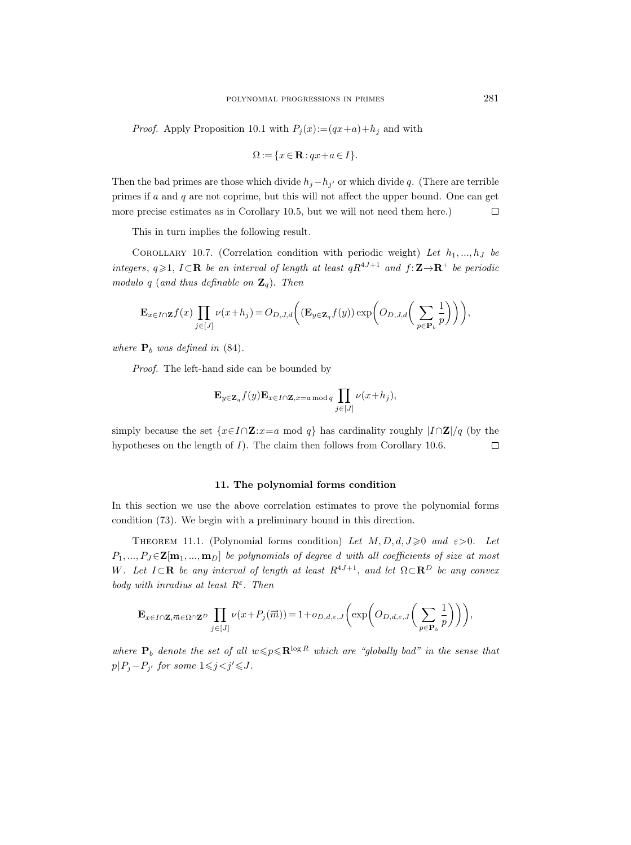*Proof.* Apply Proposition 10.1 with  $P_i(x) := (qx+a)+h_i$  and with

$$
\Omega := \{ x \in \mathbf{R} : qx + a \in I \}.
$$

Then the bad primes are those which divide  $h_j - h_{j'}$  or which divide q. (There are terrible primes if  $a$  and  $q$  are not coprime, but this will not affect the upper bound. One can get more precise estimates as in Corollary 10.5, but we will not need them here.)  $\Box$ 

This in turn implies the following result.

COROLLARY 10.7. (Correlation condition with periodic weight) Let  $h_1, ..., h_J$  be integers,  $q \geq 1$ ,  $I \subset \mathbb{R}$  be an interval of length at least  $qR^{4J+1}$  and  $f: \mathbb{Z} \rightarrow \mathbb{R}^+$  be periodic modulo q (and thus definable on  $\mathbf{Z}_q$ ). Then

$$
\mathbf{E}_{x \in I \cap \mathbf{Z}} f(x) \prod_{j \in [J]} \nu(x+h_j) = O_{D,J,d}\bigg((\mathbf{E}_{y \in \mathbf{Z}_q} f(y)) \exp\bigg(O_{D,J,d}\bigg(\sum_{p \in \mathbf{P}_b} \frac{1}{p}\bigg)\bigg)\bigg),
$$

where  $P_b$  was defined in (84).

Proof. The left-hand side can be bounded by

$$
\mathbf{E}_{y \in \mathbf{Z}_q} f(y) \mathbf{E}_{x \in I \cap \mathbf{Z}, x = a \bmod q} \prod_{j \in [J]} \nu(x + h_j),
$$

simply because the set  $\{x \in I \cap \mathbf{Z} : x = a \mod q\}$  has cardinality roughly  $|I \cap \mathbf{Z}|/q$  (by the hypotheses on the length of  $I$ ). The claim then follows from Corollary 10.6.  $\Box$ 

# 11. The polynomial forms condition

In this section we use the above correlation estimates to prove the polynomial forms condition (73). We begin with a preliminary bound in this direction.

THEOREM 11.1. (Polynomial forms condition) Let  $M, D, d, J \geq 0$  and  $\varepsilon > 0$ . Let  $P_1, ..., P_J \in \mathbf{Z[m_1, ..., m_D]}$  be polynomials of degree d with all coefficients of size at most W. Let  $I \subset \mathbf{R}$  be any interval of length at least  $R^{4J+1}$ , and let  $\Omega \subset \mathbf{R}^D$  be any convex body with inradius at least  $R^{\varepsilon}$ . Then

$$
\mathbf{E}_{x \in I \cap \mathbf{Z}, \overrightarrow{m} \in \Omega \cap \mathbf{Z}^D} \prod_{j \in [J]} \nu(x + P_j(\overrightarrow{m})) = 1 + o_{D,d,\varepsilon,J}\left(\exp\left(O_{D,d,\varepsilon,J}\left(\sum_{p \in \mathbf{P}_b} \frac{1}{p}\right)\right)\right),
$$

where  $P_b$  denote the set of all  $w \leqslant p \leqslant \mathbb{R}^{\log R}$  which are "globally bad" in the sense that  $p|P_j - P_{j'}$  for some  $1 \leq j < j' \leq J$ .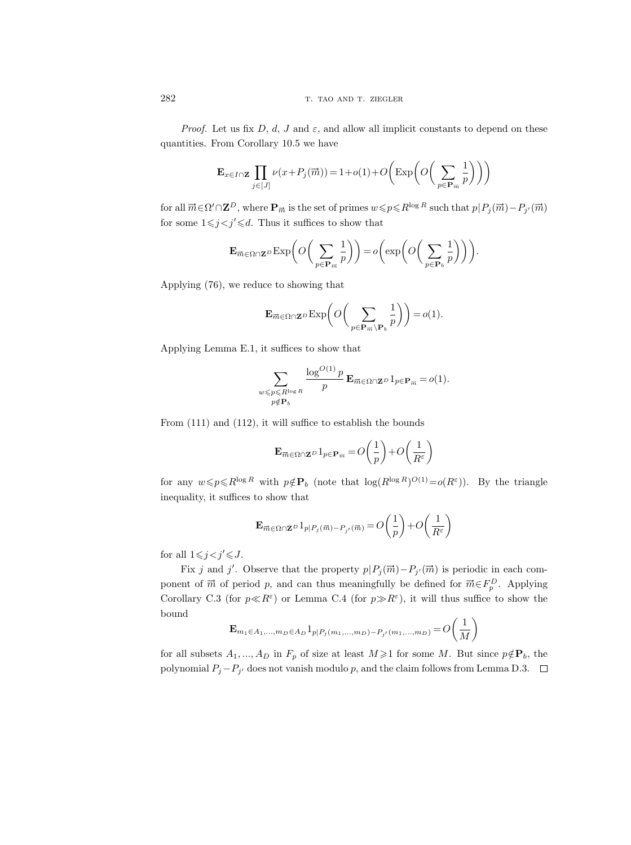*Proof.* Let us fix D, d, J and  $\varepsilon$ , and allow all implicit constants to depend on these quantities. From Corollary 10.5 we have

$$
\mathbf{E}_{x \in I \cap \mathbf{Z}} \prod_{j \in [J]} \nu(x + P_j(\vec{m})) = 1 + o(1) + O\left(\exp\left(O\left(\sum_{p \in \mathbf{P}_{\vec{m}}} \frac{1}{p}\right)\right)\right)
$$

for all  $\vec{m} \in \Omega' \cap \mathbf{Z}^D$ , where  $\mathbf{P}_{\vec{m}}$  is the set of primes  $w \leqslant p \leqslant R^{\log R}$  such that  $p|P_j(\vec{m}) - P_{j'}(\vec{m})$ for some  $1 \leq j < j' \leq d$ . Thus it suffices to show that

$$
\mathbf{E}_{\overrightarrow{m}\in\Omega\cap\mathbf{Z}^D}\mathrm{Exp}\bigg(O\bigg(\sum_{p\in\mathbf{P}_{\overrightarrow{n}}}\frac{1}{p}\bigg)\bigg)=o\bigg(\exp\bigg(O\bigg(\sum_{p\in\mathbf{P}_{b}}\frac{1}{p}\bigg)\bigg)\bigg).
$$

Applying (76), we reduce to showing that

$$
\mathbf{E}_{\overrightarrow{m}\in\Omega\cap\mathbf{Z}^D}\mathrm{Exp}\bigg(O\bigg(\sum_{p\in\mathbf{P}_{\overrightarrow{m}}\backslash\mathbf{P}_{b}}\frac{1}{p}\bigg)\bigg)=o(1).
$$

Applying Lemma E.1, it suffices to show that

$$
\sum_{\substack{w \leqslant p \leqslant R^{\log R} \\ p \notin \mathbf{P}_b}} \frac{\log^{O(1)} p}{p} \mathbf{E}_{\vec{m} \in \Omega \cap \mathbf{Z}^D} 1_{p \in \mathbf{P}_{\vec{m}}} = o(1).
$$

From (111) and (112), it will suffice to establish the bounds

$$
\mathbf{E}_{\overrightarrow{m} \in \Omega \cap \mathbf{Z}^D} 1_{p \in \mathbf{P}_{\overrightarrow{m}}} = O\bigg(\frac{1}{p}\bigg) + O\bigg(\frac{1}{R^{\varepsilon}}\bigg)
$$

for any  $w \leq p \leq R^{\log R}$  with  $p \notin \mathbf{P}_b$  (note that  $\log(R^{\log R})^{O(1)} = o(R^{\varepsilon})$ ). By the triangle inequality, it suffices to show that

$$
\mathbf{E}_{\overrightarrow{m}\in \Omega\cap \mathbf{Z}^D}1_{p|P_j(\overrightarrow{m})-P_{j'}(\overrightarrow{m})}=O\bigg(\frac{1}{p}\bigg)+O\bigg(\frac{1}{R^{\varepsilon}}\bigg)
$$

for all  $1\leq j < j' \leq J$ .

Fix j and j'. Observe that the property  $p|P_j(\vec{m})-P_{j'}(\vec{m})$  is periodic in each component of  $\vec{m}$  of period p, and can thus meaningfully be defined for  $\vec{m} \in F_p^D$ . Applying Corollary C.3 (for  $p \ll R^{\varepsilon}$ ) or Lemma C.4 (for  $p \gg R^{\varepsilon}$ ), it will thus suffice to show the bound

$$
\mathbf{E}_{m_1 \in A_1, \dots, m_D \in A_D} 1_{p|P_j(m_1, \dots, m_D) - P_{j'}(m_1, \dots, m_D)} = O\left(\frac{1}{M}\right)
$$

for all subsets  $A_1, ..., A_D$  in  $F_p$  of size at least  $M \geq 1$  for some M. But since  $p \notin \mathbf{P}_b$ , the polynomial  $P_j - P_{j'}$  does not vanish modulo p, and the claim follows from Lemma D.3.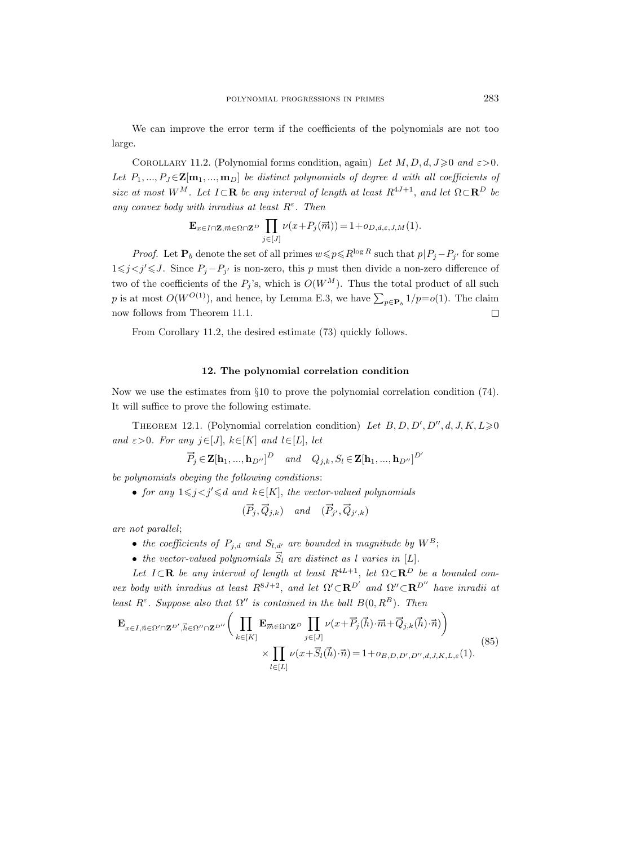We can improve the error term if the coefficients of the polynomials are not too large.

COROLLARY 11.2. (Polynomial forms condition, again) Let  $M, D, d, J \geq 0$  and  $\varepsilon > 0$ . Let  $P_1, ..., P_J \in \mathbf{Z[m_1, ..., m_D]}$  be distinct polynomials of degree d with all coefficients of size at most W<sup>M</sup>. Let  $I \subset \mathbf{R}$  be any interval of length at least  $R^{4J+1}$ , and let  $\Omega \subset \mathbf{R}^D$  be any convex body with inradius at least  $R^{\varepsilon}$ . Then<br>  $\mathbf{E}_{x \in I \cap \mathbf{Z}, \overline{m} \in \Omega \cap \mathbf{Z}^D}$   $\prod v(x + P_j(\overline{r}_j))$ 

$$
\mathbf{E}_{x \in I \cap \mathbf{Z}, \overrightarrow{m} \in \Omega \cap \mathbf{Z}^D} \prod_{j \in [J]} \nu(x + P_j(\overrightarrow{m})) = 1 + o_{D,d,\varepsilon,J,M}(1).
$$

*Proof.* Let  $P_b$  denote the set of all primes  $w \leqslant p \leq R^{\log R}$  such that  $p|P_j - P_{j'}$  for some  $1\leq j < j' \leq J$ . Since  $P_j - P_{j'}$  is non-zero, this p must then divide a non-zero difference of two of the coefficients of the  $P_i$ 's, which is  $O(W^M)$ . Thus the total product of all such p is at most  $O(W^{O(1)})$ , and hence, by Lemma E.3, we have  $\sum_{p \in \mathbf{P}_b} 1/p = o(1)$ . The claim now follows from Theorem 11.1.  $\Box$ 

From Corollary 11.2, the desired estimate (73) quickly follows.

#### 12. The polynomial correlation condition

Now we use the estimates from §10 to prove the polynomial correlation condition (74). It will suffice to prove the following estimate.

THEOREM 12.1. (Polynomial correlation condition) Let  $B, D, D', D'', d, J, K, L \geq 0$ and  $\varepsilon > 0$ . For any  $j \in [J], k \in [K]$  and  $l \in [L], let$ 

$$
\overrightarrow{P}_j \in \mathbf{Z}[\mathbf{h}_1, ..., \mathbf{h}_{D''}]^D \quad and \quad Q_{j,k}, S_l \in \mathbf{Z}[\mathbf{h}_1, ..., \mathbf{h}_{D''}]^{D'}
$$

be polynomials obeying the following conditions:

• for any  $1 \leq j < j' \leq d$  and  $k \in [K]$ , the vector-valued polynomials

$$
(\vec{P}_j, \vec{Q}_{j,k}) \quad and \quad (\vec{P}_{j'}, \vec{Q}_{j',k})
$$

are not parallel;

- the coefficients of  $P_{j,d}$  and  $S_{l,d'}$  are bounded in magnitude by  $W^B$ ;
- the vector-valued polynomials  $\vec{S}_l$  are distinct as l varies in [L].

Let  $I \subset \mathbf{R}$  be any interval of length at least  $R^{4L+1}$ , let  $\Omega \subset \mathbf{R}^D$  be a bounded convex body with inradius at least  $R^{8J+2}$ , and let  $\Omega' \subset \mathbb{R}^{D'}$  and  $\Omega'' \subset \mathbb{R}^{D''}$  have inradii at least  $R^{\varepsilon}$ . Suppose also that  $\Omega''$  is contained in the ball  $B(0, R^{B})$ . Then

$$
\mathbf{E}_{x \in I, \vec{n} \in \Omega' \cap \mathbf{Z}^{D'}, \vec{h} \in \Omega'' \cap \mathbf{Z}^{D''}} \bigg( \prod_{k \in [K]} \mathbf{E}_{\vec{m} \in \Omega \cap \mathbf{Z}^{D}} \prod_{j \in [J]} \nu(x + \vec{P}_j(\vec{h}) \cdot \vec{m} + \vec{Q}_{j,k}(\vec{h}) \cdot \vec{n}) \bigg) \times \prod_{l \in [L]} \nu(x + \vec{S}_l(\vec{h}) \cdot \vec{n}) = 1 + o_{B,D,D',D'',d,J,K,L,\epsilon}(1).
$$
\n(85)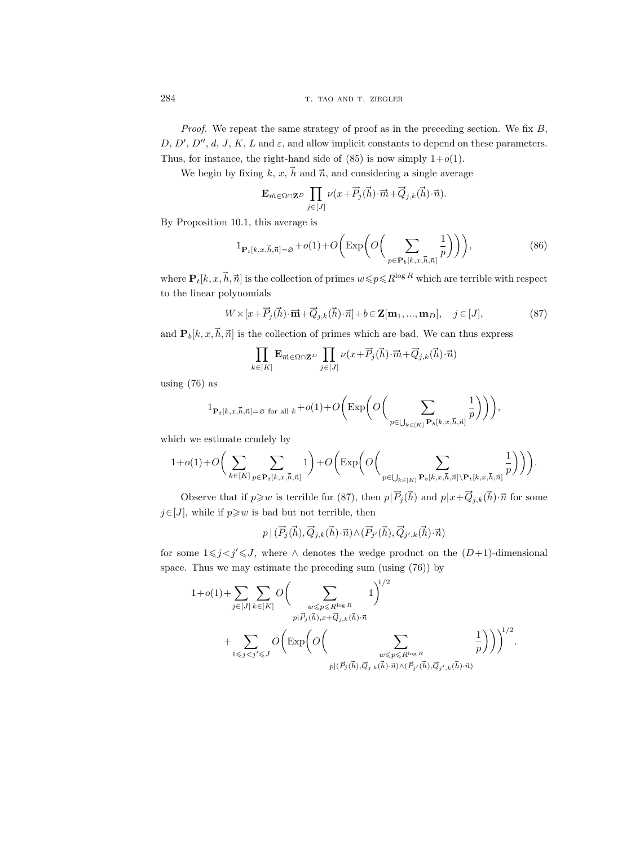*Proof.* We repeat the same strategy of proof as in the preceding section. We fix  $B$ ,  $D, D', D'', d, J, K, L$  and  $\varepsilon$ , and allow implicit constants to depend on these parameters. Thus, for instance, the right-hand side of  $(85)$  is now simply  $1+o(1)$ .

We begin by fixing k, x,  $\vec{h}$  and  $\vec{n}$ , and considering a single average

$$
\mathbf{E}_{\vec{m}\in\Omega\cap\mathbf{Z}^D}\prod_{j\in[J]} \nu(x+\vec{P}_j(\vec{h})\cdot\vec{m}+\vec{Q}_{j,k}(\vec{h})\cdot\vec{n}).
$$

By Proposition 10.1, this average is

$$
1_{\mathbf{P}_t[k,x,\vec{h},\vec{n}]=\varnothing} + o(1) + O\bigg(\exp\bigg(O\bigg(\sum_{p \in \mathbf{P}_b[k,x,\vec{h},\vec{n}]} \frac{1}{p}\bigg)\bigg)\bigg),\tag{86}
$$

where  $\mathbf{P}_t[k, x, \vec{h}, \vec{n}]$  is the collection of primes  $w \leq p \leq R^{\log R}$  which are terrible with respect to the linear polynomials

$$
W \times [x + \overrightarrow{P}_j(\overrightarrow{h}) \cdot \overrightarrow{m} + \overrightarrow{Q}_{j,k}(\overrightarrow{h}) \cdot \overrightarrow{n}] + b \in \mathbf{Z[m_1, ..., m_D]}, \quad j \in [J],
$$
 (87)

and  $\mathbf{P}_b[k, x, \vec{h}, \vec{n}]$  is the collection of primes which are bad. We can thus express

$$
\prod_{k \in [K]} \mathbf{E}_{\vec{m} \in \Omega \cap \mathbf{Z}^D} \prod_{j \in [J]} \nu(x + \vec{P}_j(\vec{h}) \cdot \vec{m} + \vec{Q}_{j,k}(\vec{h}) \cdot \vec{n})
$$

using (76) as

$$
1_{\mathbf{P}_t[k,x,\vec{h},\vec{n}]=\varnothing\text{ for all }k}+o(1)+O\bigg(\text{Exp}\bigg(O\bigg(\sum_{p\in\bigcup_{k\in[K]}\mathbf{P}_b[k,x,\vec{h},\vec{n}]} \frac{1}{p}\bigg)\bigg)\bigg),
$$

which we estimate crudely by

$$
1+o(1)+O\bigg(\sum_{k\in[K]}\sum_{p\in\mathbf{P}_t[k,x,\vec{h},\vec{n}]}1\bigg)+O\bigg(\text{Exp}\bigg(O\bigg(\sum_{p\in\bigcup_{k\in[K]}\mathbf{P}_b[k,x,\vec{h},\vec{n}]\setminus\mathbf{P}_t[k,x,\vec{h},\vec{n}]} \frac{1}{p}\bigg)\bigg)\bigg).
$$

Observe that if  $p \geq w$  is terrible for (87), then  $p|\vec{P}_j(\vec{h})$  and  $p|x+\vec{Q}_{j,k}(\vec{h})\cdot\vec{n}$  for some  $j\in[J]$ , while if  $p\geq w$  is bad but not terrible, then

$$
p \,|\, (\overrightarrow{P}_{j}(\vec{h}),\overrightarrow{Q}_{j,k}(\vec{h})\!\cdot\!\vec{n}) \,\wedge\, (\overrightarrow{P}_{j'}(\vec{h}),\overrightarrow{Q}_{j',k}(\vec{h})\!\cdot\!\vec{n})
$$

for some  $1 \leq j < j' \leq J$ , where ∧ denotes the wedge product on the  $(D+1)$ -dimensional space. Thus we may estimate the preceding sum (using (76)) by

$$
\begin{split}1+o(1)+&\sum_{j\in[J]}\sum_{k\in[K]}O\bigg(\sum_{\substack{w\leqslant p\leqslant R^{\log R}\\ p|\vec{P}_j(\vec{h}),x+\vec{Q}_{j,k}(\vec{h})\cdot\vec{n}}1}\bigg)^{1/2}\\ &+\sum_{1\leqslant j
$$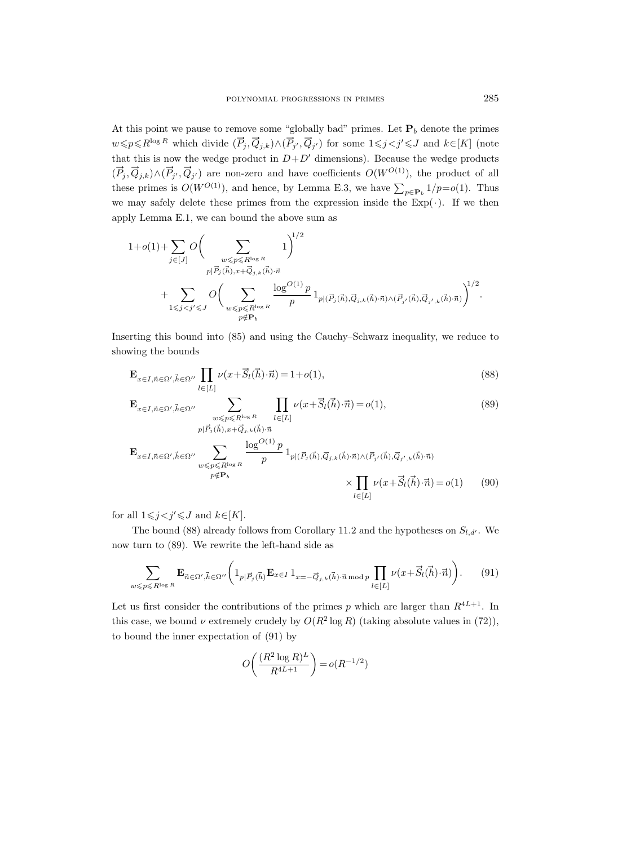At this point we pause to remove some "globally bad" primes. Let  $P_b$  denote the primes  $w \leqslant p \leq R^{\log R}$  which divide  $(\vec{P}_j, \vec{Q}_{j,k}) \wedge (\vec{P}_{j'}, \vec{Q}_{j'})$  for some  $1 \leqslant j < j' \leqslant J$  and  $k \in [K]$  (note that this is now the wedge product in  $D+D'$  dimensions). Because the wedge products  $(\vec{P}_j, \vec{Q}_{j,k}) \wedge (\vec{P}_{j'}, \vec{Q}_{j'})$  are non-zero and have coefficients  $O(W^{O(1)})$ , the product of all these primes is  $O(W^{O(1)})$ , and hence, by Lemma E.3, we have  $\sum_{p \in \mathbf{P}_b} 1/p = o(1)$ . Thus we may safely delete these primes from the expression inside the  $Exp(\cdot)$ . If we then apply Lemma E.1, we can bound the above sum as

$$
\begin{split}1+o(1)+&\sum_{j\in[J]}\mathit{O}\bigg(\sum_{\substack{w\leqslant p\leqslant R^{\log R}\\ p|\vec{P}_j(\vec{h}),x+\vec{Q}_{j,k}(\vec{h})\cdot\vec{n}\\ +\sum_{1\leqslant j
$$

Inserting this bound into (85) and using the Cauchy–Schwarz inequality, we reduce to showing the bounds

$$
\mathbf{E}_{x \in I, \vec{n} \in \Omega', \vec{h} \in \Omega''} \prod_{l \in [L]} \nu(x + \vec{S}_l(\vec{h}) \cdot \vec{n}) = 1 + o(1),\tag{88}
$$

$$
\mathbf{E}_{x \in I, \vec{n} \in \Omega', \vec{h} \in \Omega''} \sum_{\substack{w \le p \le R^{\log R} \\ p|\vec{P}_j(\vec{h}), x + \vec{Q}_{j,k}(\vec{h}) \cdot \vec{n}}} \prod_{l \in [L]} \nu(x + \vec{S}_l(\vec{h}) \cdot \vec{n}) = o(1),
$$
\n(89)

$$
\mathbf{E}_{x \in I, \vec{n} \in \Omega', \vec{h} \in \Omega''} \sum_{\substack{w \leq p \leq R^{\log R} \\ p \notin \mathbf{P}_b}} \frac{\log^{O(1)} p}{p} 1_{p | (\vec{P}_j(\vec{h}), \vec{Q}_{j,k}(\vec{h}) \cdot \vec{n}) \wedge (\vec{P}_{j'}(\vec{h}), \vec{Q}_{j',k}(\vec{h}) \cdot \vec{n})} \times \prod_{l \in [L]} \nu(x + \vec{S}_l(\vec{h}) \cdot \vec{n}) = o(1) \tag{90}
$$

for all  $1\leq j < j' \leq J$  and  $k\in[K]$ .

The bound (88) already follows from Corollary 11.2 and the hypotheses on  $S_{l,d'}$ . We now turn to (89). We rewrite the left-hand side as

$$
\sum_{w \leqslant p \leqslant R^{\log R}} \mathbf{E}_{\vec{n} \in \Omega', \vec{h} \in \Omega''} \bigg( 1_{p | \vec{P}_j(\vec{h})} \mathbf{E}_{x \in I} \, 1_{x = -\vec{Q}_{j,k}(\vec{h}) \cdot \vec{n} \bmod p} \prod_{l \in [L]} \nu(x + \vec{S}_l(\vec{h}) \cdot \vec{n}) \bigg). \tag{91}
$$

Let us first consider the contributions of the primes p which are larger than  $R^{4L+1}$ . In this case, we bound  $\nu$  extremely crudely by  $O(R^2 \log R)$  (taking absolute values in (72)), to bound the inner expectation of (91) by

$$
O\left(\frac{(R^2 \log R)^L}{R^{4L+1}}\right) = o(R^{-1/2})
$$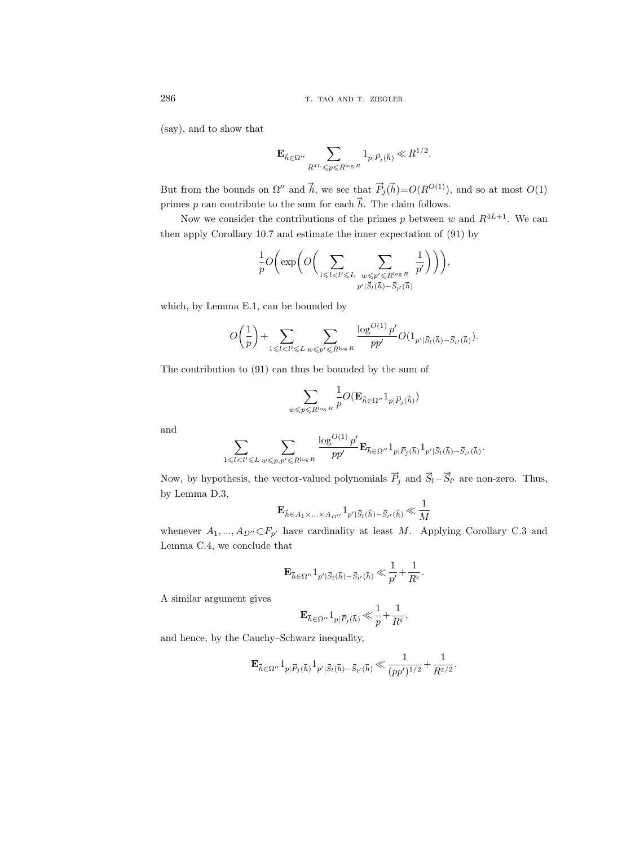(say), and to show that

$$
\mathbf{E}_{\vec{h}\in \Omega^{\prime\prime}}\sum_{R^{4L}\leqslant p\leqslant R^{\log R}}\mathbf{1}_{p|\vec{P}_j(\vec{h})}\ll R^{1/2}.
$$

But from the bounds on  $\Omega''$  and  $\vec{h}$ , we see that  $\vec{P}_j(\vec{h})=O(R^{O(1)})$ , and so at most  $O(1)$ primes  $p$  can contribute to the sum for each  $\vec{h}.$  The claim follows.

Now we consider the contributions of the primes p between w and  $R^{4L+1}$ . We can then apply Corollary 10.7 and estimate the inner expectation of (91) by

$$
\frac{1}{p} O\bigg( \exp\bigg( O\bigg( \sum_{1 \leqslant l < l' \leqslant L} \ \sum_{\substack{w \leqslant p' \leqslant R^{\log R} \\ p' \mid \vec{S}_l(\vec{h}) - \vec{S}_{l'}(\vec{h})}} \frac{1}{p'} \bigg) \bigg) \bigg),
$$

which, by Lemma E.1, can be bounded by

$$
O\bigg(\frac{1}{p}\bigg)+\sum_{1\leqslant l< l'\leqslant L}\sum_{w\leqslant p'\leqslant R^{\log R}}\frac{\log^{O(1)} p'}{pp'}O(1_{p'|\vec{S}_l(\vec{h})-\vec{S}_{l'}(\vec{h})}).
$$

The contribution to (91) can thus be bounded by the sum of

$$
\sum_{w \leqslant p \leqslant R^{\log R}} \frac{1}{p} O(\mathbf{E}_{\vec{h} \in \Omega^{\prime \prime}} \mathbf{1}_{p | \vec{P}_j(\vec{h})})
$$

and

$$
\sum_{1\leqslant l < l' \leqslant L} \sum_{w \leqslant p, p' \leqslant R^{\log R}} \frac{\log^{O(1)} p'}{pp'} \mathbf{E}_{\vec{h} \in \Omega''} 1_{p | \vec{P}_j(\vec{h})} 1_{p' | \vec{S}_l(\vec{h}) - \vec{S}_{l'}(\vec{h})}.
$$

Now, by hypothesis, the vector-valued polynomials  $\vec{P}_j$  and  $\vec{S}_l - \vec{S}_{l'}$  are non-zero. Thus, by Lemma D.3,

$$
\mathbf{E}_{\vec{h}\in A_1\times\ldots\times A_{D''}}1_{p'|\vec{S}_l(\vec{h})-\vec{S}_{l'}(\vec{h})}\ll\frac{1}{M}
$$

whenever  $A_1, ..., A_{D'} \subset F_{p'}$  have cardinality at least M. Applying Corollary C.3 and Lemma C.4, we conclude that

$$
\mathbf{E}_{\vec{h}\in\Omega''}\mathbf{1}_{p'|\vec{S}_l(\vec{h})-\vec{S}_{l'}(\vec{h})}\ll\frac{1}{p'}+\frac{1}{R^{\varepsilon}}.
$$

A similar argument gives

$$
\mathbf{E}_{\vec{h}\in \Omega^{\prime\prime}}\mathbf{1}_{p|\vec{P}_j(\vec{h})}\ll \frac{1}{p}\!+\!\frac{1}{R^{\varepsilon}},
$$

and hence, by the Cauchy–Schwarz inequality,

$$
\mathbf{E}_{\vec{h}\in\Omega''}1_{p|\vec{P}_j(\vec{h})}1_{p'|\vec{S}_l(\vec{h})-\vec{S}_{l'}(\vec{h})} \ll \frac{1}{(pp')^{1/2}} + \frac{1}{R^{\varepsilon/2}}.
$$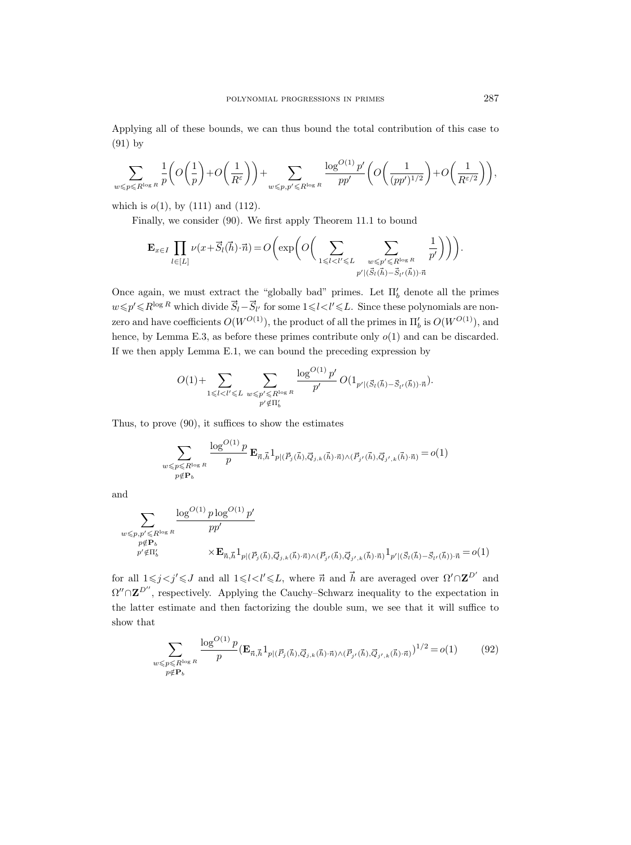Applying all of these bounds, we can thus bound the total contribution of this case to (91) by

$$
\sum_{w \leqslant p \leqslant R^{\log R}} \frac{1}{p} \bigg( O \bigg( \frac{1}{p} \bigg) + O \bigg( \frac{1}{R^{\varepsilon}} \bigg) \bigg) + \sum_{w \leqslant p, p' \leqslant R^{\log R}} \frac{\log^{O(1)} p'}{p p'} \bigg( O \bigg( \frac{1}{(p p')^{1/2}} \bigg) + O \bigg( \frac{1}{R^{\varepsilon/2}} \bigg) \bigg),
$$

which is  $o(1)$ , by  $(111)$  and  $(112)$ .

Finally, we consider (90). We first apply Theorem 11.1 to bound

$$
\mathbf{E}_{x \in I} \prod_{l \in [L]} \nu(x + \vec{S}_l(\vec{h}) \cdot \vec{n}) = O\left(\exp\left(O\left(\sum_{1 \leq l < l' \leq L} \sum_{\substack{w \leq p' \leq R^{\log R} \\ p' \mid (\vec{S}_l(\vec{h}) - \vec{S}_{l'}(\vec{h})) \cdot \vec{n}}} \frac{1}{p'}\right)\right)\right).
$$

Once again, we must extract the "globally bad" primes. Let  $\Pi'_{b}$  denote all the primes  $w \leq p' \leq R^{\log R}$  which divide  $\overrightarrow{S}_l - \overrightarrow{S}_{l'}$  for some  $1 \leq l < l' \leq L$ . Since these polynomials are nonzero and have coefficients  $O(W^{O(1)})$ , the product of all the primes in  $\Pi_b'$  is  $O(W^{O(1)})$ , and hence, by Lemma E.3, as before these primes contribute only  $o(1)$  and can be discarded. If we then apply Lemma E.1, we can bound the preceding expression by

$$
O(1) + \sum_{1 \leq l < l' \leq L} \sum_{\substack{w \leq p' \leq R^{\log R} \\ p' \notin \Pi'_b}} \frac{\log^{O(1)} p'}{p'} O(1_{p' | (\vec{S}_l(\vec{h}) - \vec{S}_{l'}(\vec{h})) \cdot \vec{n}}).
$$

Thus, to prove (90), it suffices to show the estimates

$$
\sum_{\substack{w \leqslant p \leqslant R^{\log R} \\ p \notin \mathbf{P}_b}} \frac{\log^{O(1)} p}{p} \mathbf{E}_{\vec{n},\vec{h}} 1_{p | (\vec{P}_j(\vec{h}),\vec{Q}_{j,k}(\vec{h}) \cdot \vec{n}) \wedge (\vec{P}_{j'}(\vec{h}),\vec{Q}_{j',k}(\vec{h}) \cdot \vec{n})} = o(1)
$$

and

$$
\sum_{\substack{w \leqslant p, p' \leqslant R^{\log R} \\ p \notin \mathbf{P}_b \\ p' \notin \Pi'_b}} \frac{\log^{O(1)} p \log^{O(1)} p'}{pp'} \times \mathbf{E}_{\vec{n}, \vec{h}} 1_{p | (\vec{P}_j(\vec{h}), \vec{Q}_{j,k}(\vec{h}) \cdot \vec{n}) \wedge (\vec{P}_{j'}(\vec{h}), \vec{Q}_{j',k}(\vec{h}) \cdot \vec{n})} 1_{p' | (\vec{S}_l(\vec{h}) - \vec{S}_{l'}(\vec{h})) \cdot \vec{n}} = o(1)
$$

for all  $1 \leq j < j' \leq J$  and all  $1 \leq l < l' \leq L$ , where  $\vec{n}$  and  $\vec{h}$  are averaged over  $\Omega' \cap \mathbf{Z}^{D'}$  and  $\Omega'' \cap \mathbb{Z}^{D''}$ , respectively. Applying the Cauchy–Schwarz inequality to the expectation in the latter estimate and then factorizing the double sum, we see that it will suffice to show that

$$
\sum_{\substack{w \leqslant p \leqslant R^{\log R} \\ p \notin \mathbf{P}_b}} \frac{\log^{O(1)} p}{p} (\mathbf{E}_{\vec{n},\vec{h}} 1_{p | (\vec{P}_j(\vec{h}), \vec{Q}_{j,k}(\vec{h}) \cdot \vec{n}) \wedge (\vec{P}_{j'}(\vec{h}), \vec{Q}_{j',k}(\vec{h}) \cdot \vec{n})})^{1/2} = o(1) \tag{92}
$$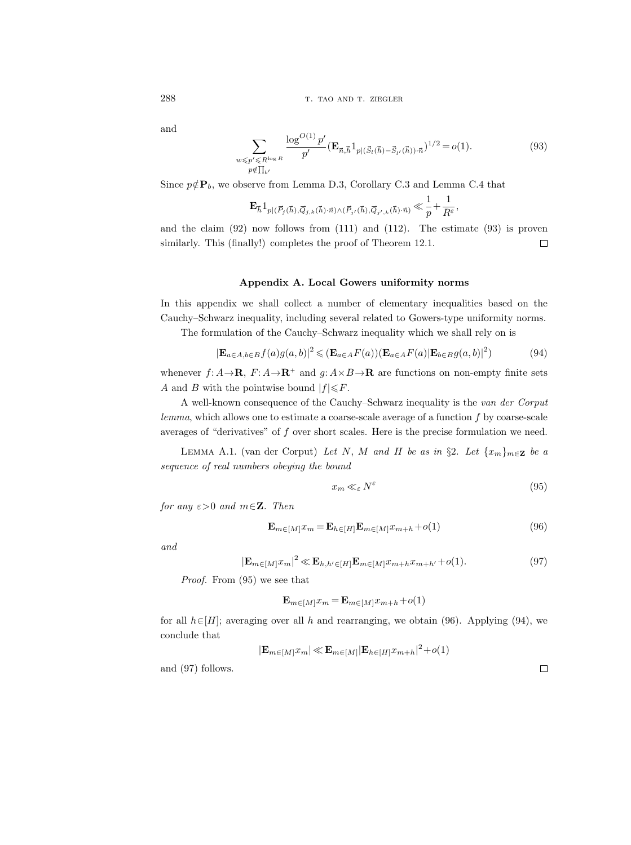and

$$
\sum_{\substack{w \leq p' \leq R^{\log R} \\ p \notin \prod_{b'}}} \frac{\log^{O(1)} p'}{p'} (\mathbf{E}_{\vec{n},\vec{h}} 1_{p | (\vec{S}_l(\vec{h}) - \vec{S}_{l'}(\vec{h})) \cdot \vec{n}})^{1/2} = o(1).
$$
 (93)

Since  $p \notin \mathbf{P}_b$ , we observe from Lemma D.3, Corollary C.3 and Lemma C.4 that

$$
\mathbf{E}_{\vec{h}} \mathbf{1}_{p | (\vec{P}_j(\vec{h}),\vec{Q}_{j,k}(\vec{h}) \cdot \vec{n}) \wedge (\vec{P}_{j'}(\vec{h}),\vec{Q}_{j',k}(\vec{h}) \cdot \vec{n})} \ll \frac{1}{p} + \frac{1}{R^{\varepsilon}},
$$

and the claim  $(92)$  now follows from  $(111)$  and  $(112)$ . The estimate  $(93)$  is proven similarly. This (finally!) completes the proof of Theorem 12.1.  $\Box$ 

# Appendix A. Local Gowers uniformity norms

In this appendix we shall collect a number of elementary inequalities based on the Cauchy–Schwarz inequality, including several related to Gowers-type uniformity norms.

The formulation of the Cauchy–Schwarz inequality which we shall rely on is

$$
|\mathbf{E}_{a\in A,b\in B}f(a)g(a,b)|^2 \leqslant (\mathbf{E}_{a\in A}F(a))(\mathbf{E}_{a\in A}F(a)|\mathbf{E}_{b\in B}g(a,b)|^2)
$$
(94)

whenever  $f: A \rightarrow \mathbf{R}$ ,  $F: A \rightarrow \mathbf{R}^+$  and  $g: A \times B \rightarrow \mathbf{R}$  are functions on non-empty finite sets A and B with the pointwise bound  $|f| \leq F$ .

A well-known consequence of the Cauchy–Schwarz inequality is the van der Corput lemma, which allows one to estimate a coarse-scale average of a function f by coarse-scale averages of "derivatives" of  $f$  over short scales. Here is the precise formulation we need.

LEMMA A.1. (van der Corput) Let N, M and H be as in §2. Let  $\{x_m\}_{m\in\mathbf{Z}}$  be a sequence of real numbers obeying the bound

$$
x_m \ll_{\varepsilon} N^{\varepsilon} \tag{95}
$$

for any  $\varepsilon > 0$  and  $m \in \mathbb{Z}$ . Then

$$
\mathbf{E}_{m \in [M]} x_m = \mathbf{E}_{h \in [H]} \mathbf{E}_{m \in [M]} x_{m+h} + o(1) \tag{96}
$$

and

$$
|\mathbf{E}_{m \in [M]} x_m|^2 \ll \mathbf{E}_{h, h' \in [H]} \mathbf{E}_{m \in [M]} x_{m+h} x_{m+h'} + o(1). \tag{97}
$$

Proof. From (95) we see that

$$
\mathbf{E}_{m \in [M]} x_m = \mathbf{E}_{m \in [M]} x_{m+h} + o(1)
$$

for all  $h\in[H]$ ; averaging over all h and rearranging, we obtain (96). Applying (94), we conclude that

$$
|\mathbf{E}_{m \in [M]} x_m| \ll \mathbf{E}_{m \in [M]} |\mathbf{E}_{h \in [H]} x_{m+h}|^2 + o(1)
$$

and (97) follows.

 $\hfill\square$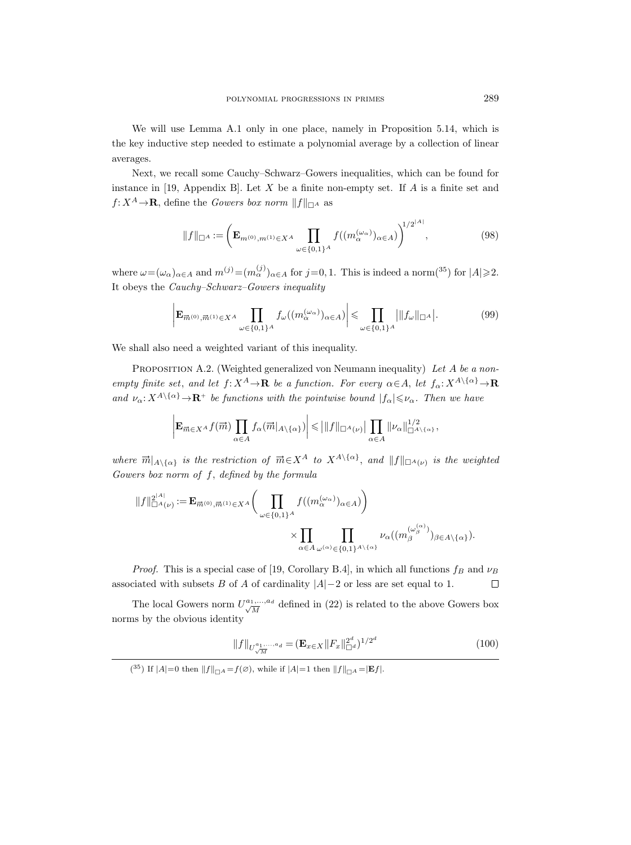We will use Lemma A.1 only in one place, namely in Proposition 5.14, which is the key inductive step needed to estimate a polynomial average by a collection of linear averages.

Next, we recall some Cauchy–Schwarz–Gowers inequalities, which can be found for instance in [19, Appendix B]. Let  $X$  be a finite non-empty set. If  $A$  is a finite set and  $f: X^A \to \mathbf{R}$ , define the Gowers box norm  $||f||_{\Box A}$  as

$$
||f||_{\Box^{A}} := \left(\mathbf{E}_{m^{(0)},m^{(1)} \in X^{A}} \prod_{\omega \in \{0,1\}^{A}} f((m_{\alpha}^{(\omega_{\alpha})})_{\alpha \in A})\right)^{1/2^{|A|}}, \tag{98}
$$

where  $\omega = (\omega_\alpha)_{\alpha \in A}$  and  $m^{(j)} = (m^{(j)}_\alpha)_{\alpha \in A}$  for  $j = 0, 1$ . This is indeed a norm(<sup>35</sup>) for  $|A| \geq 2$ . It obeys the Cauchy–Schwarz–Gowers inequality

$$
\left| \mathbf{E}_{\overrightarrow{m}^{(0)},\overrightarrow{m}^{(1)} \in X^A} \prod_{\omega \in \{0,1\}^A} f_{\omega}((m_{\alpha}^{(\omega_{\alpha})})_{\alpha \in A}) \right| \leq \prod_{\omega \in \{0,1\}^A} \left| \|f_{\omega}\|_{\square^A} \right|.
$$
 (99)

We shall also need a weighted variant of this inequality.

PROPOSITION A.2. (Weighted generalized von Neumann inequality) Let A be a nonempty finite set, and let  $f: X^A \to \mathbf{R}$  be a function. For every  $\alpha \in A$ , let  $f_{\alpha}: X^{A \setminus {\{\alpha\}}} \to \mathbf{R}$ and  $\nu_{\alpha}: X^{A\setminus\{\alpha\}} \to \mathbf{R}^+$  be functions with the pointwise bound  $|f_{\alpha}| \leq \nu_{\alpha}$ . Then we have

$$
\left| \mathbf{E}_{\overrightarrow{m} \in X^A} f(\overrightarrow{m}) \prod_{\alpha \in A} f_{\alpha}(\overrightarrow{m}|_{A \setminus \{\alpha\}}) \right| \leq |||f||_{\square^A(\nu)} \left| \prod_{\alpha \in A} ||\nu_{\alpha}||_{\square^A \setminus \{\alpha\}}^{1/2},\right|
$$

where  $\vec{m}|_{A\setminus\{\alpha\}}$  is the restriction of  $\vec{m}\in X^A$  to  $X^{A\setminus\{\alpha\}}$ , and  $||f||_{\Box^A(\nu)}$  is the weighted Gowers box norm of f, defined by the formula

$$
\label{eq:3.1} \begin{split} \|f\|_{\square^A(\nu)}^{2^{|A|}}:=\mathbf{E}_{\overrightarrow{m}^{(0)},\overrightarrow{m}^{(1)}\in X^A}&\bigg(\prod_{\omega\in\{0,1\}^A}f\big((m_\alpha^{(\omega_\alpha)})_{\alpha\in A}\big)\bigg)\\ &\times\prod_{\alpha\in A}\prod_{\omega^{(\alpha)}\in\{0,1\}^A\backslash\{\alpha\}}\nu_\alpha\big((m_\beta^{(\omega_\beta^{(\alpha)})})_{\beta\in A\backslash\{\alpha\}}\big). \end{split}
$$

*Proof.* This is a special case of [19, Corollary B.4], in which all functions  $f_B$  and  $\nu_B$ associated with subsets B of A of cardinality  $|A|-2$  or less are set equal to 1.  $\Box$ 

The local Gowers norm  $U^{a_1,...,a_d}_{\sqrt{M}}$  $\frac{1}{M}$ ,..., $a_d$  defined in (22) is related to the above Gowers box norms by the obvious identity

$$
||f||_{U_{\sqrt{M}}^{a_1,\dots,a_d}} = (\mathbf{E}_{x \in X} ||F_x||_{\Box^d}^{2^d})^{1/2^d}
$$
\n(100)

(<sup>35</sup>) If  $|A|=0$  then  $||f||_{\Box A} = f(\emptyset)$ , while if  $|A|=1$  then  $||f||_{\Box A} = |Ef|$ .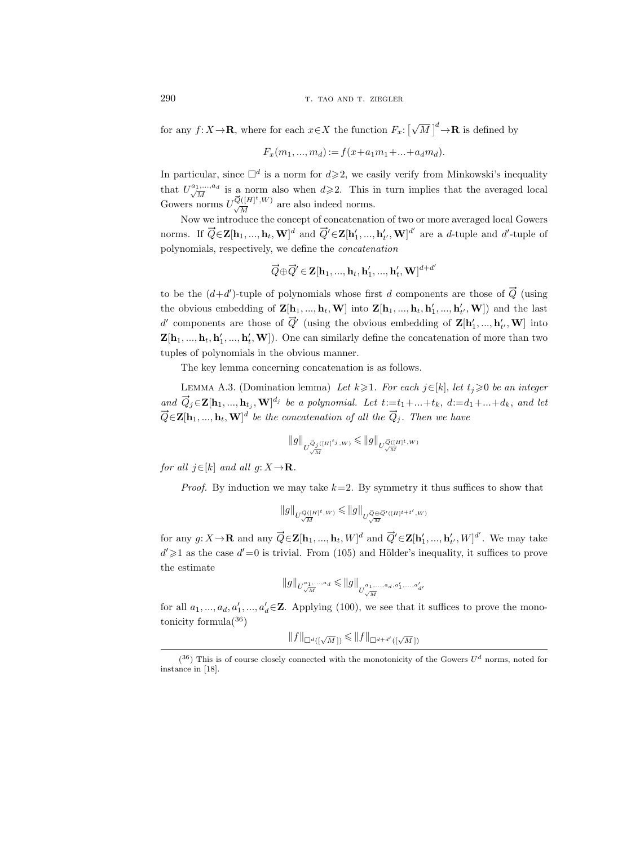290 T. TAO AND T. ZIEGLER

for any  $f: X \to \mathbf{R}$ , where for each  $x \in X$  the function  $F_x: [\sqrt{2} \log x]$  $\overline{M}$ ]<sup>d</sup> $\rightarrow$ **R** is defined by

$$
F_x(m_1, ..., m_d) := f(x + a_1 m_1 + ... + a_d m_d).
$$

In particular, since  $\Box^d$  is a norm for  $d \geqslant 2$ , we easily verify from Minkowski's inequality that  $U^{a_1,\ldots,a_d}_{\sqrt{M}}$  $\frac{1}{M}$  is a norm also when  $d \geq 2$ . This in turn implies that the averaged local that  $U_{\sqrt{M}}^{a_1,\ldots,a_d}$  is a norm also when  $d\geqslant 2$ . This i<br>Gowers norms  $U_{\sqrt{M}}^{\overline{Q}([H]^t,W)}$  are also indeed norms.

Now we introduce the concept of concatenation of two or more averaged local Gowers norms. If  $\vec{Q} \in \mathbf{Z}[\mathbf{h}_1, ..., \mathbf{h}_t, \mathbf{W}]^d$  and  $\vec{Q}' \in \mathbf{Z}[\mathbf{h}'_1, ..., \mathbf{h}'_{t'}, \mathbf{W}]^{d'}$  are a d-tuple and d'-tuple of polynomials, respectively, we define the concatenation

$$
\overrightarrow{Q}\oplus \overrightarrow{Q}'\in \mathbf{Z}[\mathbf{h}_1,...,\mathbf{h}_t,\mathbf{h}_1',...,\mathbf{h}_t',\mathbf{W}]^{d+d'}
$$

to be the  $(d+d')$ -tuple of polynomials whose first d components are those of  $\vec{Q}$  (using the obvious embedding of  $\mathbf{Z}[\mathbf{h}_1, ..., \mathbf{h}_t, \mathbf{W}]$  into  $\mathbf{Z}[\mathbf{h}_1, ..., \mathbf{h}_t, \mathbf{h}'_1, ..., \mathbf{h}'_{t'}, \mathbf{W}]$  and the last d' components are those of  $\vec{Q}'$  (using the obvious embedding of  $\mathbf{Z}[\mathbf{h}'_1, ..., \mathbf{h}'_{t'}, \mathbf{W}]$  into  $\mathbf{Z}[\mathbf{h}_1, ..., \mathbf{h}_t, \mathbf{h}'_1, ..., \mathbf{h}'_t, \mathbf{W}])$ . One can similarly define the concatenation of more than two tuples of polynomials in the obvious manner.

The key lemma concerning concatenation is as follows.

LEMMA A.3. (Domination lemma) Let  $k \geq 1$ . For each  $j \in [k]$ , let  $t_j \geq 0$  be an integer and  $\vec{Q}_j \in \mathbf{Z}[\mathbf{h}_1, ..., \mathbf{h}_{t_j}, \mathbf{W}]^{d_j}$  be a polynomial. Let  $t:=t_1+...+t_k$ ,  $d:=d_1+...+d_k$ , and let  $\vec{Q} \in \mathbf{Z}[\mathbf{h}_1, ..., \mathbf{h}_t, \mathbf{W}]^d$  be the concatenation of all the  $\vec{Q}_j$ . Then we have

$$
\|g\|_{U_{\sqrt{M}}^{\vec{Q}_j([H]^{\t\!{t}_j},W)}}\leqslant \|g\|_{U_{\sqrt{M}}^{\vec{Q}([H]^{\t{t}},W)}}
$$

for all  $j \in [k]$  and all  $q: X \rightarrow \mathbf{R}$ .

*Proof.* By induction we may take  $k=2$ . By symmetry it thus suffices to show that

$$
\|g\|_{U_{\sqrt{M}}^{\vec{Q}([H]^t,W)}} \leqslant \|g\|_{U_{\sqrt{M}}^{\vec{Q}\oplus \vec{Q}'([H]^t+t',W)}}
$$

for any  $g: X \to \mathbf{R}$  and any  $\vec{Q} \in \mathbf{Z}[\mathbf{h}_1, ..., \mathbf{h}_t, W]^d$  and  $\vec{Q}' \in \mathbf{Z}[\mathbf{h}'_1, ..., \mathbf{h}'_{t'}, W]^d'$ . We may take  $d' \geq 1$  as the case  $d' = 0$  is trivial. From (105) and Hölder's inequality, it suffices to prove the estimate

$$
\|g\|_{U_{\sqrt{M}}^{a_1,\ldots,a_d}}\leqslant\|g\|_{U_{\sqrt{M}}^{a_1,\ldots,a_d,a_1',\ldots,a_{d'}'}}
$$

for all  $a_1, ..., a_d, a'_1, ..., a'_d \in \mathbb{Z}$ . Applying (100), we see that it suffices to prove the monotonicity formula $(36)$ 

 $||f||_{\Box^d([\sqrt{M\,  $||f||_{\Box^{d+d'}([\sqrt{M\,}])$$ 

 $(36)$  This is of course closely connected with the monotonicity of the Gowers  $U^d$  norms, noted for instance in [18].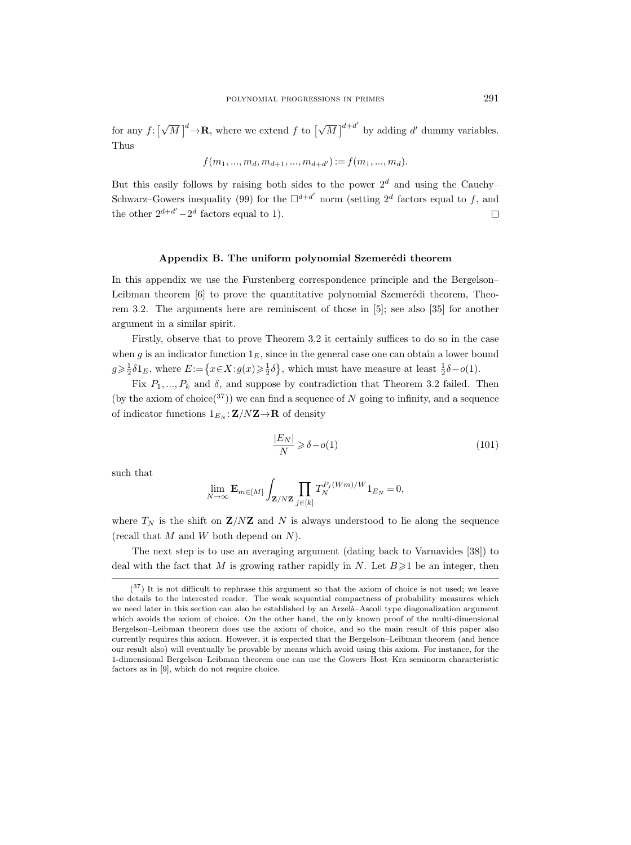for any  $f: \lceil \sqrt{\}}$  $\overline{M}$ ]<sup>d</sup> $\rightarrow$ **R**, where we extend f to [ $\sqrt{\ }$  $\overline{M}$ <sup>d+d'</sup> by adding d' dummy variables. Thus

$$
f(m_1, ..., m_d, m_{d+1}, ..., m_{d+d'}) := f(m_1, ..., m_d).
$$

But this easily follows by raising both sides to the power  $2^d$  and using the Cauchy– Schwarz–Gowers inequality (99) for the  $\Box^{d+d'}$  norm (setting  $2^d$  factors equal to f, and the other  $2^{d+d'} - 2^d$  factors equal to 1).  $\Box$ 

## Appendix B. The uniform polynomial Szemerédi theorem

In this appendix we use the Furstenberg correspondence principle and the Bergelson– Leibman theorem  $[6]$  to prove the quantitative polynomial Szemerédi theorem, Theorem 3.2. The arguments here are reminiscent of those in [5]; see also [35] for another argument in a similar spirit.

Firstly, observe that to prove Theorem 3.2 it certainly suffices to do so in the case when g is an indicator function  $1<sub>E</sub>$ , since in the general case one can obtain a lower bound  $g \geq \frac{1}{2} \delta 1_E$ , where  $E := \{x \in X : g(x) \geq \frac{1}{2} \delta\}$ , which must have measure at least  $\frac{1}{2} \delta - o(1)$ .

Fix  $P_1, ..., P_k$  and  $\delta$ , and suppose by contradiction that Theorem 3.2 failed. Then (by the axiom of choice<sup>(37</sup>)) we can find a sequence of N going to infinity, and a sequence of indicator functions  $1_{E_N} : \mathbf{Z}/N\mathbf{Z} \to \mathbf{R}$  of density

$$
\frac{|E_N|}{N} \ge \delta - o(1) \tag{101}
$$

such that

$$
\lim_{N\to\infty} \mathbf{E}_{m \in [M]} \int_{\mathbf{Z}/N\mathbf{Z}} \prod_{j \in [k]} T_N^{P_j(Wm)/W} 1_{E_N} = 0,
$$

where  $T_N$  is the shift on  $\mathbf{Z}/N\mathbf{Z}$  and N is always understood to lie along the sequence (recall that  $M$  and  $W$  both depend on  $N$ ).

The next step is to use an averaging argument (dating back to Varnavides [38]) to deal with the fact that M is growing rather rapidly in N. Let  $B \geq 1$  be an integer, then

 $(37)$  It is not difficult to rephrase this argument so that the axiom of choice is not used; we leave the details to the interested reader. The weak sequential compactness of probability measures which we need later in this section can also be established by an Arzelà–Ascoli type diagonalization argument which avoids the axiom of choice. On the other hand, the only known proof of the multi-dimensional Bergelson–Leibman theorem does use the axiom of choice, and so the main result of this paper also currently requires this axiom. However, it is expected that the Bergelson–Leibman theorem (and hence our result also) will eventually be provable by means which avoid using this axiom. For instance, for the 1-dimensional Bergelson–Leibman theorem one can use the Gowers–Host–Kra seminorm characteristic factors as in [9], which do not require choice.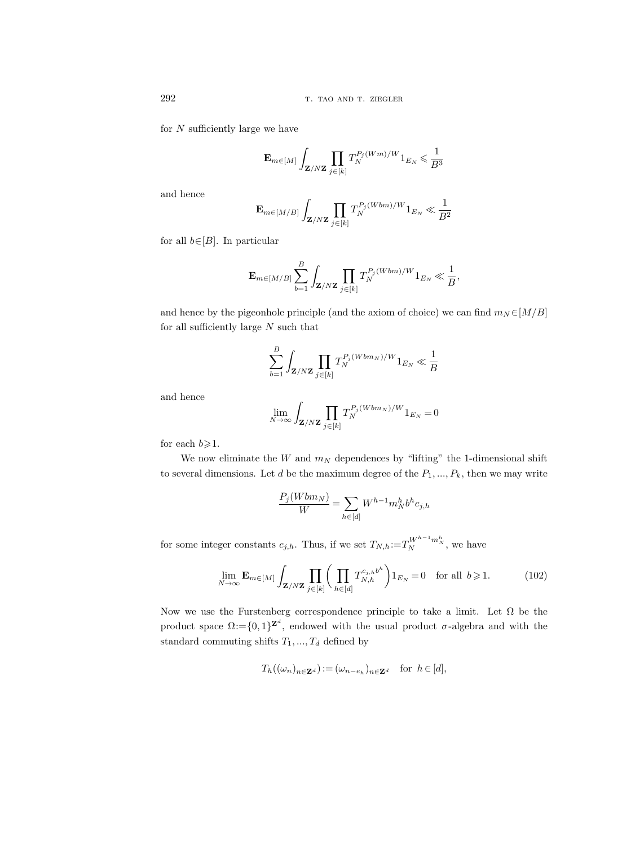for  $N$  sufficiently large we have

$$
\mathbf{E}_{m \in [M]} \int_{\mathbf{Z}/N\mathbf{Z}} \prod_{j \in [k]} T_N^{P_j(Wm)/W} 1_{E_N} \leqslant \frac{1}{B^3}
$$

and hence

$$
\mathbf{E}_{m \in [M/B]} \int_{\mathbf{Z}/N\mathbf{Z}} \prod_{j \in [k]} T_N^{P_j(Wbm)/W} 1_{E_N} \ll \frac{1}{B^2}
$$

for all  $b \in [B]$ . In particular

$$
\mathbf{E}_{m \in [M/B]} \sum_{b=1}^{B} \int_{\mathbf{Z}/N\mathbf{Z}} \prod_{j \in [k]} T_N^{P_j(Wbm)/W} 1_{E_N} \ll \frac{1}{B},
$$

and hence by the pigeonhole principle (and the axiom of choice) we can find  $m_N \in [M/B]$ for all sufficiently large  $N$  such that

$$
\sum_{b=1}^{B} \int_{\mathbf{Z}/N\mathbf{Z}} \prod_{j \in [k]} T_N^{P_j(Wbm_N)/W} 1_{E_N} \ll \frac{1}{B}
$$

and hence

$$
\lim_{N \to \infty} \int_{\mathbf{Z}/N\mathbf{Z}} \prod_{j \in [k]} T_N^{P_j(Wbm_N)/W} 1_{E_N} = 0
$$

for each  $b \ge 1$ .

We now eliminate the W and  $m_N$  dependences by "lifting" the 1-dimensional shift to several dimensions. Let  $d$  be the maximum degree of the  $P_1, ..., P_k$ , then we may write

$$
\frac{P_j(Wbm_N)}{W} = \sum_{h \in [d]} W^{h-1} m_N^h b^h c_{j,h}
$$

for some integer constants  $c_{j,h}$ . Thus, if we set  $T_{N,h} := T_N^{W^{h-1}m_N^h}$ , we have

$$
\lim_{N \to \infty} \mathbf{E}_{m \in [M]} \int_{\mathbf{Z}/N\mathbf{Z}} \prod_{j \in [k]} \left( \prod_{h \in [d]} T_{N,h}^{c_{j,h}b^h} \right) 1_{E_N} = 0 \quad \text{for all } b \geqslant 1. \tag{102}
$$

Now we use the Furstenberg correspondence principle to take a limit. Let  $\Omega$  be the product space  $\Omega = \{0,1\}^{\mathbb{Z}^d}$ , endowed with the usual product  $\sigma$ -algebra and with the standard commuting shifts  $T_1, ..., T_d$  defined by

$$
T_h((\omega_n)_{n \in \mathbf{Z}^d}) := (\omega_{n-e_h})_{n \in \mathbf{Z}^d} \text{ for } h \in [d],
$$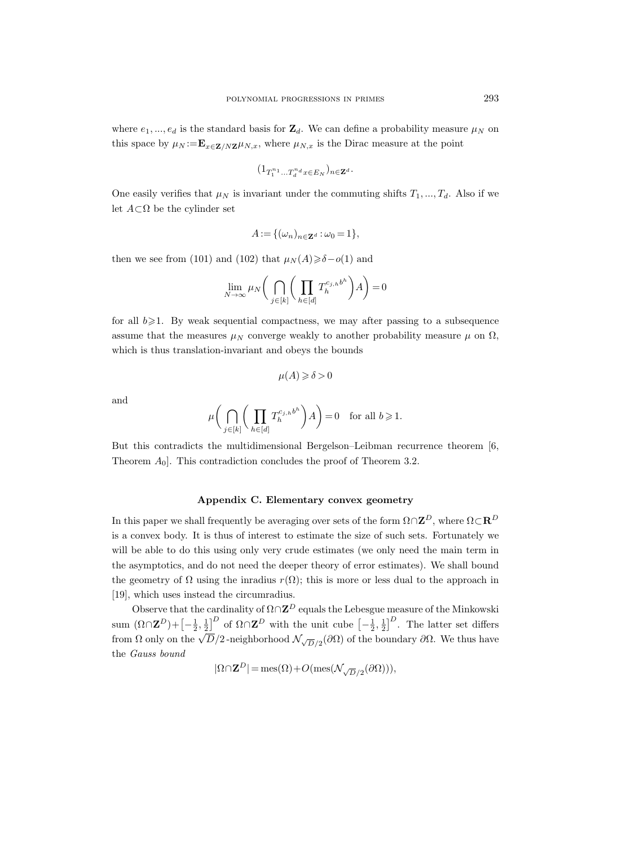where  $e_1, ..., e_d$  is the standard basis for  $\mathbf{Z}_d$ . We can define a probability measure  $\mu_N$  on this space by  $\mu_N := \mathbf{E}_{x \in \mathbf{Z}/N\mathbf{Z}} \mu_{N,x}$ , where  $\mu_{N,x}$  is the Dirac measure at the point

$$
(1_{T_1^{n_1}\ldots T_d^{n_d}x\in E_N})_{n\in \mathbf{Z}^d}.
$$

One easily verifies that  $\mu_N$  is invariant under the commuting shifts  $T_1, ..., T_d$ . Also if we let  $A \subset \Omega$  be the cylinder set

$$
A := \{ (\omega_n)_{n \in \mathbf{Z}^d} : \omega_0 = 1 \},
$$

then we see from (101) and (102) that  $\mu_N(A) \geq \delta - o(1)$  and

$$
\lim_{N \to \infty} \mu_N \bigg( \bigcap_{j \in [k]} \bigg( \prod_{h \in [d]} T_h^{c_{j,h}b^h} \bigg) A \bigg) = 0
$$

for all  $b \ge 1$ . By weak sequential compactness, we may after passing to a subsequence assume that the measures  $\mu_N$  converge weakly to another probability measure  $\mu$  on  $\Omega$ , which is thus translation-invariant and obeys the bounds

$$
\mu(A) \geqslant \delta > 0
$$

and

$$
\mu\bigg(\bigcap_{j\in[k]}\bigg(\prod_{h\in[d]}T_h^{c_{j,h}b^h}\bigg)A\bigg)=0\quad\text{for all }b\geqslant1.
$$

But this contradicts the multidimensional Bergelson–Leibman recurrence theorem [6, Theorem  $A_0$ . This contradiction concludes the proof of Theorem 3.2.

## Appendix C. Elementary convex geometry

In this paper we shall frequently be averaging over sets of the form  $\Omega \cap \mathbf{Z}^D$ , where  $\Omega \subset \mathbf{R}^D$ is a convex body. It is thus of interest to estimate the size of such sets. Fortunately we will be able to do this using only very crude estimates (we only need the main term in the asymptotics, and do not need the deeper theory of error estimates). We shall bound the geometry of  $\Omega$  using the inradius  $r(\Omega)$ ; this is more or less dual to the approach in [19], which uses instead the circumradius.

Observe that the cardinality of  $\Omega \cap \mathbf{Z}^D$  equals the Lebesgue measure of the Minkowski sum  $(\Omega \cap \mathbf{Z}^D) + \left[-\frac{1}{2},\frac{1}{2}\right]^D$  of  $\Omega \cap \mathbf{Z}^D$  with the unit cube  $\left[-\frac{1}{2},\frac{1}{2}\right]^D$ . The latter set differs  $f(x) = \sum_{i=1}^{n} \sum_{j=1}^{n} \sum_{j=1}^{n}$  of  $x \in \mathbb{Z}^n$  with the dimension  $\sum_{i=2}^{n} \sum_{j=1}^{n}$ . The latter for dimensional  $\sum_{j=1}^{n} \sum_{j=1}^{n} \sum_{j=1}^{n}$  and  $\sum_{j=1}^{n} \sum_{j=1}^{n} \sum_{j=1}^{n} \sum_{j=1}^{n} \sum_{j=1}^{n} \sum_{j=1}^{$ the Gauss bound

$$
|\Omega \cap \mathbf{Z}^D| = \text{mes}(\Omega) + O(\text{mes}(\mathcal{N}_{\sqrt{D}/2}(\partial \Omega))),
$$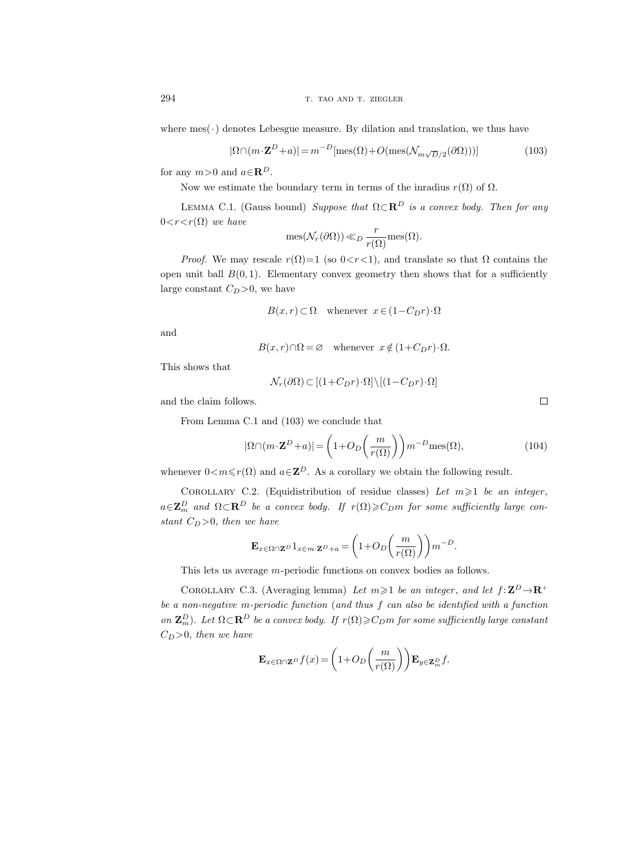where  $mes(\cdot)$  denotes Lebesgue measure. By dilation and translation, we thus have

$$
|\Omega \cap (m \cdot \mathbf{Z}^D + a)| = m^{-D}[\text{mes}(\Omega) + O(\text{mes}(\mathcal{N}_{m\sqrt{D}/2}(\partial \Omega)))) \tag{103}
$$

for any  $m>0$  and  $a \in \mathbb{R}^D$ .

Now we estimate the boundary term in terms of the inradius  $r(\Omega)$  of  $\Omega$ .

LEMMA C.1. (Gauss bound) Suppose that  $\Omega \subset \mathbb{R}^D$  is a convex body. Then for any  $0 < r < r(\Omega)$  we have

$$
\operatorname{mes}(\mathcal{N}_r(\partial\Omega)) \ll_D \frac{r}{r(\Omega)} \operatorname{mes}(\Omega).
$$

*Proof.* We may rescale  $r(\Omega)=1$  (so  $0 < r < 1$ ), and translate so that  $\Omega$  contains the open unit ball  $B(0, 1)$ . Elementary convex geometry then shows that for a sufficiently large constant  $C_D > 0$ , we have

$$
B(x,r) \subset \Omega \quad \text{whenever} \ \ x \in (1 - C_D r) \cdot \Omega
$$

and

$$
B(x,r) \cap \Omega = \varnothing \quad \text{whenever} \ \ x \notin (1 + C_D r) \cdot \Omega.
$$

This shows that

$$
\mathcal{N}_r(\partial\Omega)\subset [(1+C_Dr)\cdot\Omega]\backslash [(1-C_Dr)\cdot\Omega]
$$

and the claim follows.

From Lemma C.1 and (103) we conclude that

$$
|\Omega \cap (m \cdot \mathbf{Z}^D + a)| = \left(1 + O_D\left(\frac{m}{r(\Omega)}\right)\right) m^{-D} \text{mes}(\Omega),\tag{104}
$$

whenever  $0 < m \leq r(\Omega)$  and  $a \in \mathbb{Z}^D$ . As a corollary we obtain the following result.

COROLLARY C.2. (Equidistribution of residue classes) Let  $m \geq 1$  be an integer,  $a\in\mathbf{Z}_{m}^{D}$  and  $\Omega\subset\mathbf{R}^{D}$  be a convex body. If  $r(\Omega)\geqslant C_{D}m$  for some sufficiently large constant  $C_D > 0$ , then we have

$$
\mathbf{E}_{x \in \Omega \cap \mathbf{Z}^D} 1_{x \in m \cdot \mathbf{Z}^D + a} = \left( 1 + O_D\left(\frac{m}{r(\Omega)}\right) \right) m^{-D}.
$$

This lets us average m-periodic functions on convex bodies as follows.

COROLLARY C.3. (Averaging lemma) Let  $m \geq 1$  be an integer, and let  $f: \mathbf{Z}^D \to \mathbf{R}^+$ be a non-negative m-periodic function (and thus f can also be identified with a function on  $\mathbf{Z}_m^D$ ). Let  $\Omega \subset \mathbf{R}^D$  be a convex body. If  $r(\Omega) \geqslant C_D m$  for some sufficiently large constant  $C_D > 0$ , then we have

$$
\mathbf{E}_{x \in \Omega \cap \mathbf{Z}^D} f(x) = \left(1 + O_D\left(\frac{m}{r(\Omega)}\right)\right) \mathbf{E}_{y \in \mathbf{Z}_m^D} f.
$$

 $\Box$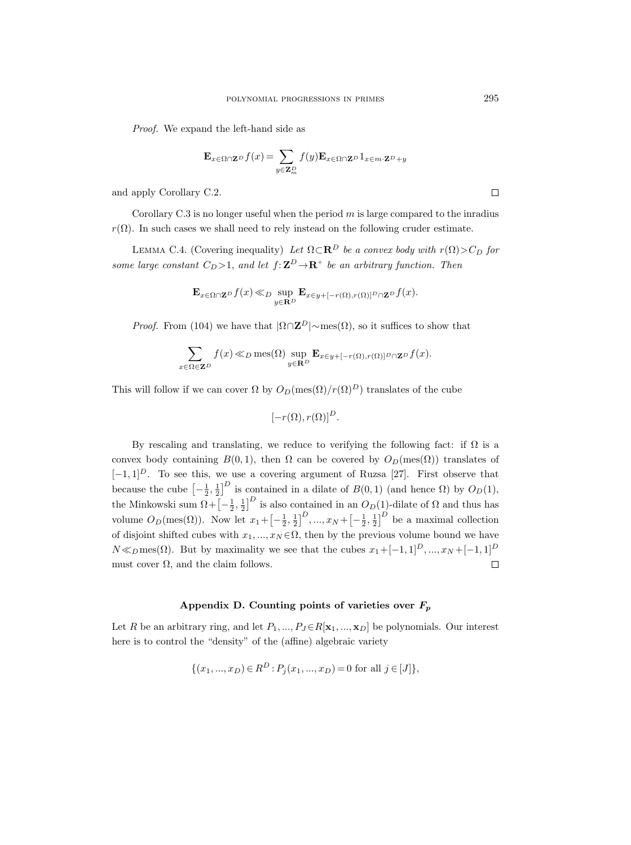Proof. We expand the left-hand side as

$$
\mathbf{E}_{x \in \Omega \cap \mathbf{Z}^D} f(x) = \sum_{y \in \mathbf{Z}_m^D} f(y) \mathbf{E}_{x \in \Omega \cap \mathbf{Z}^D} 1_{x \in m \cdot \mathbf{Z}^D + y}
$$

and apply Corollary C.2.

Corollary  $C.3$  is no longer useful when the period  $m$  is large compared to the inradius  $r(\Omega)$ . In such cases we shall need to rely instead on the following cruder estimate.

LEMMA C.4. (Covering inequality) Let  $\Omega \subset \mathbb{R}^D$  be a convex body with  $r(\Omega) > C_D$  for some large constant  $C_D > 1$ , and let  $f: \mathbf{Z}^D \to \mathbf{R}^+$  be an arbitrary function. Then

$$
\mathbf{E}_{x \in \Omega \cap \mathbf{Z}^D} f(x) \ll_D \sup_{y \in \mathbf{R}^D} \mathbf{E}_{x \in y + [-r(\Omega), r(\Omega)]^D \cap \mathbf{Z}^D} f(x).
$$

*Proof.* From (104) we have that  $|\Omega \cap \mathbb{Z}^D| \sim \text{mes}(\Omega)$ , so it suffices to show that

$$
\sum_{x \in \Omega \in \mathbf{Z}^D} f(x) \ll_D \text{mes}(\Omega) \sup_{y \in \mathbf{R}^D} \mathbf{E}_{x \in y + [-r(\Omega), r(\Omega)]^D \cap \mathbf{Z}^D} f(x).
$$

This will follow if we can cover  $\Omega$  by  $O_D(\mathrm{mes}(\Omega)/r(\Omega)^D)$  translates of the cube

$$
[-r(\Omega), r(\Omega)]^D
$$
.

By rescaling and translating, we reduce to verifying the following fact: if  $\Omega$  is a convex body containing  $B(0, 1)$ , then  $\Omega$  can be covered by  $O_D(mes(\Omega))$  translates of  $[-1, 1]^D$ . To see this, we use a covering argument of Ruzsa [27]. First observe that because the cube  $\left[-\frac{1}{2},\frac{1}{2}\right]^D$  is contained in a dilate of  $B(0,1)$  (and hence  $\Omega$ ) by  $O_D(1)$ , the Minkowski sum  $\Omega + \left[-\frac{1}{2},\frac{1}{2}\right]^D$  is also contained in an  $O_D(1)$ -dilate of  $\Omega$  and thus has volume  $O_D(\text{mes}(\Omega))$ . Now let  $x_1 + \left[-\frac{1}{2},\frac{1}{2}\right]^D, ..., x_N + \left[-\frac{1}{2},\frac{1}{2}\right]^D$  be a maximal collection of disjoint shifted cubes with  $x_1, ..., x_N \in \Omega$ , then by the previous volume bound we have  $N \ll_D \text{mes}(\Omega)$ . But by maximality we see that the cubes  $x_1 + [-1, 1]^D, ..., x_N + [-1, 1]^D$ must cover  $\Omega$ , and the claim follows.  $\Box$ 

# Appendix D. Counting points of varieties over  $F_p$

Let R be an arbitrary ring, and let  $P_1, ..., P_J \in R[\mathbf{x}_1, ..., \mathbf{x}_D]$  be polynomials. Our interest here is to control the "density" of the (affine) algebraic variety

$$
\{(x_1, ..., x_D) \in R^D : P_j(x_1, ..., x_D) = 0 \text{ for all } j \in [J] \},\
$$

 $\Box$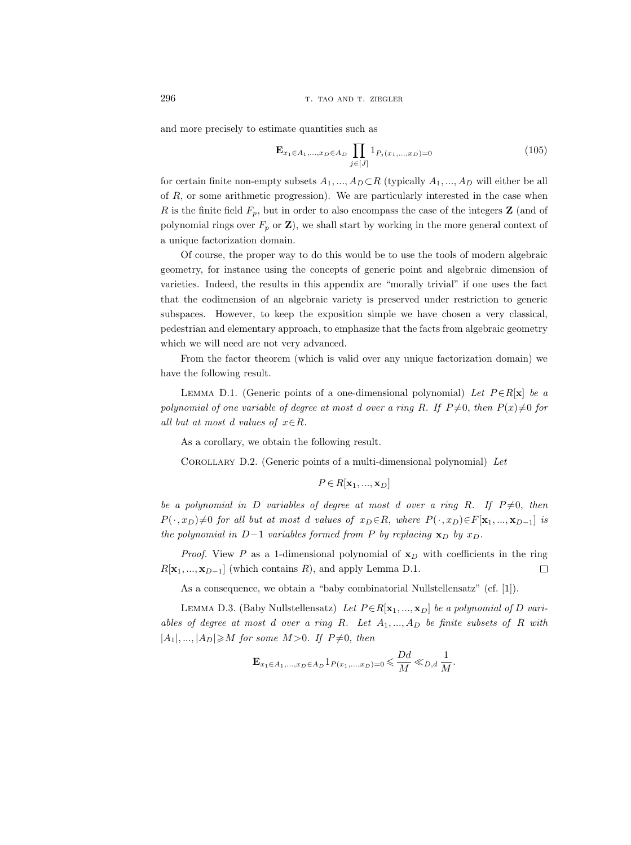and more precisely to estimate quantities such as

$$
\mathbf{E}_{x_1 \in A_1, ..., x_D \in A_D} \prod_{j \in [J]} 1_{P_j(x_1, ..., x_D) = 0} \tag{105}
$$

for certain finite non-empty subsets  $A_1, ..., A_D \subset R$  (typically  $A_1, ..., A_D$  will either be all of  $R$ , or some arithmetic progression). We are particularly interested in the case when R is the finite field  $F_p$ , but in order to also encompass the case of the integers **Z** (and of polynomial rings over  $F_p$  or  $\mathbf{Z}$ ), we shall start by working in the more general context of a unique factorization domain.

Of course, the proper way to do this would be to use the tools of modern algebraic geometry, for instance using the concepts of generic point and algebraic dimension of varieties. Indeed, the results in this appendix are "morally trivial" if one uses the fact that the codimension of an algebraic variety is preserved under restriction to generic subspaces. However, to keep the exposition simple we have chosen a very classical, pedestrian and elementary approach, to emphasize that the facts from algebraic geometry which we will need are not very advanced.

From the factor theorem (which is valid over any unique factorization domain) we have the following result.

LEMMA D.1. (Generic points of a one-dimensional polynomial) Let  $P \in R[\mathbf{x}]$  be a polynomial of one variable of degree at most d over a ring R. If  $P\neq 0$ , then  $P(x)\neq 0$  for all but at most d values of  $x \in R$ .

As a corollary, we obtain the following result.

COROLLARY D.2. (Generic points of a multi-dimensional polynomial) Let

$$
P\,{\in}\,R[\mathbf{x}_1,...,\mathbf{x}_D]
$$

be a polynomial in D variables of degree at most d over a ring R. If  $P\neq 0$ , then  $P(\cdot, x_D) \neq 0$  for all but at most d values of  $x_D \in R$ , where  $P(\cdot, x_D) \in F[\mathbf{x}_1, ..., \mathbf{x}_{D-1}]$  is the polynomial in D−1 variables formed from P by replacing  $\mathbf{x}_D$  by  $x_D$ .

*Proof.* View P as a 1-dimensional polynomial of  $x<sub>D</sub>$  with coefficients in the ring  $R[\mathbf{x}_1, ..., \mathbf{x}_{D-1}]$  (which contains R), and apply Lemma D.1.  $\Box$ 

As a consequence, we obtain a "baby combinatorial Nullstellensatz" (cf. [1]).

LEMMA D.3. (Baby Nullstellensatz) Let  $P \in R[\mathbf{x}_1, ..., \mathbf{x}_D]$  be a polynomial of D variables of degree at most d over a ring R. Let  $A_1, ..., A_D$  be finite subsets of R with  $|A_1|, ..., |A_D| \geqslant M$  for some  $M > 0$ . If  $P \neq 0$ , then

$$
\mathbf{E}_{x_1 \in A_1,...,x_D \in A_D} 1_{P(x_1,...,x_D) = 0} \leq \frac{Dd}{M} \ll_{D,d} \frac{1}{M}.
$$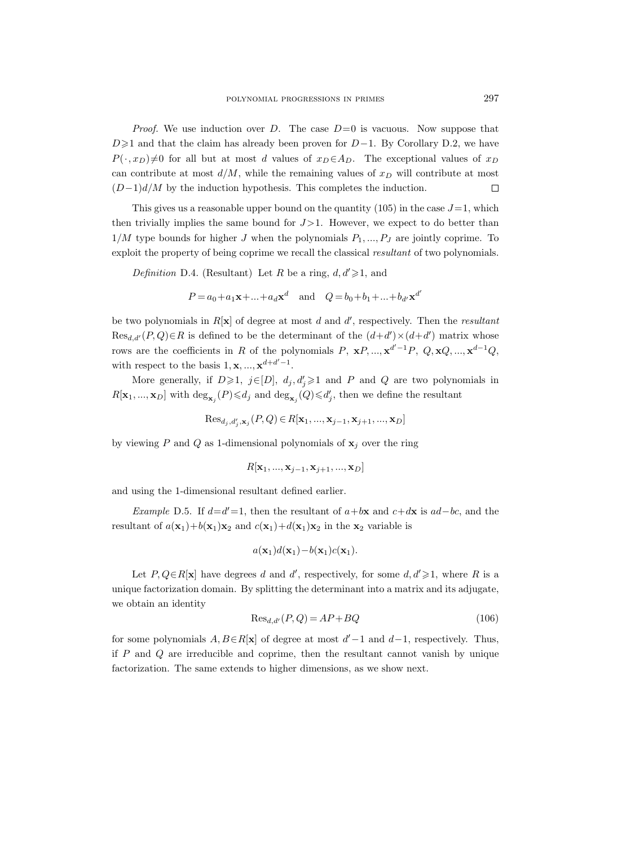*Proof.* We use induction over D. The case  $D=0$  is vacuous. Now suppose that  $D\geq 1$  and that the claim has already been proven for  $D-1$ . By Corollary D.2, we have  $P(\cdot, x_D) \neq 0$  for all but at most d values of  $x_D \in A_D$ . The exceptional values of  $x_D$ can contribute at most  $d/M$ , while the remaining values of  $x_D$  will contribute at most  $(D-1)d/M$  by the induction hypothesis. This completes the induction.  $\Box$ 

This gives us a reasonable upper bound on the quantity  $(105)$  in the case  $J=1$ , which then trivially implies the same bound for  $J > 1$ . However, we expect to do better than  $1/M$  type bounds for higher J when the polynomials  $P_1, ..., P_J$  are jointly coprime. To exploit the property of being coprime we recall the classical resultant of two polynomials.

Definition D.4. (Resultant) Let R be a ring,  $d, d' \geq 1$ , and

$$
P = a_0 + a_1 \mathbf{x} + ... + a_d \mathbf{x}^d
$$
 and  $Q = b_0 + b_1 + ... + b_{d'} \mathbf{x}^{d'}$ 

be two polynomials in  $R[x]$  of degree at most d and d', respectively. Then the *resultant*  $Res_{d,d'}(P,Q) \in R$  is defined to be the determinant of the  $(d+d') \times (d+d')$  matrix whose rows are the coefficients in R of the polynomials P,  $xP, ..., x^{d'-1}P, Q, xQ, ..., x^{d-1}Q$ , with respect to the basis  $1, \mathbf{x}, ..., \mathbf{x}^{d+d'-1}$ .

More generally, if  $D\geqslant 1$ ,  $j\in[D]$ ,  $d_j, d'_j\geqslant 1$  and P and Q are two polynomials in  $R[\mathbf{x}_1, ..., \mathbf{x}_D]$  with  $\deg_{\mathbf{x}_j}(P) \leq d_j$  and  $\deg_{\mathbf{x}_j}(Q) \leq d_j'$ , then we define the resultant

$$
\text{Res}_{d_j, d'_j, \mathbf{x}_j}(P, Q) \in R[\mathbf{x}_1, ..., \mathbf{x}_{j-1}, \mathbf{x}_{j+1}, ..., \mathbf{x}_D]
$$

by viewing P and Q as 1-dimensional polynomials of  $x_i$  over the ring

$$
R[\mathbf{x}_1, ..., \mathbf{x}_{j-1}, \mathbf{x}_{j+1}, ..., \mathbf{x}_D]
$$

and using the 1-dimensional resultant defined earlier.

Example D.5. If  $d=d'=1$ , then the resultant of  $a+bx$  and  $c+dx$  is  $ad-bc$ , and the resultant of  $a(\mathbf{x}_1)+b(\mathbf{x}_1)\mathbf{x}_2$  and  $c(\mathbf{x}_1)+d(\mathbf{x}_1)\mathbf{x}_2$  in the  $\mathbf{x}_2$  variable is

$$
a(\mathbf{x}_1)d(\mathbf{x}_1)-b(\mathbf{x}_1)c(\mathbf{x}_1).
$$

Let  $P, Q \in R[\mathbf{x}]$  have degrees d and d', respectively, for some  $d, d' \geq 1$ , where R is a unique factorization domain. By splitting the determinant into a matrix and its adjugate, we obtain an identity

$$
\text{Res}_{d,d'}(P,Q) = AP + BQ\tag{106}
$$

for some polynomials  $A, B \in R[\mathbf{x}]$  of degree at most  $d'-1$  and  $d-1$ , respectively. Thus, if  $P$  and  $Q$  are irreducible and coprime, then the resultant cannot vanish by unique factorization. The same extends to higher dimensions, as we show next.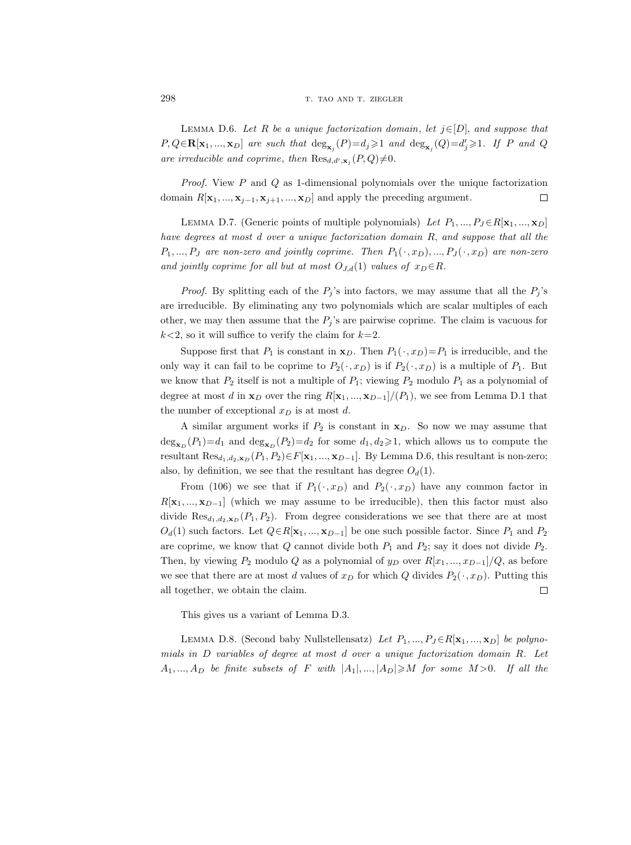LEMMA D.6. Let R be a unique factorization domain, let  $j \in [D]$ , and suppose that  $P,Q \in \mathbf{R}[\mathbf{x}_1, ..., \mathbf{x}_D]$  are such that  $\deg_{\mathbf{x}_j}(P) = d_j \geq 1$  and  $\deg_{\mathbf{x}_j}(Q) = d'_j \geq 1$ . If P and Q are irreducible and coprime, then  $\text{Res}_{d,d',\mathbf{x}_j}(P,Q)\neq0$ .

Proof. View P and Q as 1-dimensional polynomials over the unique factorization domain  $R[\mathbf{x}_1, ..., \mathbf{x}_{j-1}, \mathbf{x}_{j+1}, ..., \mathbf{x}_D]$  and apply the preceding argument.  $\Box$ 

LEMMA D.7. (Generic points of multiple polynomials) Let  $P_1, ..., P_J \in R[\mathbf{x}_1, ..., \mathbf{x}_D]$ have degrees at most d over a unique factorization domain R, and suppose that all the  $P_1, ..., P_J$  are non-zero and jointly coprime. Then  $P_1(\cdot, x_D), ..., P_J(\cdot, x_D)$  are non-zero and jointly coprime for all but at most  $O_{J,d}(1)$  values of  $x_D \in R$ .

*Proof.* By splitting each of the  $P_j$ 's into factors, we may assume that all the  $P_j$ 's are irreducible. By eliminating any two polynomials which are scalar multiples of each other, we may then assume that the  $P_j$ 's are pairwise coprime. The claim is vacuous for  $k<2$ , so it will suffice to verify the claim for  $k=2$ .

Suppose first that  $P_1$  is constant in  $\mathbf{x}_D$ . Then  $P_1(\cdot, x_D)=P_1$  is irreducible, and the only way it can fail to be coprime to  $P_2(\cdot, x_D)$  is if  $P_2(\cdot, x_D)$  is a multiple of  $P_1$ . But we know that  $P_2$  itself is not a multiple of  $P_1$ ; viewing  $P_2$  modulo  $P_1$  as a polynomial of degree at most d in  $\mathbf{x}_D$  over the ring  $R[\mathbf{x}_1, ..., \mathbf{x}_{D-1}]/(P_1)$ , we see from Lemma D.1 that the number of exceptional  $x_D$  is at most d.

A similar argument works if  $P_2$  is constant in  $x_D$ . So now we may assume that  $deg_{\mathbf{x}_D}(P_1)=d_1$  and  $deg_{\mathbf{x}_D}(P_2)=d_2$  for some  $d_1, d_2\geqslant 1$ , which allows us to compute the resultant  $\text{Res}_{d_1,d_2,\mathbf{x}_D}(P_1, P_2) \in F[\mathbf{x}_1, ..., \mathbf{x}_{D-1}]$ . By Lemma D.6, this resultant is non-zero; also, by definition, we see that the resultant has degree  $O_d(1)$ .

From (106) we see that if  $P_1(\cdot, x_D)$  and  $P_2(\cdot, x_D)$  have any common factor in  $R[\mathbf{x}_1, ..., \mathbf{x}_{D-1}]$  (which we may assume to be irreducible), then this factor must also divide  $\text{Res}_{d_1,d_2,\mathbf{x}_D}(P_1,P_2)$ . From degree considerations we see that there are at most  $O_d(1)$  such factors. Let  $Q \in R[\mathbf{x}_1, ..., \mathbf{x}_{D-1}]$  be one such possible factor. Since  $P_1$  and  $P_2$ are coprime, we know that  $Q$  cannot divide both  $P_1$  and  $P_2$ ; say it does not divide  $P_2$ . Then, by viewing  $P_2$  modulo Q as a polynomial of  $y_D$  over  $R[x_1, ..., x_{D-1}]/Q$ , as before we see that there are at most d values of  $x_D$  for which Q divides  $P_2(\cdot, x_D)$ . Putting this all together, we obtain the claim.  $\Box$ 

This gives us a variant of Lemma D.3.

LEMMA D.8. (Second baby Nullstellensatz) Let  $P_1, ..., P_J \in R[\mathbf{x}_1, ..., \mathbf{x}_D]$  be polynomials in D variables of degree at most d over a unique factorization domain R. Let  $A_1, ..., A_D$  be finite subsets of F with  $|A_1|, ..., |A_D| \geqslant M$  for some  $M > 0$ . If all the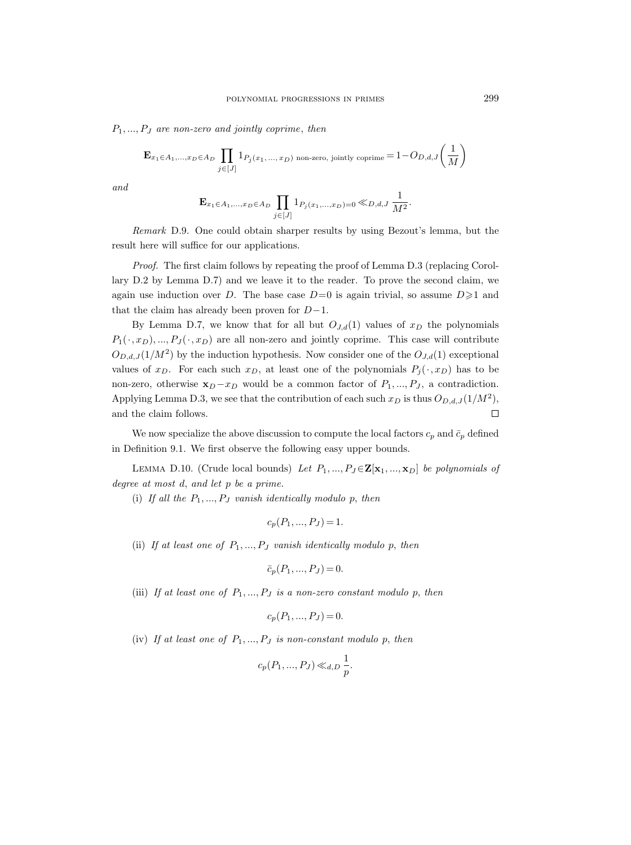$P_1, ..., P_J$  are non-zero and jointly coprime, then

$$
\mathbf{E}_{x_1 \in A_1,...,x_D \in A_D} \prod_{j \in [J]} 1_{P_j(x_1,...,x_D) \text{ non-zero, jointly coprime}} = 1 - O_{D,d,J}\left(\frac{1}{M}\right)
$$

and

$$
\mathbf{E}_{x_1 \in A_1,...,x_D \in A_D} \prod_{j \in [J]} 1_{P_j(x_1,...,x_D) = 0} \ll_{D,d,J} \frac{1}{M^2}.
$$

Remark D.9. One could obtain sharper results by using Bezout's lemma, but the result here will suffice for our applications.

Proof. The first claim follows by repeating the proof of Lemma D.3 (replacing Corollary D.2 by Lemma D.7) and we leave it to the reader. To prove the second claim, we again use induction over D. The base case  $D=0$  is again trivial, so assume  $D\geq 1$  and that the claim has already been proven for  $D-1$ .

By Lemma D.7, we know that for all but  $O_{J,d}(1)$  values of  $x_D$  the polynomials  $P_1(\cdot, x_D), ..., P_J(\cdot, x_D)$  are all non-zero and jointly coprime. This case will contribute  $O_{D,d,J}(1/M^2)$  by the induction hypothesis. Now consider one of the  $O_{J,d}(1)$  exceptional values of  $x_D$ . For each such  $x_D$ , at least one of the polynomials  $P_j(\cdot, x_D)$  has to be non-zero, otherwise  $x_D - x_D$  would be a common factor of  $P_1, ..., P_J$ , a contradiction. Applying Lemma D.3, we see that the contribution of each such  $x_D$  is thus  $O_{D,d,J}(1/M^2)$ , and the claim follows.  $\Box$ 

We now specialize the above discussion to compute the local factors  $c_p$  and  $\bar{c}_p$  defined in Definition 9.1. We first observe the following easy upper bounds.

LEMMA D.10. (Crude local bounds) Let  $P_1, ..., P_J \in \mathbf{Z}[\mathbf{x}_1, ..., \mathbf{x}_D]$  be polynomials of degree at most d, and let p be a prime.

(i) If all the  $P_1, ..., P_J$  vanish identically modulo p, then

$$
c_p(P_1, ..., P_J) = 1.
$$

(ii) If at least one of  $P_1, ..., P_J$  vanish identically modulo p, then

$$
\bar{c}_p(P_1, ..., P_J) = 0.
$$

(iii) If at least one of  $P_1, ..., P_J$  is a non-zero constant modulo p, then

$$
c_p(P_1, ..., P_J) = 0.
$$

(iv) If at least one of  $P_1, ..., P_J$  is non-constant modulo p, then

$$
c_p(P_1, ..., P_J) \ll_{d,D} \frac{1}{p}.
$$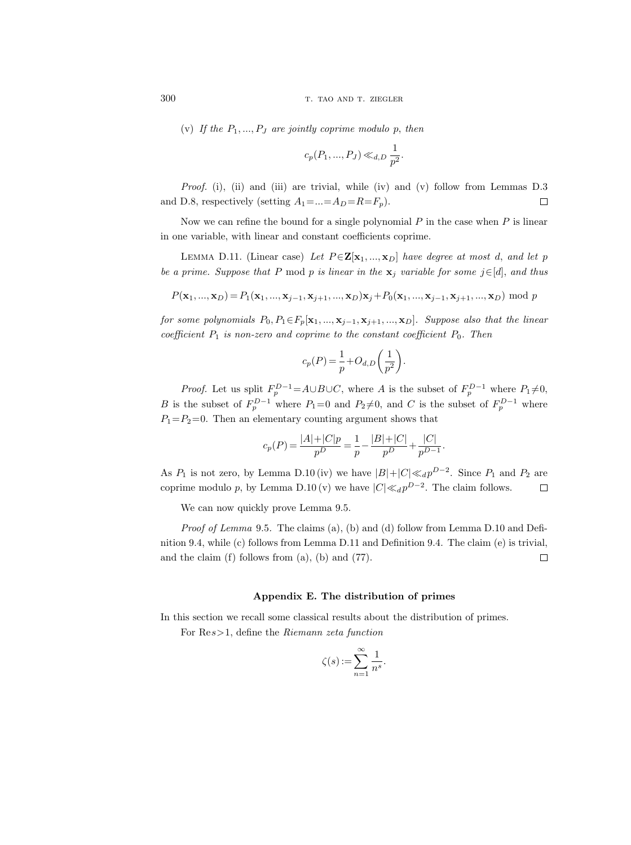(v) If the  $P_1, ..., P_J$  are jointly coprime modulo p, then

$$
c_p(P_1, ..., P_J) \ll_{d,D} \frac{1}{p^2}.
$$

Proof. (i), (ii) and (iii) are trivial, while (iv) and (v) follow from Lemmas D.3 and D.8, respectively (setting  $A_1 = ... = A_D = R = F_p$ ).  $\Box$ 

Now we can refine the bound for a single polynomial  $P$  in the case when  $P$  is linear in one variable, with linear and constant coefficients coprime.

LEMMA D.11. (Linear case) Let  $P \in \mathbf{Z}[\mathbf{x}_1, ..., \mathbf{x}_D]$  have degree at most d, and let p be a prime. Suppose that P mod p is linear in the  $\mathbf{x}_j$  variable for some j∈[d], and thus

$$
P(\mathbf{x}_1, ..., \mathbf{x}_D) = P_1(\mathbf{x}_1, ..., \mathbf{x}_{j-1}, \mathbf{x}_{j+1}, ..., \mathbf{x}_D) \mathbf{x}_j + P_0(\mathbf{x}_1, ..., \mathbf{x}_{j-1}, \mathbf{x}_{j+1}, ..., \mathbf{x}_D) \mod p
$$

for some polynomials  $P_0, P_1 \in F_p[\mathbf{x}_1, ..., \mathbf{x}_{j-1}, \mathbf{x}_{j+1}, ..., \mathbf{x}_D]$ . Suppose also that the linear coefficient  $P_1$  is non-zero and coprime to the constant coefficient  $P_0$ . Then

$$
c_p(P) = \frac{1}{p} + O_{d,D}\left(\frac{1}{p^2}\right).
$$

*Proof.* Let us split  $F_p^{D-1} = A \cup B \cup C$ , where A is the subset of  $F_p^{D-1}$  where  $P_1 \neq 0$ , B is the subset of  $F_p^{D-1}$  where  $P_1=0$  and  $P_2\neq 0$ , and C is the subset of  $F_p^{D-1}$  where  $P_1 = P_2 = 0$ . Then an elementary counting argument shows that

$$
c_p(P) = \frac{|A| + |C|p}{p^D} = \frac{1}{p} - \frac{|B| + |C|}{p^D} + \frac{|C|}{p^{D-1}}.
$$

As  $P_1$  is not zero, by Lemma D.10 (iv) we have  $|B|+|C| \ll_d p^{D-2}$ . Since  $P_1$  and  $P_2$  are coprime modulo p, by Lemma D.10 (v) we have  $|C| \ll_d p^{D-2}$ . The claim follows.  $\Box$ 

We can now quickly prove Lemma 9.5.

Proof of Lemma 9.5. The claims (a), (b) and (d) follow from Lemma D.10 and Definition 9.4, while (c) follows from Lemma D.11 and Definition 9.4. The claim (e) is trivial, and the claim  $(f)$  follows from  $(a)$ ,  $(b)$  and  $(77)$ .  $\Box$ 

## Appendix E. The distribution of primes

In this section we recall some classical results about the distribution of primes.

For Res>1, define the Riemann zeta function

$$
\zeta(s) := \sum_{n=1}^{\infty} \frac{1}{n^s}.
$$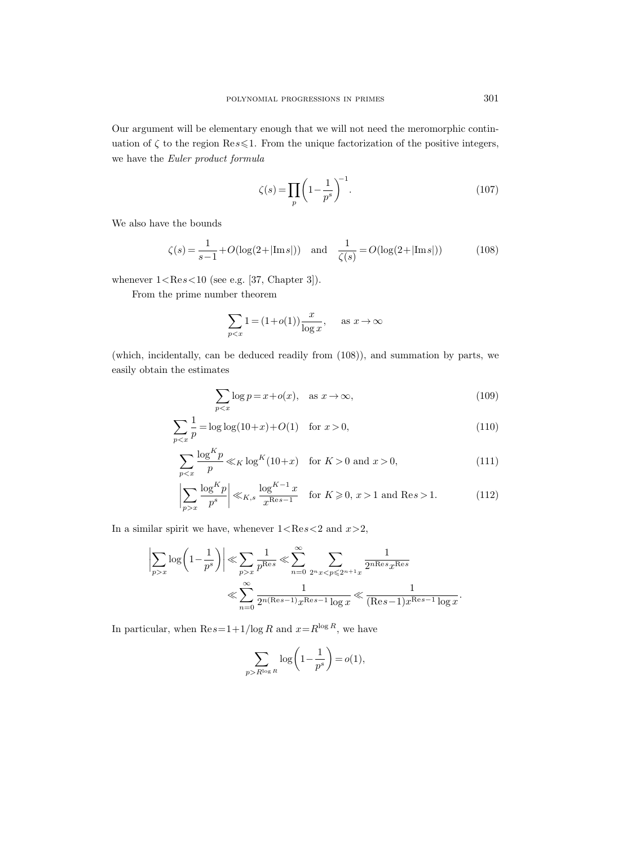Our argument will be elementary enough that we will not need the meromorphic continuation of  $\zeta$  to the region Res  $\leq 1$ . From the unique factorization of the positive integers, we have the Euler product formula

$$
\zeta(s) = \prod_{p} \left( 1 - \frac{1}{p^s} \right)^{-1}.
$$
\n(107)

We also have the bounds

$$
\zeta(s) = \frac{1}{s-1} + O(\log(2+|\text{Im } s|)) \quad \text{and} \quad \frac{1}{\zeta(s)} = O(\log(2+|\text{Im } s|)) \tag{108}
$$

whenever  $1 < \text{Re} s < 10$  (see e.g. [37, Chapter 3]).

From the prime number theorem

$$
\sum_{p < x} 1 = (1 + o(1)) \frac{x}{\log x}, \quad \text{as } x \to \infty
$$

(which, incidentally, can be deduced readily from (108)), and summation by parts, we easily obtain the estimates

$$
\sum_{p < x} \log p = x + o(x), \quad \text{as } x \to \infty,\tag{109}
$$

$$
\sum_{p < x} \frac{1}{p} = \log \log(10 + x) + O(1) \quad \text{for } x > 0,\tag{110}
$$

$$
\sum_{p < x} \frac{\log^K p}{p} \ll_K \log^K (10+x) \quad \text{for } K > 0 \text{ and } x > 0,\tag{111}
$$

$$
\left| \sum_{p>x} \frac{\log^K p}{p^s} \right| \ll_{K,s} \frac{\log^{K-1} x}{x^{\text{Res}-1}} \quad \text{for } K \geqslant 0, x > 1 \text{ and } \text{Res} > 1. \tag{112}
$$

In a similar spirit we have, whenever  $1<\text{Re}s<2$  and  $x>2$ ,

$$
\left|\sum_{p>x} \log\left(1 - \frac{1}{p^s}\right)\right| \ll \sum_{p>x} \frac{1}{p^{\text{Res}}} \ll \sum_{n=0}^{\infty} \sum_{2^n x < p \le 2^{n+1}x} \frac{1}{2^{n\text{Res}}x^{\text{Res}}}
$$
\n
$$
\ll \sum_{n=0}^{\infty} \frac{1}{2^{n(\text{Res}-1)}x^{\text{Res}-1}\log x} \ll \frac{1}{(\text{Res}-1)x^{\text{Res}-1}\log x}.
$$

In particular, when  $\text{Re}\,s=1+1/\log R$  and  $x=R^{\log R}$ , we have

$$
\sum_{p > R^{\log R}} \log \left( 1 - \frac{1}{p^s} \right) = o(1),
$$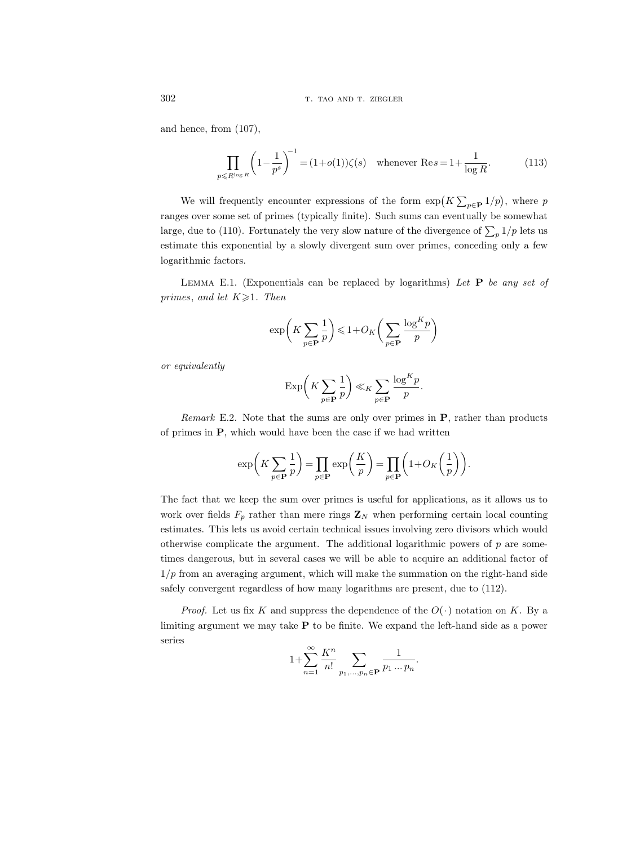and hence, from (107),

$$
\prod_{p \le R^{\log R}} \left(1 - \frac{1}{p^s}\right)^{-1} = (1 + o(1))\zeta(s) \quad \text{whenever } \text{Re}\, s = 1 + \frac{1}{\log R}.\tag{113}
$$

We will frequently encounter expressions of the form  $\exp(K \sum_{p \in \mathbf{P}} 1/p)$ , where p ranges over some set of primes (typically finite). Such sums can eventually be somewhat large, due to (110). Fortunately the very slow nature of the divergence of  $\sum_{p} 1/p$  lets us estimate this exponential by a slowly divergent sum over primes, conceding only a few logarithmic factors.

LEMMA E.1. (Exponentials can be replaced by logarithms) Let  $P$  be any set of primes, and let  $K \geq 1$ . Then

$$
\exp\biggl(K\sum_{p\in{\bf P}}\frac{1}{p}\biggr)\leqslant 1+O_K\biggl(\sum_{p\in{\bf P}}\frac{\log^K p}{p}\biggr)
$$

or equivalently

$$
\exp\bigg(K\sum_{p\in \mathbf{P}}\frac{1}{p}\bigg)\ll_K \sum_{p\in \mathbf{P}}\frac{\log^K p}{p}.
$$

*Remark* E.2. Note that the sums are only over primes in  $\bf{P}$ , rather than products of primes in P, which would have been the case if we had written

$$
\exp\bigg(K\sum_{p\in\mathbf{P}}\frac{1}{p}\bigg)=\prod_{p\in\mathbf{P}}\exp\bigg(\frac{K}{p}\bigg)=\prod_{p\in\mathbf{P}}\bigg(1+O_K\bigg(\frac{1}{p}\bigg)\bigg).
$$

The fact that we keep the sum over primes is useful for applications, as it allows us to work over fields  $F_p$  rather than mere rings  $\mathbf{Z}_N$  when performing certain local counting estimates. This lets us avoid certain technical issues involving zero divisors which would otherwise complicate the argument. The additional logarithmic powers of  $p$  are sometimes dangerous, but in several cases we will be able to acquire an additional factor of  $1/p$  from an averaging argument, which will make the summation on the right-hand side safely convergent regardless of how many logarithms are present, due to (112).

*Proof.* Let us fix K and suppress the dependence of the  $O(\cdot)$  notation on K. By a limiting argument we may take P to be finite. We expand the left-hand side as a power series

$$
1 + \sum_{n=1}^{\infty} \frac{K^n}{n!} \sum_{p_1, ..., p_n \in \mathbf{P}} \frac{1}{p_1 ... p_n}.
$$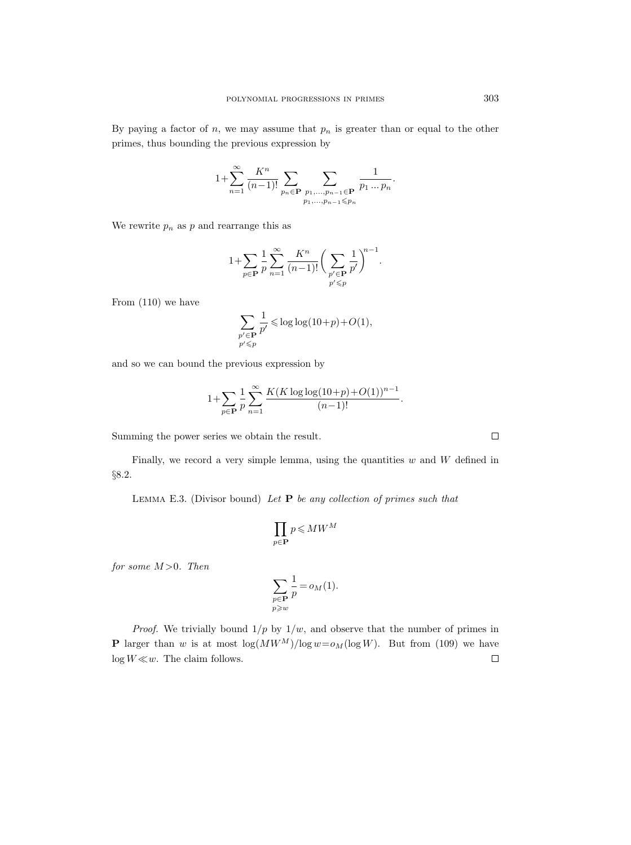By paying a factor of n, we may assume that  $p_n$  is greater than or equal to the other primes, thus bounding the previous expression by

$$
1 + \sum_{n=1}^{\infty} \frac{K^n}{(n-1)!} \sum_{p_n \in \mathbf{P}} \sum_{\substack{p_1, \dots, p_{n-1} \in \mathbf{P} \\ p_1, \dots, p_{n-1} \leq p_n}} \frac{1}{p_1 \dots p_n}.
$$

We rewrite  $p_n$  as p and rearrange this as

$$
1 + \sum_{p \in \mathbf{P}} \frac{1}{p} \sum_{n=1}^{\infty} \frac{K^n}{(n-1)!} \bigg( \sum_{\substack{p' \in \mathbf{P} \\ p' \leq p}} \frac{1}{p'} \bigg)^{n-1}.
$$

From (110) we have

$$
\sum_{\substack{p' \in \mathbf{P} \\ p' \leq p}} \frac{1}{p'} \leqslant \log \log (10+p) + O(1),
$$

and so we can bound the previous expression by

$$
1 + \sum_{p \in \mathbf{P}} \frac{1}{p} \sum_{n=1}^{\infty} \frac{K(K \log \log (10+p) + O(1))^{n-1}}{(n-1)!}.
$$

Summing the power series we obtain the result.

Finally, we record a very simple lemma, using the quantities  $w$  and  $W$  defined in §8.2.

LEMMA E.3. (Divisor bound) Let  $P$  be any collection of primes such that

$$
\prod_{p\in \mathbf{P}}p\leqslant MW^M
$$

for some  $M > 0$ . Then

$$
\sum_{\substack{p \in \mathbf{P} \\ p \geq w}} \frac{1}{p} = o_M(1).
$$

*Proof.* We trivially bound  $1/p$  by  $1/w$ , and observe that the number of primes in **P** larger than w is at most  $\log(MW^M)/\log w = o_M(\log W)$ . But from (109) we have  $log W \ll w$ . The claim follows.  $\Box$ 

 $\Box$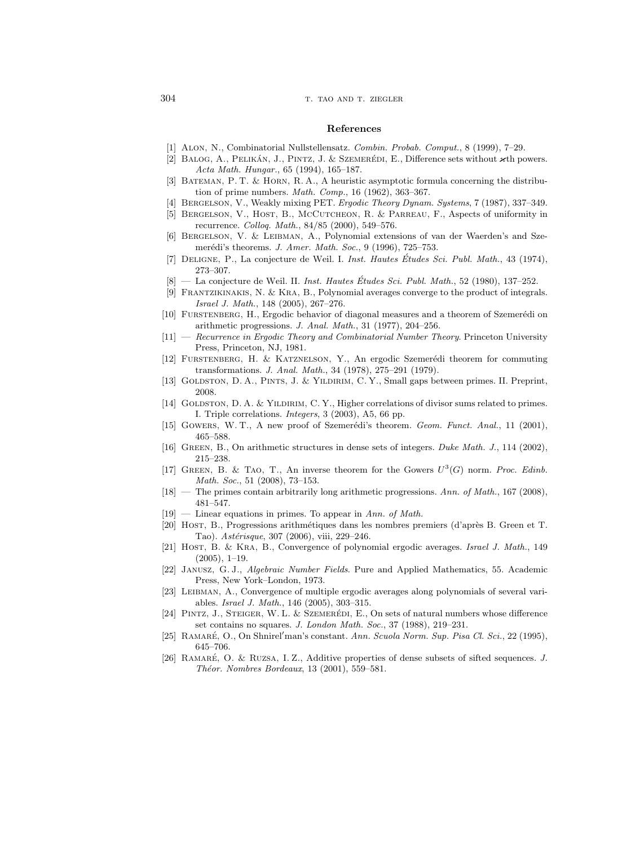## 304 T. TAO AND T. ZIEGLER

#### References

- [1] Alon, N., Combinatorial Nullstellensatz. Combin. Probab. Comput., 8 (1999), 7–29.
- [2] BALOG, A., PELIKÁN, J., PINTZ, J. & SZEMERÉDI, E., Difference sets without  $\varkappa$ th powers. Acta Math. Hungar., 65 (1994), 165–187.
- [3] Bateman, P. T. & Horn, R. A., A heuristic asymptotic formula concerning the distribution of prime numbers. Math. Comp., 16 (1962), 363–367.
- [4] Bergelson, V., Weakly mixing PET. Ergodic Theory Dynam. Systems, 7 (1987), 337–349.
- [5] Bergelson, V., Host, B., McCutcheon, R. & Parreau, F., Aspects of uniformity in recurrence. Colloq. Math., 84/85 (2000), 549–576.
- [6] Bergelson, V. & Leibman, A., Polynomial extensions of van der Waerden's and Szemerédi's theorems. J. Amer. Math. Soc., 9 (1996), 725–753.
- [7] DELIGNE, P., La conjecture de Weil. I. *Inst. Hautes Études Sci. Publ. Math.*, 43 (1974), 273–307.
- $[8]$  La conjecture de Weil. II. Inst. Hautes Études Sci. Publ. Math., 52 (1980), 137–252.
- [9] Frantzikinakis, N. & Kra, B., Polynomial averages converge to the product of integrals. Israel J. Math., 148 (2005), 267–276.
- [10] FURSTENBERG, H., Ergodic behavior of diagonal measures and a theorem of Szemerédi on arithmetic progressions. J. Anal. Math., 31 (1977), 204–256.
- [11] Recurrence in Ergodic Theory and Combinatorial Number Theory. Princeton University Press, Princeton, NJ, 1981.
- [12] FURSTENBERG, H. & KATZNELSON, Y., An ergodic Szemerédi theorem for commuting transformations. J. Anal. Math., 34 (1978), 275–291 (1979).
- [13] GOLDSTON, D. A., PINTS, J. & YILDIRIM, C. Y., Small gaps between primes. II. Preprint, 2008.
- [14] GOLDSTON, D. A. & YILDIRIM, C. Y., Higher correlations of divisor sums related to primes. I. Triple correlations. Integers, 3 (2003), A5, 66 pp.
- [15] GOWERS, W. T., A new proof of Szemerédi's theorem. Geom. Funct. Anal., 11 (2001). 465–588.
- [16] Green, B., On arithmetic structures in dense sets of integers. Duke Math. J., 114 (2002), 215–238.
- [17] GREEN, B. & TAO, T., An inverse theorem for the Gowers  $U^3(G)$  norm. Proc. Edinb. Math. Soc., 51 (2008), 73–153.
- [18] The primes contain arbitrarily long arithmetic progressions. Ann. of Math., 167 (2008), 481–547.
- $[19]$  Linear equations in primes. To appear in Ann. of Math.
- [20] Host, B., Progressions arithm´etiques dans les nombres premiers (d'apr`es B. Green et T. Tao). Astérisque, 307 (2006), viii, 229-246.
- [21] HOST, B. & KRA, B., Convergence of polynomial ergodic averages. Israel J. Math., 149  $(2005), 1-19.$
- [22] Janusz, G. J., Algebraic Number Fields. Pure and Applied Mathematics, 55. Academic Press, New York–London, 1973.
- [23] Leibman, A., Convergence of multiple ergodic averages along polynomials of several variables. Israel J. Math., 146 (2005), 303–315.
- [24] PINTZ, J., STEIGER, W. L. & SZEMERÉDI, E., On sets of natural numbers whose difference set contains no squares. J. London Math. Soc., 37 (1988), 219-231.
- [25] RAMARÉ, O., On Shnirel'man's constant. Ann. Scuola Norm. Sup. Pisa Cl. Sci., 22 (1995), 645–706.
- [26] RAMARÉ, O. & RUZSA, I. Z., Additive properties of dense subsets of sifted sequences. J. Théor. Nombres Bordeaux, 13 (2001), 559-581.